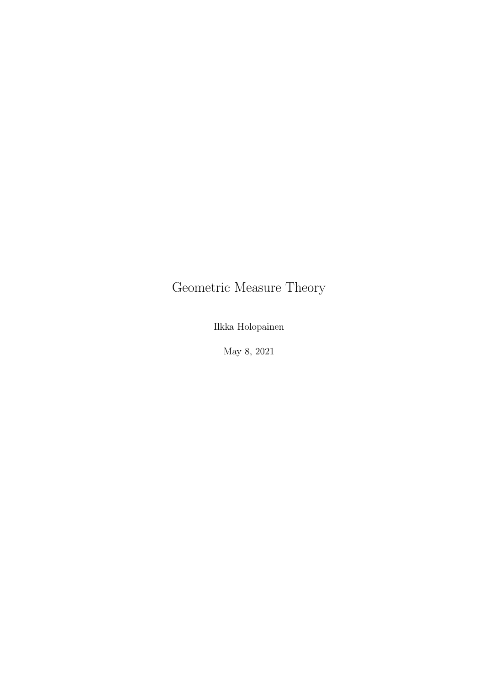# Geometric Measure Theory

Ilkka Holopainen

May 8, 2021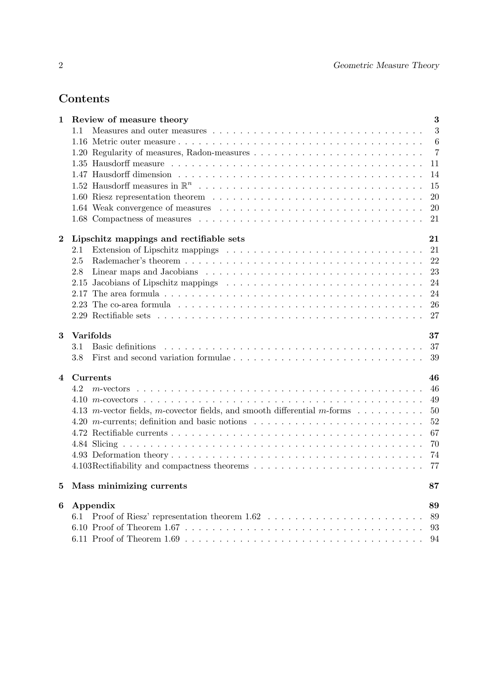# Contents

| $\mathbf 1$    | Review of measure theory                                                                                                                                                                                                              | 3                |
|----------------|---------------------------------------------------------------------------------------------------------------------------------------------------------------------------------------------------------------------------------------|------------------|
|                | 1.1                                                                                                                                                                                                                                   | 3                |
|                |                                                                                                                                                                                                                                       | $\boldsymbol{6}$ |
|                |                                                                                                                                                                                                                                       | $\overline{7}$   |
|                |                                                                                                                                                                                                                                       | 11               |
|                |                                                                                                                                                                                                                                       | 14               |
|                |                                                                                                                                                                                                                                       | 15               |
|                |                                                                                                                                                                                                                                       | 20               |
|                |                                                                                                                                                                                                                                       | 20               |
|                |                                                                                                                                                                                                                                       | 21               |
| $\bf{2}$       | Lipschitz mappings and rectifiable sets                                                                                                                                                                                               | 21               |
|                | 2.1                                                                                                                                                                                                                                   | 21               |
|                | 2.5                                                                                                                                                                                                                                   | 22               |
|                | 2.8                                                                                                                                                                                                                                   | 23               |
|                | 2.15                                                                                                                                                                                                                                  | 24               |
|                | 2.17                                                                                                                                                                                                                                  | 24               |
|                |                                                                                                                                                                                                                                       | 26               |
|                |                                                                                                                                                                                                                                       | 27               |
| 3              | Varifolds                                                                                                                                                                                                                             | 37               |
|                | Basic definitions experience in the contract of the contract of the contract of the contract of the contract of the contract of the contract of the contract of the contract of the contract of the contract of the contract o<br>3.1 | 37               |
|                | 3.8                                                                                                                                                                                                                                   | 39               |
| $\overline{4}$ | Currents                                                                                                                                                                                                                              | 46               |
|                | 4.2                                                                                                                                                                                                                                   | 46               |
|                |                                                                                                                                                                                                                                       | 49               |
|                | 4.13 <i>m</i> -vector fields, <i>m</i> -covector fields, and smooth differential <i>m</i> -forms $\dots \dots \dots$                                                                                                                  | 50               |
|                | 4.20 <i>m</i> -currents; definition and basic notions $\ldots \ldots \ldots \ldots \ldots \ldots \ldots \ldots \ldots$                                                                                                                | 52               |
|                |                                                                                                                                                                                                                                       | 67               |
|                |                                                                                                                                                                                                                                       | 70               |
|                |                                                                                                                                                                                                                                       | 74               |
|                |                                                                                                                                                                                                                                       | 77               |
| 5              | Mass minimizing currents                                                                                                                                                                                                              | 87               |
| 6              | Appendix                                                                                                                                                                                                                              | 89               |
|                | 6.1                                                                                                                                                                                                                                   | 89               |
|                |                                                                                                                                                                                                                                       | 93               |
|                |                                                                                                                                                                                                                                       | 94               |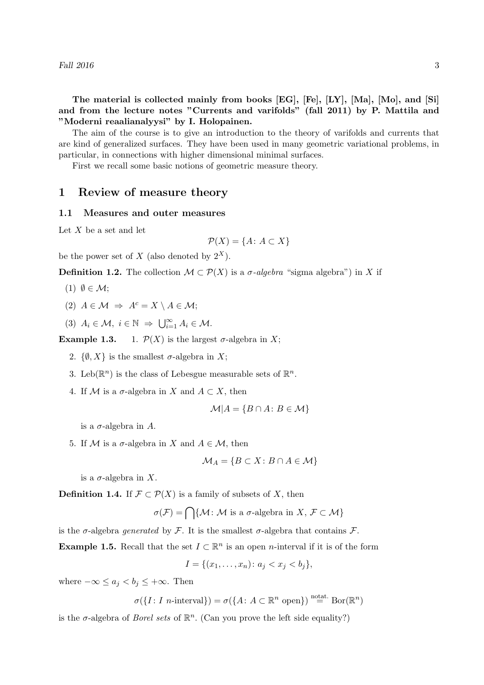The material is collected mainly from books [EG], [Fe], [LY], [Ma], [Mo], and [Si] and from the lecture notes "Currents and varifolds" (fall 2011) by P. Mattila and "Moderni reaalianalyysi" by I. Holopainen.

The aim of the course is to give an introduction to the theory of varifolds and currents that are kind of generalized surfaces. They have been used in many geometric variational problems, in particular, in connections with higher dimensional minimal surfaces.

First we recall some basic notions of geometric measure theory.

# 1 Review of measure theory

#### 1.1 Measures and outer measures

Let  $X$  be a set and let

$$
\mathcal{P}(X) = \{A \colon A \subset X\}
$$

be the power set of X (also denoted by  $2^X$ ).

**Definition 1.2.** The collection  $\mathcal{M} \subset \mathcal{P}(X)$  is a  $\sigma$ -algebra "sigma algebra") in X if

- (1)  $\emptyset \in \mathcal{M}$ ;
- (2)  $A \in \mathcal{M} \Rightarrow A^c = X \setminus A \in \mathcal{M}$ ;
- (3)  $A_i \in \mathcal{M}, i \in \mathbb{N} \Rightarrow \bigcup_{i=1}^{\infty} A_i \in \mathcal{M}.$

**Example 1.3.** 1.  $\mathcal{P}(X)$  is the largest  $\sigma$ -algebra in X;

- 2.  $\{\emptyset, X\}$  is the smallest  $\sigma$ -algebra in X;
- 3. Leb( $\mathbb{R}^n$ ) is the class of Lebesgue measurable sets of  $\mathbb{R}^n$ .
- 4. If M is a  $\sigma$ -algebra in X and  $A \subset X$ , then

$$
\mathcal{M}|A = \{B \cap A \colon B \in \mathcal{M}\}
$$

is a  $\sigma$ -algebra in A.

5. If M is a  $\sigma$ -algebra in X and  $A \in \mathcal{M}$ , then

$$
\mathcal{M}_A = \{ B \subset X \colon B \cap A \in \mathcal{M} \}
$$

is a  $\sigma$ -algebra in X.

**Definition 1.4.** If  $\mathcal{F} \subset \mathcal{P}(X)$  is a family of subsets of X, then

$$
\sigma(\mathcal{F}) = \bigcap \{ \mathcal{M} \colon \mathcal{M} \text{ is a } \sigma\text{-algebra in } X, \, \mathcal{F} \subset \mathcal{M} \}
$$

is the  $\sigma$ -algebra *generated* by F. It is the smallest  $\sigma$ -algebra that contains F.

**Example 1.5.** Recall that the set  $I \subset \mathbb{R}^n$  is an open *n*-interval if it is of the form

$$
I = \{(x_1, \ldots, x_n) \colon a_j < x_j < b_j\},\
$$

where  $-\infty \le a_j < b_j \le +\infty$ . Then

$$
\sigma(\lbrace I: I \ n\text{-interval}\rbrace) = \sigma(\lbrace A: A \subset \mathbb{R}^n \text{ open}\rbrace) \stackrel{\text{notat.}}{=} \text{Bor}(\mathbb{R}^n)
$$

is the  $\sigma$ -algebra of *Borel sets* of  $\mathbb{R}^n$ . (Can you prove the left side equality?)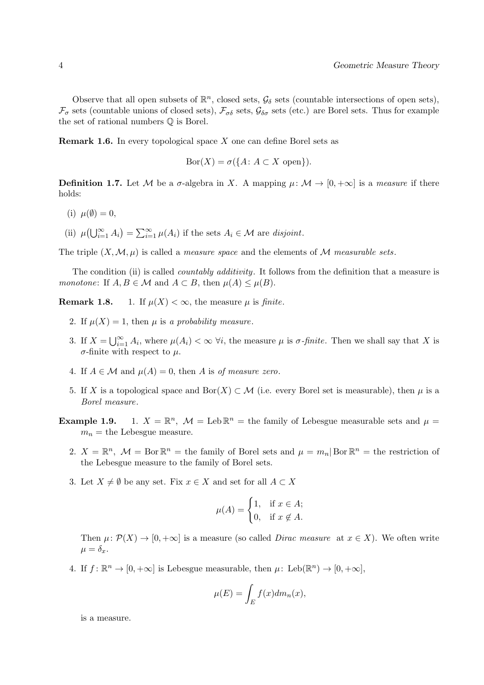Observe that all open subsets of  $\mathbb{R}^n$ , closed sets,  $\mathcal{G}_\delta$  sets (countable intersections of open sets),  $\mathcal{F}_{\sigma}$  sets (countable unions of closed sets),  $\mathcal{F}_{\sigma\delta}$  sets,  $\mathcal{G}_{\delta\sigma}$  sets (etc.) are Borel sets. Thus for example the set of rational numbers Q is Borel.

**Remark 1.6.** In every topological space X one can define Borel sets as

$$
Bor(X) = \sigma({A: A \subset X \text{ open}}).
$$

**Definition 1.7.** Let M be a  $\sigma$ -algebra in X. A mapping  $\mu \colon \mathcal{M} \to [0, +\infty]$  is a measure if there holds:

- (i)  $\mu(\emptyset) = 0$ ,
- (ii)  $\mu(\bigcup_{i=1}^{\infty} A_i) = \sum_{i=1}^{\infty} \mu(A_i)$  if the sets  $A_i \in \mathcal{M}$  are disjoint.

The triple  $(X, \mathcal{M}, \mu)$  is called a *measure space* and the elements of M *measurable sets.* 

The condition (ii) is called *countably additivity*. It follows from the definition that a measure is monotone: If  $A, B \in \mathcal{M}$  and  $A \subset B$ , then  $\mu(A) \leq \mu(B)$ .

**Remark 1.8.** 1. If  $\mu(X) < \infty$ , the measure  $\mu$  is finite.

- 2. If  $\mu(X) = 1$ , then  $\mu$  is a probability measure.
- 3. If  $X = \bigcup_{i=1}^{\infty} A_i$ , where  $\mu(A_i) < \infty$   $\forall i$ , the measure  $\mu$  is  $\sigma$ -finite. Then we shall say that X is  $\sigma$ -finite with respect to  $\mu$ .
- 4. If  $A \in \mathcal{M}$  and  $\mu(A) = 0$ , then A is of measure zero.
- 5. If X is a topological space and Bor(X)  $\subset \mathcal{M}$  (i.e. every Borel set is measurable), then  $\mu$  is a Borel measure.
- Example 1.9. <sup>n</sup>,  $\mathcal{M} =$  Leb  $\mathbb{R}^n$  = the family of Lebesgue measurable sets and  $\mu$  =  $m_n$  = the Lebesgue measure.
	- 2.  $X = \mathbb{R}^n$ ,  $\mathcal{M} = \text{Bor } \mathbb{R}^n = \text{the family of Borel sets and } \mu = m_n | \text{Bor } \mathbb{R}^n = \text{the restriction of } \mathbb{R}^n$ the Lebesgue measure to the family of Borel sets.
	- 3. Let  $X \neq \emptyset$  be any set. Fix  $x \in X$  and set for all  $A \subset X$

$$
\mu(A) = \begin{cases} 1, & \text{if } x \in A; \\ 0, & \text{if } x \notin A. \end{cases}
$$

Then  $\mu: \mathcal{P}(X) \to [0, +\infty]$  is a measure (so called *Dirac measure* at  $x \in X$ ). We often write  $\mu = \delta_x.$ 

4. If  $f: \mathbb{R}^n \to [0, +\infty]$  is Lebesgue measurable, then  $\mu: \text{Leb}(\mathbb{R}^n) \to [0, +\infty]$ ,

$$
\mu(E) = \int_E f(x) dm_n(x),
$$

is a measure.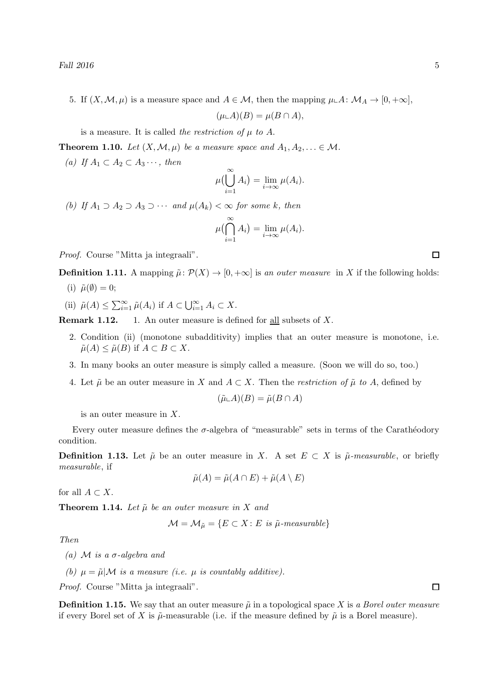5. If  $(X, \mathcal{M}, \mu)$  is a measure space and  $A \in \mathcal{M}$ , then the mapping  $\mu \in A : \mathcal{M}_A \to [0, +\infty]$ ,

$$
(\mu \llcorner A)(B) = \mu(B \cap A),
$$

is a measure. It is called the restriction of  $\mu$  to A.

**Theorem 1.10.** Let  $(X, \mathcal{M}, \mu)$  be a measure space and  $A_1, A_2, \ldots \in \mathcal{M}$ .

(a) If  $A_1 \subset A_2 \subset A_3 \cdots$ , then

$$
\mu\big(\bigcup_{i=1}^{\infty} A_i\big) = \lim_{i \to \infty} \mu(A_i).
$$

(b) If  $A_1 \supset A_2 \supset A_3 \supset \cdots$  and  $\mu(A_k) < \infty$  for some k, then

$$
\mu\big(\bigcap_{i=1}^{\infty} A_i\big) = \lim_{i \to \infty} \mu(A_i).
$$

Proof. Course "Mitta ja integraali".

**Definition 1.11.** A mapping  $\tilde{\mu}: \mathcal{P}(X) \to [0, +\infty]$  is an outer measure in X if the following holds:

- (i)  $\tilde{\mu}(\emptyset) = 0;$
- (ii)  $\tilde{\mu}(A) \le \sum_{i=1}^{\infty} \tilde{\mu}(A_i)$  if  $A \subset \bigcup_{i=1}^{\infty} A_i \subset X$ .

**Remark 1.12.** 1. An outer measure is defined for all subsets of  $X$ .

- 2. Condition (ii) (monotone subadditivity) implies that an outer measure is monotone, i.e.  $\tilde{\mu}(A) \leq \tilde{\mu}(B)$  if  $A \subset B \subset X$ .
- 3. In many books an outer measure is simply called a measure. (Soon we will do so, too.)
- 4. Let  $\tilde{\mu}$  be an outer measure in X and  $A \subset X$ . Then the *restriction of*  $\tilde{\mu}$  to A, defined by

$$
(\tilde{\mu}\llcorner A)(B)=\tilde{\mu}(B\cap A)
$$

is an outer measure in X.

Every outer measure defines the  $\sigma$ -algebra of "measurable" sets in terms of the Carathéodory condition.

**Definition 1.13.** Let  $\tilde{\mu}$  be an outer measure in X. A set  $E \subset X$  is  $\tilde{\mu}$ -measurable, or briefly measurable, if

$$
\tilde{\mu}(A) = \tilde{\mu}(A \cap E) + \tilde{\mu}(A \setminus E)
$$

for all  $A \subset X$ .

**Theorem 1.14.** Let  $\tilde{\mu}$  be an outer measure in X and

$$
\mathcal{M} = \mathcal{M}_{\tilde{\mu}} = \{ E \subset X : E \text{ is } \tilde{\mu}\text{-measurable} \}
$$

Then

(a)  $\mathcal M$  is a  $\sigma$ -algebra and

(b)  $\mu = \tilde{\mu} | \mathcal{M}$  is a measure (i.e.  $\mu$  is countably additive).

Proof. Course "Mitta ja integraali".

**Definition 1.15.** We say that an outer measure  $\tilde{\mu}$  in a topological space X is a Borel outer measure if every Borel set of X is  $\tilde{\mu}$ -measurable (i.e. if the measure defined by  $\tilde{\mu}$  is a Borel measure).

 $\Box$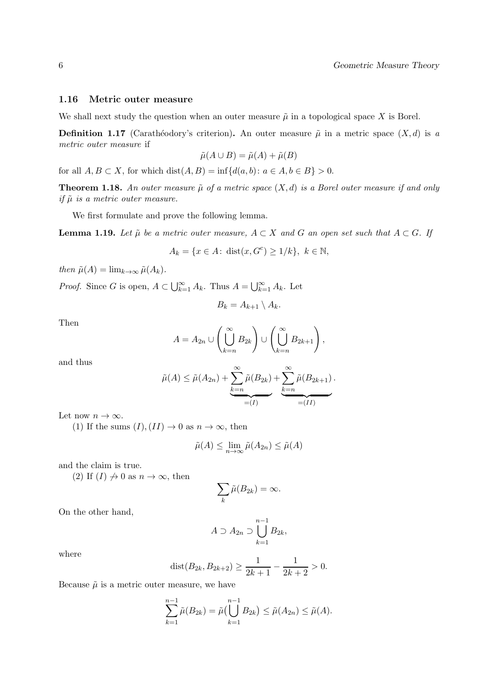#### 1.16 Metric outer measure

We shall next study the question when an outer measure  $\tilde{\mu}$  in a topological space X is Borel.

**Definition 1.17** (Carathéodory's criterion). An outer measure  $\tilde{\mu}$  in a metric space  $(X, d)$  is a metric outer measure if

$$
\tilde{\mu}(A \cup B) = \tilde{\mu}(A) + \tilde{\mu}(B)
$$

for all  $A, B \subset X$ , for which  $dist(A, B) = inf{d(a, b): a \in A, b \in B} > 0$ .

**Theorem 1.18.** An outer measure  $\tilde{\mu}$  of a metric space  $(X, d)$  is a Borel outer measure if and only if  $\tilde{\mu}$  is a metric outer measure.

We first formulate and prove the following lemma.

**Lemma 1.19.** Let  $\tilde{\mu}$  be a metric outer measure,  $A \subset X$  and G an open set such that  $A \subset G$ . If

$$
A_k = \{ x \in A \colon \operatorname{dist}(x, G^c) \ge 1/k \}, \ k \in \mathbb{N},
$$

then  $\tilde{\mu}(A) = \lim_{k \to \infty} \tilde{\mu}(A_k)$ .

*Proof.* Since G is open,  $A \subset \bigcup_{k=1}^{\infty} A_k$ . Thus  $A = \bigcup_{k=1}^{\infty} A_k$ . Let

$$
B_k = A_{k+1} \setminus A_k.
$$

Then

$$
A = A_{2n} \cup \left(\bigcup_{k=n}^{\infty} B_{2k}\right) \cup \left(\bigcup_{k=n}^{\infty} B_{2k+1}\right),\,
$$

and thus

$$
\tilde{\mu}(A) \leq \tilde{\mu}(A_{2n}) + \underbrace{\sum_{k=n}^{\infty} \tilde{\mu}(B_{2k})}_{=(I)} + \underbrace{\sum_{k=n}^{\infty} \tilde{\mu}(B_{2k+1})}_{=(II)}.
$$

Let now  $n \to \infty$ .

(1) If the sums  $(I), (II) \rightarrow 0$  as  $n \rightarrow \infty$ , then

$$
\tilde{\mu}(A) \le \lim_{n \to \infty} \tilde{\mu}(A_{2n}) \le \tilde{\mu}(A)
$$

and the claim is true.

(2) If  $(I) \nrightarrow 0$  as  $n \rightarrow \infty$ , then

$$
\sum_{k}\tilde{\mu}(B_{2k})=\infty.
$$

On the other hand,

$$
A \supset A_{2n} \supset \bigcup_{k=1}^{n-1} B_{2k},
$$

where

$$
dist(B_{2k}, B_{2k+2}) \ge \frac{1}{2k+1} - \frac{1}{2k+2} > 0.
$$

Because  $\tilde{\mu}$  is a metric outer measure, we have

$$
\sum_{k=1}^{n-1} \tilde{\mu}(B_{2k}) = \tilde{\mu}(\bigcup_{k=1}^{n-1} B_{2k}) \leq \tilde{\mu}(A_{2n}) \leq \tilde{\mu}(A).
$$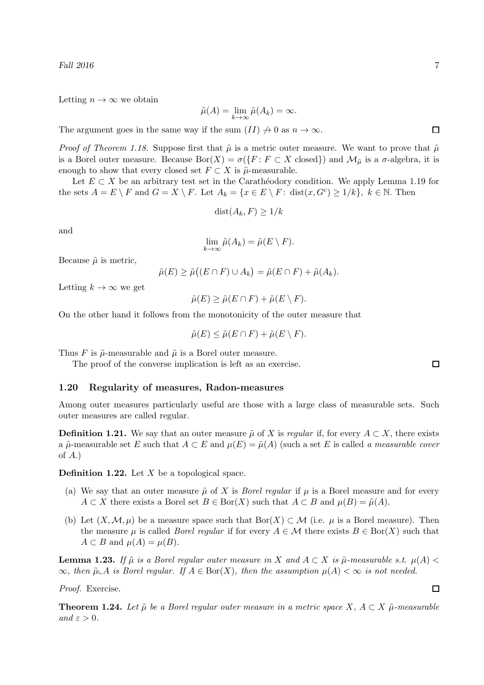Letting  $n \to \infty$  we obtain

$$
\tilde{\mu}(A) = \lim_{k \to \infty} \tilde{\mu}(A_k) = \infty.
$$

The argument goes in the same way if the sum  $(II) \nrightarrow 0$  as  $n \rightarrow \infty$ .

*Proof of Theorem 1.18.* Suppose first that  $\tilde{\mu}$  is a metric outer measure. We want to prove that  $\tilde{\mu}$ is a Borel outer measure. Because  $\text{Bor}(X) = \sigma(\{F : F \subset X \text{ closed}\})$  and  $\mathcal{M}_{\tilde{\mu}}$  is a  $\sigma$ -algebra, it is enough to show that every closed set  $F \subset X$  is  $\tilde{\mu}$ -measurable.

Let  $E \subset X$  be an arbitrary test set in the Carathéodory condition. We apply Lemma 1.19 for the sets  $A = E \setminus F$  and  $G = X \setminus F$ . Let  $A_k = \{x \in E \setminus F : \text{dist}(x, G^c) \ge 1/k\}, k \in \mathbb{N}$ . Then

$$
dist(A_k, F) \ge 1/k
$$

and

$$
\lim_{k\to\infty}\tilde{\mu}(A_k)=\tilde{\mu}(E\setminus F).
$$

Because  $\tilde{\mu}$  is metric,

$$
\tilde{\mu}(E) \ge \tilde{\mu}((E \cap F) \cup A_k) = \tilde{\mu}(E \cap F) + \tilde{\mu}(A_k).
$$

Letting  $k \to \infty$  we get

$$
\tilde{\mu}(E) \ge \tilde{\mu}(E \cap F) + \tilde{\mu}(E \setminus F).
$$

On the other hand it follows from the monotonicity of the outer measure that

$$
\tilde{\mu}(E) \le \tilde{\mu}(E \cap F) + \tilde{\mu}(E \setminus F).
$$

Thus F is  $\tilde{\mu}$ -measurable and  $\tilde{\mu}$  is a Borel outer measure.

The proof of the converse implication is left as an exercise.

#### 1.20 Regularity of measures, Radon-measures

Among outer measures particularly useful are those with a large class of measurable sets. Such outer measures are called regular.

**Definition 1.21.** We say that an outer measure  $\tilde{\mu}$  of X is regular if, for every  $A \subset X$ , there exists a  $\tilde{\mu}$ -measurable set E such that  $A \subset E$  and  $\mu(E) = \tilde{\mu}(A)$  (such a set E is called a measurable cover of  $A$ .)

**Definition 1.22.** Let  $X$  be a topological space.

- (a) We say that an outer measure  $\tilde{\mu}$  of X is *Borel regular* if  $\mu$  is a Borel measure and for every  $A \subset X$  there exists a Borel set  $B \in \text{Bor}(X)$  such that  $A \subset B$  and  $\mu(B) = \tilde{\mu}(A)$ .
- (b) Let  $(X, \mathcal{M}, \mu)$  be a measure space such that  $Bor(X) \subset \mathcal{M}$  (i.e.  $\mu$  is a Borel measure). Then the measure  $\mu$  is called *Borel regular* if for every  $A \in \mathcal{M}$  there exists  $B \in \text{Bor}(X)$  such that  $A \subset B$  and  $\mu(A) = \mu(B)$ .

**Lemma 1.23.** If  $\tilde{\mu}$  is a Borel regular outer measure in X and  $A \subset X$  is  $\tilde{\mu}$ -measurable s.t.  $\mu(A)$  $\infty$ , then  $\tilde{\mu} \perp A$  is Borel regular. If  $A \in \text{Bor}(X)$ , then the assumption  $\mu(A) < \infty$  is not needed.

Proof. Exercise.

**Theorem 1.24.** Let  $\tilde{\mu}$  be a Borel regular outer measure in a metric space X,  $A \subset X$   $\tilde{\mu}$ -measurable and  $\varepsilon > 0$ .

 $\Box$ 

 $\Box$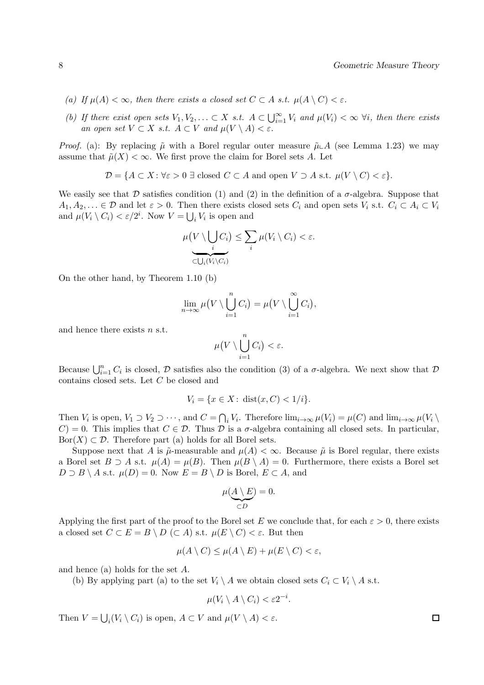- (a) If  $\mu(A) < \infty$ , then there exists a closed set  $C \subset A$  s.t.  $\mu(A \setminus C) < \varepsilon$ .
- (b) If there exist open sets  $V_1, V_2, \ldots \subset X$  s.t.  $A \subset \bigcup_{i=1}^{\infty} V_i$  and  $\mu(V_i) < \infty$   $\forall i$ , then there exists an open set  $V \subset X$  s.t.  $A \subset V$  and  $\mu(V \setminus A) < \varepsilon$ .

*Proof.* (a): By replacing  $\tilde{\mu}$  with a Borel regular outer measure  $\tilde{\mu} \Delta A$  (see Lemma 1.23) we may assume that  $\tilde{\mu}(X) < \infty$ . We first prove the claim for Borel sets A. Let

$$
\mathcal{D} = \{ A \subset X : \forall \varepsilon > 0 \; \exists \; \text{closed } C \subset A \text{ and open } V \supset A \text{ s.t. } \mu(V \setminus C) < \varepsilon \}.
$$

We easily see that D satisfies condition (1) and (2) in the definition of a  $\sigma$ -algebra. Suppose that  $A_1, A_2, \ldots \in \mathcal{D}$  and let  $\varepsilon > 0$ . Then there exists closed sets  $C_i$  and open sets  $V_i$  s.t.  $C_i \subset A_i \subset V_i$ and  $\mu(V_i \setminus C_i) < \varepsilon/2^i$ . Now  $V = \bigcup_i V_i$  is open and

$$
\mu\big(V \setminus \bigcup_{i} C_i\big) \le \sum_{i} \mu(V_i \setminus C_i) < \varepsilon.
$$

On the other hand, by Theorem 1.10 (b)

$$
\lim_{n\to\infty}\mu\big(V\setminus\bigcup_{i=1}^nC_i\big)=\mu\big(V\setminus\bigcup_{i=1}^\infty C_i\big),
$$

and hence there exists n s.t.

$$
\mu\big(V\setminus \bigcup_{i=1}^n C_i\big)<\varepsilon.
$$

Because  $\bigcup_{i=1}^n C_i$  is closed,  $\mathcal D$  satisfies also the condition (3) of a  $\sigma$ -algebra. We next show that  $\mathcal D$ contains closed sets. Let C be closed and

$$
V_i = \{ x \in X \colon \text{dist}(x, C) < 1/i \}.
$$

Then  $V_i$  is open,  $V_1 \supset V_2 \supset \cdots$ , and  $C = \bigcap_i V_i$ . Therefore  $\lim_{i \to \infty} \mu(V_i) = \mu(C)$  and  $\lim_{i \to \infty} \mu(V_i \setminus$  $C$ ) = 0. This implies that  $C \in \mathcal{D}$ . Thus  $\mathcal D$  is a  $\sigma$ -algebra containing all closed sets. In particular,  $\text{Bor}(X) \subset \mathcal{D}$ . Therefore part (a) holds for all Borel sets.

Suppose next that A is  $\tilde{\mu}$ -measurable and  $\mu(A) < \infty$ . Because  $\tilde{\mu}$  is Borel regular, there exists a Borel set  $B \supset A$  s.t.  $\mu(A) = \mu(B)$ . Then  $\mu(B \setminus A) = 0$ . Furthermore, there exists a Borel set  $D \supset B \setminus A$  s.t.  $\mu(D) = 0$ . Now  $E = B \setminus D$  is Borel,  $E \subset A$ , and

$$
\mu(\underbrace{A \setminus E}_{\subset D}) = 0.
$$

Applying the first part of the proof to the Borel set E we conclude that, for each  $\varepsilon > 0$ , there exists a closed set  $C \subset E = B \setminus D \subset A$  s.t.  $\mu(E \setminus C) < \varepsilon$ . But then

$$
\mu(A \setminus C) \le \mu(A \setminus E) + \mu(E \setminus C) < \varepsilon,
$$

and hence (a) holds for the set A.

(b) By applying part (a) to the set  $V_i \setminus A$  we obtain closed sets  $C_i \subset V_i \setminus A$  s.t.

$$
\mu(V_i \setminus A \setminus C_i) < \varepsilon 2^{-i}
$$

.

Then  $V = \bigcup_i (V_i \setminus C_i)$  is open,  $A \subset V$  and  $\mu(V \setminus A) < \varepsilon$ .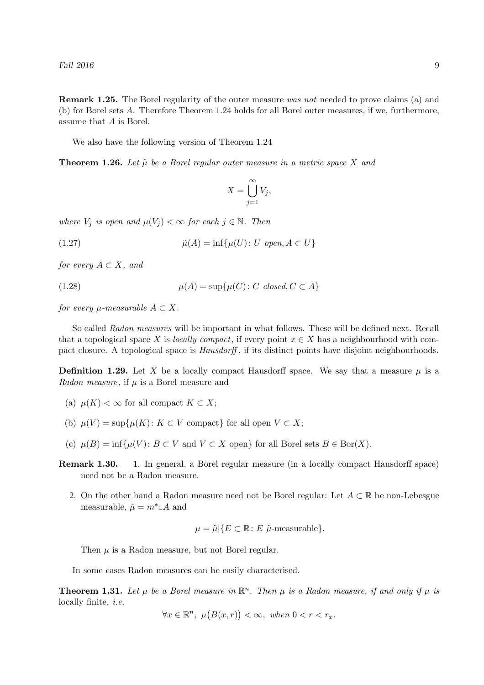Remark 1.25. The Borel regularity of the outer measure was not needed to prove claims (a) and (b) for Borel sets A. Therefore Theorem 1.24 holds for all Borel outer measures, if we, furthermore, assume that A is Borel.

We also have the following version of Theorem 1.24

**Theorem 1.26.** Let  $\tilde{\mu}$  be a Borel regular outer measure in a metric space X and

$$
X = \bigcup_{j=1}^{\infty} V_j,
$$

where  $V_j$  is open and  $\mu(V_j) < \infty$  for each  $j \in \mathbb{N}$ . Then

(1.27) 
$$
\tilde{\mu}(A) = \inf \{ \mu(U) : U \text{ open}, A \subset U \}
$$

for every  $A \subset X$ , and

(1.28) 
$$
\mu(A) = \sup \{ \mu(C) : C \text{ closed}, C \subset A \}
$$

for every  $\mu$ -measurable  $A \subset X$ .

So called Radon measures will be important in what follows. These will be defined next. Recall that a topological space X is locally compact, if every point  $x \in X$  has a neighbourhood with compact closure. A topological space is *Hausdorff*, if its distinct points have disjoint neighbourhoods.

**Definition 1.29.** Let X be a locally compact Hausdorff space. We say that a measure  $\mu$  is a Radon measure, if  $\mu$  is a Borel measure and

- (a)  $\mu(K) < \infty$  for all compact  $K \subset X$ ;
- (b)  $\mu(V) = \sup \{ \mu(K) : K \subset V \text{ compact} \}$  for all open  $V \subset X$ ;
- (c)  $\mu(B) = \inf \{ \mu(V) : B \subset V \text{ and } V \subset X \text{ open} \}$  for all Borel sets  $B \in \text{Bor}(X)$ .
- Remark 1.30. 1. In general, a Borel regular measure (in a locally compact Hausdorff space) need not be a Radon measure.
	- 2. On the other hand a Radon measure need not be Borel regular: Let  $A \subset \mathbb{R}$  be non-Lebesgue measurable,  $\tilde{\mu} = m^* \mathcal{A}$  and

$$
\mu = \tilde{\mu} | \{ E \subset \mathbb{R} \colon E \, \tilde{\mu} \text{-measurable} \}.
$$

Then  $\mu$  is a Radon measure, but not Borel regular.

In some cases Radon measures can be easily characterised.

**Theorem 1.31.** Let  $\mu$  be a Borel measure in  $\mathbb{R}^n$ . Then  $\mu$  is a Radon measure, if and only if  $\mu$  is locally finite, i.e.

$$
\forall x \in \mathbb{R}^n, \ \mu(B(x,r)) < \infty, \ \text{when } 0 < r < r_x.
$$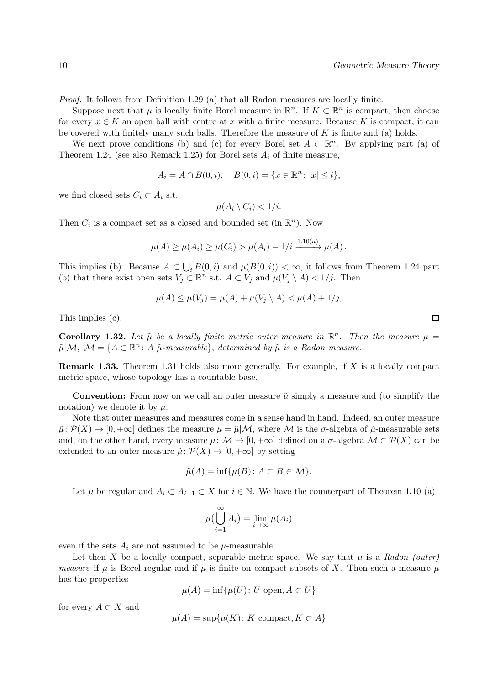Proof. It follows from Definition 1.29 (a) that all Radon measures are locally finite.

Suppose next that  $\mu$  is locally finite Borel measure in  $\mathbb{R}^n$ . If  $K \subset \mathbb{R}^n$  is compact, then choose for every  $x \in K$  an open ball with centre at x with a finite measure. Because K is compact, it can be covered with finitely many such balls. Therefore the measure of  $K$  is finite and (a) holds.

We next prove conditions (b) and (c) for every Borel set  $A \subset \mathbb{R}^n$ . By applying part (a) of Theorem 1.24 (see also Remark 1.25) for Borel sets  $A_i$  of finite measure,

$$
A_i = A \cap B(0, i), \quad B(0, i) = \{x \in \mathbb{R}^n : |x| \le i\},\
$$

we find closed sets  $C_i \subset A_i$  s.t.

$$
\mu(A_i \setminus C_i) < 1/i.
$$

Then  $C_i$  is a compact set as a closed and bounded set (in  $\mathbb{R}^n$ ). Now

$$
\mu(A) \ge \mu(A_i) \ge \mu(C_i) > \mu(A_i) - 1/i \xrightarrow{1.10(a)} \mu(A).
$$

This implies (b). Because  $A \subset \bigcup_i B(0, i)$  and  $\mu(B(0, i)) < \infty$ , it follows from Theorem 1.24 part (b) that there exist open sets  $V_j \subset \mathbb{R}^n$  s.t.  $A \subset V_j$  and  $\mu(V_j \setminus A) < 1/j$ . Then

$$
\mu(A) \le \mu(V_j) = \mu(A) + \mu(V_j \setminus A) < \mu(A) + \frac{1}{j},
$$

This implies (c).

**Corollary 1.32.** Let  $\tilde{\mu}$  be a locally finite metric outer measure in  $\mathbb{R}^n$ . Then the measure  $\mu =$  $\tilde{\mu}|\mathcal{M}, \mathcal{M} = \{A \subset \mathbb{R}^n : A \tilde{\mu}\text{-}measurable\},\ determined\ by\ \tilde{\mu}\ is\ a\ Radon\ measure.$ 

Remark 1.33. Theorem 1.31 holds also more generally. For example, if X is a locally compact metric space, whose topology has a countable base.

**Convention:** From now on we call an outer measure  $\tilde{\mu}$  simply a measure and (to simplify the notation) we denote it by  $\mu$ .

Note that outer measures and measures come in a sense hand in hand. Indeed, an outer measure  $\tilde{\mu}: \mathcal{P}(X) \to [0, +\infty]$  defines the measure  $\mu = \tilde{\mu}|\mathcal{M}$ , where M is the  $\sigma$ -algebra of  $\tilde{\mu}$ -measurable sets and, on the other hand, every measure  $\mu: \mathcal{M} \to [0, +\infty]$  defined on a  $\sigma$ -algebra  $\mathcal{M} \subset \mathcal{P}(X)$  can be extended to an outer measure  $\tilde{\mu}: \mathcal{P}(X) \to [0, +\infty]$  by setting

$$
\tilde{\mu}(A) = \inf \{ \mu(B) \colon A \subset B \in \mathcal{M} \}.
$$

Let  $\mu$  be regular and  $A_i \subset A_{i+1} \subset X$  for  $i \in \mathbb{N}$ . We have the counterpart of Theorem 1.10 (a)

$$
\mu\big(\bigcup_{i=1}^{\infty} A_i\big) = \lim_{i \to \infty} \mu(A_i)
$$

even if the sets  $A_i$  are not assumed to be  $\mu$ -measurable.

Let then X be a locally compact, separable metric space. We say that  $\mu$  is a Radon (outer) measure if  $\mu$  is Borel regular and if  $\mu$  is finite on compact subsets of X. Then such a measure  $\mu$ has the properties

$$
\mu(A) = \inf \{ \mu(U) \colon U \text{ open}, A \subset U \}
$$

for every  $A \subset X$  and

$$
\mu(A) = \sup \{ \mu(K) \colon K \text{ compact}, K \subset A \}
$$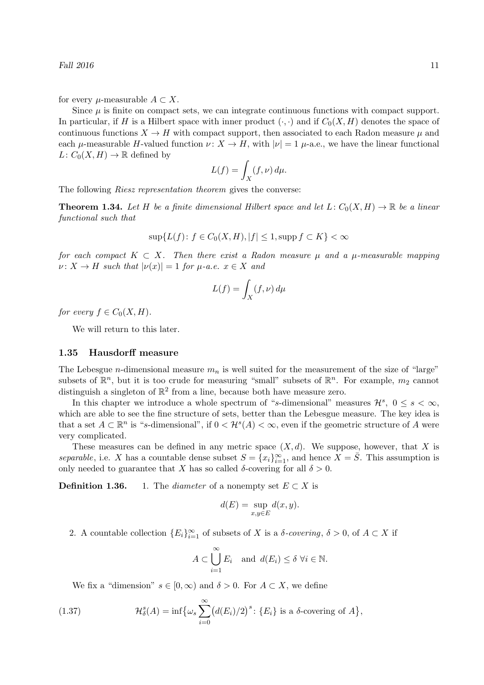for every  $\mu$ -measurable  $A \subset X$ .

Since  $\mu$  is finite on compact sets, we can integrate continuous functions with compact support. In particular, if H is a Hilbert space with inner product  $(\cdot, \cdot)$  and if  $C_0(X, H)$  denotes the space of continuous functions  $X \to H$  with compact support, then associated to each Radon measure  $\mu$  and each  $\mu$ -measurable H-valued function  $\nu: X \to H$ , with  $|\nu| = 1$   $\mu$ -a.e., we have the linear functional  $L: C_0(X, H) \to \mathbb{R}$  defined by

$$
L(f) = \int_X (f, \nu) \, d\mu.
$$

The following *Riesz representation theorem* gives the converse:

**Theorem 1.34.** Let H be a finite dimensional Hilbert space and let  $L: C_0(X, H) \to \mathbb{R}$  be a linear functional such that

$$
\sup\{L(f)\colon f\in C_0(X,H), |f|\leq 1, \text{supp}\,f\subset K\}<\infty
$$

for each compact  $K \subset X$ . Then there exist a Radon measure  $\mu$  and a  $\mu$ -measurable mapping  $\nu: X \to H$  such that  $|\nu(x)| = 1$  for  $\mu$ -a.e.  $x \in X$  and

$$
L(f) = \int_X (f, \nu) \, d\mu
$$

for every  $f \in C_0(X, H)$ .

We will return to this later.

# 1.35 Hausdorff measure

The Lebesgue *n*-dimensional measure  $m_n$  is well suited for the measurement of the size of "large" subsets of  $\mathbb{R}^n$ , but it is too crude for measuring "small" subsets of  $\mathbb{R}^n$ . For example,  $m_2$  cannot distinguish a singleton of  $\mathbb{R}^2$  from a line, because both have measure zero.

In this chapter we introduce a whole spectrum of "s-dimensional" measures  $\mathcal{H}^s$ ,  $0 \leq s < \infty$ , which are able to see the fine structure of sets, better than the Lebesgue measure. The key idea is that a set  $A \subset \mathbb{R}^n$  is "s-dimensional", if  $0 < H^s(A) < \infty$ , even if the geometric structure of A were very complicated.

These measures can be defined in any metric space  $(X, d)$ . We suppose, however, that X is separable, i.e. X has a countable dense subset  $S = \{x_i\}_{i=1}^{\infty}$ , and hence  $X = \overline{S}$ . This assumption is only needed to guarantee that X has so called  $\delta$ -covering for all  $\delta > 0$ .

**Definition 1.36.** 1. The *diameter* of a nonempty set  $E \subset X$  is

$$
d(E) = \sup_{x,y \in E} d(x,y).
$$

2. A countable collection  ${E_i}_{i=1}^{\infty}$  of subsets of X is a  $\delta$ -covering,  $\delta > 0$ , of  $A \subset X$  if

$$
A \subset \bigcup_{i=1}^{\infty} E_i \text{ and } d(E_i) \le \delta \ \forall i \in \mathbb{N}.
$$

We fix a "dimension"  $s \in [0, \infty)$  and  $\delta > 0$ . For  $A \subset X$ , we define

(1.37) 
$$
\mathcal{H}_{\delta}^{s}(A) = \inf \{ \omega_{s} \sum_{i=0}^{\infty} (d(E_{i})/2)^{s} : \{ E_{i} \} \text{ is a } \delta \text{-covering of } A \},
$$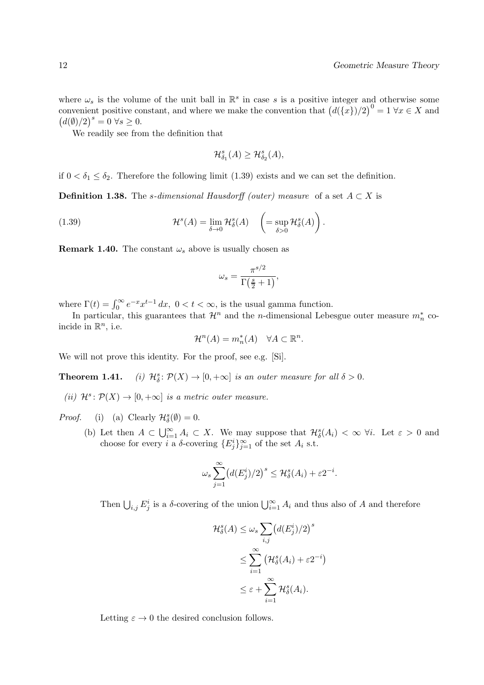where  $\omega_s$  is the volume of the unit ball in  $\mathbb{R}^s$  in case s is a positive integer and otherwise some convenient positive constant, and where we make the convention that  $(d({x})/2)^{0} = 1 \forall x \in X$  and  $(d(\emptyset)/2)^s = 0 \,\forall s \geq 0.$ 

We readily see from the definition that

$$
\mathcal{H}^s_{\delta_1}(A) \geq \mathcal{H}^s_{\delta_2}(A),
$$

if  $0 < \delta_1 \leq \delta_2$ . Therefore the following limit (1.39) exists and we can set the definition.

**Definition 1.38.** The s-dimensional Hausdorff (outer) measure of a set  $A \subset X$  is

(1.39) 
$$
\mathcal{H}^s(A) = \lim_{\delta \to 0} \mathcal{H}^s_{\delta}(A) \quad \left( = \sup_{\delta > 0} \mathcal{H}^s_{\delta}(A) \right).
$$

**Remark 1.40.** The constant  $\omega_s$  above is usually chosen as

$$
\omega_s = \frac{\pi^{s/2}}{\Gamma(\frac{s}{2} + 1)},
$$

where  $\Gamma(t) = \int_0^\infty e^{-x} x^{t-1} dx$ ,  $0 < t < \infty$ , is the usual gamma function.

In particular, this guarantees that  $\mathcal{H}^n$  and the *n*-dimensional Lebesgue outer measure  $m_n^*$  coincide in  $\mathbb{R}^n$ , i.e.

$$
\mathcal{H}^n(A) = m_n^*(A) \quad \forall A \subset \mathbb{R}^n.
$$

We will not prove this identity. For the proof, see e.g. [Si].

Theorem  $1.41$ .  $S^s_{\delta}: \mathcal{P}(X) \to [0, +\infty]$  is an outer measure for all  $\delta > 0$ .

(ii)  $\mathcal{H}^s \colon \mathcal{P}(X) \to [0, +\infty]$  is a metric outer measure.

Proof. (i) (a) Clearly  $\mathcal{H}_{\delta}^{s}(\emptyset) = 0$ .

(b) Let then  $A \subset \bigcup_{i=1}^{\infty} A_i \subset X$ . We may suppose that  $\mathcal{H}_{\delta}^s(A_i) < \infty$   $\forall i$ . Let  $\varepsilon > 0$  and choose for every *i* a  $\delta$ -covering  $\{E_j^i\}_{j=1}^{\infty}$  of the set  $A_i$  s.t.

$$
\omega_s \sum_{j=1}^{\infty} \left( d(E_j^i)/2 \right)^s \leq \mathcal{H}_\delta^s(A_i) + \varepsilon 2^{-i}.
$$

Then  $\bigcup_{i,j} E_j^i$  is a  $\delta$ -covering of the union  $\bigcup_{i=1}^{\infty} A_i$  and thus also of A and therefore

$$
\mathcal{H}_{\delta}^{s}(A) \leq \omega_{s} \sum_{i,j} (d(E_{j}^{i})/2)^{s}
$$

$$
\leq \sum_{i=1}^{\infty} (\mathcal{H}_{\delta}^{s}(A_{i}) + \varepsilon 2^{-i})
$$

$$
\leq \varepsilon + \sum_{i=1}^{\infty} \mathcal{H}_{\delta}^{s}(A_{i}).
$$

Letting  $\varepsilon \to 0$  the desired conclusion follows.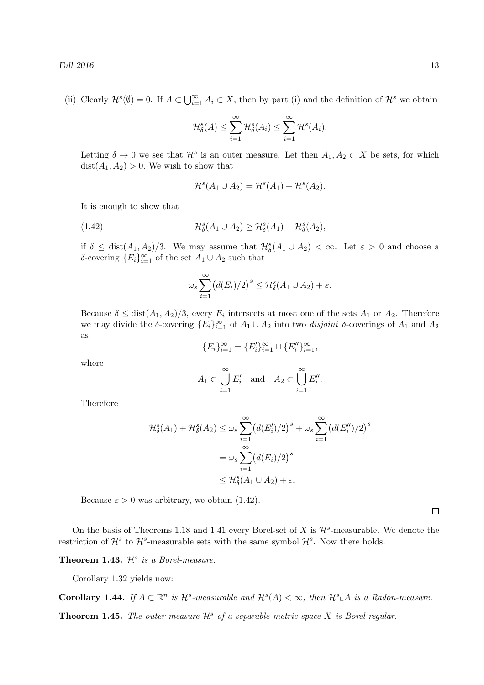(ii) Clearly  $\mathcal{H}^s(\emptyset) = 0$ . If  $A \subset \bigcup_{i=1}^{\infty} A_i \subset X$ , then by part (i) and the definition of  $\mathcal{H}^s$  we obtain

$$
\mathcal{H}^s_{\delta}(A) \leq \sum_{i=1}^{\infty} \mathcal{H}^s_{\delta}(A_i) \leq \sum_{i=1}^{\infty} \mathcal{H}^s(A_i).
$$

Letting  $\delta \to 0$  we see that  $\mathcal{H}^s$  is an outer measure. Let then  $A_1, A_2 \subset X$  be sets, for which  $dist(A_1, A_2) > 0$ . We wish to show that

$$
\mathcal{H}^s(A_1 \cup A_2) = \mathcal{H}^s(A_1) + \mathcal{H}^s(A_2).
$$

It is enough to show that

(1.42) 
$$
\mathcal{H}^s_{\delta}(A_1 \cup A_2) \geq \mathcal{H}^s_{\delta}(A_1) + \mathcal{H}^s_{\delta}(A_2),
$$

if  $\delta \leq \text{dist}(A_1, A_2)/3$ . We may assume that  $\mathcal{H}_{\delta}^s(A_1 \cup A_2) < \infty$ . Let  $\varepsilon > 0$  and choose a δ-covering  ${E<sub>i</sub>}_{i=1}^{\infty}$  of the set  $A<sub>1</sub> \cup A<sub>2</sub>$  such that

$$
\omega_s \sum_{i=1}^{\infty} \bigl( d(E_i)/2 \bigr)^s \leq \mathcal{H}^s_\delta(A_1 \cup A_2) + \varepsilon.
$$

Because  $\delta \leq \text{dist}(A_1, A_2)/3$ , every  $E_i$  intersects at most one of the sets  $A_1$  or  $A_2$ . Therefore we may divide the δ-covering  ${E_i}_{i=1}^{\infty}$  of  $A_1 \cup A_2$  into two *disjoint* δ-coverings of  $A_1$  and  $A_2$ as

$$
\{E_i\}_{i=1}^{\infty} = \{E'_i\}_{i=1}^{\infty} \cup \{E''_i\}_{i=1}^{\infty},
$$

where

$$
A_1 \subset \bigcup_{i=1}^{\infty} E'_i
$$
 and  $A_2 \subset \bigcup_{i=1}^{\infty} E''_i$ .

Therefore

$$
\mathcal{H}_{\delta}^{s}(A_{1}) + \mathcal{H}_{\delta}^{s}(A_{2}) \leq \omega_{s} \sum_{i=1}^{\infty} \left( d(E_{i}')/2 \right)^{s} + \omega_{s} \sum_{i=1}^{\infty} \left( d(E_{i}')/2 \right)^{s}
$$

$$
= \omega_{s} \sum_{i=1}^{\infty} \left( d(E_{i})/2 \right)^{s}
$$

$$
\leq \mathcal{H}_{\delta}^{s}(A_{1} \cup A_{2}) + \varepsilon.
$$

Because  $\varepsilon > 0$  was arbitrary, we obtain (1.42).

On the basis of Theorems 1.18 and 1.41 every Borel-set of X is  $\mathcal{H}^s$ -measurable. We denote the restriction of  $\mathcal{H}^s$  to  $\mathcal{H}^s$ -measurable sets with the same symbol  $\mathcal{H}^s$ . Now there holds:

**Theorem 1.43.**  $\mathcal{H}^s$  is a Borel-measure.

Corollary 1.32 yields now:

Corollary 1.44. If  $A \subset \mathbb{R}^n$  is  $\mathcal{H}^s$ -measurable and  $\mathcal{H}^s(A) < \infty$ , then  $\mathcal{H}^s \subset A$  is a Radon-measure.

**Theorem 1.45.** The outer measure  $\mathcal{H}^s$  of a separable metric space X is Borel-regular.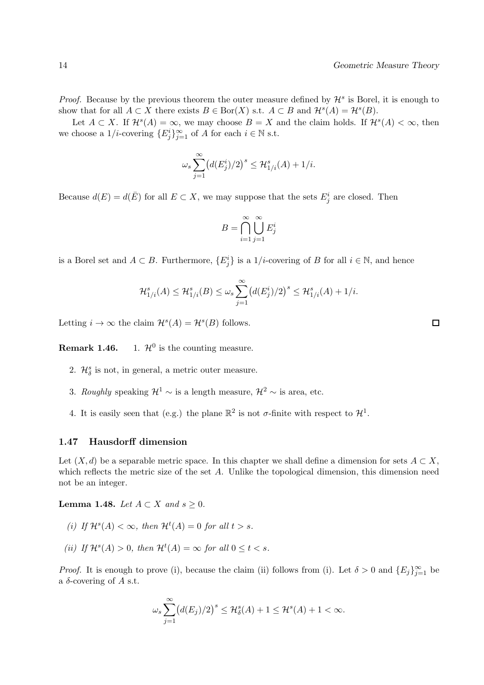*Proof.* Because by the previous theorem the outer measure defined by  $\mathcal{H}^s$  is Borel, it is enough to show that for all  $A \subset X$  there exists  $B \in \text{Bor}(X)$  s.t.  $A \subset B$  and  $\mathcal{H}^s(A) = \mathcal{H}^s(B)$ .

Let  $A \subset X$ . If  $\mathcal{H}^s(A) = \infty$ , we may choose  $B = X$  and the claim holds. If  $\mathcal{H}^s(A) < \infty$ , then we choose a  $1/i$ -covering  $\{E_j^i\}_{j=1}^{\infty}$  of A for each  $i \in \mathbb{N}$  s.t.

$$
\omega_s \sum_{j=1}^{\infty} \left( d(E_j^i)/2 \right)^s \leq \mathcal{H}_{1/i}^s(A) + 1/i.
$$

Because  $d(E) = d(\overline{E})$  for all  $E \subset X$ , we may suppose that the sets  $E_j^i$  are closed. Then

$$
B = \bigcap_{i=1}^{\infty} \bigcup_{j=1}^{\infty} E_j^i
$$

is a Borel set and  $A \subset B$ . Furthermore,  $\{E_j^i\}$  is a  $1/i$ -covering of B for all  $i \in \mathbb{N}$ , and hence

$$
\mathcal{H}_{1/i}^{s}(A) \leq \mathcal{H}_{1/i}^{s}(B) \leq \omega_{s} \sum_{j=1}^{\infty} (d(E_{j}^{i})/2)^{s} \leq \mathcal{H}_{1/i}^{s}(A) + 1/i.
$$

Letting  $i \to \infty$  the claim  $\mathcal{H}^s(A) = \mathcal{H}^s(B)$  follows.

Remark 1.46. 1.  $\mathcal{H}^0$  is the counting measure.

- 2.  $\mathcal{H}_{\delta}^{s}$  is not, in general, a metric outer measure.
- 3. Roughly speaking  $\mathcal{H}^1$  ∼ is a length measure,  $\mathcal{H}^2$  ∼ is area, etc.
- 4. It is easily seen that (e.g.) the plane  $\mathbb{R}^2$  is not  $\sigma$ -finite with respect to  $\mathcal{H}^1$ .

#### 1.47 Hausdorff dimension

Let  $(X, d)$  be a separable metric space. In this chapter we shall define a dimension for sets  $A \subset X$ , which reflects the metric size of the set A. Unlike the topological dimension, this dimension need not be an integer.

Lemma 1.48. Let  $A \subset X$  and  $s \geq 0$ .

- (i) If  $\mathcal{H}^s(A) < \infty$ , then  $\mathcal{H}^t(A) = 0$  for all  $t > s$ .
- (ii) If  $\mathcal{H}^s(A) > 0$ , then  $\mathcal{H}^t(A) = \infty$  for all  $0 \le t < s$ .

*Proof.* It is enough to prove (i), because the claim (ii) follows from (i). Let  $\delta > 0$  and  $\{E_j\}_{j=1}^{\infty}$  be a  $\delta$ -covering of A s.t.

$$
\omega_s \sum_{j=1}^{\infty} \left( d(E_j)/2 \right)^s \leq \mathcal{H}^s_\delta(A) + 1 \leq \mathcal{H}^s(A) + 1 < \infty.
$$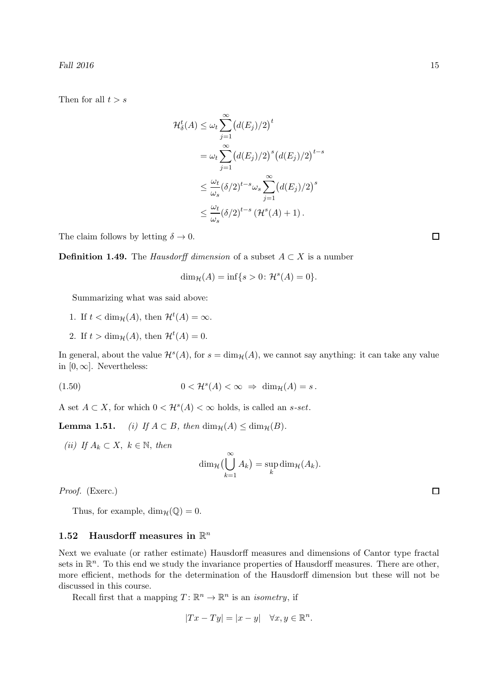Then for all  $t > s$ 

$$
\mathcal{H}_{\delta}^{t}(A) \leq \omega_{t} \sum_{j=1}^{\infty} (d(E_{j})/2)^{t}
$$

$$
= \omega_{t} \sum_{j=1}^{\infty} (d(E_{j})/2)^{s} (d(E_{j})/2)^{t-s}
$$

$$
\leq \frac{\omega_{t}}{\omega_{s}} (\delta/2)^{t-s} \omega_{s} \sum_{j=1}^{\infty} (d(E_{j})/2)^{s}
$$

$$
\leq \frac{\omega_{t}}{\omega_{s}} (\delta/2)^{t-s} (\mathcal{H}^{s}(A) + 1).
$$

The claim follows by letting  $\delta \to 0$ .

**Definition 1.49.** The *Hausdorff dimension* of a subset  $A \subset X$  is a number

$$
\dim_{\mathcal{H}}(A) = \inf\{s > 0 \colon \mathcal{H}^s(A) = 0\}.
$$

Summarizing what was said above:

- 1. If  $t < \dim_{\mathcal{H}}(A)$ , then  $\mathcal{H}^t(A) = \infty$ .
- 2. If  $t > \dim_{\mathcal{H}}(A)$ , then  $\mathcal{H}^t(A) = 0$ .

In general, about the value  $\mathcal{H}^s(A)$ , for  $s = \dim_{\mathcal{H}}(A)$ , we cannot say anything: it can take any value in  $[0, \infty]$ . Nevertheless:

(1.50) 
$$
0 < \mathcal{H}^s(A) < \infty \Rightarrow \dim_{\mathcal{H}}(A) = s.
$$

A set  $A \subset X$ , for which  $0 < \mathcal{H}^s(A) < \infty$  holds, is called an *s*-set.

**Lemma 1.51.** (i) If  $A \subset B$ , then  $\dim_{\mathcal{H}}(A) \leq \dim_{\mathcal{H}}(B)$ .

(ii) If  $A_k \subset X, k \in \mathbb{N}$ , then

$$
\dim_{\mathcal{H}}\left(\bigcup_{k=1}^{\infty}A_k\right)=\sup_k\dim_{\mathcal{H}}(A_k).
$$

Proof. (Exerc.)

Thus, for example,  $\dim_{\mathcal{H}}(\mathbb{Q}) = 0$ .

# 1.52 Hausdorff measures in  $\mathbb{R}^n$

Next we evaluate (or rather estimate) Hausdorff measures and dimensions of Cantor type fractal sets in  $\mathbb{R}^n$ . To this end we study the invariance properties of Hausdorff measures. There are other, more efficient, methods for the determination of the Hausdorff dimension but these will not be discussed in this course.

Recall first that a mapping  $T: \mathbb{R}^n \to \mathbb{R}^n$  is an *isometry*, if

$$
|Tx - Ty| = |x - y| \quad \forall x, y \in \mathbb{R}^n.
$$

 $\Box$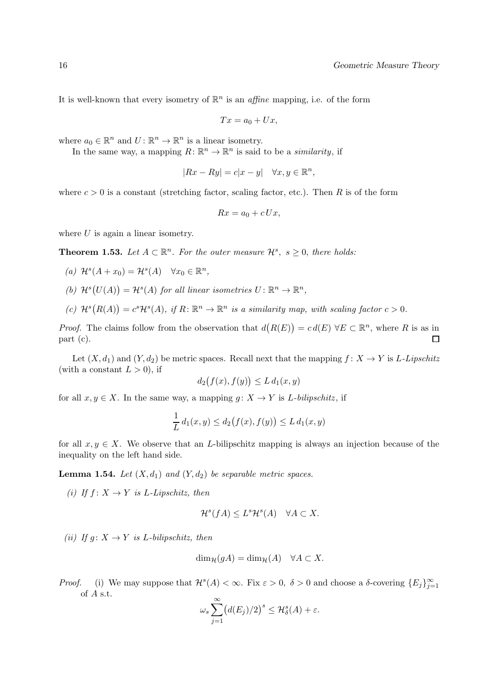It is well-known that every isometry of  $\mathbb{R}^n$  is an *affine* mapping, i.e. of the form

$$
Tx = a_0 + Ux,
$$

where  $a_0 \in \mathbb{R}^n$  and  $U: \mathbb{R}^n \to \mathbb{R}^n$  is a linear isometry.

In the same way, a mapping  $R: \mathbb{R}^n \to \mathbb{R}^n$  is said to be a *similarity*, if

$$
|Rx - Ry| = c|x - y| \quad \forall x, y \in \mathbb{R}^n,
$$

where  $c > 0$  is a constant (stretching factor, scaling factor, etc.). Then R is of the form

$$
Rx = a_0 + cUx,
$$

where  $U$  is again a linear isometry.

**Theorem 1.53.** Let  $A \subset \mathbb{R}^n$ . For the outer measure  $\mathcal{H}^s$ ,  $s \geq 0$ , there holds:

- (a)  $\mathcal{H}^s(A+x_0)=\mathcal{H}^s(A) \quad \forall x_0 \in \mathbb{R}^n$ ,
- (b)  $\mathcal{H}^s(U(A)) = \mathcal{H}^s(A)$  for all linear isometries  $U: \mathbb{R}^n \to \mathbb{R}^n$ ,
- (c)  $\mathcal{H}^s(R(A)) = c^s \mathcal{H}^s(A)$ , if  $R: \mathbb{R}^n \to \mathbb{R}^n$  is a similarity map, with scaling factor  $c > 0$ .

*Proof.* The claims follow from the observation that  $d(R(E)) = cd(E) \,\forall E \subset \mathbb{R}^n$ , where R is as in part (c).  $\Box$ 

Let  $(X, d_1)$  and  $(Y, d_2)$  be metric spaces. Recall next that the mapping  $f : X \to Y$  is L-Lipschitz (with a constant  $L > 0$ ), if

$$
d_2(f(x), f(y)) \le L d_1(x, y)
$$

for all  $x, y \in X$ . In the same way, a mapping  $g: X \to Y$  is *L*-bilipschitz, if

$$
\frac{1}{L} d_1(x, y) \le d_2(f(x), f(y)) \le L d_1(x, y)
$$

for all  $x, y \in X$ . We observe that an L-bilipschitz mapping is always an injection because of the inequality on the left hand side.

**Lemma 1.54.** Let  $(X, d_1)$  and  $(Y, d_2)$  be separable metric spaces.

(i) If  $f: X \to Y$  is L-Lipschitz, then

$$
\mathcal{H}^s(fA) \le L^s \mathcal{H}^s(A) \quad \forall A \subset X.
$$

(ii) If  $g: X \to Y$  is L-bilipschitz, then

$$
\dim_{\mathcal{H}}(gA) = \dim_{\mathcal{H}}(A) \quad \forall A \subset X.
$$

Proof. (i) We may suppose that  $\mathcal{H}^s(A) < \infty$ . Fix  $\varepsilon > 0$ ,  $\delta > 0$  and choose a  $\delta$ -covering  $\{E_j\}_{j=1}^{\infty}$ of A s.t.

$$
\omega_s \sum_{j=1}^{\infty} \bigl( d(E_j)/2 \bigr)^s \leq \mathcal{H}^s_{\delta}(A) + \varepsilon.
$$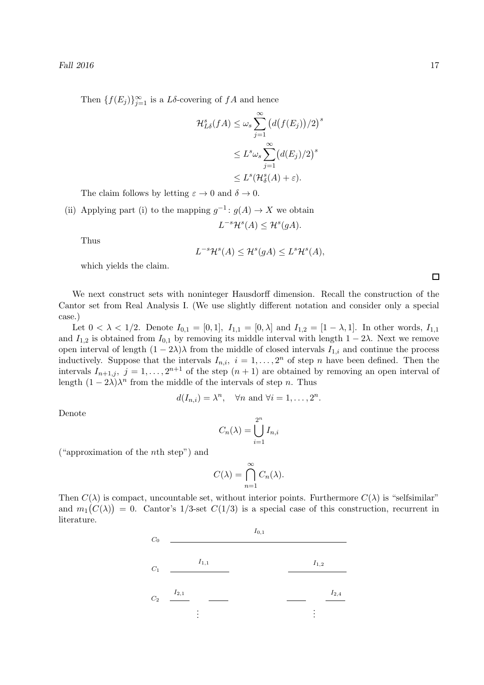Then  $\{f(E_j)\}_{j=1}^{\infty}$  is a L $\delta$ -covering of  $fA$  and hence

$$
\mathcal{H}_{L\delta}^s(fA) \leq \omega_s \sum_{j=1}^{\infty} \left( d(f(E_j)) / 2 \right)^s
$$
  

$$
\leq L^s \omega_s \sum_{j=1}^{\infty} \left( d(E_j) / 2 \right)^s
$$
  

$$
\leq L^s (\mathcal{H}_{\delta}^s(A) + \varepsilon).
$$

The claim follows by letting  $\varepsilon \to 0$  and  $\delta \to 0$ .

(ii) Applying part (i) to the mapping  $g^{-1}: g(A) \to X$  we obtain  $L^{-s}\mathcal{H}^s(A) \leq \mathcal{H}^s(gA).$ 

Thus

$$
L^{-s}\mathcal{H}^s(A) \leq \mathcal{H}^s(gA) \leq L^s\mathcal{H}^s(A),
$$

which yields the claim.

We next construct sets with noninteger Hausdorff dimension. Recall the construction of the Cantor set from Real Analysis I. (We use slightly different notation and consider only a special case.)

Let  $0 < \lambda < 1/2$ . Denote  $I_{0,1} = [0,1], I_{1,1} = [0,\lambda]$  and  $I_{1,2} = [1-\lambda,1]$ . In other words,  $I_{1,1}$ and  $I_{1,2}$  is obtained from  $I_{0,1}$  by removing its middle interval with length  $1 - 2\lambda$ . Next we remove open interval of length  $(1 - 2\lambda)\lambda$  from the middle of closed intervals  $I_{1,i}$  and continue the process inductively. Suppose that the intervals  $I_{n,i}$ ,  $i = 1, \ldots, 2^n$  of step n have been defined. Then the intervals  $I_{n+1,j}, j=1,\ldots,2^{n+1}$  of the step  $(n+1)$  are obtained by removing an open interval of length  $(1 - 2\lambda)\lambda^n$  from the middle of the intervals of step *n*. Thus

$$
d(I_{n,i}) = \lambda^n
$$
,  $\forall n$  and  $\forall i = 1, ..., 2^n$ .

Denote

$$
C_n(\lambda) = \bigcup_{i=1}^{2^n} I_{n,i}
$$

("approximation of the nth step") and

$$
C(\lambda) = \bigcap_{n=1}^{\infty} C_n(\lambda).
$$

Then  $C(\lambda)$  is compact, uncountable set, without interior points. Furthermore  $C(\lambda)$  is "selfsimilar" and  $m_1(C(\lambda)) = 0$ . Cantor's 1/3-set  $C(1/3)$  is a special case of this construction, recurrent in literature.

|           |           | $I_{0,1}$ |           |                     |
|-----------|-----------|-----------|-----------|---------------------|
|           | $I_{1,1}$ |           | $I_{1,2}$ |                     |
| $I_{2,1}$ |           |           |           | $\mathcal{I}_{2,4}$ |
|           | ٠         |           | ٠         |                     |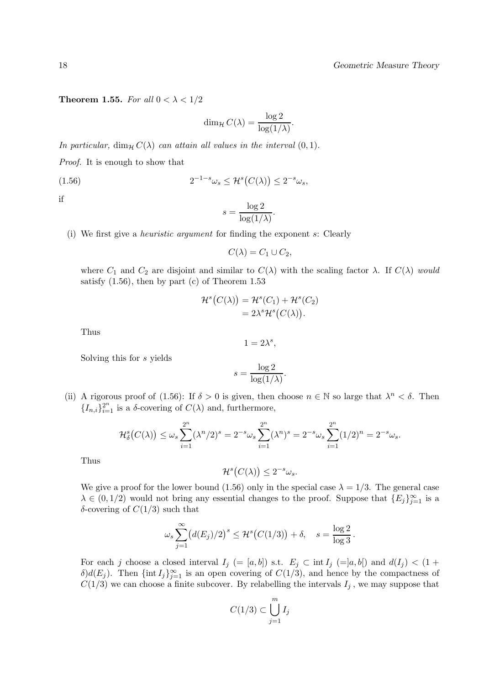Theorem 1.55. For all  $0 < \lambda < 1/2$ 

$$
\dim_{\mathcal{H}} C(\lambda) = \frac{\log 2}{\log(1/\lambda)}.
$$

In particular,  $\dim_{\mathcal{H}} C(\lambda)$  can attain all values in the interval  $(0, 1)$ .

Proof. It is enough to show that

$$
(1.56) \t\t\t 2^{-1-s}\omega_s \le \mathcal{H}^s(C(\lambda)) \le 2^{-s}\omega_s,
$$

if

$$
s = \frac{\log 2}{\log(1/\lambda)}.
$$

(i) We first give a heuristic argument for finding the exponent s: Clearly

 $C(\lambda) = C_1 \cup C_2,$ 

where  $C_1$  and  $C_2$  are disjoint and similar to  $C(\lambda)$  with the scaling factor  $\lambda$ . If  $C(\lambda)$  would satisfy  $(1.56)$ , then by part  $(c)$  of Theorem 1.53

$$
\mathcal{H}^s(C(\lambda)) = \mathcal{H}^s(C_1) + \mathcal{H}^s(C_2)
$$
  
=  $2\lambda^s \mathcal{H}^s(C(\lambda)).$ 

Thus

$$
1=2\lambda^s,
$$

Solving this for s yields

$$
s = \frac{\log 2}{\log(1/\lambda)}.
$$

(ii) A rigorous proof of (1.56): If  $\delta > 0$  is given, then choose  $n \in \mathbb{N}$  so large that  $\lambda^n < \delta$ . Then  ${I_{n,i}}_{i=1}^{2^n}$  is a  $\delta$ -covering of  $C(\lambda)$  and, furthermore,

$$
\mathcal{H}_{\delta}^{s}(C(\lambda)) \leq \omega_{s} \sum_{i=1}^{2^{n}} (\lambda^{n}/2)^{s} = 2^{-s} \omega_{s} \sum_{i=1}^{2^{n}} (\lambda^{n})^{s} = 2^{-s} \omega_{s} \sum_{i=1}^{2^{n}} (1/2)^{n} = 2^{-s} \omega_{s}.
$$

Thus

$$
\mathcal{H}^s\big(C(\lambda)\big) \leq 2^{-s}\omega_s.
$$

We give a proof for the lower bound (1.56) only in the special case  $\lambda = 1/3$ . The general case  $\lambda \in (0, 1/2)$  would not bring any essential changes to the proof. Suppose that  $\{E_j\}_{j=1}^{\infty}$  is a δ-covering of  $C(1/3)$  such that

$$
\omega_s \sum_{j=1}^{\infty} \left( d(E_j)/2 \right)^s \leq \mathcal{H}^s \big( C(1/3) \big) + \delta, \quad s = \frac{\log 2}{\log 3}.
$$

For each j choose a closed interval  $I_j (= [a, b])$  s.t.  $E_j \subset \text{int } I_j (= ]a, b])$  and  $d(I_j) < (1 +$ δ)d(E<sub>j</sub>). Then  ${\{\text{int } I_j\}}_{j=1}^{\infty}$  is an open covering of  $C(1/3)$ , and hence by the compactness of  $C(1/3)$  we can choose a finite subcover. By relabelling the intervals  $I_j$ , we may suppose that

$$
C(1/3) \subset \bigcup_{j=1}^m I_j
$$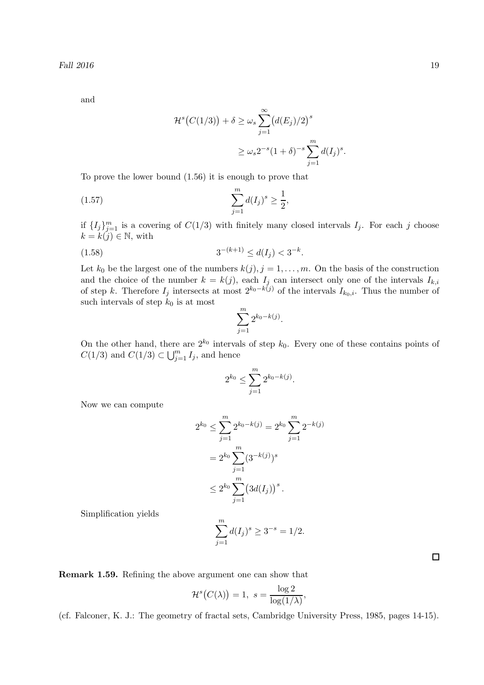and

$$
\mathcal{H}^s(C(1/3)) + \delta \ge \omega_s \sum_{j=1}^{\infty} (d(E_j)/2)^s
$$
  

$$
\ge \omega_s 2^{-s} (1+\delta)^{-s} \sum_{j=1}^m d(I_j)^s
$$

.

To prove the lower bound (1.56) it is enough to prove that

(1.57) 
$$
\sum_{j=1}^{m} d(I_j)^s \ge \frac{1}{2},
$$

if  $\{I_j\}_{j=1}^m$  is a covering of  $C(1/3)$  with finitely many closed intervals  $I_j$ . For each j choose  $k = k(j) \in \mathbb{N}$ , with

$$
(1.58) \t\t 3^{-(k+1)} \le d(I_j) < 3^{-k}.
$$

Let  $k_0$  be the largest one of the numbers  $k(j), j = 1, \ldots, m$ . On the basis of the construction and the choice of the number  $k = k(j)$ , each  $I_j$  can intersect only one of the intervals  $I_{k,i}$ of step k. Therefore  $I_j$  intersects at most  $2^{k_0-k(j)}$  of the intervals  $I_{k_0,i}$ . Thus the number of such intervals of step  $k_0$  is at most

$$
\sum_{j=1}^{m} 2^{k_0 - k(j)}
$$

.

On the other hand, there are  $2^{k_0}$  intervals of step  $k_0$ . Every one of these contains points of  $C(1/3)$  and  $C(1/3) \subset \bigcup_{j=1}^{m} I_j$ , and hence

$$
2^{k_0} \le \sum_{j=1}^m 2^{k_0 - k(j)}.
$$

Now we can compute

$$
2^{k_0} \le \sum_{j=1}^m 2^{k_0 - k(j)} = 2^{k_0} \sum_{j=1}^m 2^{-k(j)}
$$
  
=  $2^{k_0} \sum_{j=1}^m (3^{-k(j)})^s$   
 $\le 2^{k_0} \sum_{j=1}^m (3d(I_j))^s$ .

Simplification yields

$$
\sum_{j=1}^{m} d(I_j)^s \ge 3^{-s} = 1/2.
$$

Remark 1.59. Refining the above argument one can show that

$$
\mathcal{H}^s(C(\lambda)) = 1, \ s = \frac{\log 2}{\log(1/\lambda)},
$$

(cf. Falconer, K. J.: The geometry of fractal sets, Cambridge University Press, 1985, pages 14-15).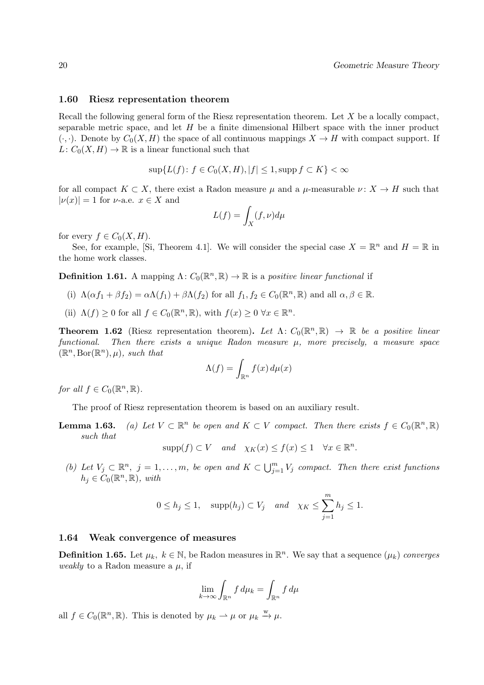#### 1.60 Riesz representation theorem

Recall the following general form of the Riesz representation theorem. Let X be a locally compact, separable metric space, and let  $H$  be a finite dimensional Hilbert space with the inner product  $(\cdot, \cdot)$ . Denote by  $C_0(X, H)$  the space of all continuous mappings  $X \to H$  with compact support. If  $L: C_0(X, H) \to \mathbb{R}$  is a linear functional such that

$$
\sup\{L(f)\colon f\in C_0(X,H), |f|\leq 1, \text{supp}\,f\subset K\}<\infty
$$

for all compact  $K \subset X$ , there exist a Radon measure  $\mu$  and a  $\mu$ -measurable  $\nu: X \to H$  such that  $|\nu(x)| = 1$  for  $\nu$ -a.e.  $x \in X$  and

$$
L(f) = \int_X (f, \nu) d\mu
$$

for every  $f \in C_0(X, H)$ .

See, for example, [Si, Theorem 4.1]. We will consider the special case  $X = \mathbb{R}^n$  and  $H = \mathbb{R}$  in the home work classes.

**Definition 1.61.** A mapping  $\Lambda: C_0(\mathbb{R}^n, \mathbb{R}) \to \mathbb{R}$  is a positive linear functional if

- (i)  $\Lambda(\alpha f_1 + \beta f_2) = \alpha \Lambda(f_1) + \beta \Lambda(f_2)$  for all  $f_1, f_2 \in C_0(\mathbb{R}^n, \mathbb{R})$  and all  $\alpha, \beta \in \mathbb{R}$ .
- (ii)  $\Lambda(f) \geq 0$  for all  $f \in C_0(\mathbb{R}^n, \mathbb{R})$ , with  $f(x) \geq 0 \,\forall x \in \mathbb{R}^n$ .

**Theorem 1.62** (Riesz representation theorem). Let  $\Lambda: C_0(\mathbb{R}^n, \mathbb{R}) \to \mathbb{R}$  be a positive linear functional. Then there exists a unique Radon measure  $\mu$ , more precisely, a measure space  $(\mathbb{R}^n, \operatorname{Bor}(\mathbb{R}^n), \mu), \text{ such that}$ 

$$
\Lambda(f) = \int_{\mathbb{R}^n} f(x) \, d\mu(x)
$$

for all  $f \in C_0(\mathbb{R}^n, \mathbb{R})$ .

The proof of Riesz representation theorem is based on an auxiliary result.

**Lemma 1.63.** (a) Let  $V \subset \mathbb{R}^n$  be open and  $K \subset V$  compact. Then there exists  $f \in C_0(\mathbb{R}^n, \mathbb{R})$ such that

$$
supp(f) \subset V \quad and \quad \chi_K(x) \le f(x) \le 1 \quad \forall x \in \mathbb{R}^n.
$$

(b) Let  $V_j \subset \mathbb{R}^n$ ,  $j = 1, ..., m$ , be open and  $K \subset \bigcup_{j=1}^m V_j$  compact. Then there exist functions  $h_j \in C_0(\mathbb{R}^n, \mathbb{R}), \text{ with}$ 

$$
0 \le h_j \le 1
$$
,  $supp(h_j) \subset V_j$  and  $\chi_K \le \sum_{j=1}^m h_j \le 1$ .

#### 1.64 Weak convergence of measures

**Definition 1.65.** Let  $\mu_k$ ,  $k \in \mathbb{N}$ , be Radon measures in  $\mathbb{R}^n$ . We say that a sequence  $(\mu_k)$  converges *weakly* to a Radon measure a  $\mu$ , if

$$
\lim_{k \to \infty} \int_{\mathbb{R}^n} f \, d\mu_k = \int_{\mathbb{R}^n} f \, d\mu
$$

all  $f \in C_0(\mathbb{R}^n, \mathbb{R})$ . This is denoted by  $\mu_k \rightharpoonup \mu$  or  $\mu_k \xrightarrow{w} \mu$ .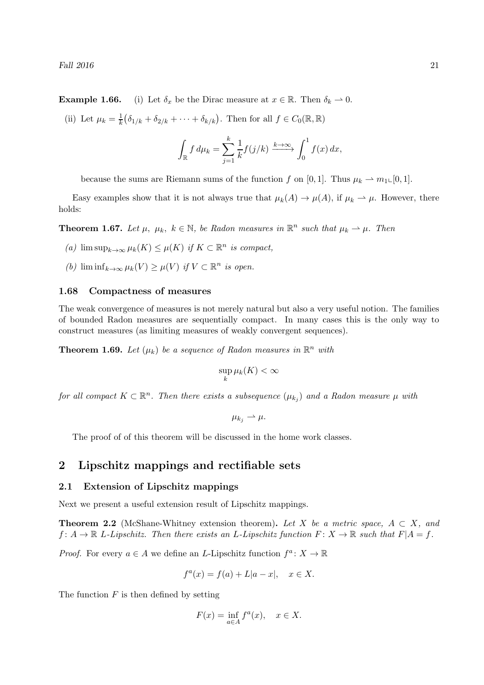**Example 1.66.** (i) Let  $\delta_x$  be the Dirac measure at  $x \in \mathbb{R}$ . Then  $\delta_k \to 0$ .

(ii) Let  $\mu_k = \frac{1}{k}$  $\frac{1}{k}(\delta_{1/k} + \delta_{2/k} + \cdots + \delta_{k/k})$ . Then for all  $f \in C_0(\mathbb{R}, \mathbb{R})$ 

$$
\int_{\mathbb{R}} f d\mu_k = \sum_{j=1}^{k} \frac{1}{k} f(j/k) \xrightarrow{k \to \infty} \int_0^1 f(x) dx,
$$

because the sums are Riemann sums of the function f on [0, 1]. Thus  $\mu_k \to m_1 \in [0, 1]$ .

Easy examples show that it is not always true that  $\mu_k(A) \to \mu(A)$ , if  $\mu_k \to \mu$ . However, there holds:

**Theorem 1.67.** Let  $\mu$ ,  $\mu_k$ ,  $k \in \mathbb{N}$ , be Radon measures in  $\mathbb{R}^n$  such that  $\mu_k \to \mu$ . Then

- (a)  $\limsup_{k\to\infty}\mu_k(K) \leq \mu(K)$  if  $K \subset \mathbb{R}^n$  is compact,
- (b)  $\liminf_{k\to\infty}\mu_k(V) \geq \mu(V)$  if  $V \subset \mathbb{R}^n$  is open.

#### 1.68 Compactness of measures

The weak convergence of measures is not merely natural but also a very useful notion. The families of bounded Radon measures are sequentially compact. In many cases this is the only way to construct measures (as limiting measures of weakly convergent sequences).

**Theorem 1.69.** Let  $(\mu_k)$  be a sequence of Radon measures in  $\mathbb{R}^n$  with

$$
\sup_k \mu_k(K) < \infty
$$

for all compact  $K \subset \mathbb{R}^n$ . Then there exists a subsequence  $(\mu_{k_j})$  and a Radon measure  $\mu$  with

$$
\mu_{k_j}\rightharpoonup \mu.
$$

The proof of of this theorem will be discussed in the home work classes.

# 2 Lipschitz mappings and rectifiable sets

# 2.1 Extension of Lipschitz mappings

Next we present a useful extension result of Lipschitz mappings.

**Theorem 2.2** (McShane-Whitney extension theorem). Let X be a metric space,  $A \subset X$ , and  $f: A \to \mathbb{R}$  L-Lipschitz. Then there exists an L-Lipschitz function  $F: X \to \mathbb{R}$  such that  $F|A = f$ .

*Proof.* For every  $a \in A$  we define an L-Lipschitz function  $f^a: X \to \mathbb{R}$ 

$$
f^{a}(x) = f(a) + L|a - x|, \quad x \in X.
$$

The function  $F$  is then defined by setting

$$
F(x) = \inf_{a \in A} f^a(x), \quad x \in X.
$$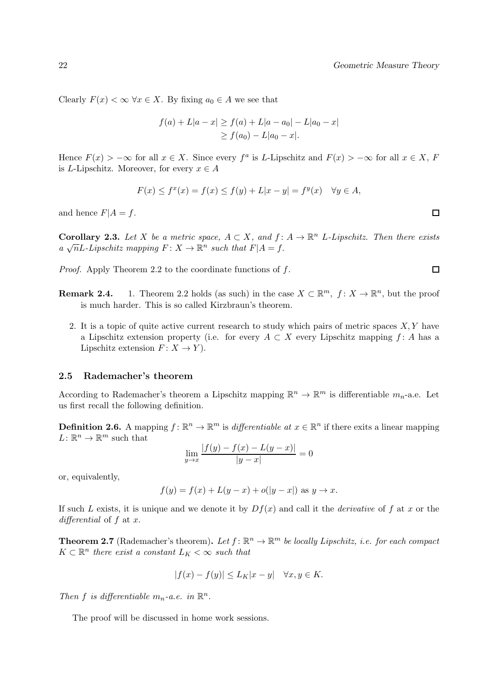Clearly  $F(x) < \infty$   $\forall x \in X$ . By fixing  $a_0 \in A$  we see that

$$
f(a) + L|a - x| \ge f(a) + L|a - a_0| - L|a_0 - x|
$$
  
\n
$$
\ge f(a_0) - L|a_0 - x|.
$$

Hence  $F(x) > -\infty$  for all  $x \in X$ . Since every  $f^a$  is L-Lipschitz and  $F(x) > -\infty$  for all  $x \in X$ , F is L-Lipschitz. Moreover, for every  $x \in A$ 

$$
F(x)\leq f^x(x)=f(x)\leq f(y)+L|x-y|=f^y(x)\quad\forall y\in A,
$$

and hence  $F|A = f$ .

**Corollary 2.3.** Let X be a metric space,  $A \subset X$ , and  $f: A \to \mathbb{R}^n$  L-Lipschitz. Then there exists a  $\sqrt{n}L$ -Lipschitz mapping  $F: X \to \mathbb{R}^n$  such that  $F|A = f$ .

Proof. Apply Theorem 2.2 to the coordinate functions of f.

- **Remark 2.4.** 1. Theorem 2.2 holds (as such) in the case  $X \subset \mathbb{R}^m$ ,  $f: X \to \mathbb{R}^n$ , but the proof is much harder. This is so called Kirzbraun's theorem.
	- 2. It is a topic of quite active current research to study which pairs of metric spaces  $X, Y$  have a Lipschitz extension property (i.e. for every  $A \subset X$  every Lipschitz mapping f: A has a Lipschitz extension  $F: X \to Y$ .

#### 2.5 Rademacher's theorem

According to Rademacher's theorem a Lipschitz mapping  $\mathbb{R}^n \to \mathbb{R}^m$  is differentiable  $m_n$ -a.e. Let us first recall the following definition.

**Definition 2.6.** A mapping  $f: \mathbb{R}^n \to \mathbb{R}^m$  is differentiable at  $x \in \mathbb{R}^n$  if there exits a linear mapping  $L: \mathbb{R}^n \to \mathbb{R}^m$  such that

$$
\lim_{y \to x} \frac{|f(y) - f(x) - L(y - x)|}{|y - x|} = 0
$$

or, equivalently,

$$
f(y) = f(x) + L(y - x) + o(|y - x|)
$$
 as  $y \to x$ .

If such L exists, it is unique and we denote it by  $Df(x)$  and call it the *derivative* of f at x or the differential of  $f$  at  $x$ .

**Theorem 2.7** (Rademacher's theorem). Let  $f: \mathbb{R}^n \to \mathbb{R}^m$  be locally Lipschitz, i.e. for each compact  $K \subset \mathbb{R}^n$  there exist a constant  $L_K < \infty$  such that

$$
|f(x) - f(y)| \le L_K |x - y| \quad \forall x, y \in K.
$$

Then f is differentiable  $m_n$ -a.e. in  $\mathbb{R}^n$ .

The proof will be discussed in home work sessions.

 $\Box$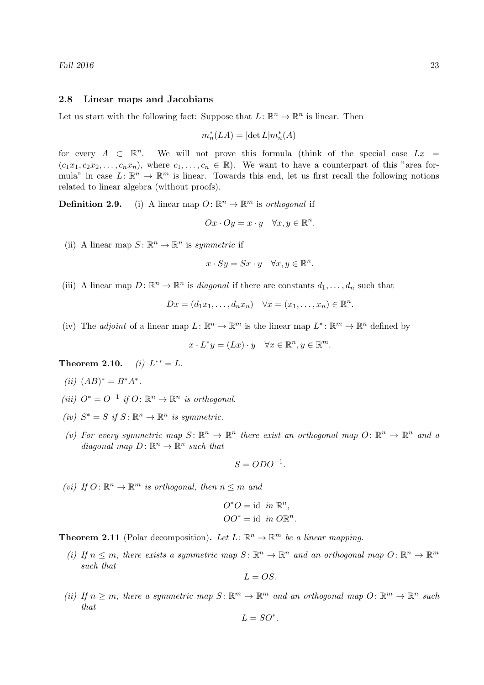#### 2.8 Linear maps and Jacobians

Let us start with the following fact: Suppose that  $L: \mathbb{R}^n \to \mathbb{R}^n$  is linear. Then

$$
m_n^*(LA) = |\!\det L| m_n^*(A)
$$

for every  $A \subset \mathbb{R}^n$ . We will not prove this formula (think of the special case  $Lx =$  $(c_1x_1, c_2x_2, \ldots, c_nx_n)$ , where  $c_1, \ldots, c_n \in \mathbb{R}$ ). We want to have a counterpart of this "area formula" in case  $L: \mathbb{R}^n \to \mathbb{R}^m$  is linear. Towards this end, let us first recall the following notions related to linear algebra (without proofs).

**Definition 2.9.** (i) A linear map  $O: \mathbb{R}^n \to \mathbb{R}^m$  is orthogonal if

$$
Ox \cdot Oy = x \cdot y \quad \forall x, y \in \mathbb{R}^n.
$$

(ii) A linear map  $S: \mathbb{R}^n \to \mathbb{R}^n$  is symmetric if

$$
x \cdot Sy = Sx \cdot y \quad \forall x, y \in \mathbb{R}^n.
$$

(iii) A linear map  $D: \mathbb{R}^n \to \mathbb{R}^n$  is *diagonal* if there are constants  $d_1, \ldots, d_n$  such that

$$
Dx = (d_1x_1, \dots, d_nx_n) \quad \forall x = (x_1, \dots, x_n) \in \mathbb{R}^n
$$

.

(iv) The *adjoint* of a linear map  $L: \mathbb{R}^n \to \mathbb{R}^m$  is the linear map  $L^*: \mathbb{R}^m \to \mathbb{R}^n$  defined by

$$
x \cdot L^* y = (Lx) \cdot y \quad \forall x \in \mathbb{R}^n, y \in \mathbb{R}^m.
$$

**Theorem 2.10.** (i)  $L^{**} = L$ .

- (*ii*)  $(AB)^* = B^*A^*$ .
- (iii)  $O^* = O^{-1}$  if  $O: \mathbb{R}^n \to \mathbb{R}^n$  is orthogonal.
- (iv)  $S^* = S$  if  $S : \mathbb{R}^n \to \mathbb{R}^n$  is symmetric.
- (v) For every symmetric map  $S: \mathbb{R}^n \to \mathbb{R}^n$  there exist an orthogonal map  $O: \mathbb{R}^n \to \mathbb{R}^n$  and a diagonal map  $D: \mathbb{R}^n \to \mathbb{R}^n$  such that

$$
S = ODO^{-1}.
$$

(*vi*) If  $O: \mathbb{R}^n \to \mathbb{R}^m$  is orthogonal, then  $n \leq m$  and

$$
O^*O = \text{id} \text{ in } \mathbb{R}^n,
$$
  

$$
OO^* = \text{id} \text{ in } O\mathbb{R}^n.
$$

**Theorem 2.11** (Polar decomposition). Let  $L: \mathbb{R}^n \to \mathbb{R}^m$  be a linear mapping.

(i) If  $n \leq m$ , there exists a symmetric map  $S: \mathbb{R}^n \to \mathbb{R}^n$  and an orthogonal map  $O: \mathbb{R}^n \to \mathbb{R}^m$ such that

$$
L = OS.
$$

(ii) If  $n \geq m$ , there a symmetric map  $S: \mathbb{R}^m \to \mathbb{R}^m$  and an orthogonal map  $O: \mathbb{R}^m \to \mathbb{R}^n$  such that

$$
L=SO^*.
$$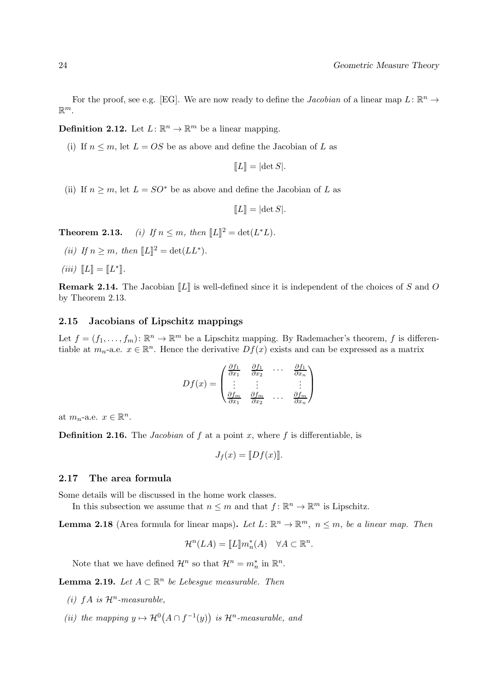For the proof, see e.g. [EG]. We are now ready to define the *Jacobian* of a linear map  $L: \mathbb{R}^n \to$  $\mathbb{R}^m$ .

**Definition 2.12.** Let  $L: \mathbb{R}^n \to \mathbb{R}^m$  be a linear mapping.

(i) If  $n \leq m$ , let  $L = OS$  be as above and define the Jacobian of L as

$$
[[L]] = |\det S|.
$$

(ii) If  $n \geq m$ , let  $L = SO^*$  be as above and define the Jacobian of L as

$$
[[L]] = |\det S|.
$$

**Theorem 2.13.** (i) If  $n \leq m$ , then  $[[L]]^2 = det(L^*L)$ .

(ii) If  $n \ge m$ , then  $[[L]]^2 = det(LL^*).$ 

$$
(iii) \ \llbracket L \rrbracket = \llbracket L^* \rrbracket.
$$

**Remark 2.14.** The Jacobian  $\llbracket L \rrbracket$  is well-defined since it is independent of the choices of S and O by Theorem 2.13.

### 2.15 Jacobians of Lipschitz mappings

Let  $f = (f_1, \ldots, f_m)$ :  $\mathbb{R}^n \to \mathbb{R}^m$  be a Lipschitz mapping. By Rademacher's theorem, f is differentiable at  $m_n$ -a.e.  $x \in \mathbb{R}^n$ . Hence the derivative  $Df(x)$  exists and can be expressed as a matrix

$$
Df(x) = \begin{pmatrix} \frac{\partial f_1}{\partial x_1} & \frac{\partial f_1}{\partial x_2} & \cdots & \frac{\partial f_1}{\partial x_n} \\ \vdots & \vdots & & \vdots \\ \frac{\partial f_m}{\partial x_1} & \frac{\partial f_m}{\partial x_2} & \cdots & \frac{\partial f_m}{\partial x_n} \end{pmatrix}
$$

at  $m_n$ -a.e.  $x \in \mathbb{R}^n$ .

**Definition 2.16.** The *Jacobian* of f at a point x, where f is differentiable, is

$$
J_f(x) = [Df(x)].
$$

#### 2.17 The area formula

Some details will be discussed in the home work classes.

In this subsection we assume that  $n \leq m$  and that  $f: \mathbb{R}^n \to \mathbb{R}^m$  is Lipschitz.

**Lemma 2.18** (Area formula for linear maps). Let  $L: \mathbb{R}^n \to \mathbb{R}^m$ ,  $n \leq m$ , be a linear map. Then

$$
\mathcal{H}^n(LA) = [\![L]\!]m_n^*(A) \quad \forall A \subset \mathbb{R}^n.
$$

Note that we have defined  $\mathcal{H}^n$  so that  $\mathcal{H}^n = m_n^*$  in  $\mathbb{R}^n$ .

**Lemma 2.19.** Let  $A \subset \mathbb{R}^n$  be Lebesgue measurable. Then

- (i)  $fA$  is  $\mathcal{H}^n$ -measurable,
- (ii) the mapping  $y \mapsto \mathcal{H}^0(A \cap f^{-1}(y))$  is  $\mathcal{H}^n$ -measurable, and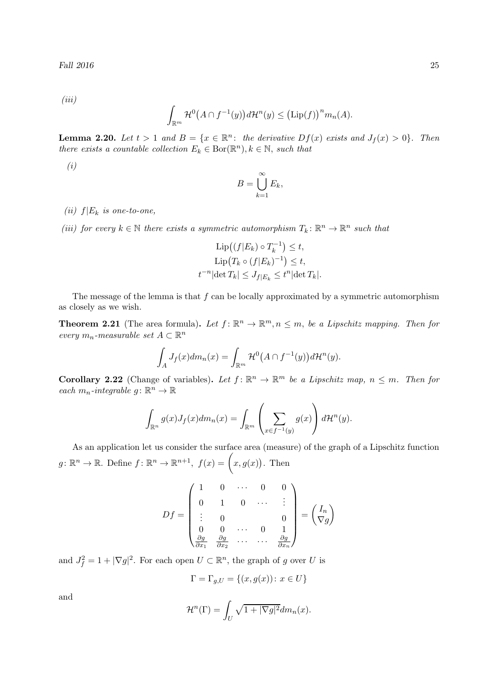(iii)

$$
\int_{\mathbb{R}^m} \mathcal{H}^0(A \cap f^{-1}(y)) d\mathcal{H}^n(y) \le (\text{Lip}(f))^n m_n(A).
$$

**Lemma 2.20.** Let  $t > 1$  and  $B = \{x \in \mathbb{R}^n : \text{ the derivative } Df(x) \text{ exists and } J_f(x) > 0\}$ . Then there exists a countable collection  $E_k \in \text{Bor}(\mathbb{R}^n)$ ,  $k \in \mathbb{N}$ , such that

(i)

$$
B = \bigcup_{k=1}^{\infty} E_k,
$$

(ii)  $f|E_k$  is one-to-one,

(iii) for every  $k \in \mathbb{N}$  there exists a symmetric automorphism  $T_k: \mathbb{R}^n \to \mathbb{R}^n$  such that

$$
\text{Lip}((f|E_k) \circ T_k^{-1}) \le t,
$$
  
\n
$$
\text{Lip}(T_k \circ (f|E_k)^{-1}) \le t,
$$
  
\n
$$
t^{-n}|\text{det }T_k| \le J_{f|E_k} \le t^n|\text{det }T_k|.
$$

The message of the lemma is that  $f$  can be locally approximated by a symmetric automorphism as closely as we wish.

**Theorem 2.21** (The area formula). Let  $f: \mathbb{R}^n \to \mathbb{R}^m, n \leq m$ , be a Lipschitz mapping. Then for every  $m_n$ -measurable set  $A \subset \mathbb{R}^n$ 

$$
\int_A J_f(x)dm_n(x) = \int_{\mathbb{R}^m} \mathcal{H}^0(A \cap f^{-1}(y))d\mathcal{H}^n(y).
$$

**Corollary 2.22** (Change of variables). Let  $f: \mathbb{R}^n \to \mathbb{R}^m$  be a Lipschitz map,  $n \leq m$ . Then for each  $m_n$ -integrable  $g: \mathbb{R}^n \to \mathbb{R}$ 

$$
\int_{\mathbb{R}^n} g(x) J_f(x) dm_n(x) = \int_{\mathbb{R}^m} \left( \sum_{x \in f^{-1}(y)} g(x) \right) d\mathcal{H}^n(y).
$$

As an application let us consider the surface area (measure) of the graph of a Lipschitz function  $g: \mathbb{R}^n \to \mathbb{R}$ . Define  $f: \mathbb{R}^n \to \mathbb{R}^{n+1}$ ,  $f(x) = (x, g(x))$ . Then

$$
Df = \begin{pmatrix} 1 & 0 & \cdots & 0 & 0 \\ 0 & 1 & 0 & \cdots & \vdots \\ \vdots & 0 & & & 0 \\ 0 & 0 & \cdots & 0 & 1 \\ \frac{\partial g}{\partial x_1} & \frac{\partial g}{\partial x_2} & \cdots & \cdots & \frac{\partial g}{\partial x_n} \end{pmatrix} = \begin{pmatrix} I_n \\ \nabla g \end{pmatrix}
$$

and  $J_f^2 = 1 + |\nabla g|^2$ . For each open  $U \subset \mathbb{R}^n$ , the graph of g over U is

$$
\Gamma = \Gamma_{g,U} = \{(x, g(x)) \colon x \in U\}
$$

and

$$
\mathcal{H}^n(\Gamma) = \int_U \sqrt{1 + |\nabla g|^2} dm_n(x).
$$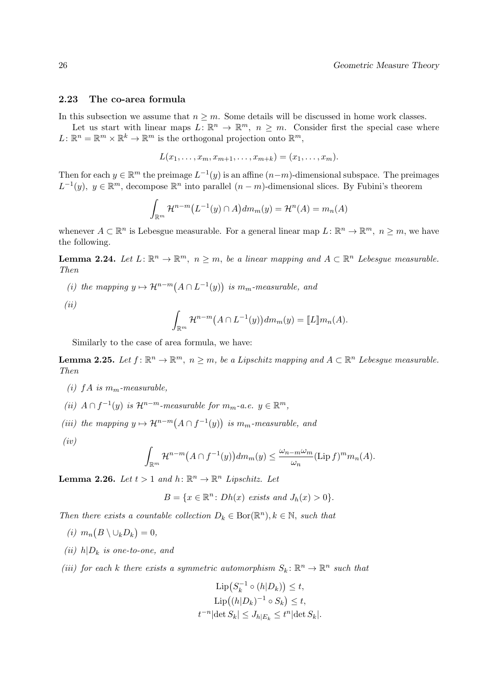# 2.23 The co-area formula

In this subsection we assume that  $n \geq m$ . Some details will be discussed in home work classes.

Let us start with linear maps  $L: \mathbb{R}^n \to \mathbb{R}^m$ ,  $n \geq m$ . Consider first the special case where  $L: \mathbb{R}^n = \mathbb{R}^m \times \mathbb{R}^k \to \mathbb{R}^m$  is the orthogonal projection onto  $\mathbb{R}^m$ ,

$$
L(x_1,\ldots,x_m,x_{m+1},\ldots,x_{m+k})=(x_1,\ldots,x_m).
$$

Then for each  $y \in \mathbb{R}^m$  the preimage  $L^{-1}(y)$  is an affine  $(n-m)$ -dimensional subspace. The preimages  $L^{-1}(y)$ ,  $y \in \mathbb{R}^m$ , decompose  $\mathbb{R}^n$  into parallel  $(n-m)$ -dimensional slices. By Fubini's theorem

$$
\int_{\mathbb{R}^m} \mathcal{H}^{n-m}(L^{-1}(y) \cap A) dm_m(y) = \mathcal{H}^n(A) = m_n(A)
$$

whenever  $A \subset \mathbb{R}^n$  is Lebesgue measurable. For a general linear map  $L: \mathbb{R}^n \to \mathbb{R}^m$ ,  $n \geq m$ , we have the following.

**Lemma 2.24.** Let  $L: \mathbb{R}^n \to \mathbb{R}^m$ ,  $n \geq m$ , be a linear mapping and  $A \subset \mathbb{R}^n$  Lebesgue measurable. Then

(i) the mapping  $y \mapsto \mathcal{H}^{n-m}(A \cap L^{-1}(y))$  is  $m_m$ -measurable, and

 $(ii)$ 

$$
\int_{\mathbb{R}^m} \mathcal{H}^{n-m}(A \cap L^{-1}(y)) dm_m(y) = [L] m_n(A).
$$

Similarly to the case of area formula, we have:

**Lemma 2.25.** Let  $f: \mathbb{R}^n \to \mathbb{R}^m$ ,  $n \geq m$ , be a Lipschitz mapping and  $A \subset \mathbb{R}^n$  Lebesgue measurable. Then

- (i) f A is  $m_m$ -measurable,
- (ii)  $A \cap f^{-1}(y)$  is  $\mathcal{H}^{n-m}$ -measurable for  $m_m$ -a.e.  $y \in \mathbb{R}^m$ ,
- (iii) the mapping  $y \mapsto \mathcal{H}^{n-m}(A \cap f^{-1}(y))$  is  $m_m$ -measurable, and
- $(iv)$

$$
\int_{\mathbb{R}^m} \mathcal{H}^{n-m}(A \cap f^{-1}(y)) dm_m(y) \le \frac{\omega_{n-m} \omega_m}{\omega_n} (\text{Lip } f)^m m_n(A).
$$

**Lemma 2.26.** Let  $t > 1$  and  $h: \mathbb{R}^n \to \mathbb{R}^n$  Lipschitz. Let

$$
B = \{x \in \mathbb{R}^n : Dh(x) \text{ exists and } J_h(x) > 0\}.
$$

Then there exists a countable collection  $D_k \in \text{Bor}(\mathbb{R}^n)$ ,  $k \in \mathbb{N}$ , such that

- (*i*)  $m_n(B \setminus \cup_k D_k) = 0,$
- (ii)  $h|D_k$  is one-to-one, and
- (iii) for each k there exists a symmetric automorphism  $S_k: \mathbb{R}^n \to \mathbb{R}^n$  such that

$$
\text{Lip}(S_k^{-1} \circ (h|D_k)) \le t,
$$
  
\n
$$
\text{Lip}((h|D_k)^{-1} \circ S_k) \le t,
$$
  
\n
$$
t^{-n}|\text{det }S_k| \le J_{h|E_k} \le t^n|\text{det }S_k|.
$$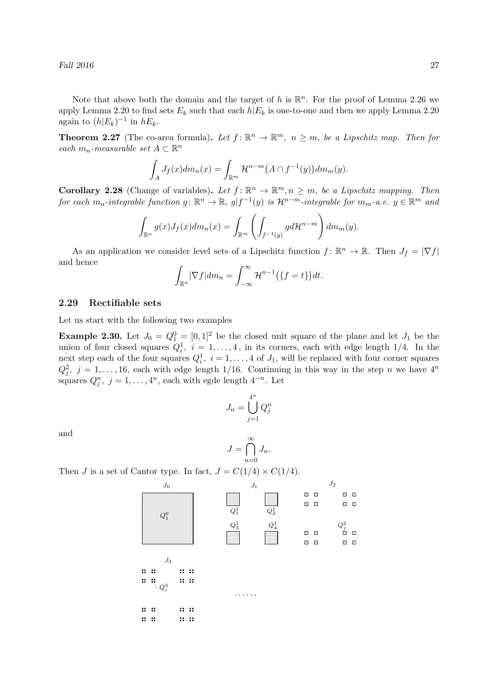Fall  $2016$   $27$ 

Note that above both the domain and the target of h is  $\mathbb{R}^n$ . For the proof of Lemma 2.26 we apply Lemma 2.20 to find sets  $E_k$  such that each  $h|E_k$  is one-to-one and then we apply Lemma 2.20 again to  $(h|E_k)^{-1}$  in  $hE_k$ .

**Theorem 2.27** (The co-area formula). Let  $f: \mathbb{R}^n \to \mathbb{R}^m$ ,  $n \geq m$ , be a Lipschitz map. Then for each  $m_n$ -measurable set  $A \subset \mathbb{R}^n$ 

$$
\int_A J_f(x)dm_n(x) = \int_{\mathbb{R}^m} \mathcal{H}^{n-m}(A \cap f^{-1}(y))dm_m(y).
$$

**Corollary 2.28** (Change of variables). Let  $f: \mathbb{R}^n \to \mathbb{R}^m, n \geq m$ , be a Lipschitz mapping. Then for each  $m_n$ -integrable function  $g: \mathbb{R}^n \to \mathbb{R}$ ,  $g| f^{-1}(y)$  is  $\mathcal{H}^{n-m}$ -integrable for  $m_m$ -a.e.  $y \in \mathbb{R}^m$  and

$$
\int_{\mathbb{R}^n} g(x) J_f(x) dm_n(x) = \int_{\mathbb{R}^m} \left( \int_{f^{-1}(y)} g d\mathcal{H}^{n-m} \right) dm_m(y).
$$

As an application we consider level sets of a Lipschitz function  $f: \mathbb{R}^n \to \mathbb{R}$ . Then  $J_f = |\nabla f|$ and hence

$$
\int_{\mathbb{R}^n} |\nabla f| dm_n = \int_{-\infty}^{\infty} \mathcal{H}^{n-1}(\{f = t\}) dt.
$$

#### 2.29 Rectifiable sets

Let us start with the following two examples

**Example 2.30.** Let  $J_0 = Q_1^0 = [0, 1]^2$  be the closed unit square of the plane and let  $J_1$  be the union of four closed squares  $Q_i^1$ ,  $i = 1, ..., 4$ , in its corners, each with edge length 1/4. In the next step each of the four squares  $Q_i^1$ ,  $i = 1, ..., 4$  of  $J_1$ , will be replaced with four corner squares  $Q_j^2$ ,  $j = 1, \ldots, 16$ , each with edge length 1/16. Continuing in this way in the step n we have  $4^n$ squares  $Q_j^n$ ,  $j = 1, \ldots, 4^n$ , each with egde length  $4^{-n}$ . Let

$$
J_n = \bigcup_{j=1}^{4^n} Q_j^n
$$

and

$$
J = \bigcap_{n=0}^{\infty} J_n.
$$

Then J is a set of Cantor type. In fact,  $J = C(1/4) \times C(1/4)$ .

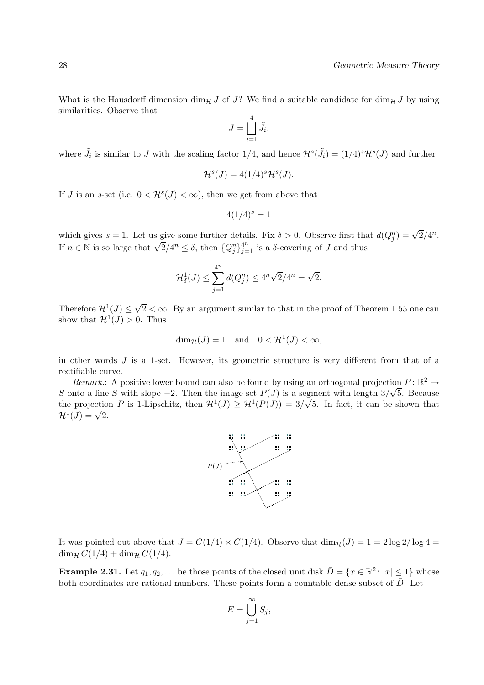What is the Hausdorff dimension dim<sub>H</sub> J of J? We find a suitable candidate for dim<sub>H</sub> J by using similarities. Observe that

$$
J = \bigsqcup_{i=1}^4 \tilde{J}_i,
$$

where  $\tilde{J}_i$  is similar to J with the scaling factor 1/4, and hence  $\mathcal{H}^s(\tilde{J}_i) = (1/4)^s \mathcal{H}^s(J)$  and further

$$
\mathcal{H}^s(J) = 4(1/4)^s \mathcal{H}^s(J).
$$

If J is an s-set (i.e.  $0 < H<sup>s</sup>(J) < \infty$ ), then we get from above that

$$
4(1/4)^s=1
$$

which gives  $s = 1$ . Let us give some further details. Fix  $\delta > 0$ . Observe first that  $d(Q_j^n) = \sqrt{2}/4^n$ . If  $n \in \mathbb{N}$  is so large that  $\sqrt{2}/4^n \leq \delta$ , then  $\{Q_j^n\}_{j=1}^{4^n}$  is a  $\delta$ -covering of J and thus

$$
\mathcal{H}_{\delta}^{1}(J) \le \sum_{j=1}^{4^{n}} d(Q_{j}^{n}) \le 4^{n} \sqrt{2}/4^{n} = \sqrt{2}.
$$

Therefore  $\mathcal{H}^1(\mathcal{J}) \leq \sqrt{2} < \infty$ . By an argument similar to that in the proof of Theorem 1.55 one can show that  $\mathcal{H}^1(J) > 0$ . Thus

$$
\dim_{\mathcal{H}}(J) = 1 \quad \text{and} \quad 0 < \mathcal{H}^1(J) < \infty,
$$

in other words  $J$  is a 1-set. However, its geometric structure is very different from that of a rectifiable curve.

Remark.: A positive lower bound can also be found by using an orthogonal projection  $P: \mathbb{R}^2 \to$ S onto a line S with slope  $-2$ . Then the image set  $P(J)$  is a segment with length  $3/\sqrt{5}$ . Because the projection P is 1-Lipschitz, then  $\mathcal{H}^1(J) \geq \mathcal{H}^1(P(J)) = 3/\sqrt{5}$ . In fact, it can be shown that  $\mathcal{H}^1(J) = \sqrt{2}.$ 



It was pointed out above that  $J = C(1/4) \times C(1/4)$ . Observe that  $\dim_{\mathcal{H}}(J) = 1 = 2 \log 2 / \log 4 =$  $\dim_{\mathcal{H}} C(1/4) + \dim_{\mathcal{H}} C(1/4).$ 

**Example 2.31.** Let  $q_1, q_2, \ldots$  be those points of the closed unit disk  $\overline{D} = \{x \in \mathbb{R}^2 : |x| \leq 1\}$  whose both coordinates are rational numbers. These points form a countable dense subset of  $\bar{D}$ . Let

$$
E = \bigcup_{j=1}^{\infty} S_j,
$$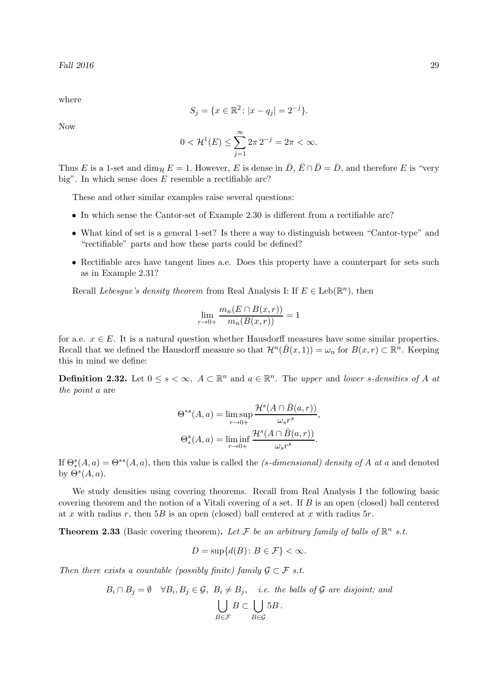where

$$
S_j = \{x \in \mathbb{R}^2 \colon |x - q_j| = 2^{-j}\}.
$$

Now

$$
0 < H^1(E) \le \sum_{j=1}^{\infty} 2\pi \, 2^{-j} = 2\pi < \infty.
$$

Thus E is a 1-set and  $\dim_{\mathcal{H}} E = 1$ . However, E is dense in  $\bar{D}$ ,  $\bar{E} \cap \bar{D} = \bar{D}$ , and therefore E is "very big". In which sense does  $E$  resemble a rectifiable arc?

These and other similar examples raise several questions:

- In which sense the Cantor-set of Example 2.30 is different from a rectifiable arc?
- What kind of set is a general 1-set? Is there a way to distinguish between "Cantor-type" and "rectifiable" parts and how these parts could be defined?
- Rectifiable arcs have tangent lines a.e. Does this property have a counterpart for sets such as in Example 2.31?

Recall Lebesgue's density theorem from Real Analysis I: If  $E \in \text{Leb}(\mathbb{R}^n)$ , then

$$
\lim_{r \to 0+} \frac{m_n(E \cap B(x,r))}{m_n(B(x,r))} = 1
$$

for a.e.  $x \in E$ . It is a natural question whether Hausdorff measures have some similar properties. Recall that we defined the Hausdorff measure so that  $\mathcal{H}^n(\bar{B}(x,1)) = \omega_n$  for  $B(x,r) \subset \mathbb{R}^n$ . Keeping this in mind we define:

**Definition 2.32.** Let  $0 \le s < \infty$ ,  $A \subset \mathbb{R}^n$  and  $a \in \mathbb{R}^n$ . The upper and lower s-densities of A at the point a are

$$
\Theta^{*s}(A, a) = \limsup_{r \to 0+} \frac{\mathcal{H}^s(A \cap \bar{B}(a, r))}{\omega_s r^s},
$$

$$
\Theta_*^s(A, a) = \liminf_{r \to 0+} \frac{\mathcal{H}^s(A \cap \bar{B}(a, r))}{\omega_s r^s}.
$$

If  $\Theta_*^s(A,a) = \Theta^{*s}(A,a)$ , then this value is called the *(s-dimensional) density of A at a* and denoted by  $\Theta^s(A,a)$ .

We study densities using covering theorems. Recall from Real Analysis I the following basic covering theorem and the notion of a Vitali covering of a set. If B is an open (closed) ball centered at x with radius r, then  $5B$  is an open (closed) ball centered at x with radius  $5r$ .

**Theorem 2.33** (Basic covering theorem). Let F be an arbitrary family of balls of  $\mathbb{R}^n$  s.t.

$$
D = \sup\{d(B) \colon B \in \mathcal{F}\} < \infty.
$$

Then there exists a countable (possibly finite) family  $\mathcal{G} \subset \mathcal{F}$  s.t.

$$
B_i \cap B_j = \emptyset \quad \forall B_i, B_j \in \mathcal{G}, \ B_i \neq B_j, \quad i.e. \ the \ balls \ of \ \mathcal{G} \ are \ disjoint; \ and
$$

$$
\bigcup_{B \in \mathcal{F}} B \subset \bigcup_{B \in \mathcal{G}} 5B.
$$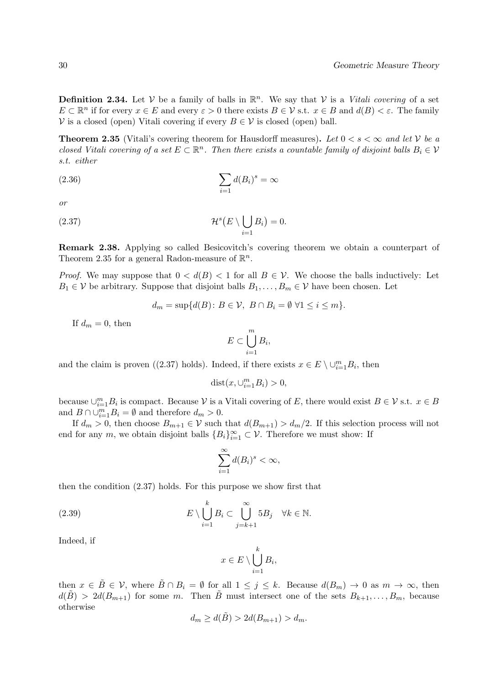**Definition 2.34.** Let  $V$  be a family of balls in  $\mathbb{R}^n$ . We say that  $V$  is a *Vitali covering* of a set  $E \subset \mathbb{R}^n$  if for every  $x \in E$  and every  $\varepsilon > 0$  there exists  $B \in \mathcal{V}$  s.t.  $x \in B$  and  $d(B) < \varepsilon$ . The family  $V$  is a closed (open) Vitali covering if every  $B \in V$  is closed (open) ball.

**Theorem 2.35** (Vitali's covering theorem for Hausdorff measures). Let  $0 < s < \infty$  and let V be a closed Vitali covering of a set  $E \subset \mathbb{R}^n$ . Then there exists a countable family of disjoint balls  $B_i \in V$ s.t. either

$$
(2.36)\qquad \qquad \sum_{i=1}d(B_i)^s=\infty
$$

or

(2.37) 
$$
\mathcal{H}^s(E \setminus \bigcup_{i=1} B_i) = 0.
$$

Remark 2.38. Applying so called Besicovitch's covering theorem we obtain a counterpart of Theorem 2.35 for a general Radon-measure of  $\mathbb{R}^n$ .

*Proof.* We may suppose that  $0 < d(B) < 1$  for all  $B \in V$ . We choose the balls inductively: Let  $B_1 \in V$  be arbitrary. Suppose that disjoint balls  $B_1, \ldots, B_m \in V$  have been chosen. Let

$$
d_m = \sup \{ d(B) \colon B \in \mathcal{V}, \ B \cap B_i = \emptyset \ \forall 1 \leq i \leq m \}.
$$

If  $d_m = 0$ , then

$$
E \subset \bigcup_{i=1}^{m} B_i,
$$

and the claim is proven ((2.37) holds). Indeed, if there exists  $x \in E \setminus \cup_{i=1}^m B_i$ , then

$$
dist(x, \cup_{i=1}^{m} B_i) > 0,
$$

because  $\cup_{i=1}^m B_i$  is compact. Because  $\mathcal V$  is a Vitali covering of E, there would exist  $B \in \mathcal V$  s.t.  $x \in B$ and  $B \cap \bigcup_{i=1}^{m} B_i = \emptyset$  and therefore  $d_m > 0$ .

If  $d_m > 0$ , then choose  $B_{m+1} \in V$  such that  $d(B_{m+1}) > d_m/2$ . If this selection process will not end for any m, we obtain disjoint balls  ${B_i}_{i=1}^{\infty} \subset \mathcal{V}$ . Therefore we must show: If

$$
\sum_{i=1}^{\infty} d(B_i)^s < \infty,
$$

then the condition (2.37) holds. For this purpose we show first that

(2.39) 
$$
E \setminus \bigcup_{i=1}^{k} B_i \subset \bigcup_{j=k+1}^{\infty} 5B_j \quad \forall k \in \mathbb{N}.
$$

Indeed, if

$$
x \in E \setminus \bigcup_{i=1}^k B_i,
$$

then  $x \in \overline{B} \in \mathcal{V}$ , where  $\overline{B} \cap B_i = \emptyset$  for all  $1 \leq j \leq k$ . Because  $d(B_m) \to 0$  as  $m \to \infty$ , then  $d(B) > 2d(B_{m+1})$  for some m. Then B must intersect one of the sets  $B_{k+1}, \ldots, B_m$ , because otherwise

$$
d_m \ge d(\tilde{B}) > 2d(B_{m+1}) > d_m.
$$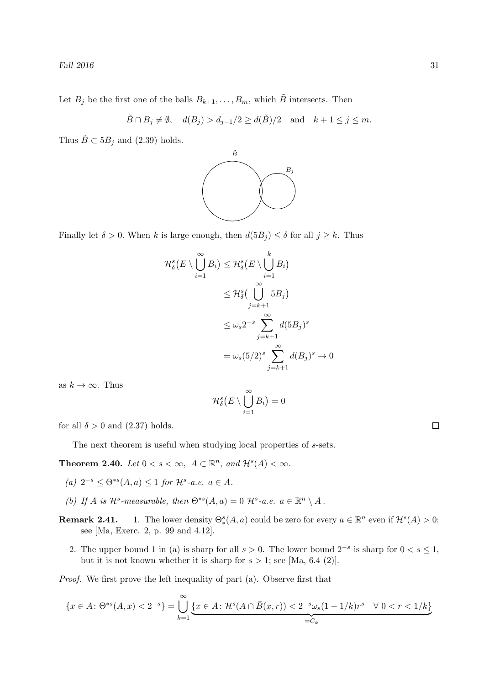Fall  $2016$   $31$ 

Let  $B_j$  be the first one of the balls  $B_{k+1}, \ldots, B_m$ , which  $\tilde{B}$  intersects. Then

$$
\tilde{B} \cap B_j \neq \emptyset
$$
,  $d(B_j) > d_{j-1}/2 \geq d(\tilde{B})/2$  and  $k+1 \leq j \leq m$ .

Thus  $\tilde{B} \subset 5B_j$  and (2.39) holds.



Finally let  $\delta > 0$ . When k is large enough, then  $d(5B_i) \leq \delta$  for all  $j \geq k$ . Thus

$$
\mathcal{H}_{\delta}^{s}(E \setminus \bigcup_{i=1}^{\infty} B_{i}) \leq \mathcal{H}_{\delta}^{s}(E \setminus \bigcup_{i=1}^{k} B_{i})
$$
\n
$$
\leq \mathcal{H}_{\delta}^{s}(\bigcup_{j=k+1}^{\infty} 5B_{j})
$$
\n
$$
\leq \omega_{s} 2^{-s} \sum_{j=k+1}^{\infty} d(5B_{j})^{s}
$$
\n
$$
= \omega_{s} (5/2)^{s} \sum_{j=k+1}^{\infty} d(B_{j})^{s} \to 0
$$

as  $k \to \infty$ . Thus

$$
\mathcal{H}^s_\delta\big(E\setminus\bigcup_{i=1}^\infty B_i\big)=0
$$

for all  $\delta > 0$  and (2.37) holds.

The next theorem is useful when studying local properties of s-sets.

**Theorem 2.40.** Let  $0 < s < \infty$ ,  $A \subset \mathbb{R}^n$ , and  $\mathcal{H}^s(A) < \infty$ .

- (a)  $2^{-s} \leq \Theta^{*s}(A, a) \leq 1$  for  $\mathcal{H}^s$ -a.e.  $a \in A$ .
- (b) If A is  $\mathcal{H}^s$ -measurable, then  $\Theta^{*s}(A,a) = 0$   $\mathcal{H}^s$ -a.e.  $a \in \mathbb{R}^n \setminus A$ .
- **Remark 2.41.** 1. The lower density  $\Theta_*^s(A, a)$  could be zero for every  $a \in \mathbb{R}^n$  even if  $\mathcal{H}^s(A) > 0$ ; see [Ma, Exerc. 2, p. 99 and 4.12].
	- 2. The upper bound 1 in (a) is sharp for all  $s > 0$ . The lower bound  $2^{-s}$  is sharp for  $0 < s \le 1$ , but it is not known whether it is sharp for  $s > 1$ ; see [Ma, 6.4 (2)].

Proof. We first prove the left inequality of part (a). Observe first that

$$
\{x \in A : \Theta^{*s}(A, x) < 2^{-s}\} = \bigcup_{k=1}^{\infty} \underbrace{\{x \in A : \mathcal{H}^s(A \cap \bar{B}(x, r)) < 2^{-s}\omega_s(1 - 1/k)r^s \quad \forall \ 0 < r < 1/k\}}_{=C_k}
$$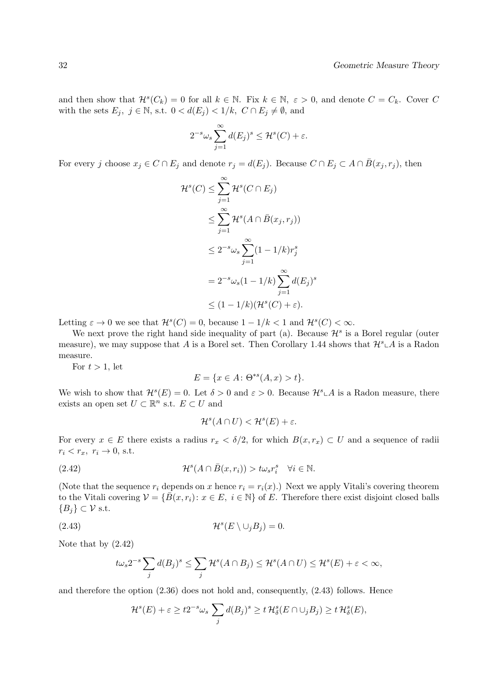and then show that  $\mathcal{H}^s(C_k) = 0$  for all  $k \in \mathbb{N}$ . Fix  $k \in \mathbb{N}$ ,  $\varepsilon > 0$ , and denote  $C = C_k$ . Cover C with the sets  $E_j$ ,  $j \in \mathbb{N}$ , s.t.  $0 < d(E_j) < 1/k$ ,  $C \cap E_j \neq \emptyset$ , and

$$
2^{-s}\omega_s \sum_{j=1}^{\infty} d(E_j)^s \le \mathcal{H}^s(C) + \varepsilon.
$$

For every j choose  $x_j \in C \cap E_j$  and denote  $r_j = d(E_j)$ . Because  $C \cap E_j \subset A \cap \overline{B}(x_j, r_j)$ , then

$$
\mathcal{H}^s(C) \leq \sum_{j=1}^{\infty} \mathcal{H}^s(C \cap E_j)
$$
  
\n
$$
\leq \sum_{j=1}^{\infty} \mathcal{H}^s(A \cap \bar{B}(x_j, r_j))
$$
  
\n
$$
\leq 2^{-s} \omega_s \sum_{j=1}^{\infty} (1 - 1/k) r_j^s
$$
  
\n
$$
= 2^{-s} \omega_s (1 - 1/k) \sum_{j=1}^{\infty} d(E_j)^s
$$
  
\n
$$
\leq (1 - 1/k)(\mathcal{H}^s(C) + \varepsilon).
$$

Letting  $\varepsilon \to 0$  we see that  $\mathcal{H}^s(C) = 0$ , because  $1 - 1/k < 1$  and  $\mathcal{H}^s(C) < \infty$ .

We next prove the right hand side inequality of part (a). Because  $\mathcal{H}^s$  is a Borel regular (outer measure), we may suppose that A is a Borel set. Then Corollary 1.44 shows that  $\mathcal{H}^s \subset A$  is a Radon measure.

For  $t > 1$ , let

$$
E = \{ x \in A \colon \Theta^{*s}(A, x) > t \}.
$$

We wish to show that  $\mathcal{H}^s(E) = 0$ . Let  $\delta > 0$  and  $\varepsilon > 0$ . Because  $\mathcal{H}^s \cup A$  is a Radon measure, there exists an open set  $U \subset \mathbb{R}^n$  s.t.  $E \subset U$  and

$$
\mathcal{H}^s(A \cap U) < \mathcal{H}^s(E) + \varepsilon.
$$

For every  $x \in E$  there exists a radius  $r_x < \delta/2$ , for which  $B(x, r_x) \subset U$  and a sequence of radii  $r_i < r_x$ ,  $r_i \rightarrow 0$ , s.t.

(2.42) 
$$
\mathcal{H}^s(A \cap \bar{B}(x,r_i)) > t\omega_s r_i^s \quad \forall i \in \mathbb{N}.
$$

(Note that the sequence  $r_i$  depends on x hence  $r_i = r_i(x)$ .) Next we apply Vitali's covering theorem to the Vitali covering  $\mathcal{V} = \{\overline{B}(x, r_i): x \in E, i \in \mathbb{N}\}\$  of E. Therefore there exist disjoint closed balls  ${B_i} \subset \mathcal{V}$  s.t.

(2.43) 
$$
\mathcal{H}^s(E \setminus \cup_j B_j) = 0.
$$

Note that by (2.42)

$$
t\omega_s 2^{-s} \sum_j d(B_j)^s \le \sum_j \mathcal{H}^s(A \cap B_j) \le \mathcal{H}^s(A \cap U) \le \mathcal{H}^s(E) + \varepsilon < \infty,
$$

and therefore the option (2.36) does not hold and, consequently, (2.43) follows. Hence

$$
\mathcal{H}^s(E) + \varepsilon \ge t2^{-s}\omega_s \sum_j d(B_j)^s \ge t \mathcal{H}^s_\delta(E \cap \cup_j B_j) \ge t \mathcal{H}^s_\delta(E),
$$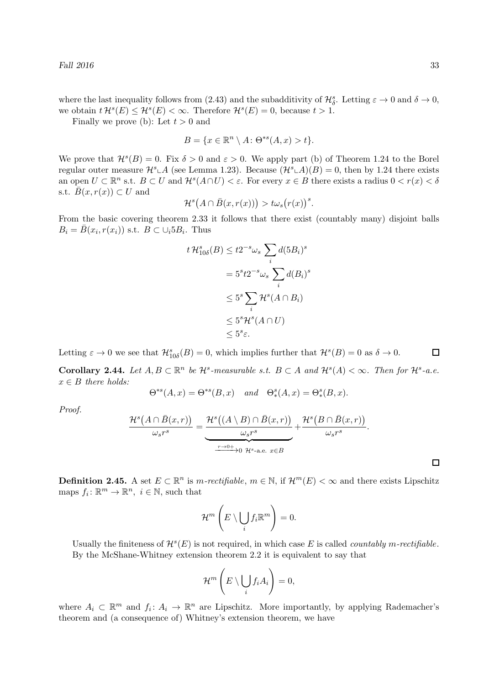where the last inequality follows from (2.43) and the subadditivity of  $\mathcal{H}_{\delta}^s$ . Letting  $\varepsilon \to 0$  and  $\delta \to 0$ , we obtain  $t \mathcal{H}^s(E) \leq \mathcal{H}^s(E) < \infty$ . Therefore  $\mathcal{H}^s(E) = 0$ , because  $t > 1$ .

Finally we prove (b): Let  $t > 0$  and

$$
B = \{x \in \mathbb{R}^n \setminus A \colon \Theta^{*s}(A, x) > t\}.
$$

We prove that  $\mathcal{H}^s(B) = 0$ . Fix  $\delta > 0$  and  $\varepsilon > 0$ . We apply part (b) of Theorem 1.24 to the Borel regular outer measure  $\mathcal{H}^s \perp A$  (see Lemma 1.23). Because  $(\mathcal{H}^s \perp A)(B) = 0$ , then by 1.24 there exists an open  $U \subset \mathbb{R}^n$  s.t.  $B \subset U$  and  $\mathcal{H}^s(A \cap U) < \varepsilon$ . For every  $x \in B$  there exists a radius  $0 < r(x) < \delta$ s.t.  $\bar{B}(x, r(x)) \subset U$  and

$$
\mathcal{H}^s\big(A\cap\bar{B}(x,r(x))\big)>\text{t}\omega_s\big(r(x)\big)^s.
$$

From the basic covering theorem 2.33 it follows that there exist (countably many) disjoint balls  $B_i = \bar{B}(x_i, r(x_i))$  s.t.  $B \subset \cup_i 5B_i$ . Thus

$$
t \mathcal{H}_{10\delta}^{s}(B) \leq t2^{-s}\omega_{s} \sum_{i} d(5B_{i})^{s}
$$

$$
= 5^{s}t2^{-s}\omega_{s} \sum_{i} d(B_{i})^{s}
$$

$$
\leq 5^{s} \sum_{i} \mathcal{H}^{s}(A \cap B_{i})
$$

$$
\leq 5^{s} \mathcal{H}^{s}(A \cap U)
$$

$$
\leq 5^{s}\varepsilon.
$$

Letting  $\varepsilon \to 0$  we see that  $\mathcal{H}_{10\delta}^s(B) = 0$ , which implies further that  $\mathcal{H}^s(B) = 0$  as  $\delta \to 0$ .  $\Box$ 

**Corollary 2.44.** Let  $A, B \subset \mathbb{R}^n$  be  $\mathcal{H}^s$ -measurable s.t.  $B \subset A$  and  $\mathcal{H}^s(A) < \infty$ . Then for  $\mathcal{H}^s$ -a.e.  $x \in B$  there holds:

$$
\Theta^{*s}(A,x)=\Theta^{*s}(B,x) \quad and \quad \Theta^s_*(A,x)=\Theta^s_*(B,x).
$$

Proof.

$$
\frac{\mathcal{H}^s(A \cap \bar{B}(x,r))}{\omega_s r^s} = \underbrace{\frac{\mathcal{H}^s((A \setminus B) \cap \bar{B}(x,r))}{\omega_s r^s}}_{\frac{r \to 0+}{\omega_s} 0} + \frac{\mathcal{H}^s(B \cap \bar{B}(x,r))}{\omega_s r^s}.
$$

**Definition 2.45.** A set  $E \subset \mathbb{R}^n$  is  $m\text{-}rectifiable, m \in \mathbb{N}$ , if  $\mathcal{H}^m(E) < \infty$  and there exists Lipschitz maps  $f_i: \mathbb{R}^m \to \mathbb{R}^n$ ,  $i \in \mathbb{N}$ , such that

$$
\mathcal{H}^m\left(E\setminus\bigcup_i f_i\mathbb{R}^m\right)=0.
$$

Usually the finiteness of  $\mathcal{H}^s(E)$  is not required, in which case E is called *countably m-rectifiable*. By the McShane-Whitney extension theorem 2.2 it is equivalent to say that

$$
\mathcal{H}^m\left(E\setminus\bigcup_i f_iA_i\right)=0,
$$

where  $A_i \subset \mathbb{R}^m$  and  $f_i: A_i \to \mathbb{R}^n$  are Lipschitz. More importantly, by applying Rademacher's theorem and (a consequence of) Whitney's extension theorem, we have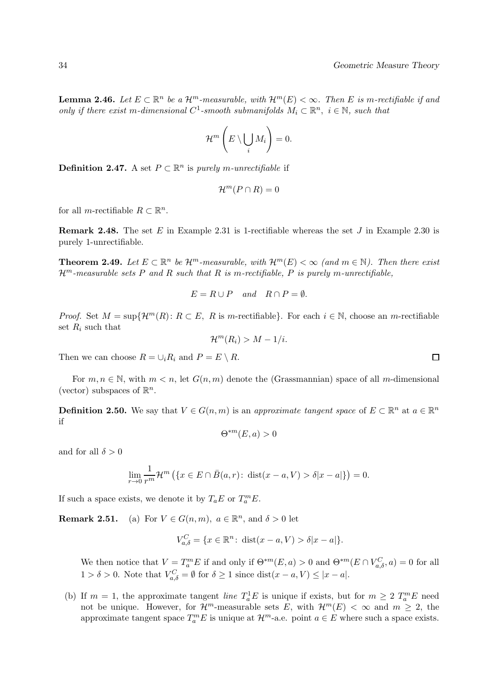**Lemma 2.46.** Let  $E \subset \mathbb{R}^n$  be a  $\mathcal{H}^m$ -measurable, with  $\mathcal{H}^m(E) < \infty$ . Then E is m-rectifiable if and only if there exist m-dimensional  $C^1$ -smooth submanifolds  $M_i \subset \mathbb{R}^n$ ,  $i \in \mathbb{N}$ , such that

$$
\mathcal{H}^m\left(E\setminus\bigcup_i M_i\right)=0.
$$

**Definition 2.47.** A set  $P \subset \mathbb{R}^n$  is purely m-unrectifiable if

$$
\mathcal{H}^m(P\cap R)=0
$$

for all *m*-rectifiable  $R \subset \mathbb{R}^n$ .

**Remark 2.48.** The set E in Example 2.31 is 1-rectifiable whereas the set J in Example 2.30 is purely 1-unrectifiable.

**Theorem 2.49.** Let  $E \subset \mathbb{R}^n$  be  $\mathcal{H}^m$ -measurable, with  $\mathcal{H}^m(E) < \infty$  (and  $m \in \mathbb{N}$ ). Then there exist  $\mathcal{H}^m$ -measurable sets P and R such that R is m-rectifiable, P is purely m-unrectifiable,

$$
E = R \cup P \quad and \quad R \cap P = \emptyset.
$$

*Proof.* Set  $M = \sup\{\mathcal{H}^m(R): R \subset E, R \text{ is } m\text{-rectifiable}\}\.$  For each  $i \in \mathbb{N}$ , choose an m-rectifiable set  $R_i$  such that

$$
\mathcal{H}^m(R_i) > M - 1/i.
$$

Then we can choose  $R = \bigcup_i R_i$  and  $P = E \setminus R$ .

For  $m, n \in \mathbb{N}$ , with  $m < n$ , let  $G(n, m)$  denote the (Grassmannian) space of all m-dimensional (vector) subspaces of  $\mathbb{R}^n$ .

**Definition 2.50.** We say that  $V \in G(n,m)$  is an approximate tangent space of  $E \subset \mathbb{R}^n$  at  $a \in \mathbb{R}^n$ if

$$
\Theta^{*m}(E,a) > 0
$$

and for all  $\delta > 0$ 

$$
\lim_{r \to 0} \frac{1}{r^m} \mathcal{H}^m \left( \{ x \in E \cap \overline{B}(a, r) \colon \operatorname{dist}(x - a, V) > \delta |x - a| \} \right) = 0.
$$

If such a space exists, we denote it by  $T_a E$  or  $T_a^m E$ .

**Remark 2.51.** (a) For  $V \in G(n,m)$ ,  $a \in \mathbb{R}^n$ , and  $\delta > 0$  let

$$
V_{a,\delta}^{C} = \{ x \in \mathbb{R}^{n} : \text{ dist}(x - a, V) > \delta |x - a| \}.
$$

We then notice that  $V = T_a^m E$  if and only if  $\Theta^{*m}(E, a) > 0$  and  $\Theta^{*m}(E \cap V_{a, \delta}^C, a) = 0$  for all  $1 > \delta > 0$ . Note that  $V_{a,\delta}^C = \emptyset$  for  $\delta \ge 1$  since  $dist(x - a, V) \le |x - a|$ .

(b) If  $m = 1$ , the approximate tangent *line*  $T_a^1 E$  is unique if exists, but for  $m \geq 2$   $T_a^m E$  need not be unique. However, for  $\mathcal{H}^m$ -measurable sets E, with  $\mathcal{H}^m(E) < \infty$  and  $m \geq 2$ , the approximate tangent space  $T_a^m E$  is unique at  $\mathcal{H}^m$ -a.e. point  $a \in E$  where such a space exists.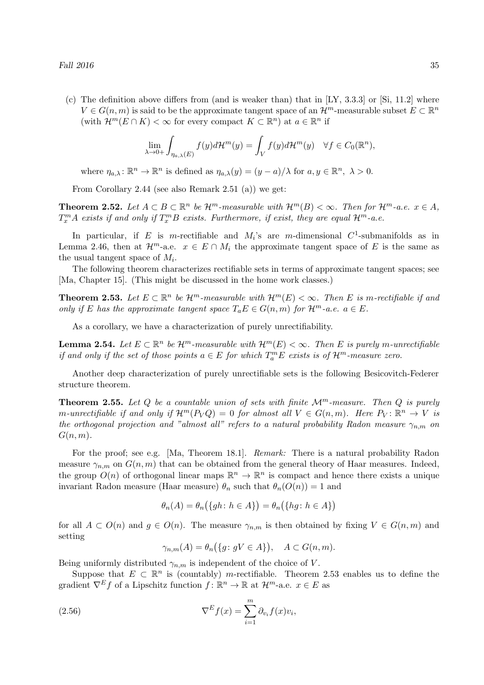(c) The definition above differs from (and is weaker than) that in  $[LY, 3.3.3]$  or  $[Si, 11.2]$  where  $V \in G(n, m)$  is said to be the approximate tangent space of an  $\mathcal{H}^m$ -measurable subset  $E \subset \mathbb{R}^n$ (with  $\mathcal{H}^m(E \cap K) < \infty$  for every compact  $K \subset \mathbb{R}^n$ ) at  $a \in \mathbb{R}^n$  if

$$
\lim_{\lambda \to 0+} \int_{\eta_{a,\lambda}(E)} f(y) d\mathcal{H}^m(y) = \int_V f(y) d\mathcal{H}^m(y) \quad \forall f \in C_0(\mathbb{R}^n),
$$

where  $\eta_{a,\lambda} \colon \mathbb{R}^n \to \mathbb{R}^n$  is defined as  $\eta_{a,\lambda}(y) = (y - a)/\lambda$  for  $a, y \in \mathbb{R}^n$ ,  $\lambda > 0$ .

From Corollary 2.44 (see also Remark 2.51 (a)) we get:

**Theorem 2.52.** Let  $A \subset B \subset \mathbb{R}^n$  be  $\mathcal{H}^m$ -measurable with  $\mathcal{H}^m(B) < \infty$ . Then for  $\mathcal{H}^m$ -a.e.  $x \in A$ ,  $T_x^m A$  exists if and only if  $T_x^m B$  exists. Furthermore, if exist, they are equal  $\mathcal{H}^m$ -a.e.

In particular, if E is m-rectifiable and  $M_i$ 's are m-dimensional  $C^1$ -submanifolds as in Lemma 2.46, then at  $\mathcal{H}^m$ -a.e.  $x \in E \cap M_i$  the approximate tangent space of E is the same as the usual tangent space of  $M_i$ .

The following theorem characterizes rectifiable sets in terms of approximate tangent spaces; see [Ma, Chapter 15]. (This might be discussed in the home work classes.)

**Theorem 2.53.** Let  $E \subset \mathbb{R}^n$  be  $\mathcal{H}^m$ -measurable with  $\mathcal{H}^m(E) < \infty$ . Then E is m-rectifiable if and only if E has the approximate tangent space  $T_aE \in G(n,m)$  for  $\mathcal{H}^m$ -a.e.  $a \in E$ .

As a corollary, we have a characterization of purely unrectifiability.

**Lemma 2.54.** Let  $E \subset \mathbb{R}^n$  be  $\mathcal{H}^m$ -measurable with  $\mathcal{H}^m(E) < \infty$ . Then E is purely m-unrectifiable if and only if the set of those points  $a \in E$  for which  $T_a^m E$  exists is of  $\mathcal{H}^m$ -measure zero.

Another deep characterization of purely unrectifiable sets is the following Besicovitch-Federer structure theorem.

**Theorem 2.55.** Let Q be a countable union of sets with finite  $\mathcal{M}^m$ -measure. Then Q is purely m-unrectifiable if and only if  $\mathcal{H}^m(P_VQ) = 0$  for almost all  $V \in G(n,m)$ . Here  $P_V: \mathbb{R}^n \to V$  is the orthogonal projection and "almost all" refers to a natural probability Radon measure  $\gamma_{n,m}$  on  $G(n, m)$ .

For the proof; see e.g. [Ma, Theorem 18.1]. *Remark:* There is a natural probability Radon measure  $\gamma_{n,m}$  on  $G(n,m)$  that can be obtained from the general theory of Haar measures. Indeed, the group  $O(n)$  of orthogonal linear maps  $\mathbb{R}^n \to \mathbb{R}^n$  is compact and hence there exists a unique invariant Radon measure (Haar measure)  $\theta_n$  such that  $\theta_n(O(n)) = 1$  and

$$
\theta_n(A) = \theta_n(\{gh \colon h \in A\}) = \theta_n(\{hg \colon h \in A\})
$$

for all  $A \subset O(n)$  and  $g \in O(n)$ . The measure  $\gamma_{n,m}$  is then obtained by fixing  $V \in G(n,m)$  and setting

$$
\gamma_{n,m}(A) = \theta_n(\{g \colon gV \in A\}), \quad A \subset G(n,m).
$$

Being uniformly distributed  $\gamma_{n,m}$  is independent of the choice of V.

Suppose that  $E \subset \mathbb{R}^n$  is (countably) *m*-rectifiable. Theorem 2.53 enables us to define the gradient  $\nabla^E f$  of a Lipschitz function  $f: \mathbb{R}^n \to \mathbb{R}$  at  $\mathcal{H}^m$ -a.e.  $x \in E$  as

(2.56) 
$$
\nabla^E f(x) = \sum_{i=1}^m \partial_{v_i} f(x) v_i,
$$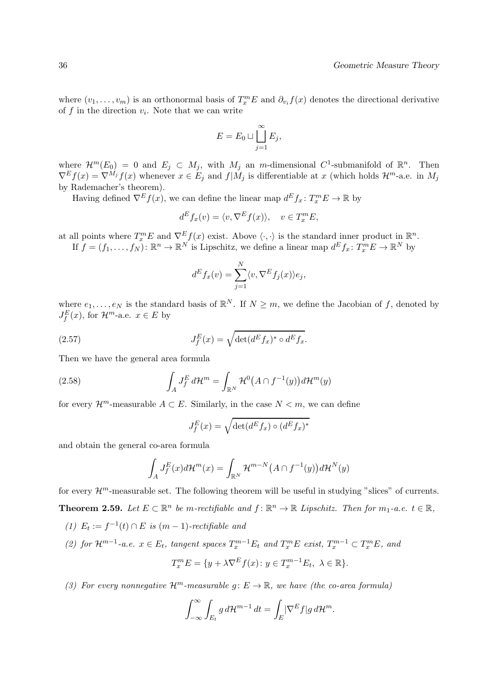where  $(v_1, \ldots, v_m)$  is an orthonormal basis of  $T_x^m E$  and  $\partial_{v_i} f(x)$  denotes the directional derivative of  $f$  in the direction  $v_i$ . Note that we can write

$$
E = E_0 \sqcup \coprod_{j=1}^{\infty} E_j,
$$

where  $\mathcal{H}^m(E_0) = 0$  and  $E_j \subset M_j$ , with  $M_j$  an *m*-dimensional  $C^1$ -submanifold of  $\mathbb{R}^n$ . Then  $\nabla^E f(x) = \nabla^{M_j} f(x)$  whenever  $x \in E_j$  and  $f|M_j$  is differentiable at x (which holds  $\mathcal{H}^m$ -a.e. in  $M_j$ by Rademacher's theorem).

Having defined  $\nabla^E f(x)$ , we can define the linear map  $d^E f_x : T_x^m E \to \mathbb{R}$  by

$$
d^E f_x(v) = \langle v, \nabla^E f(x) \rangle, \quad v \in T_x^m E,
$$

at all points where  $T_x^m E$  and  $\nabla_x^E f(x)$  exist. Above  $\langle \cdot, \cdot \rangle$  is the standard inner product in  $\mathbb{R}^n$ . If  $f = (f_1, \ldots, f_N) : \mathbb{R}^n \to \mathbb{R}^N$  is Lipschitz, we define a linear map  $d^E f_x \colon T_x^m E \to \mathbb{R}^N$  by

$$
d^E f_x(v) = \sum_{j=1}^N \langle v, \nabla^E f_j(x) \rangle e_j,
$$

where  $e_1, \ldots, e_N$  is the standard basis of  $\mathbb{R}^N$ . If  $N \geq m$ , we define the Jacobian of f, denoted by  $J_f^E(x)$ , for  $\mathcal{H}^m$ -a.e.  $x \in E$  by

(2.57) 
$$
J_f^E(x) = \sqrt{\det(d^E f_x)^* \circ d^E f_x}.
$$

Then we have the general area formula

(2.58) 
$$
\int_A J_f^E d\mathcal{H}^m = \int_{\mathbb{R}^N} \mathcal{H}^0(A \cap f^{-1}(y)) d\mathcal{H}^m(y)
$$

for every  $\mathcal{H}^m$ -measurable  $A \subset E$ . Similarly, in the case  $N < m$ , we can define

$$
J_f^E(x) = \sqrt{\det(d^E f_x) \circ (d^E f_x)^*}
$$

and obtain the general co-area formula

$$
\int_A J_f^E(x)d\mathcal{H}^m(x) = \int_{\mathbb{R}^N} \mathcal{H}^{m-N}\big(A \cap f^{-1}(y)\big)d\mathcal{H}^N(y)
$$

for every  $\mathcal{H}^m$ -measurable set. The following theorem will be useful in studying "slices" of currents. **Theorem 2.59.** Let  $E \subset \mathbb{R}^n$  be m-rectifiable and  $f : \mathbb{R}^n \to \mathbb{R}$  Lipschitz. Then for  $m_1$ -a.e.  $t \in \mathbb{R}$ ,

- (1)  $E_t := f^{-1}(t) \cap E$  is  $(m-1)$ -rectifiable and
- (2) for  $\mathcal{H}^{m-1}$ -a.e.  $x \in E_t$ , tangent spaces  $T_x^{m-1}E_t$  and  $T_x^mE$  exist,  $T_x^{m-1} \subset T_x^mE$ , and  $T_x^m E = \{y + \lambda \nabla^E f(x) : y \in T_x^{m-1} E_t, \ \lambda \in \mathbb{R}\}.$
- (3) For every nonnegative  $\mathcal{H}^m$ -measurable  $g: E \to \mathbb{R}$ , we have (the co-area formula)

$$
\int_{-\infty}^{\infty} \int_{E_t} g \, d\mathcal{H}^{m-1} \, dt = \int_E |\nabla^E f| g \, d\mathcal{H}^m.
$$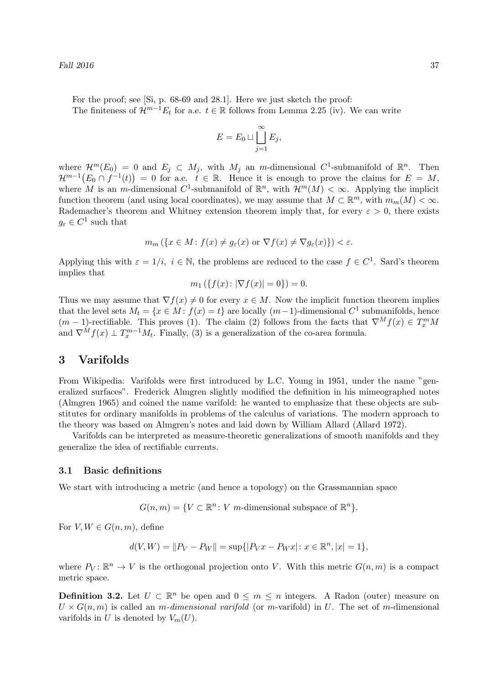For the proof; see [Si, p. 68-69 and 28.1]. Here we just sketch the proof: The finiteness of  $\mathcal{H}^{m-1}E_t$  for a.e.  $t \in \mathbb{R}$  follows from Lemma 2.25 (iv). We can write

$$
E = E_0 \sqcup \coprod_{j=1}^{\infty} E_j,
$$

where  $\mathcal{H}^m(E_0) = 0$  and  $E_j \subset M_j$ , with  $M_j$  an m-dimensional  $C^1$ -submanifold of  $\mathbb{R}^n$ . Then  $\mathcal{H}^{m-1}(E_0 \cap f^{-1}(t)) = 0$  for a.e.  $t \in \mathbb{R}$ . Hence it is enough to prove the claims for  $E = M$ , where M is an m-dimensional C<sup>1</sup>-submanifold of  $\mathbb{R}^n$ , with  $\mathcal{H}^m(M) < \infty$ . Applying the implicit function theorem (and using local coordinates), we may assume that  $M \subset \mathbb{R}^m$ , with  $m_m(M) < \infty$ . Rademacher's theorem and Whitney extension theorem imply that, for every  $\varepsilon > 0$ , there exists  $g_{\varepsilon} \in C^1$  such that

$$
m_m \left( \{ x \in M : f(x) \neq g_{\varepsilon}(x) \text{ or } \nabla f(x) \neq \nabla g_{\varepsilon}(x) \} \right) < \varepsilon.
$$

Applying this with  $\varepsilon = 1/i$ ,  $i \in \mathbb{N}$ , the problems are reduced to the case  $f \in C^1$ . Sard's theorem implies that

$$
m_1(\{f(x): |\nabla f(x)| = 0\}) = 0.
$$

Thus we may assume that  $\nabla f(x) \neq 0$  for every  $x \in M$ . Now the implicit function theorem implies that the level sets  $M_t = \{x \in M : f(x) = t\}$  are locally  $(m-1)$ -dimensional  $C^1$  submanifolds, hence  $(m-1)$ -rectifiable. This proves (1). The claim (2) follows from the facts that  $\nabla^M f(x) \in T_x^m M$ and  $\nabla^M f(x) \perp T_x^{m-1} M_t$ . Finally, (3) is a generalization of the co-area formula.

# 3 Varifolds

From Wikipedia: Varifolds were first introduced by L.C. Young in 1951, under the name "generalized surfaces". Frederick Almgren slightly modified the definition in his mimeographed notes (Almgren 1965) and coined the name varifold: he wanted to emphasize that these objects are substitutes for ordinary manifolds in problems of the calculus of variations. The modern approach to the theory was based on Almgren's notes and laid down by William Allard (Allard 1972).

Varifolds can be interpreted as measure-theoretic generalizations of smooth manifolds and they generalize the idea of rectifiable currents.

### 3.1 Basic definitions

We start with introducing a metric (and hence a topology) on the Grassmannian space

 $G(n, m) = \{ V \subset \mathbb{R}^n : V \text{ m-dimensional subspace of } \mathbb{R}^n \}.$ 

For  $V, W \in G(n, m)$ , define

$$
d(V, W) = ||P_V - P_W|| = \sup{||P_V x - P_W x|| : x \in \mathbb{R}^n, |x| = 1},
$$

where  $P_V: \mathbb{R}^n \to V$  is the orthogonal projection onto V. With this metric  $G(n,m)$  is a compact metric space.

**Definition 3.2.** Let  $U \subset \mathbb{R}^n$  be open and  $0 \leq m \leq n$  integers. A Radon (outer) measure on  $U \times G(n,m)$  is called an *m-dimensional varifold* (or *m*-varifold) in U. The set of *m*-dimensional varifolds in U is denoted by  $V_m(U)$ .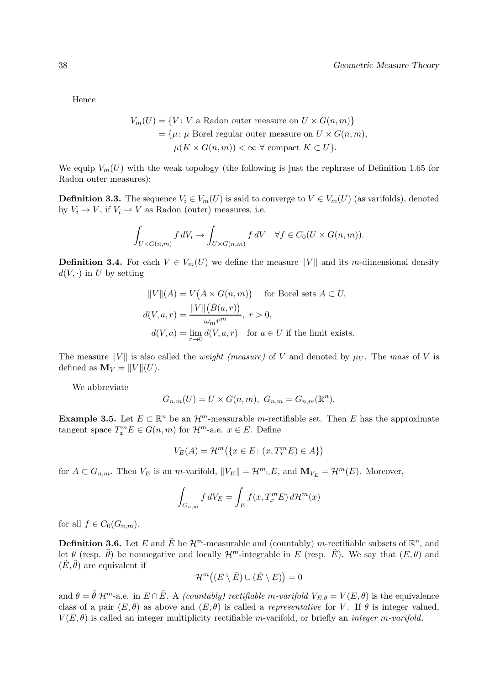Hence

$$
V_m(U) = \{ V : V \text{ a Radon outer measure on } U \times G(n, m) \}
$$
  
=  $\{ \mu : \mu \text{ Borel regular outer measure on } U \times G(n, m),$   
 $\mu(K \times G(n, m)) < \infty \ \forall \text{ compact } K \subset U \}.$ 

We equip  $V_m(U)$  with the weak topology (the following is just the rephrase of Definition 1.65 for Radon outer measures):

**Definition 3.3.** The sequence  $V_i \in V_m(U)$  is said to converge to  $V \in V_m(U)$  (as varifolds), denoted by  $V_i \rightarrow V$ , if  $V_i \rightarrow V$  as Radon (outer) measures, i.e.

$$
\int_{U\times G(n,m)} f dV_i \to \int_{U\times G(n,m)} f dV \quad \forall f \in C_0(U\times G(n,m)).
$$

**Definition 3.4.** For each  $V \in V_m(U)$  we define the measure  $||V||$  and its m-dimensional density  $d(V, \cdot)$  in U by setting

$$
||V||(A) = V(A \times G(n, m)) \quad \text{for Borel sets } A \subset U,
$$
  

$$
d(V, a, r) = \frac{||V||(\bar{B}(a, r))}{\omega_m r^m}, r > 0,
$$
  

$$
d(V, a) = \lim_{r \to 0} d(V, a, r) \quad \text{for } a \in U \text{ if the limit exists.}
$$

The measure  $||V||$  is also called the *weight (measure)* of V and denoted by  $\mu_V$ . The mass of V is defined as  $\mathbf{M}_V = ||V||(U)$ .

We abbreviate

$$
G_{n,m}(U) = U \times G(n,m), \ G_{n,m} = G_{n,m}(\mathbb{R}^n).
$$

**Example 3.5.** Let  $E \subset \mathbb{R}^n$  be an  $\mathcal{H}^m$ -measurable m-rectifiable set. Then E has the approximate tangent space  $T_x^m E \in G(n,m)$  for  $\mathcal{H}^m$ -a.e.  $x \in E$ . Define

$$
V_E(A) = \mathcal{H}^m(\{x \in E \colon (x, T_x^m E) \in A\})
$$

for  $A \subset G_{n,m}$ . Then  $V_E$  is an m-varifold,  $||V_E|| = \mathcal{H}^m \cup E$ , and  $\mathbf{M}_{V_E} = \mathcal{H}^m(E)$ . Moreover,

$$
\int_{G_{n,m}} f dV_E = \int_E f(x, T_x^m E) d\mathcal{H}^m(x)
$$

for all  $f \in C_0(G_{n,m})$ .

**Definition 3.6.** Let E and  $\tilde{E}$  be  $\mathcal{H}^m$ -measurable and (countably) m-rectifiable subsets of  $\mathbb{R}^n$ , and let  $\theta$  (resp.  $\tilde{\theta}$ ) be nonnegative and locally  $\mathcal{H}^m$ -integrable in E (resp.  $\tilde{E}$ ). We say that  $(E, \theta)$  and  $(\tilde{E}, \tilde{\theta})$  are equivalent if

$$
\mathcal{H}^m((E \setminus \tilde{E}) \cup (\tilde{E} \setminus E)) = 0
$$

and  $\theta = \tilde{\theta} \mathcal{H}^m$ -a.e. in  $E \cap \tilde{E}$ . A *(countably) rectifiable m-varifold*  $V_{E,\theta} = V(E,\theta)$  is the equivalence class of a pair  $(E, \theta)$  as above and  $(E, \theta)$  is called a *representative* for V. If  $\theta$  is integer valued,  $V(E, \theta)$  is called an integer multiplicity rectifiable m-varifold, or briefly an *integer m-varifold*.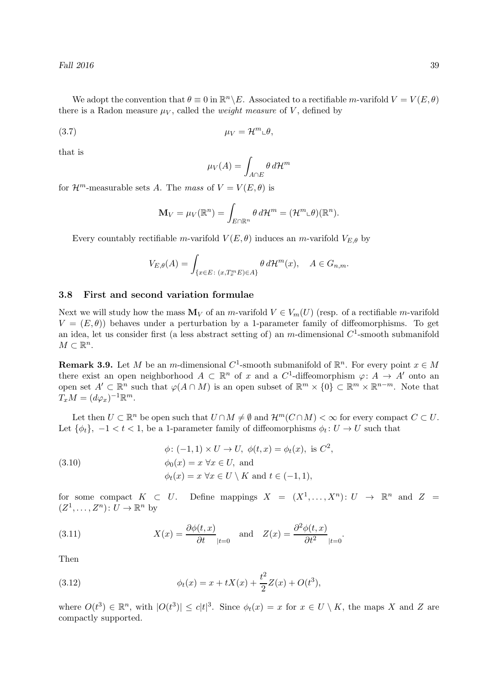We adopt the convention that  $\theta \equiv 0$  in  $\mathbb{R}^n \backslash E$ . Associated to a rectifiable m-varifold  $V = V(E, \theta)$ there is a Radon measure  $\mu_V$ , called the *weight measure* of V, defined by

$$
\mu_V = \mathcal{H}^m \llcorner \theta,
$$

that is

$$
\mu_V(A) = \int_{A \cap E} \theta \, d\mathcal{H}^m
$$

for  $\mathcal{H}^m$ -measurable sets A. The mass of  $V = V(E, \theta)$  is

$$
\mathbf{M}_V = \mu_V(\mathbb{R}^n) = \int_{E \cap \mathbb{R}^n} \theta \, d\mathcal{H}^m = (\mathcal{H}^m \llcorner \theta)(\mathbb{R}^n).
$$

Every countably rectifiable m-varifold  $V(E, \theta)$  induces an m-varifold  $V_{E, \theta}$  by

$$
V_{E,\theta}(A) = \int_{\{x \in E \colon (x,T_x^m E) \in A\}} \theta \, d\mathcal{H}^m(x), \quad A \in G_{n,m}.
$$

#### 3.8 First and second variation formulae

Next we will study how the mass  $\mathbf{M}_V$  of an m-varifold  $V \in V_m(U)$  (resp. of a rectifiable m-varifold  $V = (E, \theta)$ ) behaves under a perturbation by a 1-parameter family of diffeomorphisms. To get an idea, let us consider first (a less abstract setting of) an *m*-dimensional  $C^1$ -smooth submanifold  $M \subset \mathbb{R}^n$ .

**Remark 3.9.** Let M be an m-dimensional  $C^1$ -smooth submanifold of  $\mathbb{R}^n$ . For every point  $x \in M$ there exist an open neighborhood  $A \subset \mathbb{R}^n$  of x and a  $C^1$ -diffeomorphism  $\varphi: A \to A'$  onto an open set  $A' \subset \mathbb{R}^n$  such that  $\varphi(A \cap M)$  is an open subset of  $\mathbb{R}^m \times \{0\} \subset \mathbb{R}^m \times \mathbb{R}^{n-m}$ . Note that  $T_xM = (d\varphi_x)^{-1}\mathbb{R}^m$ .

Let then  $U \subset \mathbb{R}^n$  be open such that  $U \cap M \neq \emptyset$  and  $\mathcal{H}^m(C \cap M) < \infty$  for every compact  $C \subset U$ . Let  $\{\phi_t\}, -1 < t < 1$ , be a 1-parameter family of diffeomorphisms  $\phi_t: U \to U$  such that

(3.10) 
$$
\begin{aligned}\n\phi: (-1,1) \times U \to U, \ \phi(t,x) &= \phi_t(x), \text{ is } C^2, \\
\phi_0(x) &= x \ \forall x \in U, \text{ and} \\
\phi_t(x) &= x \ \forall x \in U \setminus K \text{ and } t \in (-1,1),\n\end{aligned}
$$

for some compact  $K \subset U$ . Define mappings  $X = (X^1, \ldots, X^n) : U \to \mathbb{R}^n$  and  $Z =$  $(Z^1, \ldots, Z^n) \colon U \to \mathbb{R}^n$  by

(3.11) 
$$
X(x) = \frac{\partial \phi(t, x)}{\partial t}\Big|_{t=0} \quad \text{and} \quad Z(x) = \frac{\partial^2 \phi(t, x)}{\partial t^2}\Big|_{t=0}.
$$

Then

(3.12) 
$$
\phi_t(x) = x + tX(x) + \frac{t^2}{2}Z(x) + O(t^3),
$$

where  $O(t^3) \in \mathbb{R}^n$ , with  $|O(t^3)| \leq c|t|^3$ . Since  $\phi_t(x) = x$  for  $x \in U \setminus K$ , the maps X and Z are compactly supported.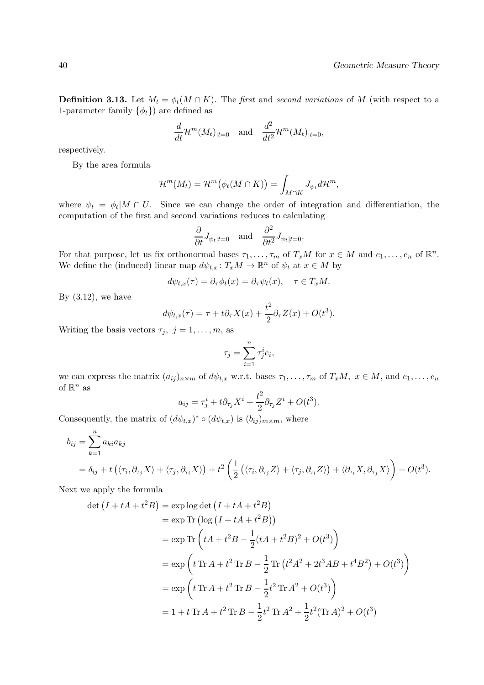**Definition 3.13.** Let  $M_t = \phi_t(M \cap K)$ . The first and second variations of M (with respect to a 1-parameter family  $\{\phi_t\}$  are defined as

$$
\frac{d}{dt} \mathcal{H}^m(M_t)_{|t=0} \quad \text{and} \quad \frac{d^2}{dt^2} \mathcal{H}^m(M_t)_{|t=0},
$$

respectively.

By the area formula

$$
\mathcal{H}^m(M_t) = \mathcal{H}^m(\phi_t(M \cap K)) = \int_{M \cap K} J_{\psi_t} d\mathcal{H}^m,
$$

where  $\psi_t = \phi_t | M \cap U$ . Since we can change the order of integration and differentiation, the computation of the first and second variations reduces to calculating

$$
\frac{\partial}{\partial t} J_{\psi_t|t=0}
$$
 and  $\frac{\partial^2}{\partial t^2} J_{\psi_t|t=0}$ .

For that purpose, let us fix orthonormal bases  $\tau_1, \ldots, \tau_m$  of  $T_xM$  for  $x \in M$  and  $e_1, \ldots, e_n$  of  $\mathbb{R}^n$ . We define the (induced) linear map  $d\psi_{t,x}$ :  $T_xM \to \mathbb{R}^n$  of  $\psi_t$  at  $x \in M$  by

$$
d\psi_{t,x}(\tau) = \partial_{\tau}\phi_t(x) = \partial_{\tau}\psi_t(x), \quad \tau \in T_xM.
$$

By  $(3.12)$ , we have

$$
d\psi_{t,x}(\tau) = \tau + t\partial_{\tau}X(x) + \frac{t^2}{2}\partial_{\tau}Z(x) + O(t^3).
$$

Writing the basis vectors  $\tau_j$ ,  $j = 1, \ldots, m$ , as

$$
\tau_j = \sum_{i=1}^n \tau_j^i e_i,
$$

we can express the matrix  $(a_{ij})_{n\times m}$  of  $d\psi_{t,x}$  w.r.t. bases  $\tau_1, \ldots, \tau_m$  of  $T_xM$ ,  $x \in M$ , and  $e_1, \ldots, e_n$ of  $\mathbb{R}^n$  as

$$
a_{ij} = \tau_j^i + t \partial_{\tau_j} X^i + \frac{t^2}{2} \partial_{\tau_j} Z^i + O(t^3).
$$

Consequently, the matrix of  $(d\psi_{t,x})^* \circ (d\psi_{t,x})$  is  $(b_{ij})_{m \times m}$ , where

$$
b_{ij} = \sum_{k=1}^{n} a_{ki} a_{kj}
$$
  
=  $\delta_{ij} + t (\langle \tau_i, \partial_{\tau_j} X \rangle + \langle \tau_j, \partial_{\tau_i} X \rangle) + t^2 \left( \frac{1}{2} (\langle \tau_i, \partial_{\tau_j} Z \rangle + \langle \tau_j, \partial_{\tau_i} Z \rangle) + \langle \partial_{\tau_i} X, \partial_{\tau_j} X \rangle \right) + O(t^3).$ 

Next we apply the formula

$$
\det (I + tA + t^2B) = \exp \log \det (I + tA + t^2B)
$$
  
\n
$$
= \exp \text{Tr} (\log (I + tA + t^2B))
$$
  
\n
$$
= \exp \text{Tr} (tA + t^2B - \frac{1}{2}(tA + t^2B)^2 + O(t^3))
$$
  
\n
$$
= \exp \left(t \text{Tr } A + t^2 \text{Tr } B - \frac{1}{2} \text{Tr} (t^2A^2 + 2t^3AB + t^4B^2) + O(t^3)\right)
$$
  
\n
$$
= \exp \left(t \text{Tr } A + t^2 \text{Tr } B - \frac{1}{2}t^2 \text{Tr } A^2 + O(t^3)\right)
$$
  
\n
$$
= 1 + t \text{Tr } A + t^2 \text{Tr } B - \frac{1}{2}t^2 \text{Tr } A^2 + \frac{1}{2}t^2 (\text{Tr } A)^2 + O(t^3)
$$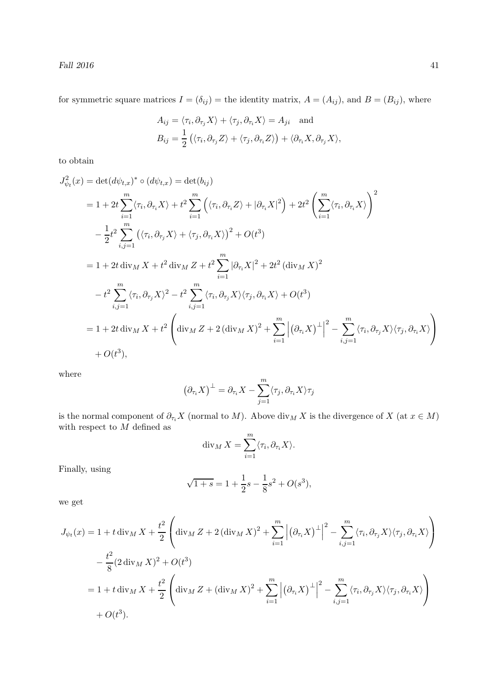for symmetric square matrices  $I = (\delta_{ij})$  = the identity matrix,  $A = (A_{ij})$ , and  $B = (B_{ij})$ , where

$$
A_{ij} = \langle \tau_i, \partial_{\tau_j} X \rangle + \langle \tau_j, \partial_{\tau_i} X \rangle = A_{ji} \text{ and}
$$
  

$$
B_{ij} = \frac{1}{2} (\langle \tau_i, \partial_{\tau_j} Z \rangle + \langle \tau_j, \partial_{\tau_i} Z \rangle) + \langle \partial_{\tau_i} X, \partial_{\tau_j} X \rangle,
$$

to obtain

$$
J_{\psi_t}^2(x) = \det(d\psi_{t,x})^* \circ (d\psi_{t,x}) = \det(b_{ij})
$$
  
\n
$$
= 1 + 2t \sum_{i=1}^m \langle \tau_i, \partial_{\tau_i} X \rangle + t^2 \sum_{i=1}^m \left( \langle \tau_i, \partial_{\tau_i} Z \rangle + |\partial_{\tau_i} X|^2 \right) + 2t^2 \left( \sum_{i=1}^m \langle \tau_i, \partial_{\tau_i} X \rangle \right)^2
$$
  
\n
$$
- \frac{1}{2}t^2 \sum_{i,j=1}^m \left( \langle \tau_i, \partial_{\tau_j} X \rangle + \langle \tau_j, \partial_{\tau_i} X \rangle \right)^2 + O(t^3)
$$
  
\n
$$
= 1 + 2t \operatorname{div}_M X + t^2 \operatorname{div}_M Z + t^2 \sum_{i=1}^m |\partial_{\tau_i} X|^2 + 2t^2 (\operatorname{div}_M X)^2
$$
  
\n
$$
- t^2 \sum_{i,j=1}^m \langle \tau_i, \partial_{\tau_j} X \rangle^2 - t^2 \sum_{i,j=1}^m \langle \tau_i, \partial_{\tau_j} X \rangle \langle \tau_j, \partial_{\tau_i} X \rangle + O(t^3)
$$
  
\n
$$
= 1 + 2t \operatorname{div}_M X + t^2 \left( \operatorname{div}_M Z + 2 (\operatorname{div}_M X)^2 + \sum_{i=1}^m \left| (\partial_{\tau_i} X)^{\perp} \right|^2 - \sum_{i,j=1}^m \langle \tau_i, \partial_{\tau_j} X \rangle \langle \tau_j, \partial_{\tau_i} X \rangle \right)
$$
  
\n
$$
+ O(t^3),
$$

where

$$
(\partial_{\tau_i}X)^{\perp} = \partial_{\tau_i}X - \sum_{j=1}^m \langle \tau_j, \partial_{\tau_i}X \rangle \tau_j
$$

is the normal component of  $\partial_{\tau_i}X$  (normal to M). Above  $\text{div}_M X$  is the divergence of  $X$  (at  $x \in M$ ) with respect to  $M$  defined as

$$
\operatorname{div}_M X = \sum_{i=1}^m \langle \tau_i, \partial_{\tau_i} X \rangle.
$$

Finally, using

$$
\sqrt{1+s} = 1 + \frac{1}{2}s - \frac{1}{8}s^2 + O(s^3),
$$

we get

$$
J_{\psi_t}(x) = 1 + t \operatorname{div}_M X + \frac{t^2}{2} \left( \operatorname{div}_M Z + 2 (\operatorname{div}_M X)^2 + \sum_{i=1}^m \left| (\partial_{\tau_i} X)^{\perp} \right|^2 - \sum_{i,j=1}^m \langle \tau_i, \partial_{\tau_j} X \rangle \langle \tau_j, \partial_{\tau_i} X \rangle \right)
$$
  

$$
- \frac{t^2}{8} (2 \operatorname{div}_M X)^2 + O(t^3)
$$
  

$$
= 1 + t \operatorname{div}_M X + \frac{t^2}{2} \left( \operatorname{div}_M Z + (\operatorname{div}_M X)^2 + \sum_{i=1}^m \left| (\partial_{\tau_i} X)^{\perp} \right|^2 - \sum_{i,j=1}^m \langle \tau_i, \partial_{\tau_j} X \rangle \langle \tau_j, \partial_{\tau_i} X \rangle \right)
$$
  

$$
+ O(t^3).
$$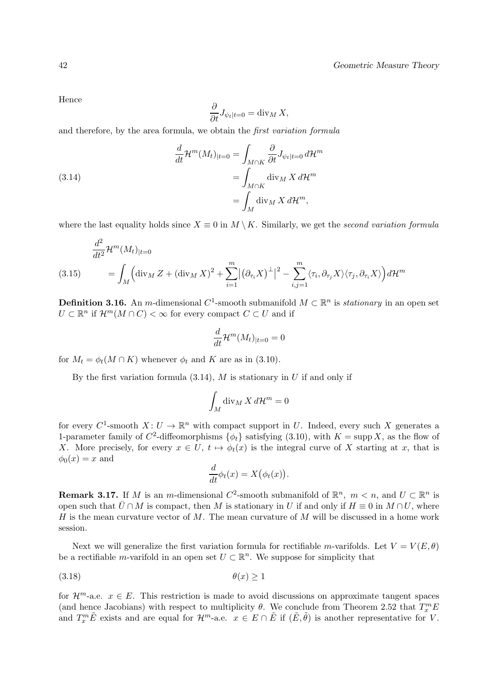Hence

$$
\frac{\partial}{\partial t}J_{\psi_t|t=0} = \text{div}_M X,
$$

and therefore, by the area formula, we obtain the first variation formula

(3.14) 
$$
\frac{d}{dt} \mathcal{H}^m(M_t)_{|t=0} = \int_{M \cap K} \frac{\partial}{\partial t} J_{\psi_t|t=0} d\mathcal{H}^m
$$

$$
= \int_{M \cap K} \text{div}_M X d\mathcal{H}^m
$$

$$
= \int_M \text{div}_M X d\mathcal{H}^m,
$$

where the last equality holds since  $X \equiv 0$  in  $M \setminus K$ . Similarly, we get the second variation formula

$$
\frac{d^2}{dt^2} \mathcal{H}^m(M_t)_{|t=0}
$$
\n
$$
(3.15) \qquad = \int_M \left( \operatorname{div}_M Z + (\operatorname{div}_M X)^2 + \sum_{i=1}^m |(\partial_{\tau_i} X)^{\perp}|^2 - \sum_{i,j=1}^m \langle \tau_i, \partial_{\tau_j} X \rangle \langle \tau_j, \partial_{\tau_i} X \rangle \right) d\mathcal{H}^m
$$

**Definition 3.16.** An m-dimensional  $C^1$ -smooth submanifold  $M \subset \mathbb{R}^n$  is *stationary* in an open set  $U \subset \mathbb{R}^n$  if  $\mathcal{H}^m(M \cap C) < \infty$  for every compact  $C \subset U$  and if

$$
\frac{d}{dt} \mathcal{H}^m(M_t)_{|t=0} = 0
$$

for  $M_t = \phi_t(M \cap K)$  whenever  $\phi_t$  and K are as in (3.10).

By the first variation formula  $(3.14)$ , M is stationary in U if and only if

$$
\int_M \operatorname{div}_M X \, d\mathcal{H}^m = 0
$$

for every  $C^1$ -smooth  $X: U \to \mathbb{R}^n$  with compact support in U. Indeed, every such X generates a 1-parameter family of  $C^2$ -diffeomorphisms  $\{\phi_t\}$  satisfying (3.10), with  $K = \text{supp } X$ , as the flow of X. More precisely, for every  $x \in U$ ,  $t \mapsto \phi_t(x)$  is the integral curve of X starting at x, that is  $\phi_0(x) = x$  and

$$
\frac{d}{dt}\phi_t(x) = X(\phi_t(x)).
$$

**Remark 3.17.** If M is an m-dimensional  $C^2$ -smooth submanifold of  $\mathbb{R}^n$ ,  $m < n$ , and  $U \subset \mathbb{R}^n$  is open such that  $\bar{U} \cap M$  is compact, then M is stationary in U if and only if  $H \equiv 0$  in  $M \cap U$ , where H is the mean curvature vector of M. The mean curvature of M will be discussed in a home work session.

Next we will generalize the first variation formula for rectifiable m-varifolds. Let  $V = V(E, \theta)$ be a rectifiable *m*-varifold in an open set  $U \subset \mathbb{R}^n$ . We suppose for simplicity that

$$
\theta(x) \ge 1
$$

for  $\mathcal{H}^m$ -a.e.  $x \in E$ . This restriction is made to avoid discussions on approximate tangent spaces (and hence Jacobians) with respect to multiplicity  $\theta$ . We conclude from Theorem 2.52 that  $T_x^m E$ and  $T_x^m \tilde{E}$  exists and are equal for  $\mathcal{H}^m$ -a.e.  $x \in E \cap \tilde{E}$  if  $(\tilde{E}, \tilde{\theta})$  is another representative for V.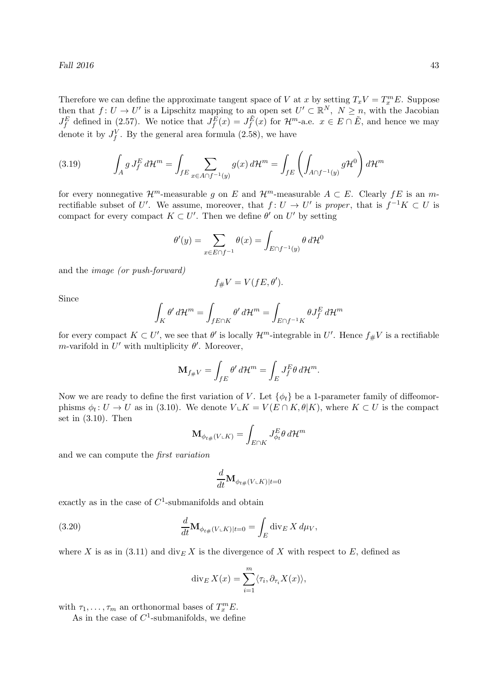Therefore we can define the approximate tangent space of V at x by setting  $T_xV = T_x^mE$ . Suppose then that  $f: U \to U'$  is a Lipschitz mapping to an open set  $U' \subset \mathbb{R}^N$ ,  $N \geq n$ , with the Jacobian  $J_f^E$  defined in (2.57). We notice that  $J_f^{\hat{E}}(x) = J_f^{\hat{E}}(x)$  for  $\mathcal{H}^m$ -a.e.  $x \in E \cap \tilde{E}$ , and hence we may denote it by  $J_f^V$ . By the general area formula (2.58), we have

(3.19) 
$$
\int_A g J_f^E d\mathcal{H}^m = \int_{fE} \sum_{x \in A \cap f^{-1}(y)} g(x) d\mathcal{H}^m = \int_{fE} \left( \int_{A \cap f^{-1}(y)} g \mathcal{H}^0 \right) d\mathcal{H}^m
$$

for every nonnegative  $\mathcal{H}^m$ -measurable g on E and  $\mathcal{H}^m$ -measurable  $A \subset E$ . Clearly  $fE$  is an mrectifiable subset of U'. We assume, moreover, that  $f: U \to U'$  is proper, that is  $f^{-1}K \subset U$  is compact for every compact  $K \subset U'$ . Then we define  $\theta'$  on  $U'$  by setting

$$
\theta'(y) = \sum_{x \in E \cap f^{-1}} \theta(x) = \int_{E \cap f^{-1}(y)} \theta \, d\mathcal{H}^0
$$

and the image (or push-forward)

$$
f_{\#}V = V(fE, \theta').
$$

Since

$$
\int_K \theta' d\mathcal{H}^m = \int_{fE \cap K} \theta' d\mathcal{H}^m = \int_{E \cap f^{-1}K} \theta J_f^E d\mathcal{H}^m
$$

for every compact  $K \subset U'$ , we see that  $\theta'$  is locally  $\mathcal{H}^m$ -integrable in  $U'$ . Hence  $f_{\#}V$  is a rectifiable m-varifold in  $U'$  with multiplicity  $\theta'$ . Moreover,

$$
\mathbf{M}_{f\#V} = \int_{fE} \theta' d\mathcal{H}^m = \int_E J_f^E \theta d\mathcal{H}^m.
$$

Now we are ready to define the first variation of V. Let  $\{\phi_t\}$  be a 1-parameter family of diffeomorphisms  $\phi_t: U \to U$  as in (3.10). We denote  $V \subset K = V(E \cap K, \theta | K)$ , where  $K \subset U$  is the compact set in  $(3.10)$ . Then

$$
\mathbf{M}_{\phi_{t\#}(V\cup K)} = \int_{E\cap K} J_{\phi_t}^E \theta \, d\mathcal{H}^m
$$

and we can compute the first variation

$$
\frac{d}{dt}\textbf{M}_{\phi_{t\#}(V\llcorner K)|t=0}
$$

exactly as in the case of  $C^1$ -submanifolds and obtain

(3.20) 
$$
\frac{d}{dt} \mathbf{M}_{\phi_{t\#}(V \cup K)|t=0} = \int_{E} \operatorname{div}_{E} X \, d\mu_{V},
$$

where X is as in (3.11) and  $\text{div}_E X$  is the divergence of X with respect to E, defined as

$$
\operatorname{div}_E X(x) = \sum_{i=1}^m \langle \tau_i, \partial_{\tau_i} X(x) \rangle,
$$

with  $\tau_1, \ldots, \tau_m$  an orthonormal bases of  $T_x^m E$ .

As in the case of  $C^1$ -submanifolds, we define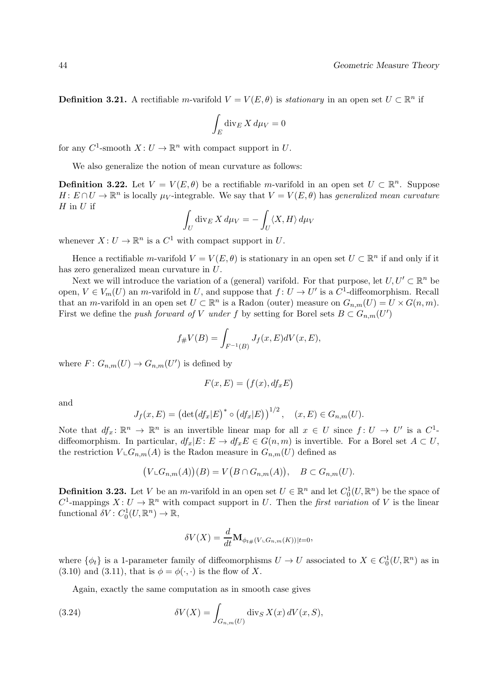**Definition 3.21.** A rectifiable m-varifold  $V = V(E, \theta)$  is *stationary* in an open set  $U \subset \mathbb{R}^n$  if

$$
\int_E \operatorname{div}_E X \, d\mu_V = 0
$$

for any  $C^1$ -smooth  $X: U \to \mathbb{R}^n$  with compact support in U.

We also generalize the notion of mean curvature as follows:

**Definition 3.22.** Let  $V = V(E, \theta)$  be a rectifiable m-varifold in an open set  $U \subset \mathbb{R}^n$ . Suppose  $H: E \cap U \to \mathbb{R}^n$  is locally  $\mu_V$ -integrable. We say that  $V = V(E, \theta)$  has generalized mean curvature  $H$  in  $U$  if

$$
\int_U \operatorname{div}_E X \, d\mu_V = -\int_U \langle X, H \rangle \, d\mu_V
$$

whenever  $X: U \to \mathbb{R}^n$  is a  $C^1$  with compact support in U.

Hence a rectifiable m-varifold  $V = V(E, \theta)$  is stationary in an open set  $U \subset \mathbb{R}^n$  if and only if it has zero generalized mean curvature in U.

Next we will introduce the variation of a (general) varifold. For that purpose, let  $U, U' \subset \mathbb{R}^n$  be open,  $V \in V_m(U)$  an *m*-varifold in U, and suppose that  $f: U \to U'$  is a  $C^1$ -diffeomorphism. Recall that an *m*-varifold in an open set  $U \subset \mathbb{R}^n$  is a Radon (outer) measure on  $G_{n,m}(U) = U \times G(n,m)$ . First we define the *push forward of* V under f by setting for Borel sets  $B \subset G_{n,m}(U')$ 

$$
f_{\#}V(B) = \int_{F^{-1}(B)} J_f(x, E)dV(x, E),
$$

where  $F: G_{n,m}(U) \to G_{n,m}(U')$  is defined by

$$
F(x, E) = (f(x), df_x E)
$$

and

$$
J_f(x, E) = (\det(df_x|E)^* \circ (df_x|E))^{1/2}, \quad (x, E) \in G_{n,m}(U).
$$

Note that  $df_x: \mathbb{R}^n \to \mathbb{R}^n$  is an invertible linear map for all  $x \in U$  since  $f: U \to U'$  is a  $C^1$ diffeomorphism. In particular,  $df_x|E: E \to df_xE \in G(n,m)$  is invertible. For a Borel set  $A \subset U$ , the restriction  $V \text{\rm L}G_{n,m}(A)$  is the Radon measure in  $G_{n,m}(U)$  defined as

$$
(V \llcorner G_{n,m}(A))(B) = V(B \cap G_{n,m}(A)), \quad B \subset G_{n,m}(U).
$$

**Definition 3.23.** Let V be an *m*-varifold in an open set  $U \in \mathbb{R}^n$  and let  $C_0^1(U, \mathbb{R}^n)$  be the space of  $C^1$ -mappings  $X: U \to \mathbb{R}^n$  with compact support in U. Then the *first variation* of V is the linear functional  $\delta V: C_0^1(U, \mathbb{R}^n) \to \mathbb{R}$ ,

$$
\delta V(X) = \frac{d}{dt} \mathbf{M}_{\phi_{t\#}(V \sqcup G_{n,m}(K))|t=0},
$$

where  $\{\phi_t\}$  is a 1-parameter family of diffeomorphisms  $U \to U$  associated to  $X \in C_0^1(U, \mathbb{R}^n)$  as in (3.10) and (3.11), that is  $\phi = \phi(\cdot, \cdot)$  is the flow of X.

Again, exactly the same computation as in smooth case gives

(3.24) 
$$
\delta V(X) = \int_{G_{n,m}(U)} \operatorname{div}_S X(x) dV(x, S),
$$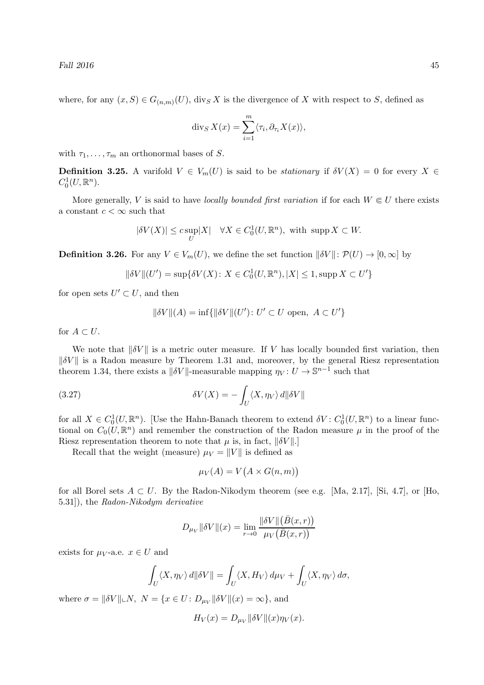where, for any  $(x, S) \in G_{(n,m)}(U)$ , div<sub>S</sub> X is the divergence of X with respect to S, defined as

$$
\operatorname{div}_S X(x) = \sum_{i=1}^m \langle \tau_i, \partial_{\tau_i} X(x) \rangle,
$$

with  $\tau_1, \ldots, \tau_m$  an orthonormal bases of S.

**Definition 3.25.** A varifold  $V \in V_m(U)$  is said to be *stationary* if  $\delta V(X) = 0$  for every  $X \in$  $C^1_0(U, \mathbb{R}^n)$ .

More generally, V is said to have locally bounded first variation if for each  $W \in U$  there exists a constant  $c < \infty$  such that

$$
|\delta V(X)| \leq c \sup_{U} |X| \quad \forall X \in C_0^1(U, \mathbb{R}^n), \text{ with } \operatorname{supp} X \subset W.
$$

**Definition 3.26.** For any  $V \in V_m(U)$ , we define the set function  $\|\delta V\|: \mathcal{P}(U) \to [0,\infty]$  by

$$
\|\delta V\|(U') = \sup\{\delta V(X) \colon X \in C_0^1(U, \mathbb{R}^n), |X| \le 1, \operatorname{supp} X \subset U'\}
$$

for open sets  $U' \subset U$ , and then

$$
\|\delta V\|(A)=\inf\{\|\delta V\|(U')\colon U'\subset U\text{ open},\ A\subset U'\}
$$

for  $A \subset U$ .

We note that  $\|\delta V\|$  is a metric outer measure. If V has locally bounded first variation, then  $\|\delta V\|$  is a Radon measure by Theorem 1.31 and, moreover, by the general Riesz representation theorem 1.34, there exists a  $\|\delta V\|$ -measurable mapping  $\eta_V : U \to \mathbb{S}^{n-1}$  such that

(3.27) 
$$
\delta V(X) = -\int_U \langle X, \eta_V \rangle \, d\|\delta V\|
$$

for all  $X \in C_0^1(U, \mathbb{R}^n)$ . [Use the Hahn-Banach theorem to extend  $\delta V : C_0^1(U, \mathbb{R}^n)$  to a linear functional on  $C_0(U, \mathbb{R}^n)$  and remember the construction of the Radon measure  $\mu$  in the proof of the Riesz representation theorem to note that  $\mu$  is, in fact,  $\|\delta V\|$ .]

Recall that the weight (measure)  $\mu_V = ||V||$  is defined as

$$
\mu_V(A) = V\big(A \times G(n,m)\big)
$$

for all Borel sets  $A \subset U$ . By the Radon-Nikodym theorem (see e.g. [Ma, 2.17], [Si, 4.7], or [Ho, 5.31]), the Radon-Nikodym derivative

$$
D_{\mu_V} \|\delta V\|(x) = \lim_{r \to 0} \frac{\|\delta V\| \big(\bar{B}(x,r)\big)}{\mu_V \big(\bar{B}(x,r)\big)}
$$

exists for  $\mu_V$ -a.e.  $x \in U$  and

$$
\int_U \langle X, \eta_V \rangle \, d\|\delta V\| = \int_U \langle X, H_V \rangle \, d\mu_V + \int_U \langle X, \eta_V \rangle \, d\sigma,
$$

where  $\sigma = ||\delta V|| \Box N$ ,  $N = \{x \in U : D_{\mu_V} ||\delta V|| (x) = \infty \}$ , and

$$
H_V(x) = D_{\mu_V} \|\delta V\|(x)\eta_V(x).
$$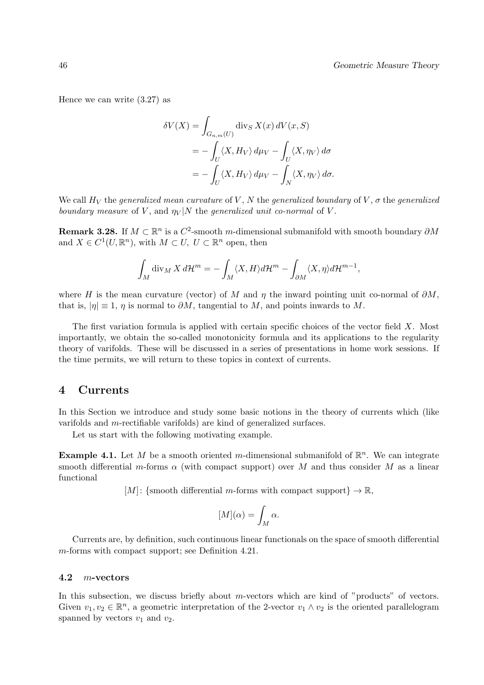Hence we can write (3.27) as

$$
\delta V(X) = \int_{G_{n,m}(U)} \operatorname{div}_S X(x) dV(x, S)
$$
  
= 
$$
- \int_U \langle X, H_V \rangle d\mu_V - \int_U \langle X, \eta_V \rangle d\sigma
$$
  
= 
$$
- \int_U \langle X, H_V \rangle d\mu_V - \int_N \langle X, \eta_V \rangle d\sigma.
$$

We call  $H_V$  the generalized mean curvature of V, N the generalized boundary of V,  $\sigma$  the generalized boundary measure of V, and  $\eta_V|N$  the generalized unit co-normal of V.

**Remark 3.28.** If  $M \subset \mathbb{R}^n$  is a  $C^2$ -smooth m-dimensional submanifold with smooth boundary  $\partial M$ and  $X \in C^1(U, \mathbb{R}^n)$ , with  $M \subset U$ ,  $U \subset \mathbb{R}^n$  open, then

$$
\int_M \operatorname{div}_M X \, d\mathcal{H}^m = - \int_M \langle X, H \rangle d\mathcal{H}^m - \int_{\partial M} \langle X, \eta \rangle d\mathcal{H}^{m-1},
$$

where H is the mean curvature (vector) of M and  $\eta$  the inward pointing unit co-normal of  $\partial M$ , that is,  $|\eta| \equiv 1$ ,  $\eta$  is normal to  $\partial M$ , tangential to M, and points inwards to M.

The first variation formula is applied with certain specific choices of the vector field X. Most importantly, we obtain the so-called monotonicity formula and its applications to the regularity theory of varifolds. These will be discussed in a series of presentations in home work sessions. If the time permits, we will return to these topics in context of currents.

## 4 Currents

In this Section we introduce and study some basic notions in the theory of currents which (like varifolds and m-rectifiable varifolds) are kind of generalized surfaces.

Let us start with the following motivating example.

**Example 4.1.** Let M be a smooth oriented m-dimensional submanifold of  $\mathbb{R}^n$ . We can integrate smooth differential m-forms  $\alpha$  (with compact support) over M and thus consider M as a linear functional

 $[M]:$  {smooth differential m-forms with compact support}  $\rightarrow \mathbb{R}$ ,

$$
[M](\alpha) = \int_M \alpha.
$$

Currents are, by definition, such continuous linear functionals on the space of smooth differential m-forms with compact support; see Definition 4.21.

#### 4.2 m-vectors

In this subsection, we discuss briefly about  $m$ -vectors which are kind of "products" of vectors. Given  $v_1, v_2 \in \mathbb{R}^n$ , a geometric interpretation of the 2-vector  $v_1 \wedge v_2$  is the oriented parallelogram spanned by vectors  $v_1$  and  $v_2$ .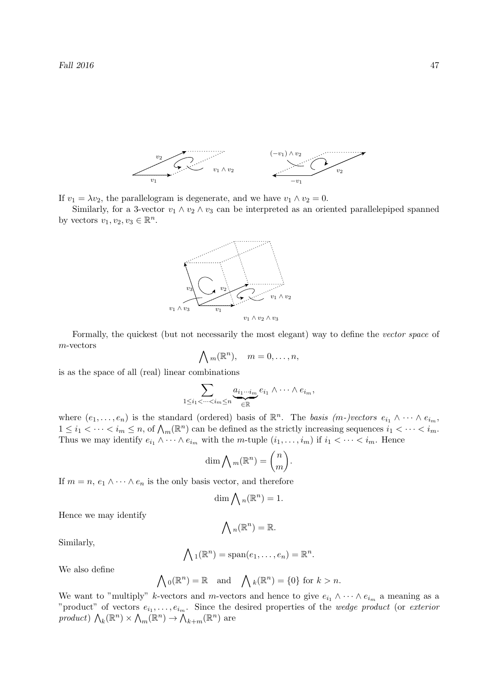

If  $v_1 = \lambda v_2$ , the parallelogram is degenerate, and we have  $v_1 \wedge v_2 = 0$ .

Similarly, for a 3-vector  $v_1 \wedge v_2 \wedge v_3$  can be interpreted as an oriented parallelepiped spanned by vectors  $v_1, v_2, v_3 \in \mathbb{R}^n$ .



Formally, the quickest (but not necessarily the most elegant) way to define the vector space of m-vectors

$$
\bigwedge m(\mathbb{R}^n), \quad m=0,\ldots,n,
$$

is as the space of all (real) linear combinations

$$
\sum_{1 \leq i_1 < \cdots < i_m \leq n} \underbrace{a_{i_1 \cdots i_m}}_{\in \mathbb{R}} e_{i_1} \wedge \cdots \wedge e_{i_m},
$$

where  $(e_1,\ldots,e_n)$  is the standard (ordered) basis of  $\mathbb{R}^n$ . The basis  $(m-)vectors e_{i_1} \wedge \cdots \wedge e_{i_m}$ ,  $1 \leq i_1 < \cdots < i_m \leq n$ , of  $\bigwedge_m (\mathbb{R}^n)$  can be defined as the strictly increasing sequences  $i_1 < \cdots < i_m$ . Thus we may identify  $e_{i_1} \wedge \cdots \wedge e_{i_m}$  with the m-tuple  $(i_1, \ldots, i_m)$  if  $i_1 < \cdots < i_m$ . Hence

$$
\dim \bigwedge m(\mathbb{R}^n) = \binom{n}{m}.
$$

If  $m = n, e_1 \wedge \cdots \wedge e_n$  is the only basis vector, and therefore

$$
\dim \bigwedge n(\mathbb{R}^n) = 1.
$$

Hence we may identify

$$
\bigwedge{}_n(\mathbb{R}^n)=\mathbb{R}.
$$

Similarly,

$$
\bigwedge_1(\mathbb{R}^n)=\mathrm{span}(e_1,\ldots,e_n)=\mathbb{R}^n.
$$

We also define

$$
\bigwedge \{0(\mathbb{R}^n) = \mathbb{R} \text{ and } \bigwedge \{0(\mathbb{R}^n) = 0\} \text{ for } k > n.
$$

We want to "multiply" k-vectors and m-vectors and hence to give  $e_{i_1} \wedge \cdots \wedge e_{i_m}$  a meaning as a "product" of vectors  $e_{i_1}, \ldots, e_{i_m}$ . Since the desired properties of the *wedge product* (or *exterior* product)  $\bigwedge_k(\mathbb{R}^n) \times \bigwedge_m(\mathbb{R}^n) \to \bigwedge_{k+m}(\mathbb{R}^n)$  are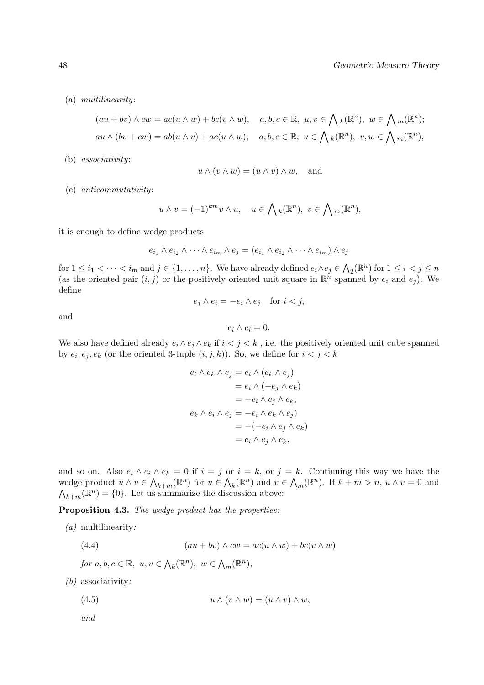(a) multilinearity:

$$
(au + bv) \wedge cw = ac(u \wedge w) + bc(v \wedge w), \quad a, b, c \in \mathbb{R}, \ u, v \in \bigwedge_k(\mathbb{R}^n), \ w \in \bigwedge_m(\mathbb{R}^n);
$$
  

$$
au \wedge (bv + cw) = ab(u \wedge v) + ac(u \wedge w), \quad a, b, c \in \mathbb{R}, \ u \in \bigwedge_k(\mathbb{R}^n), \ v, w \in \bigwedge_m(\mathbb{R}^n),
$$

(b) associativity:

$$
u \wedge (v \wedge w) = (u \wedge v) \wedge w
$$
, and

(c) anticommutativity:

$$
u \wedge v = (-1)^{km} v \wedge u, \quad u \in \bigwedge_k(\mathbb{R}^n), \ v \in \bigwedge_m(\mathbb{R}^n),
$$

it is enough to define wedge products

$$
e_{i_1} \wedge e_{i_2} \wedge \cdots \wedge e_{i_m} \wedge e_j = (e_{i_1} \wedge e_{i_2} \wedge \cdots \wedge e_{i_m}) \wedge e_j
$$

for  $1 \leq i_1 < \cdots < i_m$  and  $j \in \{1, \ldots, n\}$ . We have already defined  $e_i \wedge e_j \in \bigwedge_2(\mathbb{R}^n)$  for  $1 \leq i < j \leq n$ (as the oriented pair  $(i, j)$  or the positively oriented unit square in  $\mathbb{R}^n$  spanned by  $e_i$  and  $e_j$ ). We define

$$
e_j \wedge e_i = -e_i \wedge e_j \quad \text{for } i < j,
$$

and

$$
e_i\wedge e_i=0.
$$

We also have defined already  $e_i \wedge e_j \wedge e_k$  if  $i < j < k$ , i.e. the positively oriented unit cube spanned by  $e_i, e_j, e_k$  (or the oriented 3-tuple  $(i, j, k)$ ). So, we define for  $i < j < k$ 

$$
e_i \wedge e_k \wedge e_j = e_i \wedge (e_k \wedge e_j)
$$
  

$$
= e_i \wedge (-e_j \wedge e_k)
$$
  

$$
= -e_i \wedge e_j \wedge e_k,
$$
  

$$
e_k \wedge e_i \wedge e_j = -e_i \wedge e_k \wedge e_j)
$$
  

$$
= -(-e_i \wedge e_j \wedge e_k)
$$
  

$$
= e_i \wedge e_j \wedge e_k,
$$

and so on. Also  $e_i \wedge e_i \wedge e_k = 0$  if  $i = j$  or  $i = k$ , or  $j = k$ . Continuing this way we have the wedge product  $u \wedge v \in \bigwedge_{k+m} (\mathbb{R}^n)$  for  $u \in \bigwedge_k (\mathbb{R}^n)$  and  $v \in \bigwedge_m (\mathbb{R}^n)$ . If  $k+m > n$ ,  $u \wedge v = 0$  and  $\bigwedge_{k+m}(\mathbb{R}^n) = \{0\}$ . Let us summarize the discussion above:

Proposition 4.3. The wedge product has the properties:

(a) multilinearity:

(4.4) 
$$
(au + bv) \wedge cw = ac(u \wedge w) + bc(v \wedge w)
$$

for  $a, b, c \in \mathbb{R}, u, v \in \Lambda_k(\mathbb{R}^n), w \in \Lambda_m(\mathbb{R}^n)$ ,

(b) associativity:

(4.5) 
$$
u \wedge (v \wedge w) = (u \wedge v) \wedge w,
$$

and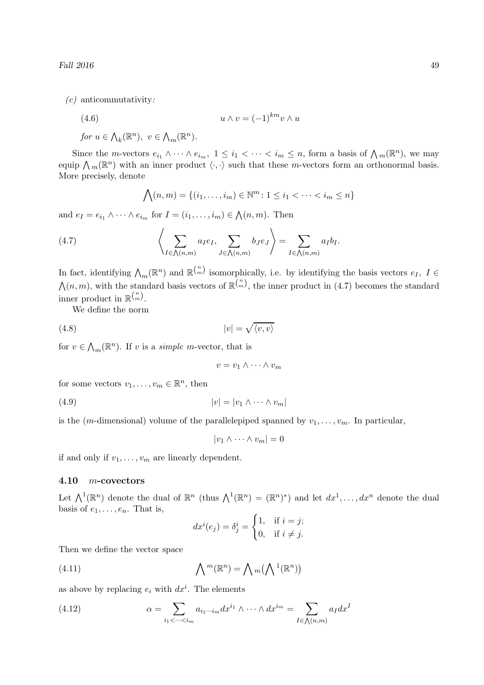Fall  $2016$  49

 $(c)$  anticommutativity:

(4.6)  $u \wedge v = (-1)^{km} v \wedge u$ 

for  $u \in \Lambda_k(\mathbb{R}^n)$ ,  $v \in \Lambda_m(\mathbb{R}^n)$ .

Since the *m*-vectors  $e_{i_1} \wedge \cdots \wedge e_{i_m}$ ,  $1 \leq i_1 < \cdots < i_m \leq n$ , form a basis of  $\bigwedge_m(\mathbb{R}^n)$ , we may equip  $\bigwedge_m(\mathbb{R}^n)$  with an inner product  $\langle \cdot, \cdot \rangle$  such that these m-vectors form an orthonormal basis. More precisely, denote

$$
\bigwedge(n,m) = \{(i_1,\ldots,i_m) \in \mathbb{N}^m \colon 1 \le i_1 < \cdots < i_m \le n\}
$$

and  $e_I = e_{i_1} \wedge \cdots \wedge e_{i_m}$  for  $I = (i_1, \ldots, i_m) \in \bigwedge (n, m)$ . Then

(4.7) 
$$
\left\langle \sum_{I \in \bigwedge(n,m)} a_I e_I, \sum_{J \in \bigwedge(n,m)} b_J e_J \right\rangle = \sum_{I \in \bigwedge(n,m)} a_I b_I.
$$

In fact, identifying  $\bigwedge_m(\mathbb{R}^n)$  and  $\mathbb{R}^{\binom{n}{m}}$  isomorphically, i.e. by identifying the basis vectors  $e_I$ ,  $I \in$  $\mathcal{N}(n,m)$ , with the standard basis vectors of  $\mathbb{R}^{\binom{n}{m}}$ , the inner product in (4.7) becomes the standard inner product in  $\mathbb{R}^{\binom{n}{m}}$ .

We define the norm

$$
(4.8)\t\t\t |v| = \sqrt{\langle v, v \rangle}
$$

for  $v \in \Lambda_m(\mathbb{R}^n)$ . If v is a *simple m*-vector, that is

 $v = v_1 \wedge \cdots \wedge v_m$ 

for some vectors  $v_1, \ldots, v_m \in \mathbb{R}^n$ , then

(4.9)  $|v| = |v_1 \wedge \cdots \wedge v_m|$ 

is the (*m*-dimensional) volume of the parallelepiped spanned by  $v_1, \ldots, v_m$ . In particular,

 $|v_1 \wedge \cdots \wedge v_m| = 0$ 

if and only if  $v_1, \ldots, v_m$  are linearly dependent.

### 4.10 m-covectors

Let  $\bigwedge^1(\mathbb{R}^n)$  denote the dual of  $\mathbb{R}^n$  (thus  $\bigwedge^1(\mathbb{R}^n) = (\mathbb{R}^n)^*$ ) and let  $dx^1,\ldots, dx^n$  denote the dual basis of  $e_1, \ldots, e_n$ . That is,

$$
dx^{i}(e_{j}) = \delta_{j}^{i} = \begin{cases} 1, & \text{if } i = j; \\ 0, & \text{if } i \neq j. \end{cases}
$$

Then we define the vector space

(4.11) 
$$
\bigwedge\nolimits^{m}(\mathbb{R}^{n}) = \bigwedge\nolimits_{m}(\bigwedge\nolimits^{1}(\mathbb{R}^{n}))
$$

as above by replacing  $e_i$  with  $dx^i$ . The elements

(4.12) 
$$
\alpha = \sum_{i_1 < \dots < i_m} a_{i_1 \dots i_m} dx^{i_1} \wedge \dots \wedge dx^{i_m} = \sum_{I \in \bigwedge(n,m)} a_I dx^I
$$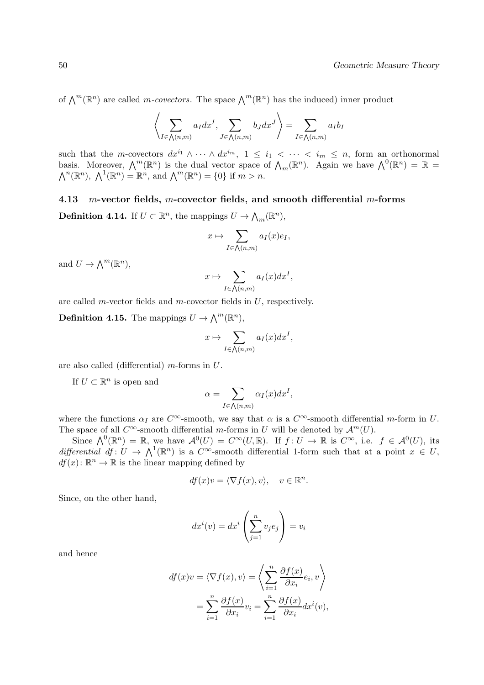of  $\bigwedge^m(\mathbb{R}^n)$  are called *m-covectors*. The space  $\bigwedge^m(\mathbb{R}^n)$  has the induced) inner product

$$
\left\langle \sum_{I \in \bigwedge(n,m)} a_I dx^I, \sum_{J \in \bigwedge(n,m)} b_J dx^J \right\rangle = \sum_{I \in \bigwedge(n,m)} a_I b_I
$$

such that the m-covectors  $dx^{i_1} \wedge \cdots \wedge dx^{i_m}$ ,  $1 \leq i_1 < \cdots < i_m \leq n$ , form an orthonormal basis. Moreover,  $\bigwedge^m(\mathbb{R}^n)$  is the dual vector space of  $\bigwedge_m(\mathbb{R}^n)$ . Again we have  $\bigwedge^0(\mathbb{R}^n) = \mathbb{R}$  $\bigwedge^n(\mathbb{R}^n)$ ,  $\bigwedge^1(\mathbb{R}^n) = \mathbb{R}^n$ , and  $\bigwedge^m(\mathbb{R}^n) = \{0\}$  if  $m > n$ .

# 4.13 m-vector fields, m-covector fields, and smooth differential m-forms

**Definition 4.14.** If  $U \subset \mathbb{R}^n$ , the mappings  $U \to \bigwedge_m (\mathbb{R}^n)$ ,

$$
x \mapsto \sum_{I \in \bigwedge(n,m)} a_I(x) e_I,
$$

and  $U \to \bigwedge^m(\mathbb{R}^n)$ ,

$$
x \mapsto \sum_{I \in \bigwedge(n,m)} a_I(x) dx^I,
$$

are called m-vector fields and m-covector fields in  $U$ , respectively.

**Definition 4.15.** The mappings  $U \to \bigwedge^m (\mathbb{R}^n)$ ,

$$
x \mapsto \sum_{I \in \bigwedge(n,m)} a_I(x) dx^I,
$$

are also called (differential)  $m$ -forms in  $U$ .

If  $U \subset \mathbb{R}^n$  is open and

$$
\alpha = \sum_{I \in \bigwedge(n,m)} \alpha_I(x) dx^I,
$$

where the functions  $\alpha_I$  are  $C^{\infty}$ -smooth, we say that  $\alpha$  is a  $C^{\infty}$ -smooth differential m-form in U. The space of all  $C^{\infty}$ -smooth differential m-forms in U will be denoted by  $\mathcal{A}^m(U)$ .

Since  $\bigwedge^0(\mathbb{R}^n) = \mathbb{R}$ , we have  $\mathcal{A}^0(U) = C^\infty(U, \mathbb{R})$ . If  $f: U \to \mathbb{R}$  is  $C^\infty$ , i.e.  $f \in \mathcal{A}^0(U)$ , its differential  $df: U \to \Lambda^1(\mathbb{R}^n)$  is a  $C^{\infty}$ -smooth differential 1-form such that at a point  $x \in U$ ,  $df(x)$ :  $\mathbb{R}^n \to \mathbb{R}$  is the linear mapping defined by

$$
df(x)v = \langle \nabla f(x), v \rangle, \quad v \in \mathbb{R}^n.
$$

Since, on the other hand,

$$
dx^{i}(v) = dx^{i}\left(\sum_{j=1}^{n} v_{j}e_{j}\right) = v_{i}
$$

and hence

$$
df(x)v = \langle \nabla f(x), v \rangle = \left\langle \sum_{i=1}^{n} \frac{\partial f(x)}{\partial x_i} e_i, v \right\rangle
$$

$$
= \sum_{i=1}^{n} \frac{\partial f(x)}{\partial x_i} v_i = \sum_{i=1}^{n} \frac{\partial f(x)}{\partial x_i} dx^{i}(v),
$$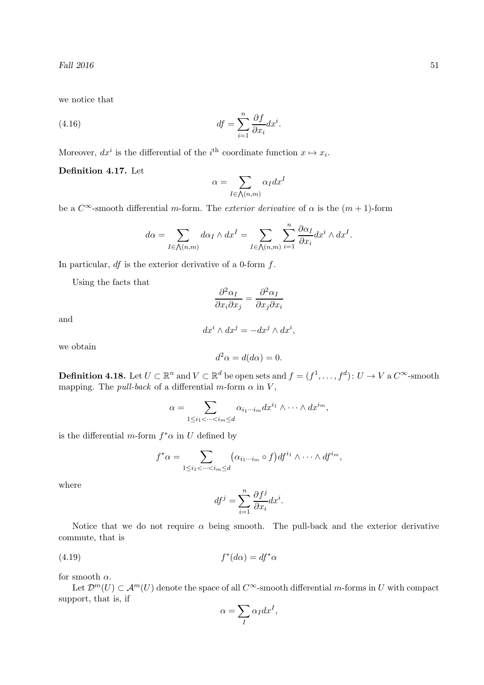we notice that

(4.16) 
$$
df = \sum_{i=1}^{n} \frac{\partial f}{\partial x_i} dx^i.
$$

Moreover,  $dx^i$  is the differential of the  $i^{\text{th}}$  coordinate function  $x \mapsto x_i$ .

### Definition 4.17. Let

$$
\alpha = \sum_{I \in \bigwedge(n,m)} \alpha_I dx^I
$$

be a  $C^{\infty}$ -smooth differential m-form. The *exterior derivative* of  $\alpha$  is the  $(m + 1)$ -form

$$
d\alpha = \sum_{I \in \bigwedge(n,m)} d\alpha_I \wedge dx^I = \sum_{I \in \bigwedge(n,m)} \sum_{i=1}^n \frac{\partial \alpha_I}{\partial x_i} dx^i \wedge dx^I.
$$

In particular,  $df$  is the exterior derivative of a 0-form  $f$ .

Using the facts that

$$
\frac{\partial^2 \alpha_I}{\partial x_i \partial x_j} = \frac{\partial^2 \alpha_I}{\partial x_j \partial x_i}
$$

and

$$
dx^{i} \wedge dx^{j} = -dx^{j} \wedge dx^{i},
$$

we obtain

$$
d^2\alpha = d(d\alpha) = 0.
$$

**Definition 4.18.** Let  $U \subset \mathbb{R}^n$  and  $V \subset \mathbb{R}^d$  be open sets and  $f = (f^1, \ldots, f^d) \colon U \to V$  a  $C^{\infty}$ -smooth mapping. The *pull-back* of a differential m-form  $\alpha$  in V,

$$
\alpha = \sum_{1 \leq i_1 < \cdots < i_m \leq d} \alpha_{i_1 \cdots i_m} dx^{i_1} \wedge \cdots \wedge dx^{i_m},
$$

is the differential m-form  $f^*\alpha$  in U defined by

$$
f^*\alpha = \sum_{1 \leq i_1 < \cdots < i_m \leq d} (\alpha_{i_1 \cdots i_m} \circ f) df^{i_1} \wedge \cdots \wedge df^{i_m},
$$

where

$$
df^j = \sum_{i=1}^n \frac{\partial f^j}{\partial x_i} dx^i.
$$

Notice that we do not require  $\alpha$  being smooth. The pull-back and the exterior derivative commute, that is

$$
(4.19) \t\t f^*(d\alpha) = df^*\alpha
$$

for smooth  $\alpha$ .

Let  $\mathcal{D}^m(U) \subset \mathcal{A}^m(U)$  denote the space of all  $C^{\infty}$ -smooth differential m-forms in U with compact support, that is, if

$$
\alpha = \sum_{I} \alpha_{I} dx^{I},
$$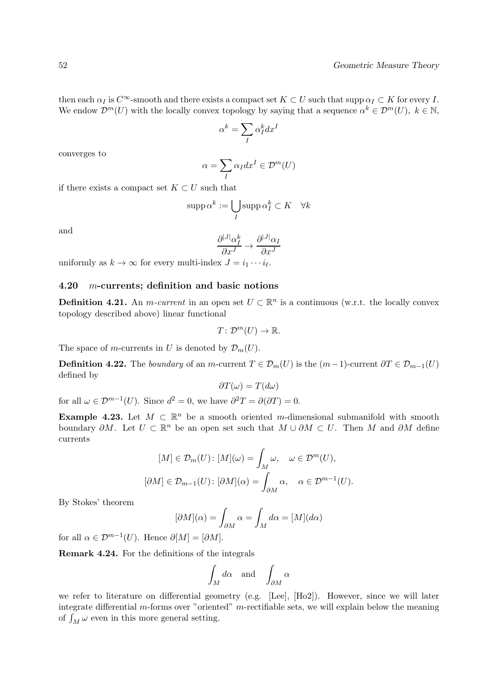then each  $\alpha_I$  is  $C^{\infty}$ -smooth and there exists a compact set  $K \subset U$  such that supp  $\alpha_I \subset K$  for every I. We endow  $\mathcal{D}^m(U)$  with the locally convex topology by saying that a sequence  $\alpha^k \in \mathcal{D}^m(U)$ ,  $k \in \mathbb{N}$ ,

$$
\alpha^k = \sum_I \alpha^k_I dx^I
$$

converges to

$$
\alpha = \sum_{I} \alpha_{I} dx^{I} \in \mathcal{D}^{m}(U)
$$

if there exists a compact set  $K \subset U$  such that

$$
\operatorname{supp} \alpha^k := \bigcup_I \operatorname{supp} \alpha_I^k \subset K \quad \forall k
$$

and

$$
\frac{\partial^{|J|}\alpha_I^k}{\partial x^J} \to \frac{\partial^{|J|}\alpha_I}{\partial x^J}
$$

uniformly as  $k \to \infty$  for every multi-index  $J = i_1 \cdots i_\ell$ .

### 4.20 m-currents; definition and basic notions

**Definition 4.21.** An *m*-current in an open set  $U \subset \mathbb{R}^n$  is a continuous (w.r.t. the locally convex topology described above) linear functional

$$
T\colon \mathcal{D}^m(U)\to \mathbb{R}.
$$

The space of m-currents in U is denoted by  $\mathcal{D}_m(U)$ .

**Definition 4.22.** The boundary of an m-current  $T \in \mathcal{D}_m(U)$  is the  $(m-1)$ -current  $\partial T \in \mathcal{D}_{m-1}(U)$ defined by

$$
\partial T(\omega) = T(d\omega)
$$

for all  $\omega \in \mathcal{D}^{m-1}(U)$ . Since  $d^2 = 0$ , we have  $\partial^2 T = \partial(\partial T) = 0$ .

**Example 4.23.** Let  $M \subset \mathbb{R}^n$  be a smooth oriented m-dimensional submanifold with smooth boundary  $\partial M$ . Let  $U \subset \mathbb{R}^n$  be an open set such that  $M \cup \partial M \subset U$ . Then M and  $\partial M$  define currents

$$
[M] \in \mathcal{D}_m(U): [M](\omega) = \int_M \omega, \quad \omega \in \mathcal{D}^m(U),
$$

$$
[\partial M] \in \mathcal{D}_{m-1}(U): [\partial M](\alpha) = \int_{\partial M} \alpha, \quad \alpha \in \mathcal{D}^{m-1}(U).
$$

By Stokes' theorem

$$
[\partial M](\alpha) = \int_{\partial M} \alpha = \int_M d\alpha = [M](d\alpha)
$$

for all  $\alpha \in \mathcal{D}^{m-1}(U)$ . Hence  $\partial[M] = [\partial M]$ .

Remark 4.24. For the definitions of the integrals

$$
\int_M d\alpha \quad \text{and} \quad \int_{\partial M} \alpha
$$

we refer to literature on differential geometry (e.g. [Lee], [Ho2]). However, since we will later integrate differential m-forms over "oriented" m-rectifiable sets, we will explain below the meaning of  $\int_M \omega$  even in this more general setting.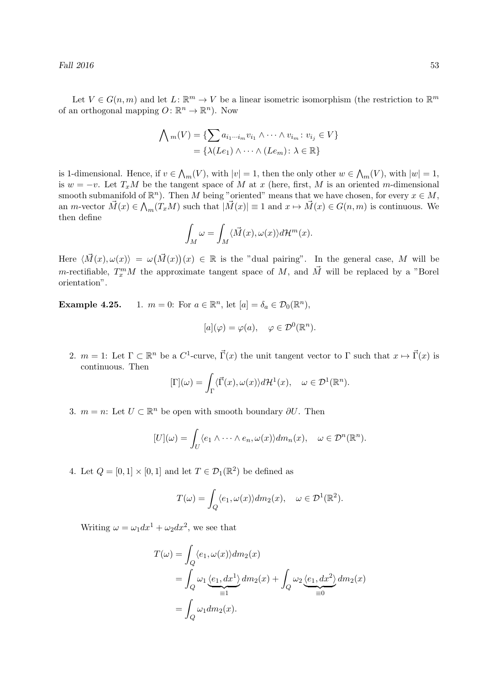Let  $V \in G(n,m)$  and let  $L: \mathbb{R}^m \to V$  be a linear isometric isomorphism (the restriction to  $\mathbb{R}^m$ of an orthogonal mapping  $O: \mathbb{R}^n \to \mathbb{R}^n$ ). Now

$$
\bigwedge m(V) = \{ \sum a_{i_1 \cdots i_m} v_{i_1} \wedge \cdots \wedge v_{i_m} : v_{i_j} \in V \}
$$

$$
= \{ \lambda(Le_1) \wedge \cdots \wedge (Le_m) : \lambda \in \mathbb{R} \}
$$

is 1-dimensional. Hence, if  $v \in \mathcal{N}_m(V)$ , with  $|v| = 1$ , then the only other  $w \in \mathcal{N}_m(V)$ , with  $|w| = 1$ , is  $w = -v$ . Let  $T_xM$  be the tangent space of M at x (here, first, M is an oriented m-dimensional smooth submanifold of  $\mathbb{R}^n$ ). Then M being "oriented" means that we have chosen, for every  $x \in M$ , an *m*-vector  $\vec{M}(x) \in \bigwedge_m (T_x M)$  such that  $|\vec{M}(x)| \equiv 1$  and  $x \mapsto \vec{M}(x) \in G(n,m)$  is continuous. We then define

$$
\int_M \omega = \int_M \langle \vec{M}(x), \omega(x) \rangle d\mathcal{H}^m(x).
$$

Here  $\langle \vec{M}(x), \omega(x) \rangle = \omega(\vec{M}(x))(x) \in \mathbb{R}$  is the "dual pairing". In the general case, M will be *m*-rectifiable,  $T_x^m M$  the approximate tangent space of M, and  $\vec{M}$  will be replaced by a "Borel orientation".

**Example 4.25.** 1.  $m = 0$ : For  $a \in \mathbb{R}^n$ , let  $[a] = \delta_a \in \mathcal{D}_0(\mathbb{R}^n)$ ,

$$
[a](\varphi) = \varphi(a), \quad \varphi \in \mathcal{D}^0(\mathbb{R}^n).
$$

2.  $m = 1$ : Let  $\Gamma \subset \mathbb{R}^n$  be a  $C^1$ -curve,  $\vec{\Gamma}(x)$  the unit tangent vector to  $\Gamma$  such that  $x \mapsto \vec{\Gamma}(x)$  is continuous. Then

$$
[\Gamma](\omega) = \int_{\Gamma} \langle \vec{\Gamma}(x), \omega(x) \rangle d\mathcal{H}^{1}(x), \quad \omega \in \mathcal{D}^{1}(\mathbb{R}^{n}).
$$

3.  $m = n$ : Let  $U \subset \mathbb{R}^n$  be open with smooth boundary  $\partial U$ . Then

$$
[U](\omega) = \int_U \langle e_1 \wedge \cdots \wedge e_n, \omega(x) \rangle dm_n(x), \quad \omega \in \mathcal{D}^n(\mathbb{R}^n).
$$

4. Let  $Q = [0, 1] \times [0, 1]$  and let  $T \in \mathcal{D}_1(\mathbb{R}^2)$  be defined as

$$
T(\omega) = \int_{Q} \langle e_1, \omega(x) \rangle dm_2(x), \quad \omega \in \mathcal{D}^1(\mathbb{R}^2).
$$

Writing  $\omega = \omega_1 dx^1 + \omega_2 dx^2$ , we see that

$$
T(\omega) = \int_Q \langle e_1, \omega(x) \rangle dm_2(x)
$$
  
= 
$$
\int_Q \omega_1 \underbrace{\langle e_1, dx^1 \rangle}_{=1} dm_2(x) + \int_Q \omega_2 \underbrace{\langle e_1, dx^2 \rangle}_{=0} dm_2(x)
$$
  
= 
$$
\int_Q \omega_1 dm_2(x).
$$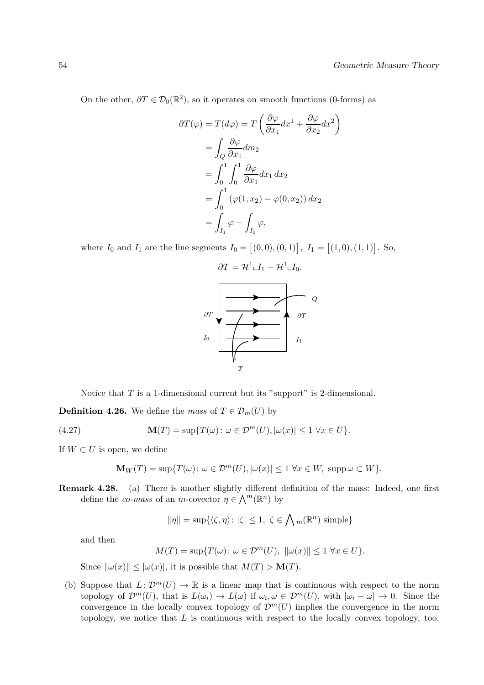On the other,  $\partial T \in \mathcal{D}_0(\mathbb{R}^2)$ , so it operates on smooth functions (0-forms) as

$$
\partial T(\varphi) = T(d\varphi) = T\left(\frac{\partial \varphi}{\partial x_1} dx^1 + \frac{\partial \varphi}{\partial x_2} dx^2\right)
$$
  
= 
$$
\int_Q \frac{\partial \varphi}{\partial x_1} dm_2
$$
  
= 
$$
\int_0^1 \int_0^1 \frac{\partial \varphi}{\partial x_1} dx_1 dx_2
$$
  
= 
$$
\int_0^1 (\varphi(1, x_2) - \varphi(0, x_2)) dx_2
$$
  
= 
$$
\int_{I_1} \varphi - \int_{I_0} \varphi,
$$

where  $I_0$  and  $I_1$  are the line segments  $I_0 = [(0,0), (0,1)]$ ,  $I_1 = [(1,0), (1,1)]$ . So,

$$
\partial T = \mathcal{H}^{1} \llcorner I_{1} - \mathcal{H}^{1} \llcorner I_{0}.
$$
\n
$$
\partial T
$$
\n
$$
\partial T
$$
\n
$$
I_{0}
$$
\n
$$
T
$$
\n
$$
T
$$

Notice that  $T$  is a 1-dimensional current but its "support" is 2-dimensional.

**Definition 4.26.** We define the mass of  $T \in \mathcal{D}_m(U)$  by

(4.27) 
$$
\mathbf{M}(T) = \sup \{ T(\omega) : \omega \in \mathcal{D}^m(U), |\omega(x)| \le 1 \,\forall x \in U \}.
$$

If  $W \subset U$  is open, we define

$$
\mathbf{M}_W(T) = \sup \{ T(\omega) \colon \omega \in \mathcal{D}^m(U), |\omega(x)| \le 1 \,\forall x \in W, \,\,\text{supp}\,\omega \subset W \}
$$

Remark 4.28. (a) There is another slightly different definition of the mass: Indeed, one first define the *co-mass* of an *m*-covector  $\eta \in \Lambda^m(\mathbb{R}^n)$  by

$$
\|\eta\|=\sup\{\langle\zeta,\eta\rangle\colon |\zeta|\leq 1,\ \zeta\in\bigwedge m(\mathbb{R}^n)\text{ simple}\}
$$

and then

$$
M(T) = \sup\{T(\omega) \colon \omega \in \mathcal{D}^m(U), \ \|\omega(x)\| \le 1 \ \forall x \in U\}.
$$

Since  $\|\omega(x)\| \leq |\omega(x)|$ , it is possible that  $M(T) > \mathbf{M}(T)$ .

(b) Suppose that  $L: \mathcal{D}^m(U) \to \mathbb{R}$  is a linear map that is continuous with respect to the norm topology of  $\mathcal{D}^m(U)$ , that is  $L(\omega_i) \to L(\omega)$  if  $\omega_i, \omega \in \mathcal{D}^m(U)$ , with  $|\omega_i - \omega| \to 0$ . Since the convergence in the locally convex topology of  $\mathcal{D}^{m}(U)$  implies the convergence in the norm topology, we notice that  $L$  is continuous with respect to the locally convex topology, too.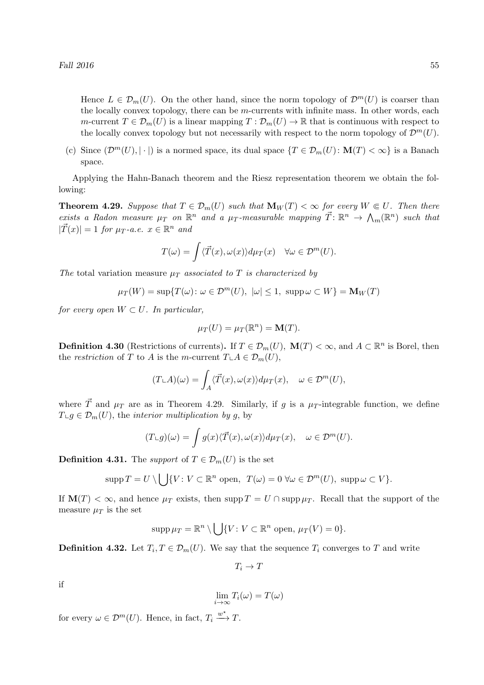Hence  $L \in \mathcal{D}_m(U)$ . On the other hand, since the norm topology of  $\mathcal{D}^m(U)$  is coarser than the locally convex topology, there can be  $m$ -currents with infinite mass. In other words, each m-current  $T \in \mathcal{D}_m(U)$  is a linear mapping  $T : \mathcal{D}_m(U) \to \mathbb{R}$  that is continuous with respect to the locally convex topology but not necessarily with respect to the norm topology of  $\mathcal{D}^m(U)$ .

(c) Since  $(\mathcal{D}^m(U), |\cdot|)$  is a normed space, its dual space  $\{T \in \mathcal{D}_m(U): \mathbf{M}(T) < \infty\}$  is a Banach space.

Applying the Hahn-Banach theorem and the Riesz representation theorem we obtain the following:

**Theorem 4.29.** Suppose that  $T \in \mathcal{D}_m(U)$  such that  $\mathbf{M}_W(T) < \infty$  for every  $W \in U$ . Then there exists a Radon measure  $\mu_T$  on  $\mathbb{R}^n$  and a  $\mu_T$ -measurable mapping  $\vec{T} \colon \mathbb{R}^n \to \Lambda_m(\mathbb{R}^n)$  such that  $|\vec{T}(x)| = 1$  for  $\mu_T$ -a.e.  $x \in \mathbb{R}^n$  and

$$
T(\omega) = \int \langle \vec{T}(x), \omega(x) \rangle d\mu_T(x) \quad \forall \omega \in \mathcal{D}^m(U).
$$

The total variation measure  $\mu_T$  associated to T is characterized by

$$
\mu_T(W) = \sup \{ T(\omega) \colon \omega \in \mathcal{D}^m(U), \ |\omega| \le 1, \ \text{supp}\,\omega \subset W \} = \mathbf{M}_W(T)
$$

for every open  $W \subset U$ . In particular,

$$
\mu_T(U) = \mu_T(\mathbb{R}^n) = \mathbf{M}(T).
$$

**Definition 4.30** (Restrictions of currents). If  $T \in \mathcal{D}_m(U)$ ,  $\mathbf{M}(T) < \infty$ , and  $A \subset \mathbb{R}^n$  is Borel, then the restriction of T to A is the m-current  $T \perp A \in \mathcal{D}_m(U)$ ,

$$
(T\llcorner A)(\omega) = \int_A \langle \vec{T}(x), \omega(x) \rangle d\mu_T(x), \quad \omega \in \mathcal{D}^m(U),
$$

where  $\vec{T}$  and  $\mu_T$  are as in Theorem 4.29. Similarly, if g is a  $\mu_T$ -integrable function, we define  $T \cup g \in \mathcal{D}_m(U)$ , the *interior multiplication by q*, by

$$
(T\llcorner g)(\omega)=\int g(x)\langle \vec{T}(x), \omega(x)\rangle d\mu_T(x), \quad \omega\in \mathcal{D}^m(U).
$$

**Definition 4.31.** The support of  $T \in \mathcal{D}_m(U)$  is the set

$$
\mathrm{supp}\,T=U\setminus\bigcup\{V\colon V\subset\mathbb{R}^n\text{ open},\ T(\omega)=0\,\,\forall\omega\in\mathcal{D}^m(U),\,\,\mathrm{supp}\,\omega\subset V\}.
$$

If  $\mathbf{M}(T) < \infty$ , and hence  $\mu_T$  exists, then supp  $T = U \cap \text{supp} \mu_T$ . Recall that the support of the measure  $\mu_T$  is the set

$$
\mathrm{supp}\,\mu_T=\mathbb{R}^n\setminus\bigcup\{V\colon V\subset\mathbb{R}^n\text{ open, }\mu_T(V)=0\}.
$$

**Definition 4.32.** Let  $T_i, T \in \mathcal{D}_m(U)$ . We say that the sequence  $T_i$  converges to T and write

 $T_i \to T$ 

if

$$
\lim_{i \to \infty} T_i(\omega) = T(\omega)
$$

for every  $\omega \in \mathcal{D}^m(U)$ . Hence, in fact,  $T_i \xrightarrow{w^*} T$ .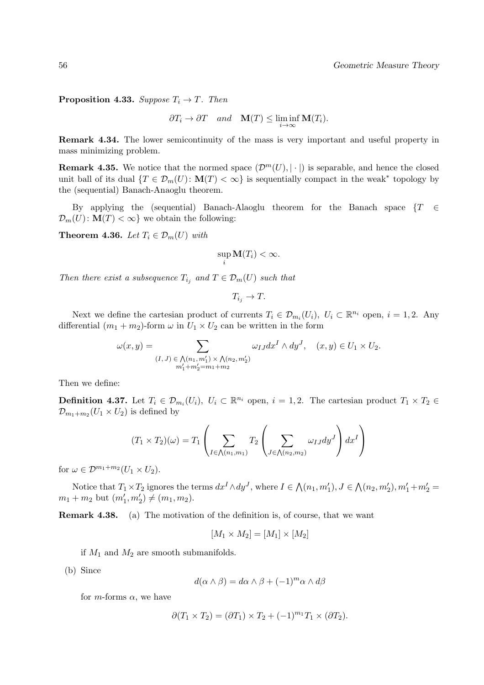**Proposition 4.33.** Suppose  $T_i \rightarrow T$ . Then

$$
\partial T_i \to \partial T
$$
 and  $\mathbf{M}(T) \leq \liminf_{i \to \infty} \mathbf{M}(T_i)$ .

Remark 4.34. The lower semicontinuity of the mass is very important and useful property in mass minimizing problem.

**Remark 4.35.** We notice that the normed space  $(\mathcal{D}^m(U), |\cdot|)$  is separable, and hence the closed unit ball of its dual  $\{T \in \mathcal{D}_m(U) \colon \mathbf{M}(T) < \infty\}$  is sequentially compact in the weak<sup>\*</sup> topology by the (sequential) Banach-Anaoglu theorem.

By applying the (sequential) Banach-Alaoglu theorem for the Banach space  $\{T \in \mathcal{F} \mid T\}$  $\mathcal{D}_m(U): \mathbf{M}(T) < \infty$  we obtain the following:

**Theorem 4.36.** Let  $T_i \in \mathcal{D}_m(U)$  with

$$
\sup_i \mathbf{M}(T_i) < \infty.
$$

Then there exist a subsequence  $T_{i_j}$  and  $T \in \mathcal{D}_m(U)$  such that

 $T_{i_j} \to T$ .

Next we define the cartesian product of currents  $T_i \in \mathcal{D}_{m_i}(U_i)$ ,  $U_i \subset \mathbb{R}^{n_i}$  open,  $i = 1, 2$ . Any differential  $(m_1 + m_2)$ -form  $\omega$  in  $U_1 \times U_2$  can be written in the form

$$
\omega(x,y) = \sum_{\substack{(I,J) \in \bigwedge(n_1,m_1') \times \bigwedge(n_2,m_2'')\\m_1'+m_2'=m_1+m_2'}} \omega_{IJ} dx^I \wedge dy^J, \quad (x,y) \in U_1 \times U_2.
$$

Then we define:

**Definition 4.37.** Let  $T_i \in \mathcal{D}_{m_i}(U_i)$ ,  $U_i \subset \mathbb{R}^{n_i}$  open,  $i = 1, 2$ . The cartesian product  $T_1 \times T_2 \in$  $\mathcal{D}_{m_1+m_2}(U_1\times U_2)$  is defined by

$$
(T_1 \times T_2)(\omega) = T_1 \left( \sum_{I \in \bigwedge(n_1, m_1)} T_2 \left( \sum_{J \in \bigwedge(n_2, m_2)} \omega_{IJ} dy^J \right) dx^I \right)
$$

for  $\omega \in \mathcal{D}^{m_1+m_2}(U_1 \times U_2)$ .

Notice that  $T_1 \times T_2$  ignores the terms  $dx^I \wedge dy^J$ , where  $I \in \mathcal{N}(n_1, m'_1)$ ,  $J \in \mathcal{N}(n_2, m'_2)$ ,  $m'_1 + m'_2 =$  $m_1 + m_2$  but  $(m'_1, m'_2) \neq (m_1, m_2)$ .

Remark 4.38. (a) The motivation of the definition is, of course, that we want

$$
[M_1 \times M_2] = [M_1] \times [M_2]
$$

if  $M_1$  and  $M_2$  are smooth submanifolds.

(b) Since

$$
d(\alpha \wedge \beta) = d\alpha \wedge \beta + (-1)^m \alpha \wedge d\beta
$$

for *m*-forms  $\alpha$ , we have

$$
\partial(T_1 \times T_2) = (\partial T_1) \times T_2 + (-1)^{m_1} T_1 \times (\partial T_2).
$$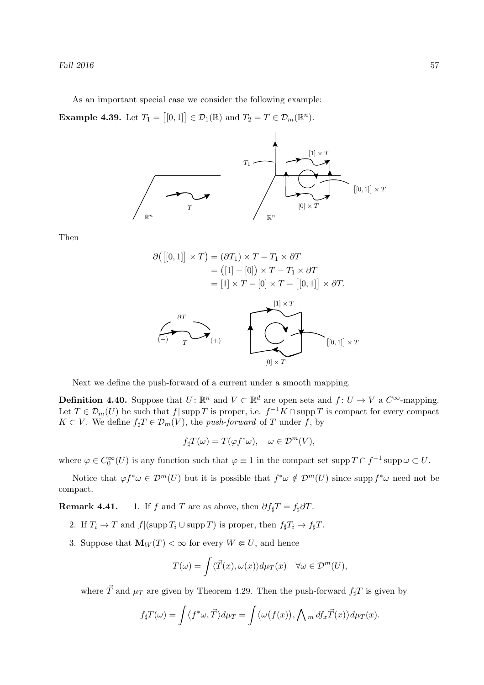As an important special case we consider the following example:

**Example 4.39.** Let  $T_1 = [[0, 1]] \in \mathcal{D}_1(\mathbb{R})$  and  $T_2 = T \in \mathcal{D}_m(\mathbb{R}^n)$ .



Then

$$
\partial([0,1]] \times T) = (\partial T_1) \times T - T_1 \times \partial T
$$
  
\n
$$
= ([1] - [0]) \times T - T_1 \times \partial T
$$
  
\n
$$
= [1] \times T - [0] \times T - [[0,1]] \times \partial T.
$$
  
\n
$$
\partial T
$$
  
\n
$$
\partial T
$$
  
\n
$$
\partial T
$$
  
\n
$$
\partial T
$$
  
\n
$$
\partial T
$$
  
\n
$$
[0,1] \times T
$$

Next we define the push-forward of a current under a smooth mapping.

**Definition 4.40.** Suppose that  $U: \mathbb{R}^n$  and  $V \subset \mathbb{R}^d$  are open sets and  $f: U \to V$  a  $C^{\infty}$ -mapping. Let  $T \in \mathcal{D}_m(U)$  be such that  $f | supp T$  is proper, i.e.  $f^{-1}K \cap supp T$  is compact for every compact  $K \subset V$ . We define  $f_{\sharp}T \in \mathcal{D}_m(V)$ , the *push-forward* of T under f, by

$$
f_{\sharp}T(\omega) = T(\varphi f^*\omega), \quad \omega \in \mathcal{D}^m(V),
$$

where  $\varphi \in C_0^{\infty}(U)$  is any function such that  $\varphi \equiv 1$  in the compact set  $\text{supp } T \cap f^{-1} \text{supp } \omega \subset U$ .

Notice that  $\varphi f^* \omega \in \mathcal{D}^m(U)$  but it is possible that  $f^* \omega \notin \mathcal{D}^m(U)$  since supp  $f^* \omega$  need not be compact.

**Remark 4.41.** 1. If f and T are as above, then  $\partial f_{\sharp}T = f_{\sharp}\partial T$ .

- 2. If  $T_i \to T$  and  $f|(\text{supp } T_i \cup \text{supp } T)$  is proper, then  $f_{\sharp}T_i \to f_{\sharp}T$ .
- 3. Suppose that  $\mathbf{M}_W(T) < \infty$  for every  $W \in U$ , and hence

$$
T(\omega) = \int \langle \vec{T}(x), \omega(x) \rangle d\mu_T(x) \quad \forall \omega \in \mathcal{D}^m(U),
$$

where  $\vec{T}$  and  $\mu_T$  are given by Theorem 4.29. Then the push-forward  $f_\sharp T$  is given by

$$
f_{\sharp}T(\omega) = \int \langle f^*\omega, \vec{T} \rangle d\mu_T = \int \langle \omega(f(x)), \bigwedge_m df_x \vec{T}(x) \rangle d\mu_T(x).
$$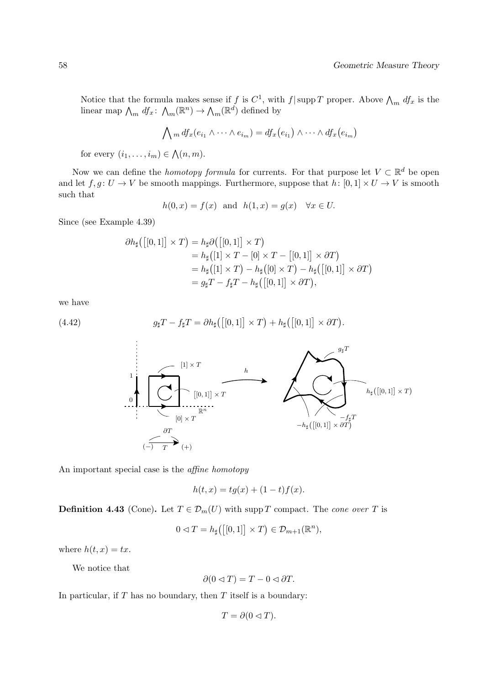Notice that the formula makes sense if f is  $C^1$ , with f|supp T proper. Above  $\bigwedge_m df_x$  is the linear map  $\bigwedge_m df_x: \bigwedge_m (\mathbb{R}^n) \to \bigwedge_m (\mathbb{R}^d)$  defined by

$$
\bigwedge_m df_x(e_{i_1} \wedge \cdots \wedge e_{i_m}) = df_x(e_{i_1}) \wedge \cdots \wedge df_x(e_{i_m})
$$

for every  $(i_1, \ldots, i_m) \in \bigwedge(n,m)$ .

Now we can define the *homotopy formula* for currents. For that purpose let  $V \subset \mathbb{R}^d$  be open and let  $f, g \colon U \to V$  be smooth mappings. Furthermore, suppose that  $h \colon [0,1] \times U \to V$  is smooth such that

$$
h(0, x) = f(x) \text{ and } h(1, x) = g(x) \quad \forall x \in U.
$$

Since (see Example 4.39)

$$
\partial h_{\sharp}([0,1]] \times T) = h_{\sharp}\partial([0,1]] \times T)
$$
  
=  $h_{\sharp}([1] \times T - [0] \times T - [[0,1]] \times \partial T)$   
=  $h_{\sharp}([1] \times T) - h_{\sharp}([0] \times T) - h_{\sharp}([0,1]] \times \partial T)$   
=  $g_{\sharp}T - f_{\sharp}T - h_{\sharp}([0,1]] \times \partial T),$ 

we have

(4.42) 
$$
g_{\sharp}T - f_{\sharp}T = \partial h_{\sharp}([0,1]] \times T) + h_{\sharp}([0,1]] \times \partial T).
$$



An important special case is the affine homotopy

$$
h(t, x) = tg(x) + (1 - t)f(x).
$$

**Definition 4.43** (Cone). Let  $T \in \mathcal{D}_m(U)$  with supp T compact. The cone over T is

$$
0 \lhd T = h_{\sharp}([0,1]] \times T) \in \mathcal{D}_{m+1}(\mathbb{R}^n),
$$

where  $h(t, x) = tx$ .

We notice that

$$
\partial(0 \triangleleft T) = T - 0 \triangleleft \partial T.
$$

In particular, if  $T$  has no boundary, then  $T$  itself is a boundary:

$$
T = \partial(0 \triangleleft T).
$$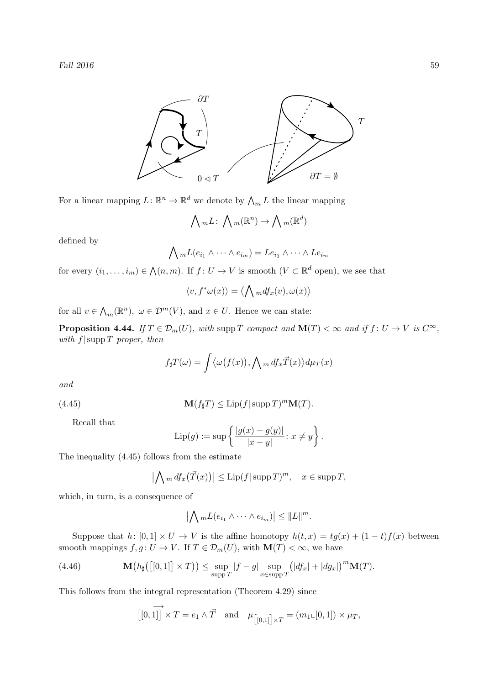

For a linear mapping  $L: \mathbb{R}^n \to \mathbb{R}^d$  we denote by  $\bigwedge_m L$  the linear mapping

$$
\bigwedge mL: \bigwedge m(\mathbb{R}^n) \to \bigwedge m(\mathbb{R}^d)
$$

defined by

$$
\bigwedge_m L(e_{i_1} \wedge \cdots \wedge e_{i_m}) = Le_{i_1} \wedge \cdots \wedge Le_{i_m}
$$

for every  $(i_1, \ldots, i_m) \in \bigwedge(n,m)$ . If  $f: U \to V$  is smooth  $(V \subset \mathbb{R}^d$  open), we see that

$$
\langle v, f^*\omega(x) \rangle = \langle \bigwedge m \, df_x(v), \omega(x) \rangle
$$

for all  $v \in \Lambda_m(\mathbb{R}^n)$ ,  $\omega \in \mathcal{D}^m(V)$ , and  $x \in U$ . Hence we can state:

**Proposition 4.44.** If  $T \in \mathcal{D}_m(U)$ , with supp T compact and  $\mathbf{M}(T) < \infty$  and if  $f: U \to V$  is  $C^{\infty}$ , with  $f$ | supp T proper, then

$$
f_{\sharp}T(\omega) = \int \langle \omega(f(x)), \bigwedge_m df_x \vec{T}(x) \rangle d\mu_T(x)
$$

and

(4.45) 
$$
\mathbf{M}(f_{\sharp}T) \leq \text{Lip}(f|\text{supp }T)^{m}\mathbf{M}(T).
$$

Recall that

Lip(g) := sup 
$$
\left\{ \frac{|g(x) - g(y)|}{|x - y|} : x \neq y \right\}
$$
.

The inequality (4.45) follows from the estimate

$$
\left|\bigwedge_{m} df_x(\vec{T}(x))\right| \leq \text{Lip}(f|\operatorname{supp} T)^m, \quad x \in \operatorname{supp} T,
$$

which, in turn, is a consequence of

$$
\left|\bigwedge_m L(e_{i_1}\wedge\cdots\wedge e_{i_m})\right|\leq \|L\|^m.
$$

Suppose that h:  $[0,1] \times U \to V$  is the affine homotopy  $h(t,x) = tg(x) + (1-t)f(x)$  between smooth mappings  $f, g: U \to V$ . If  $T \in \mathcal{D}_m(U)$ , with  $\mathbf{M}(T) < \infty$ , we have

(4.46) 
$$
\mathbf{M}\big(h_{\sharp}\big(\big[[0,1]\big]\times T\big)\big)\leq \sup_{\text{supp }T}|f-g|\sup_{x\in\text{supp }T}\big(|df_x|+|dg_x|\big)^m\mathbf{M}(T).
$$

This follows from the integral representation (Theorem 4.29) since

$$
\boxed{[0,1]} \times T = e_1 \wedge \vec{T} \quad \text{and} \quad \mu_{\boxed{[0,1]}\times T} = (m_1 \llcorner [0,1]) \times \mu_T,
$$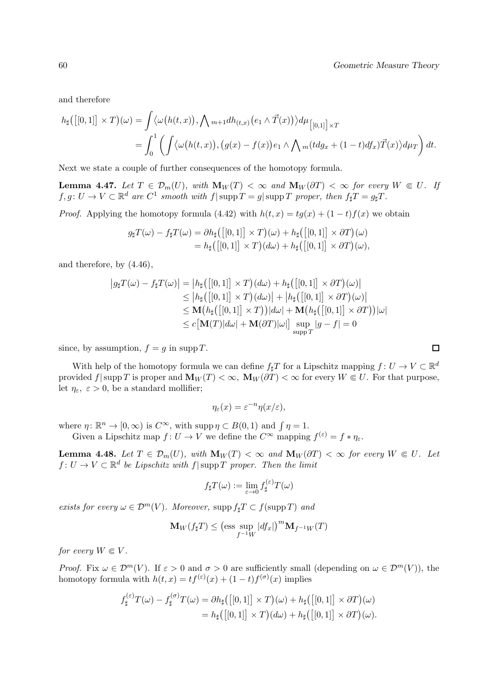and therefore

$$
h_{\sharp}([0,1]] \times T)(\omega) = \int \langle \omega(h(t,x)), \bigwedge m+1 dh_{(t,x)}(e_1 \wedge \vec{T}(x)) \rangle d\mu_{\left[0,1\right] \times T}
$$
  
= 
$$
\int_0^1 \left( \int \langle \omega(h(t,x)), (g(x) - f(x))e_1 \wedge \bigwedge m(t dg_x + (1-t) df_x) \vec{T}(x) \rangle d\mu_T \right) dt.
$$

Next we state a couple of further consequences of the homotopy formula.

Lemma 4.47. Let  $T \in \mathcal{D}_m(U)$ , with  $\mathbf{M}_W(T) < \infty$  and  $\mathbf{M}_W(\partial T) < \infty$  for every  $W \in U$ . If  $f, g \colon U \to V \subset \mathbb{R}^d$  are  $C^1$  smooth with  $f | \operatorname{supp} T = g | \operatorname{supp} T$  proper, then  $f_{\sharp} T = g_{\sharp} T$ .

*Proof.* Applying the homotopy formula (4.42) with  $h(t, x) = tg(x) + (1-t)f(x)$  we obtain

$$
g_{\sharp}T(\omega) - f_{\sharp}T(\omega) = \partial h_{\sharp}([\left[0,1\right]] \times T)(\omega) + h_{\sharp}([\left[0,1\right]] \times \partial T)(\omega)
$$
  
=  $h_{\sharp}([\left[0,1\right]] \times T)(d\omega) + h_{\sharp}([\left[0,1\right]] \times \partial T)(\omega),$ 

and therefore, by (4.46),

$$
|g_{\sharp}T(\omega) - f_{\sharp}T(\omega)| = |h_{\sharp}([0,1]] \times T)(d\omega) + h_{\sharp}([0,1]] \times \partial T)(\omega)|
$$
  
\n
$$
\leq |h_{\sharp}([0,1]] \times T)(d\omega)| + |h_{\sharp}([0,1]] \times \partial T)(\omega)|
$$
  
\n
$$
\leq \mathbf{M}(h_{\sharp}([0,1]] \times T))|d\omega| + \mathbf{M}(h_{\sharp}([0,1]] \times \partial T))|\omega|
$$
  
\n
$$
\leq c[\mathbf{M}(T)|d\omega| + \mathbf{M}(\partial T)|\omega|] \sup_{\text{supp }T} |g - f| = 0
$$

since, by assumption,  $f = g$  in supp T.

With help of the homotopy formula we can define  $f_{\sharp}T$  for a Lipschitz mapping  $f: U \to V \subset \mathbb{R}^d$ provided f|supp T is proper and  $\mathbf{M}_W(T) < \infty$ ,  $\mathbf{M}_W(\partial T) < \infty$  for every  $W \in U$ . For that purpose, let  $\eta_{\varepsilon}, \varepsilon > 0$ , be a standard mollifier;

$$
\eta_{\varepsilon}(x) = \varepsilon^{-n} \eta(x/\varepsilon),
$$

where  $\eta \colon \mathbb{R}^n \to [0, \infty)$  is  $C^{\infty}$ , with supp  $\eta \subset B(0, 1)$  and  $\int \eta = 1$ .

Given a Lipschitz map  $f: U \to V$  we define the  $C^{\infty}$  mapping  $f^{(\varepsilon)} = f * \eta_{\varepsilon}$ .

**Lemma 4.48.** Let  $T \in \mathcal{D}_m(U)$ , with  $\mathbf{M}_W(T) < \infty$  and  $\mathbf{M}_W(\partial T) < \infty$  for every  $W \in U$ . Let  $f: U \to V \subset \mathbb{R}^d$  be Lipschitz with  $f$ | supp T proper. Then the limit

$$
f_{\sharp}T(\omega):=\lim_{\varepsilon\to 0}f_{\sharp}^{(\varepsilon)}T(\omega)
$$

exists for every  $\omega \in \mathcal{D}^m(V)$ . Moreover, supp  $f_{\sharp}T \subset f(\mathrm{supp} T)$  and

$$
\mathbf{M}_{W}(f_{\sharp}T) \leq \left(\text{ess}\sup_{f^{-1}W}|df_{x}|\right)^{m} \mathbf{M}_{f^{-1}W}(T)
$$

for every  $W \in V$ .

*Proof.* Fix  $\omega \in \mathcal{D}^m(V)$ . If  $\varepsilon > 0$  and  $\sigma > 0$  are sufficiently small (depending on  $\omega \in \mathcal{D}^m(V)$ ), the homotopy formula with  $h(t, x) = tf^{(\varepsilon)}(x) + (1-t)f^{(\sigma)}(x)$  implies

$$
f_{\sharp}^{(\varepsilon)}T(\omega) - f_{\sharp}^{(\sigma)}T(\omega) = \partial h_{\sharp}([0,1]] \times T)(\omega) + h_{\sharp}([0,1]] \times \partial T)(\omega)
$$
  
=  $h_{\sharp}([0,1]] \times T)(d\omega) + h_{\sharp}([0,1]] \times \partial T)(\omega).$ 

 $\Box$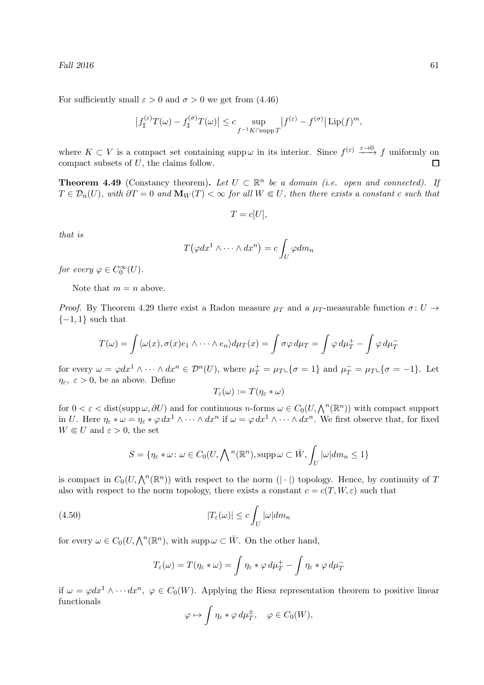For sufficiently small  $\varepsilon > 0$  and  $\sigma > 0$  we get from (4.46)

$$
\left|f_{\sharp}^{(\varepsilon)}T(\omega) - f_{\sharp}^{(\sigma)}T(\omega)\right| \leq c \sup_{f^{-1}K \cap \text{supp }T} \left|f^{(\varepsilon)} - f^{(\sigma)}\right| \text{Lip}(f)^{m},
$$

where  $K \subset V$  is a compact set containing supp  $\omega$  in its interior. Since  $f^{(\varepsilon)} \xrightarrow{\varepsilon \to 0} f$  uniformly on compact subsets of U, the claims follow.

**Theorem 4.49** (Constancy theorem). Let  $U \subset \mathbb{R}^n$  be a domain (i.e. open and connected). If  $T \in \mathcal{D}_n(U)$ , with  $\partial T = 0$  and  $\mathbf{M}_W(T) < \infty$  for all  $W \in U$ , then there exists a constant c such that

$$
T = c[U],
$$

that is

$$
T(\varphi dx^1 \wedge \cdots \wedge dx^n) = c \int_U \varphi dm_n
$$

for every  $\varphi \in C_0^{\infty}(U)$ .

Note that  $m = n$  above.

*Proof.* By Theorem 4.29 there exist a Radon measure  $\mu_T$  and a  $\mu_T$ -measurable function  $\sigma: U \rightarrow$  $\{-1,1\}$  such that

$$
T(\omega) = \int \langle \omega(x), \sigma(x) e_1 \wedge \cdots \wedge e_n \rangle d\mu_T(x) = \int \sigma \varphi d\mu_T = \int \varphi d\mu_T^+ - \int \varphi d\mu_T^-
$$

for every  $\omega = \varphi dx^1 \wedge \cdots \wedge dx^n \in \mathcal{D}^n(U)$ , where  $\mu_T^+ = \mu_T \mathcal{L} \{ \sigma = 1 \}$  and  $\mu_T^- = \mu_T \mathcal{L} \{ \sigma = -1 \}$ . Let  $\eta_{\varepsilon}, \varepsilon > 0$ , be as above. Define

$$
T_{\varepsilon}(\omega) := T(\eta_{\varepsilon} * \omega)
$$

for  $0 < \varepsilon <$  dist(supp  $\omega$ ,  $\partial U$ ) and for continuous *n*-forms  $\omega \in C_0(U, \bigwedge^n (\mathbb{R}^n))$  with compact support in U. Here  $\eta_{\varepsilon} * \omega = \eta_{\varepsilon} * \varphi dx^1 \wedge \cdots \wedge dx^n$  if  $\omega = \varphi dx^1 \wedge \cdots \wedge dx^n$ . We first observe that, for fixed  $W \in U$  and  $\varepsilon > 0$ , the set

$$
S = \{ \eta_{\varepsilon} * \omega \colon \omega \in C_0(U, \bigwedge^n (\mathbb{R}^n), \operatorname{supp} \omega \subset \overline{W}, \int_U |\omega| dm_n \le 1 \}
$$

is compact in  $C_0(U, \bigwedge^n(\mathbb{R}^n))$  with respect to the norm  $(|\cdot|)$  topology. Hence, by continuity of T also with respect to the norm topology, there exists a constant  $c = c(T, W, \varepsilon)$  such that

(4.50) 
$$
|T_{\varepsilon}(\omega)| \leq c \int_{U} |\omega| dm_{n}
$$

for every  $\omega \in C_0(U, \bigwedge^n (\mathbb{R}^n)$ , with supp $\omega \subset \overline{W}$ . On the other hand,

$$
T_{\varepsilon}(\omega) = T(\eta_{\varepsilon} * \omega) = \int \eta_{\varepsilon} * \varphi \, d\mu_T^+ - \int \eta_{\varepsilon} * \varphi \, d\mu_T^-
$$

if  $\omega = \varphi dx^1 \wedge \cdots dx^n$ ,  $\varphi \in C_0(W)$ . Applying the Riesz representation theorem to positive linear functionals

$$
\varphi \mapsto \int \eta_{\varepsilon} * \varphi \, d\mu_T^{\pm}, \quad \varphi \in C_0(W),
$$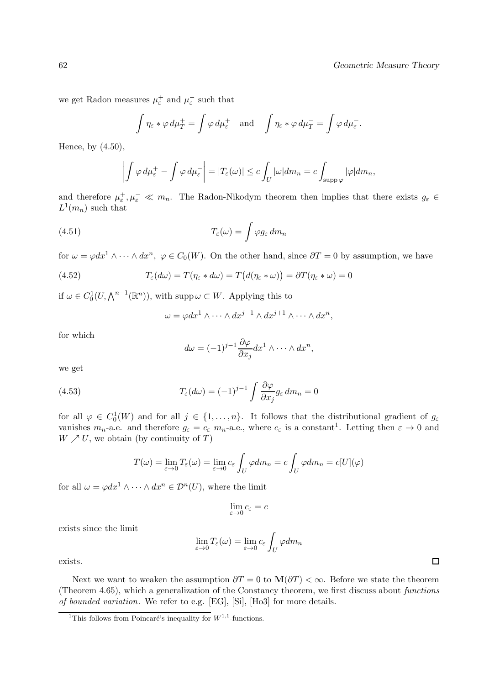we get Radon measures  $\mu_{\varepsilon}^{+}$  and  $\mu_{\varepsilon}^{-}$  such that

$$
\int \eta_{\varepsilon} * \varphi \, d\mu_T^+ = \int \varphi \, d\mu_{\varepsilon}^+ \quad \text{and} \quad \int \eta_{\varepsilon} * \varphi \, d\mu_T^- = \int \varphi \, d\mu_{\varepsilon}^-.
$$

Hence, by (4.50),

$$
\left| \int \varphi \, d\mu_{\varepsilon}^+ - \int \varphi \, d\mu_{\varepsilon}^- \right| = |T_{\varepsilon}(\omega)| \leq c \int_U |\omega| dm_n = c \int_{\text{supp }\varphi} |\varphi| dm_n,
$$

and therefore  $\mu_{\varepsilon}^+$ ,  $\mu_{\varepsilon}^- \ll m_n$ . The Radon-Nikodym theorem then implies that there exists  $g_{\varepsilon} \in$  $L^1(m_n)$  such that

(4.51) 
$$
T_{\varepsilon}(\omega) = \int \varphi g_{\varepsilon} dm_n
$$

for  $\omega = \varphi dx^1 \wedge \cdots \wedge dx^n$ ,  $\varphi \in C_0(W)$ . On the other hand, since  $\partial T = 0$  by assumption, we have

(4.52) 
$$
T_{\varepsilon}(d\omega) = T(\eta_{\varepsilon} * d\omega) = T(d(\eta_{\varepsilon} * \omega)) = \partial T(\eta_{\varepsilon} * \omega) = 0
$$

if  $\omega \in C_0^1(U, \bigwedge^{n-1}(\mathbb{R}^n))$ , with supp $\omega \subset W$ . Applying this to

$$
\omega = \varphi dx^1 \wedge \cdots \wedge dx^{j-1} \wedge dx^{j+1} \wedge \cdots \wedge dx^n,
$$

for which

$$
d\omega = (-1)^{j-1} \frac{\partial \varphi}{\partial x_j} dx^1 \wedge \cdots \wedge dx^n,
$$

we get

(4.53) 
$$
T_{\varepsilon}(d\omega) = (-1)^{j-1} \int \frac{\partial \varphi}{\partial x_j} g_{\varepsilon} dm_n = 0
$$

for all  $\varphi \in C_0^1(W)$  and for all  $j \in \{1, ..., n\}$ . It follows that the distributional gradient of  $g_{\varepsilon}$ vanishes  $m_n$ -a.e. and therefore  $g_{\varepsilon} = c_{\varepsilon} m_n$ -a.e., where  $c_{\varepsilon}$  is a constant<sup>1</sup>. Letting then  $\varepsilon \to 0$  and  $W \nearrow U$ , we obtain (by continuity of T)

$$
T(\omega) = \lim_{\varepsilon \to 0} T_{\varepsilon}(\omega) = \lim_{\varepsilon \to 0} c_{\varepsilon} \int_{U} \varphi dm_{n} = c \int_{U} \varphi dm_{n} = c[U](\varphi)
$$

for all  $\omega = \varphi dx^1 \wedge \cdots \wedge dx^n \in \mathcal{D}^n(U)$ , where the limit

$$
\lim_{\varepsilon \to 0} c_{\varepsilon} = c
$$

exists since the limit

$$
\lim_{\varepsilon \to 0} T_{\varepsilon}(\omega) = \lim_{\varepsilon \to 0} c_{\varepsilon} \int_{U} \varphi dm_{n}
$$

exists.

Next we want to weaken the assumption  $\partial T = 0$  to  $\mathbf{M}(\partial T) < \infty$ . Before we state the theorem (Theorem 4.65), which a generalization of the Constancy theorem, we first discuss about functions of bounded variation. We refer to e.g. [EG], [Si], [Ho3] for more details.

 $\Box$ 

<sup>&</sup>lt;sup>1</sup>This follows from Poincaré's inequality for  $W^{1,1}$ -functions.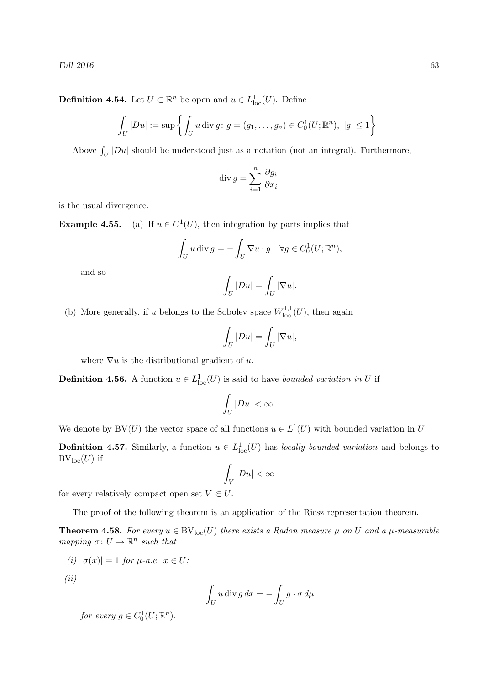Fall  $2016$  63

**Definition 4.54.** Let  $U \subset \mathbb{R}^n$  be open and  $u \in L^1_{loc}(U)$ . Define

$$
\int_U |Du| := \sup \left\{ \int_U u \, \text{div } g : g = (g_1, \dots, g_n) \in C_0^1(U; \mathbb{R}^n), \ |g| \le 1 \right\}.
$$

Above  $\int_U |Du|$  should be understood just as a notation (not an integral). Furthermore,

$$
\operatorname{div} g = \sum_{i=1}^{n} \frac{\partial g_i}{\partial x_i}
$$

is the usual divergence.

Example 4.55.  $<sup>1</sup>(U)$ , then integration by parts implies that</sup>

$$
\int_U u \operatorname{div} g = -\int_U \nabla u \cdot g \quad \forall g \in C_0^1(U; \mathbb{R}^n),
$$

and so

$$
\int_U |Du| = \int_U |\nabla u|.
$$

(b) More generally, if u belongs to the Sobolev space  $W^{1,1}_{loc}(U)$ , then again

$$
\int_U |Du| = \int_U |\nabla u|,
$$

where  $\nabla u$  is the distributional gradient of u.

**Definition 4.56.** A function  $u \in L^1_{loc}(U)$  is said to have bounded variation in U if

$$
\int_U |Du| < \infty.
$$

We denote by BV(U) the vector space of all functions  $u \in L^1(U)$  with bounded variation in U.

**Definition 4.57.** Similarly, a function  $u \in L^1_{loc}(U)$  has locally bounded variation and belongs to  $BV_{loc}(U)$  if

$$
\int_V |Du| < \infty
$$

for every relatively compact open set  $V \in U$ .

The proof of the following theorem is an application of the Riesz representation theorem.

**Theorem 4.58.** For every  $u \in BV_{loc}(U)$  there exists a Radon measure  $\mu$  on U and a  $\mu$ -measurable mapping  $\sigma: U \to \mathbb{R}^n$  such that

$$
(i) |\sigma(x)| = 1 \text{ for } \mu \text{-}a.e. x \in U;
$$

(ii)

$$
\int_U u \operatorname{div} g \, dx = -\int_U g \cdot \sigma \, d\mu
$$

for every  $g \in C_0^1(U; \mathbb{R}^n)$ .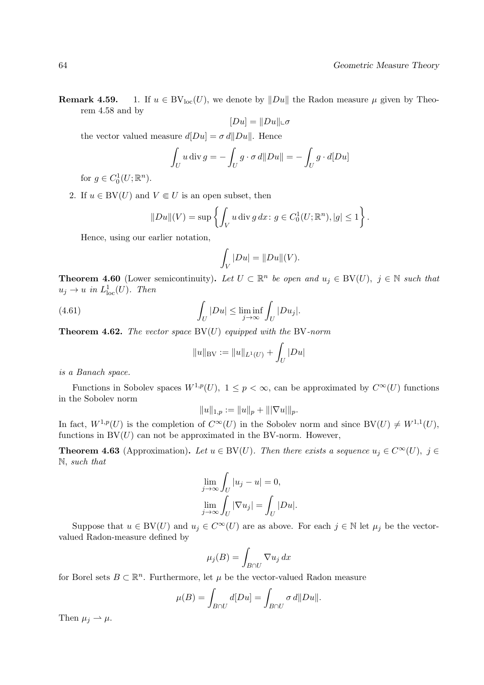**Remark 4.59.** 1. If  $u \in BV_{loc}(U)$ , we denote by  $||Du||$  the Radon measure  $\mu$  given by Theorem 4.58 and by

$$
[Du]=\|Du\|\llcorner\sigma
$$

the vector valued measure  $d|Du| = \sigma d||Du||$ . Hence

$$
\int_U u \operatorname{div} g = -\int_U g \cdot \sigma d||Du|| = -\int_U g \cdot d[Du]
$$

for  $g \in C_0^1(U; \mathbb{R}^n)$ .

2. If  $u \in BV(U)$  and  $V \in U$  is an open subset, then

$$
||Du||(V) = \sup \left\{ \int_V u \, \text{div } g \, dx \colon g \in C_0^1(U; \mathbb{R}^n), |g| \le 1 \right\}.
$$

Hence, using our earlier notation,

$$
\int_V |Du|=\|Du\|(V).
$$

**Theorem 4.60** (Lower semicontinuity). Let  $U \subset \mathbb{R}^n$  be open and  $u_j \in BV(U)$ ,  $j \in \mathbb{N}$  such that  $u_j \to u$  in  $L^1_{loc}(U)$ . Then

(4.61) 
$$
\int_{U} |Du| \leq \liminf_{j \to \infty} \int_{U} |Du_j|.
$$

**Theorem 4.62.** The vector space  $BV(U)$  equipped with the BV-norm

$$
\|u\|_{\rm BV}:=\|u\|_{L^1(U)}+\int_U |Du|
$$

is a Banach space.

Functions in Sobolev spaces  $W^{1,p}(U)$ ,  $1 \leq p < \infty$ , can be approximated by  $C^{\infty}(U)$  functions in the Sobolev norm

$$
||u||_{1,p} := ||u||_p + |||\nabla u|||_p.
$$

In fact,  $W^{1,p}(U)$  is the completion of  $C^{\infty}(U)$  in the Sobolev norm and since  $BV(U) \neq W^{1,1}(U)$ , functions in  $BV(U)$  can not be approximated in the BV-norm. However,

**Theorem 4.63** (Approximation). Let  $u \in BV(U)$ . Then there exists a sequence  $u_j \in C^{\infty}(U)$ ,  $j \in$ N, such that

$$
\lim_{j \to \infty} \int_U |u_j - u| = 0,
$$
  

$$
\lim_{j \to \infty} \int_U |\nabla u_j| = \int_U |Du|.
$$

Suppose that  $u \in BV(U)$  and  $u_j \in C^{\infty}(U)$  are as above. For each  $j \in \mathbb{N}$  let  $\mu_j$  be the vectorvalued Radon-measure defined by

$$
\mu_j(B) = \int_{B \cap U} \nabla u_j \, dx
$$

for Borel sets  $B \subset \mathbb{R}^n$ . Furthermore, let  $\mu$  be the vector-valued Radon measure

$$
\mu(B) = \int_{B \cap U} d[Du] = \int_{B \cap U} \sigma d||Du||.
$$

Then  $\mu_i \rightharpoonup \mu$ .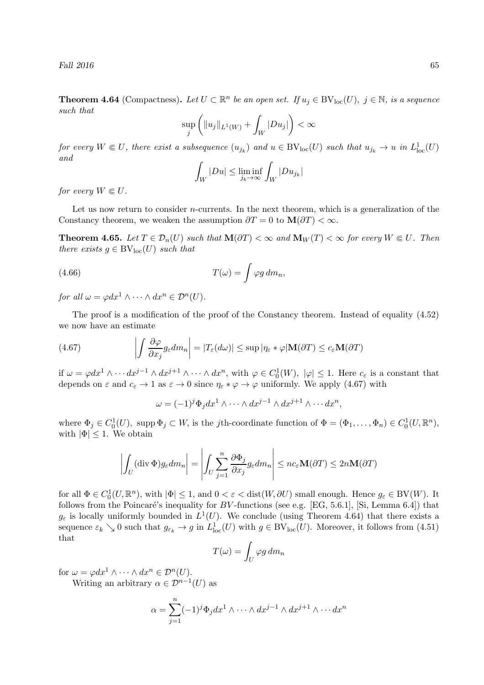Fall  $2016$  65

**Theorem 4.64** (Compactness). Let  $U \subset \mathbb{R}^n$  be an open set. If  $u_j \in BV_{loc}(U)$ ,  $j \in \mathbb{N}$ , is a sequence such that

$$
\sup_j \left( \|u_j\|_{L^1(W)} + \int_W |Du_j| \right) < \infty
$$

for every  $W \in U$ , there exist a subsequence  $(u_{j_k})$  and  $u \in BV_{loc}(U)$  such that  $u_{j_k} \to u$  in  $L^1_{loc}(U)$ and

$$
\int_W |Du| \le \liminf_{j_k \to \infty} \int_W |Du_{j_k}|
$$

for every  $W \in U$ .

Let us now return to consider  $n$ -currents. In the next theorem, which is a generalization of the Constancy theorem, we weaken the assumption  $\partial T = 0$  to  $\mathbf{M}(\partial T) < \infty$ .

**Theorem 4.65.** Let  $T \in \mathcal{D}_n(U)$  such that  $\mathbf{M}(\partial T) < \infty$  and  $\mathbf{M}_W(T) < \infty$  for every  $W \in U$ . Then there exists  $g \in BV_{loc}(U)$  such that

(4.66) 
$$
T(\omega) = \int \varphi g \, dm_n,
$$

for all  $\omega = \varphi dx^1 \wedge \cdots \wedge dx^n \in \mathcal{D}^n(U)$ .

The proof is a modification of the proof of the Constancy theorem. Instead of equality  $(4.52)$ we now have an estimate

(4.67) 
$$
\left| \int \frac{\partial \varphi}{\partial x_j} g_{\varepsilon} dm_n \right| = |T_{\varepsilon}(d\omega)| \leq \sup |\eta_{\varepsilon} * \varphi| \mathbf{M}(\partial T) \leq c_{\varepsilon} \mathbf{M}(\partial T)
$$

if  $\omega = \varphi dx^1 \wedge \cdots dx^{j-1} \wedge dx^{j+1} \wedge \cdots \wedge dx^n$ , with  $\varphi \in C_0^1(W)$ ,  $|\varphi| \leq 1$ . Here  $c_{\varepsilon}$  is a constant that depends on  $\varepsilon$  and  $c_{\varepsilon} \to 1$  as  $\varepsilon \to 0$  since  $\eta_{\varepsilon} * \varphi \to \varphi$  uniformly. We apply (4.67) with

$$
\omega = (-1)^j \Phi_j dx^1 \wedge \cdots \wedge dx^{j-1} \wedge dx^{j+1} \wedge \cdots dx^n,
$$

where  $\Phi_j \in C_0^1(U)$ , supp  $\Phi_j \subset W$ , is the *j*th-coordinate function of  $\Phi = (\Phi_1, \dots, \Phi_n) \in C_0^1(U, \mathbb{R}^n)$ , with  $|\Phi|$  < 1. We obtain

$$
\left| \int_{U} (\text{div } \Phi) g_{\varepsilon} dm_{n} \right| = \left| \int_{U} \sum_{j=1}^{n} \frac{\partial \Phi_{j}}{\partial x_{j}} g_{\varepsilon} dm_{n} \right| \leq n c_{\varepsilon} \mathbf{M}(\partial T) \leq 2n \mathbf{M}(\partial T)
$$

for all  $\Phi \in C_0^1(U, \mathbb{R}^n)$ , with  $|\Phi| \leq 1$ , and  $0 < \varepsilon <$  dist $(W, \partial U)$  small enough. Hence  $g_{\varepsilon} \in BV(W)$ . It follows from the Poincaré's inequality for  $BV$ -functions (see e.g. [EG, 5.6.1], [Si, Lemma 6.4]) that  $g_{\varepsilon}$  is locally uniformly bounded in  $L^1(U)$ . We conclude (using Theorem 4.64) that there exists a sequence  $\varepsilon_k \searrow 0$  such that  $g_{\varepsilon_k} \to g$  in  $L^1_{loc}(U)$  with  $g \in BV_{loc}(U)$ . Moreover, it follows from (4.51) that

$$
T(\omega) = \int_U \varphi g \, dm_n
$$

for  $\omega = \varphi dx^1 \wedge \cdots \wedge dx^n \in \mathcal{D}^n(U)$ .

Writing an arbitrary  $\alpha \in \mathcal{D}^{n-1}(U)$  as

$$
\alpha = \sum_{j=1}^{n} (-1)^j \Phi_j dx^1 \wedge \dots \wedge dx^{j-1} \wedge dx^{j+1} \wedge \dots dx^n
$$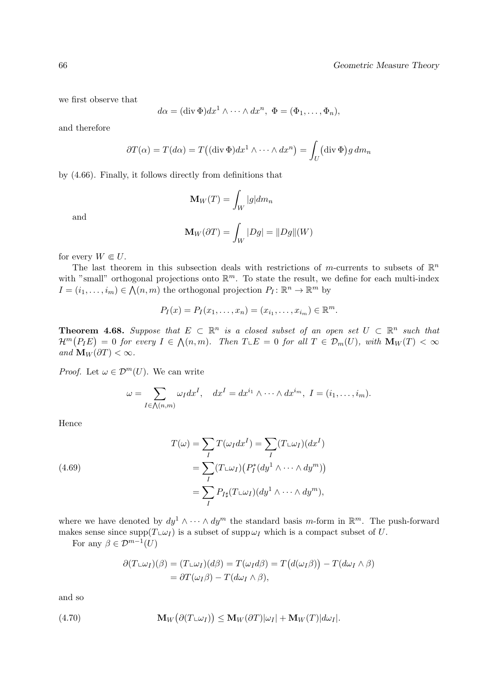we first observe that

$$
d\alpha = (\text{div }\Phi)dx^1 \wedge \cdots \wedge dx^n, \ \Phi = (\Phi_1, \ldots, \Phi_n),
$$

and therefore

$$
\partial T(\alpha) = T(d\alpha) = T((\text{div }\Phi)dx^{1} \wedge \cdots \wedge dx^{n}) = \int_{U} (\text{div }\Phi)g dm_{n}
$$

by (4.66). Finally, it follows directly from definitions that

$$
\mathbf{M}_W(T) = \int_W |g| dm_n
$$

and

$$
\mathbf{M}_W(\partial T) = \int_W |Dg| = ||Dg||(W)
$$

for every  $W \in U$ .

The last theorem in this subsection deals with restrictions of m-currents to subsets of  $\mathbb{R}^n$ with "small" orthogonal projections onto  $\mathbb{R}^m$ . To state the result, we define for each multi-index  $I = (i_1, \ldots, i_m) \in \bigwedge(n, m)$  the orthogonal projection  $P_I : \mathbb{R}^n \to \mathbb{R}^m$  by

$$
P_I(x) = P_I(x_1, ..., x_n) = (x_{i_1}, ..., x_{i_m}) \in \mathbb{R}^m.
$$

**Theorem 4.68.** Suppose that  $E \subset \mathbb{R}^n$  is a closed subset of an open set  $U \subset \mathbb{R}^n$  such that  $\mathcal{H}^m(P_I E) = 0$  for every  $I \in \mathcal{N}(n,m)$ . Then  $T \_ E = 0$  for all  $T \in \mathcal{D}_m(U)$ , with  $\mathbf{M}_W(T) < \infty$ and  $\mathbf{M}_W(\partial T) < \infty$ .

*Proof.* Let  $\omega \in \mathcal{D}^m(U)$ . We can write

$$
\omega = \sum_{I \in \bigwedge(n,m)} \omega_I dx^I, \quad dx^I = dx^{i_1} \wedge \cdots \wedge dx^{i_m}, \ I = (i_1, \ldots, i_m).
$$

Hence

(4.69)  

$$
T(\omega) = \sum_{I} T(\omega_{I} dx^{I}) = \sum_{I} (T \sqcup \omega_{I})(dx^{I})
$$

$$
= \sum_{I} (T \sqcup \omega_{I}) (P_{I}^{*}(dy^{1} \wedge \cdots \wedge dy^{m}))
$$

$$
= \sum_{I} P_{I\sharp}(T \sqcup \omega_{I})(dy^{1} \wedge \cdots \wedge dy^{m}),
$$

where we have denoted by  $dy^1 \wedge \cdots \wedge dy^m$  the standard basis m-form in  $\mathbb{R}^m$ . The push-forward makes sense since  $\text{supp}(T \cup Y)$  is a subset of supp $\omega_I$  which is a compact subset of U.

For any  $\beta \in \mathcal{D}^{m-1}(U)$ 

$$
\partial (T \sqcup \omega_I)(\beta) = (T \sqcup \omega_I)(d\beta) = T(\omega_I d\beta) = T(d(\omega_I \beta)) - T(d\omega_I \wedge \beta)
$$
  
=  $\partial T(\omega_I \beta) - T(d\omega_I \wedge \beta),$ 

and so

(4.70) 
$$
\mathbf{M}_W(\partial(T \sqcup \omega_I)) \leq \mathbf{M}_W(\partial T)|\omega_I| + \mathbf{M}_W(T)|d\omega_I|.
$$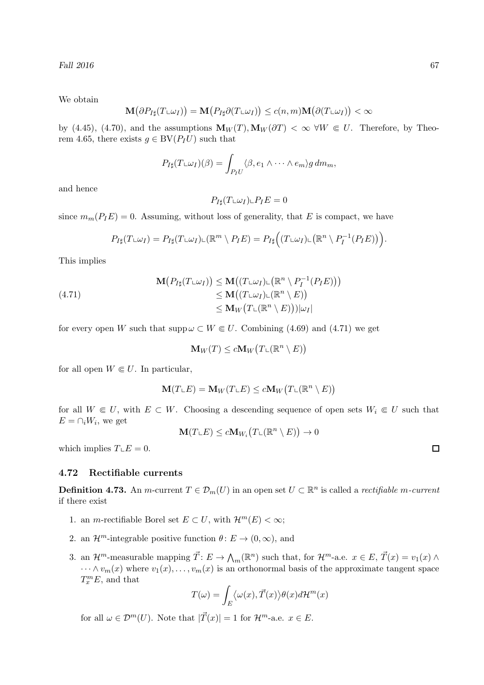We obtain

$$
\mathbf{M}\big(\partial P_{I\sharp}(T\llcorner \omega_I)\big)=\mathbf{M}\big(P_{I\sharp}\partial (T\llcorner \omega_I)\big)\leq c(n,m) \mathbf{M}\big(\partial (T\llcorner \omega_I)\big)<\infty
$$

by (4.45), (4.70), and the assumptions  $M_W(T), M_W(\partial T) < \infty$   $\forall W \in U$ . Therefore, by Theorem 4.65, there exists  $q \in BV(P_I U)$  such that

$$
P_{I\sharp}(T\sqcup\omega_I)(\beta) = \int_{P_I U} \langle \beta, e_1 \wedge \cdots \wedge e_m \rangle g \, dm_m,
$$

and hence

 $P_{I\sharp}(T\sqcup \omega_I)\sqcup P_I E = 0$ 

since  $m_m(P_1E) = 0$ . Assuming, without loss of generality, that E is compact, we have

$$
P_{I\sharp}(T\sqcup\omega_I)=P_{I\sharp}(T\sqcup\omega_I)\sqcup(\mathbb{R}^m\setminus P_I E)=P_{I\sharp}\Big((T\sqcup\omega_I)\sqcup(\mathbb{R}^n\setminus P_I^{-1}(P_I E))\Big).
$$

This implies

(4.71)  
\n
$$
\mathbf{M}(P_{I\sharp}(T\sqcup\omega_I)) \leq \mathbf{M}((T\sqcup\omega_I)\sqcup(\mathbb{R}^n \setminus P_I^{-1}(P_I E)))
$$
\n
$$
\leq \mathbf{M}((T\sqcup\omega_I)\sqcup(\mathbb{R}^n \setminus E))
$$
\n
$$
\leq \mathbf{M}_W(T\sqcup(\mathbb{R}^n \setminus E))|\omega_I|
$$

for every open W such that  $\text{supp}\,\omega \subset W \Subset U$ . Combining (4.69) and (4.71) we get

$$
\mathbf{M}_W(T) \le c \mathbf{M}_W\big(T \llcorner (\mathbb{R}^n \setminus E)\big)
$$

for all open  $W \in U$ . In particular,

$$
\mathbf{M}(T\mathbf{L}E)=\mathbf{M}_W(T\mathbf{L}E)\leq c\mathbf{M}_W\big(T\mathbf{L}(\mathbb{R}^n\setminus E)\big)
$$

for all  $W \in U$ , with  $E \subset W$ . Choosing a descending sequence of open sets  $W_i \in U$  such that  $E = \bigcap_i W_i$ , we get

 $\mathbf{M}(T\llcorner E)\leq c\mathbf{M}_{W_i}\big(T\llcorner (\mathbb{R}^n\setminus E)\big)\to 0$ 

which implies  $T \mathcal{L}E = 0$ .

### 4.72 Rectifiable currents

**Definition 4.73.** An *m*-current  $T \in \mathcal{D}_m(U)$  in an open set  $U \subset \mathbb{R}^n$  is called a *rectifiable m-current* if there exist

- 1. an *m*-rectifiable Borel set  $E \subset U$ , with  $\mathcal{H}^m(E) < \infty$ ;
- 2. an  $\mathcal{H}^m$ -integrable positive function  $\theta: E \to (0,\infty)$ , and
- 3. an  $\mathcal{H}^m$ -measurable mapping  $\vec{T} : E \to \mathcal{N}_m(\mathbb{R}^n)$  such that, for  $\mathcal{H}^m$ -a.e.  $x \in E$ ,  $\vec{T}(x) = v_1(x) \wedge$  $\cdots \wedge v_m(x)$  where  $v_1(x), \ldots, v_m(x)$  is an orthonormal basis of the approximate tangent space  $T_x^m E$ , and that

$$
T(\omega) = \int_{E} \langle \omega(x), \vec{T}(x) \rangle \theta(x) d\mathcal{H}^{m}(x)
$$

for all  $\omega \in \mathcal{D}^m(U)$ . Note that  $|\vec{T}(x)| = 1$  for  $\mathcal{H}^m$ -a.e.  $x \in E$ .

 $\Box$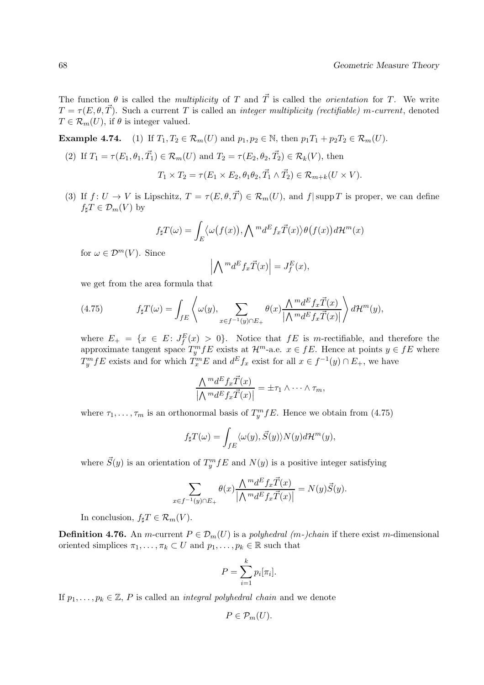The function  $\theta$  is called the *multiplicity* of T and  $\vec{T}$  is called the *orientation* for T. We write  $T = \tau(E, \theta, \vec{T})$ . Such a current T is called an *integer multiplicity (rectifiable) m-current*, denoted  $T \in \mathcal{R}_m(U)$ , if  $\theta$  is integer valued.

**Example 4.74.** (1) If  $T_1, T_2 \in \mathcal{R}_m(U)$  and  $p_1, p_2 \in \mathbb{N}$ , then  $p_1T_1 + p_2T_2 \in \mathcal{R}_m(U)$ .

(2) If  $T_1 = \tau(E_1, \theta_1, \vec{T_1}) \in \mathcal{R}_m(U)$  and  $T_2 = \tau(E_2, \theta_2, \vec{T_2}) \in \mathcal{R}_k(V)$ , then

$$
T_1 \times T_2 = \tau(E_1 \times E_2, \theta_1 \theta_2, \vec{T}_1 \wedge \vec{T}_2) \in \mathcal{R}_{m+k}(U \times V).
$$

(3) If  $f: U \to V$  is Lipschitz,  $T = \tau(E, \theta, \vec{T}) \in \mathcal{R}_m(U)$ , and  $f | \text{supp } T$  is proper, we can define  $f_{\sharp}T \in \mathcal{D}_m(V)$  by

$$
f_{\sharp}T(\omega) = \int_{E} \langle \omega(f(x)), \bigwedge {}^{m}d^{E}f_{x}\vec{T}(x)\rangle \theta(f(x))d\mathcal{H}^{m}(x)
$$

for  $\omega \in \mathcal{D}^m(V)$ . Since

$$
\left| \bigwedge {}^{m}d^{E}f_{x}\vec{T}(x) \right| = J_{f}^{E}(x),
$$

we get from the area formula that

(4.75) 
$$
f_{\sharp}T(\omega) = \int_{fE} \left\langle \omega(y), \sum_{x \in f^{-1}(y) \cap E_+} \theta(x) \frac{\Lambda^{m} d^E f_x \vec{T}(x)}{|\Lambda^{m} d^E f_x \vec{T}(x)|} \right\rangle d\mathcal{H}^{m}(y),
$$

where  $E_+ = \{x \in E: J_f^E(x) > 0\}$ . Notice that  $fE$  is m-rectifiable, and therefore the approximate tangent space  $T_y^m f E$  exists at  $\mathcal{H}^m$ -a.e.  $x \in f E$ . Hence at points  $y \in f E$  where  $T_y^m f E$  exists and for which  $T_x^m E$  and  $d^E f_x$  exist for all  $x \in f^{-1}(y) \cap E_+$ , we have

$$
\frac{\bigwedge {}^{m}d^{E}f_{x}\vec{T}(x)}{\big|\bigwedge {}^{m}d^{E}f_{x}\vec{T}(x)\big|} = \pm \tau_{1} \wedge \cdots \wedge \tau_{m},
$$

where  $\tau_1, \ldots, \tau_m$  is an orthonormal basis of  $T_y^m fE$ . Hence we obtain from (4.75)

$$
f_{\sharp}T(\omega) = \int_{fE} \langle \omega(y), \vec{S}(y) \rangle N(y) d\mathcal{H}^m(y),
$$

where  $\vec{S}(y)$  is an orientation of  $T_y^m f E$  and  $N(y)$  is a positive integer satisfying

$$
\sum_{x \in f^{-1}(y) \cap E_+} \theta(x) \frac{\bigwedge^m d^E f_x \vec{T}(x)}{\big| \bigwedge^m d^E f_x \vec{T}(x) \big|} = N(y) \vec{S}(y).
$$

In conclusion,  $f_{\sharp}T \in \mathcal{R}_m(V)$ .

**Definition 4.76.** An m-current  $P \in \mathcal{D}_m(U)$  is a polyhedral (m-)chain if there exist m-dimensional oriented simplices  $\pi_1, \ldots, \pi_k \subset U$  and  $p_1, \ldots, p_k \in \mathbb{R}$  such that

$$
P = \sum_{i=1}^{k} p_i[\pi_i].
$$

If  $p_1, \ldots, p_k \in \mathbb{Z}$ , P is called an *integral polyhedral chain* and we denote

$$
P\in\mathcal{P}_m(U).
$$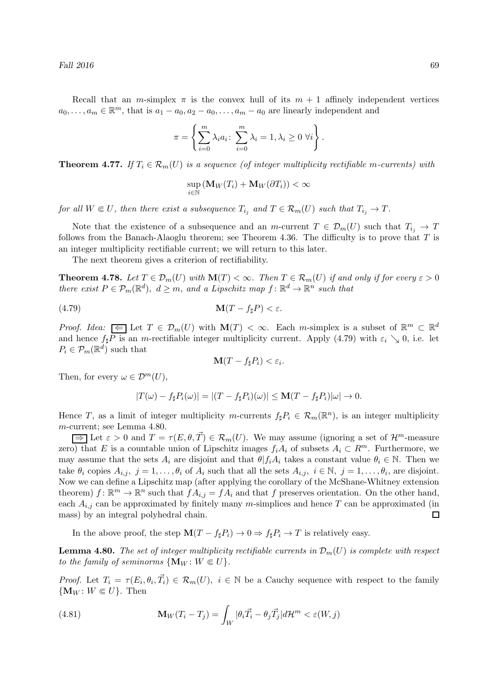Recall that an m-simplex  $\pi$  is the convex hull of its  $m + 1$  affinely independent vertices  $a_0, \ldots, a_m \in \mathbb{R}^m$ , that is  $a_1 - a_0, a_2 - a_0, \ldots, a_m - a_0$  are linearly independent and

$$
\pi = \left\{ \sum_{i=0}^{m} \lambda_i a_i \colon \sum_{i=0}^{m} \lambda_i = 1, \lambda_i \ge 0 \,\,\forall i \right\}.
$$

**Theorem 4.77.** If  $T_i \in \mathcal{R}_m(U)$  is a sequence (of integer multiplicity rectifiable m-currents) with

$$
\sup_{i\in\mathbb{N}}\left(\mathbf{M}_{W}(T_{i})+\mathbf{M}_{W}(\partial T_{i})\right)<\infty
$$

for all  $W \in U$ , then there exist a subsequence  $T_{i_j}$  and  $T \in \mathcal{R}_m(U)$  such that  $T_{i_j} \to T$ .

Note that the existence of a subsequence and an m-current  $T \in \mathcal{D}_m(U)$  such that  $T_{i_j} \to T$ follows from the Banach-Alaoglu theorem; see Theorem 4.36. The difficulty is to prove that  $T$  is an integer multiplicity rectifiable current; we will return to this later.

The next theorem gives a criterion of rectifiability.

**Theorem 4.78.** Let  $T \in \mathcal{D}_m(U)$  with  $\mathbf{M}(T) < \infty$ . Then  $T \in \mathcal{R}_m(U)$  if and only if for every  $\varepsilon > 0$ there exist  $P \in \mathcal{P}_m(\mathbb{R}^d)$ ,  $d \geq m$ , and a Lipschitz map  $f: \mathbb{R}^d \to \mathbb{R}^n$  such that

$$
\mathbf{M}(T - f_{\sharp}P) < \varepsilon.
$$

*Proof. Idea:*  $\leq \bigcup$  Let  $T \in \mathcal{D}_m(U)$  with  $\mathbf{M}(T) < \infty$ . Each *m*-simplex is a subset of  $\mathbb{R}^m \subset \mathbb{R}^d$ and hence  $f_{\sharp}P$  is an m-rectifiable integer multiplicity current. Apply (4.79) with  $\varepsilon_i \searrow 0$ , i.e. let  $P_i \in \mathcal{P}_m(\mathbb{R}^d)$  such that

$$
\mathbf{M}(T-f_{\sharp}P_i)<\varepsilon_i.
$$

Then, for every  $\omega \in \mathcal{D}^m(U)$ ,

$$
|T(\omega) - f_{\sharp}P_i(\omega)| = |(T - f_{\sharp}P_i)(\omega)| \le \mathbf{M}(T - f_{\sharp}P_i)|\omega| \to 0.
$$

Hence T, as a limit of integer multiplicity m-currents  $f_\sharp P_i \in \mathcal{R}_m(\mathbb{R}^n)$ , is an integer multiplicity m-current; see Lemma 4.80.

 $\Rightarrow$  Let  $\varepsilon > 0$  and  $T = \tau(E, \theta, \vec{T}) \in \mathcal{R}_m(U)$ . We may assume (ignoring a set of  $\mathcal{H}^m$ -measure zero) that E is a countable union of Lipschitz images  $f_iA_i$  of subsets  $A_i \subset R^m$ . Furthermore, we may assume that the sets  $A_i$  are disjoint and that  $\theta | f_i A_i$  takes a constant value  $\theta_i \in \mathbb{N}$ . Then we take  $\theta_i$  copies  $A_{i,j}$ ,  $j = 1, \ldots, \theta_i$  of  $A_i$  such that all the sets  $A_{i,j}$ ,  $i \in \mathbb{N}$ ,  $j = 1, \ldots, \theta_i$ , are disjoint. Now we can define a Lipschitz map (after applying the corollary of the McShane-Whitney extension theorem)  $f: \mathbb{R}^m \to \mathbb{R}^n$  such that  $f A_{i,j} = f A_i$  and that f preserves orientation. On the other hand, each  $A_{i,j}$  can be approximated by finitely many m-simplices and hence T can be approximated (in mass) by an integral polyhedral chain.  $\Box$ 

In the above proof, the step  $\mathbf{M}(T - f_{\sharp}P_i) \to 0 \Rightarrow f_{\sharp}P_i \to T$  is relatively easy.

**Lemma 4.80.** The set of integer multiplicity rectifiable currents in  $\mathcal{D}_m(U)$  is complete with respect to the family of seminorms  $\{M_W : W \in U\}.$ 

*Proof.* Let  $T_i = \tau(E_i, \theta_i, \vec{T}_i) \in \mathcal{R}_m(U)$ ,  $i \in \mathbb{N}$  be a Cauchy sequence with respect to the family  $\{M_W : W \in U\}$ . Then

(4.81) 
$$
\mathbf{M}_W(T_i - T_j) = \int_W |\theta_i \vec{T}_i - \theta_j \vec{T}_j| d\mathcal{H}^m < \varepsilon(W, j)
$$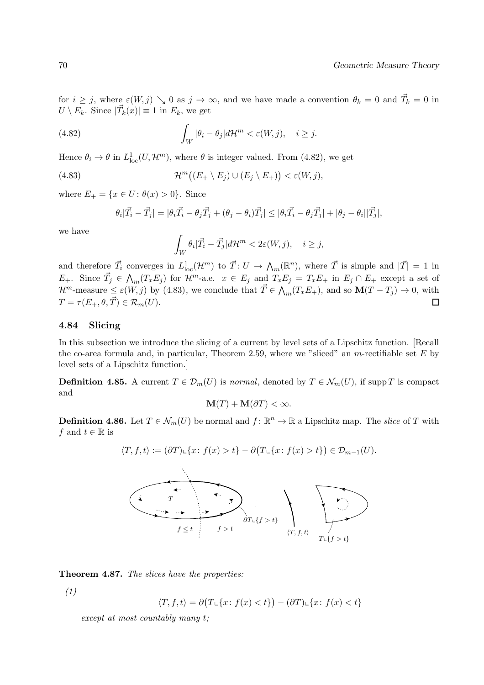for  $i \geq j$ , where  $\varepsilon(W, j) \searrow 0$  as  $j \to \infty$ , and we have made a convention  $\theta_k = 0$  and  $\vec{T_k} = 0$  in  $U \setminus E_k$ . Since  $|\vec{T}_k(x)| \equiv 1$  in  $E_k$ , we get

(4.82) 
$$
\int_W |\theta_i - \theta_j| d\mathcal{H}^m < \varepsilon(W, j), \quad i \geq j.
$$

Hence  $\theta_i \to \theta$  in  $L^1_{loc}(U, \mathcal{H}^m)$ , where  $\theta$  is integer valued. From (4.82), we get

(4.83) 
$$
\mathcal{H}^m\big((E_+ \setminus E_j) \cup (E_j \setminus E_+)\big) < \varepsilon(W,j),
$$

where  $E_+ = \{x \in U : \theta(x) > 0\}$ . Since

$$
\theta_i|\vec{T}_i-\vec{T}_j| = |\theta_i\vec{T}_i-\theta_j\vec{T}_j+(\theta_j-\theta_i)\vec{T}_j| \leq |\theta_i\vec{T}_i-\theta_j\vec{T}_j| + |\theta_j-\theta_i||\vec{T}_j|,
$$

we have

$$
\int_W \theta_i |\vec{T}_i - \vec{T}_j| d\mathcal{H}^m < 2\varepsilon(W, j), \quad i \geq j,
$$

and therefore  $\vec{T}_i$  converges in  $L^1_{loc}(\mathcal{H}^m)$  to  $\vec{T}: U \to \Lambda_m(\mathbb{R}^n)$ , where  $\vec{T}$  is simple and  $|\vec{T}| = 1$  in  $E_+$ . Since  $\vec{T}_j \in \bigwedge_m (T_x E_j)$  for  $\mathcal{H}^m$ -a.e.  $x \in E_j$  and  $T_x E_j = T_x E_+$  in  $E_j \cap E_+$  except a set of  $\mathcal{H}^m$ -measure  $\leq \varepsilon(W, j)$  by (4.83), we conclude that  $\vec{T} \in \bigwedge_m(T_x E_+)$ , and so  $\mathbf{M}(T - T_j) \to 0$ , with  $T = \tau(E_+, \theta, \vec{T}) \in \mathcal{R}_m(U).$  $\Box$ 

## 4.84 Slicing

In this subsection we introduce the slicing of a current by level sets of a Lipschitz function. [Recall the co-area formula and, in particular, Theorem 2.59, where we "sliced" an  $m$ -rectifiable set E by level sets of a Lipschitz function.]

**Definition 4.85.** A current  $T \in \mathcal{D}_m(U)$  is normal, denoted by  $T \in \mathcal{N}_m(U)$ , if supp T is compact and

$$
\mathbf{M}(T) + \mathbf{M}(\partial T) < \infty.
$$

**Definition 4.86.** Let  $T \in \mathcal{N}_m(U)$  be normal and  $f: \mathbb{R}^n \to \mathbb{R}$  a Lipschitz map. The *slice* of T with f and  $t \in \mathbb{R}$  is

$$
\langle T, f, t \rangle := (\partial T) \cup \{x \colon f(x) > t\} - \partial \big( T \cup \{x \colon f(x) > t\} \big) \in \mathcal{D}_{m-1}(U).
$$



Theorem 4.87. The slices have the properties:

(1)

$$
\langle T, f, t \rangle = \partial \big( T \cup \{ x \colon f(x) < t \} \big) - (\partial T) \cup \{ x \colon f(x) < t \}
$$

except at most countably many t;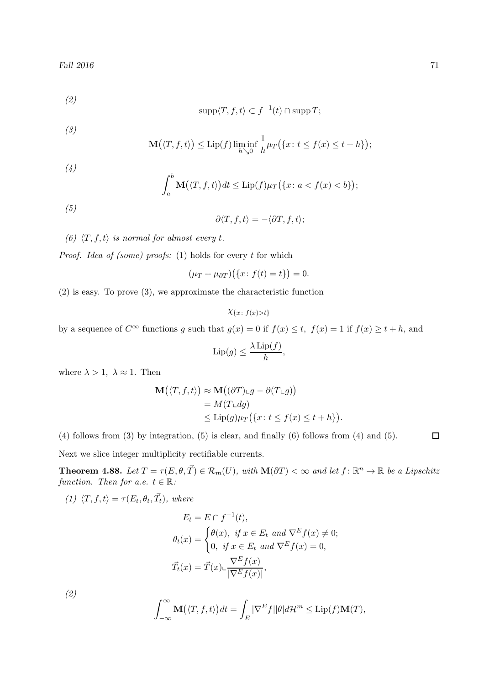(2)

$$
supp\langle T, f, t\rangle \subset f^{-1}(t) \cap supp T;
$$

(3)

$$
\mathbf{M}(\langle T, f, t \rangle) \le \mathrm{Lip}(f) \liminf_{h \searrow 0} \frac{1}{h} \mu_T(\{x \colon t \le f(x) \le t + h\});
$$

(4)

$$
\int_a^b \mathbf{M}(\langle T, f, t \rangle) dt \le \text{Lip}(f) \mu_T(\{x \colon a < f(x) < b\});
$$

(5)

$$
\partial \langle T, f, t \rangle = - \langle \partial T, f, t \rangle;
$$

(6)  $\langle T, f, t \rangle$  is normal for almost every t.

*Proof. Idea of (some) proofs:* (1) holds for every  $t$  for which

$$
(\mu_T + \mu_{\partial T}) (\{x : f(t) = t\}) = 0.
$$

(2) is easy. To prove (3), we approximate the characteristic function

$$
\chi_{\{x:\,f(x)>t\}}
$$

by a sequence of  $C^{\infty}$  functions g such that  $g(x) = 0$  if  $f(x) \le t$ ,  $f(x) = 1$  if  $f(x) \ge t + h$ , and

$$
\mathrm{Lip}(g) \le \frac{\lambda \, \mathrm{Lip}(f)}{h},
$$

where  $\lambda > 1$ ,  $\lambda \approx 1$ . Then

$$
\mathbf{M}(\langle T, f, t \rangle) \approx \mathbf{M}((\partial T) \sqcup g - \partial (T \sqcup g))
$$
  
=  $M(T \sqcup dg)$   

$$
\leq \text{Lip}(g) \mu_T(\{x \colon t \leq f(x) \leq t + h\}).
$$

(4) follows from (3) by integration, (5) is clear, and finally (6) follows from (4) and (5).

Next we slice integer multiplicity rectifiable currents.

**Theorem 4.88.** Let  $T = \tau(E, \theta, \vec{T}) \in \mathcal{R}_m(U)$ , with  $\mathbf{M}(\partial T) < \infty$  and let  $f : \mathbb{R}^n \to \mathbb{R}$  be a Lipschitz function. Then for a.e.  $t \in \mathbb{R}$ :

(1)  $\langle T, f, t \rangle = \tau(E_t, \theta_t, \vec{T_t})$ , where

$$
E_t = E \cap f^{-1}(t),
$$
  
\n
$$
\theta_t(x) = \begin{cases} \theta(x), & \text{if } x \in E_t \text{ and } \nabla^E f(x) \neq 0; \\ 0, & \text{if } x \in E_t \text{ and } \nabla^E f(x) = 0, \end{cases}
$$
  
\n
$$
\vec{T_t}(x) = \vec{T}(x) \cup \frac{\nabla^E f(x)}{|\nabla^E f(x)|},
$$

(2)

$$
\int_{-\infty}^{\infty} \mathbf{M}(\langle T, f, t \rangle) dt = \int_{E} |\nabla^{E} f| |\theta| d\mathcal{H}^{m} \le \text{Lip}(f) \mathbf{M}(T),
$$

 $\Box$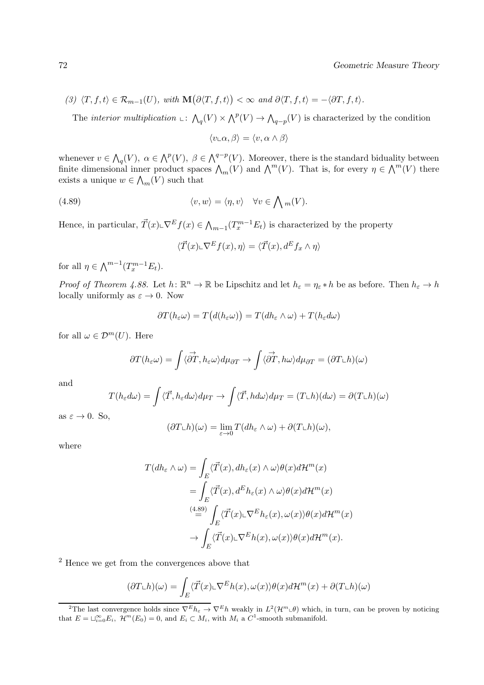$$
(3) \ \langle T, f, t \rangle \in \mathcal{R}_{m-1}(U), \ with \ \mathbf{M}\big(\partial \langle T, f, t \rangle\big) < \infty \ and \ \partial \langle T, f, t \rangle = -\langle \partial T, f, t \rangle.
$$

The *interior multiplication*  $\bot: \bigwedge_q(V) \times \bigwedge^p(V) \to \bigwedge_{q-p}(V)$  is characterized by the condition

$$
\langle v\llcorner\alpha,\beta\rangle=\langle v,\alpha\wedge\beta\rangle
$$

whenever  $v \in \bigwedge_q(V)$ ,  $\alpha \in \bigwedge^p(V)$ ,  $\beta \in \bigwedge^{q-p}(V)$ . Moreover, there is the standard biduality between finite dimensional inner product spaces  $\bigwedge_m(V)$  and  $\bigwedge^m(V)$ . That is, for every  $\eta \in \bigwedge^m(V)$  there exists a unique  $w \in \bigwedge_m(V)$  such that

(4.89) 
$$
\langle v, w \rangle = \langle \eta, v \rangle \quad \forall v \in \bigwedge m(V).
$$

Hence, in particular,  $\vec{T}(x) \in \nabla^E f(x) \in \bigwedge_{m=1} (T_x^{m-1} E_t)$  is characterized by the property

$$
\langle \vec{T}(x)\mathbf{L}\nabla^E f(x), \eta \rangle = \langle \vec{T}(x), d^E f_x \wedge \eta \rangle
$$

for all  $\eta \in \bigwedge^{m-1}(T_x^{m-1}E_t).$ 

Proof of Theorem 4.88. Let  $h: \mathbb{R}^n \to \mathbb{R}$  be Lipschitz and let  $h_{\varepsilon} = \eta_{\varepsilon} * h$  be as before. Then  $h_{\varepsilon} \to h$ locally uniformly as  $\varepsilon \to 0$ . Now

$$
\partial T(h_{\varepsilon}\omega) = T\big(d(h_{\varepsilon}\omega)\big) = T(dh_{\varepsilon}\wedge\omega) + T(h_{\varepsilon}d\omega)
$$

for all  $\omega \in \mathcal{D}^m(U)$ . Here

$$
\partial T(h_{\varepsilon}\omega) = \int \langle \overrightarrow{\partial T}, h_{\varepsilon}\omega \rangle d\mu_{\partial T} \to \int \langle \overrightarrow{\partial T}, h\omega \rangle d\mu_{\partial T} = (\partial T \bot h)(\omega)
$$

and

$$
T(h_{\varepsilon}d\omega) = \int \langle \vec{T}, h_{\varepsilon}d\omega \rangle d\mu_T \to \int \langle \vec{T}, hd\omega \rangle d\mu_T = (T \llcorner h)(d\omega) = \partial (T \llcorner h)(\omega)
$$

as  $\varepsilon \to 0$ . So,

$$
(\partial T \llcorner h)(\omega) = \lim_{\varepsilon \to 0} T(d h_{\varepsilon} \wedge \omega) + \partial (T \llcorner h)(\omega),
$$

where

$$
T(dh_{\varepsilon} \wedge \omega) = \int_{E} \langle \vec{T}(x), dh_{\varepsilon}(x) \wedge \omega \rangle \theta(x) d\mathcal{H}^{m}(x)
$$
  
= 
$$
\int_{E} \langle \vec{T}(x), d^{E}h_{\varepsilon}(x) \wedge \omega \rangle \theta(x) d\mathcal{H}^{m}(x)
$$
  

$$
\stackrel{(4.89)}{=} \int_{E} \langle \vec{T}(x) \sqcup \nabla^{E}h_{\varepsilon}(x), \omega(x) \rangle \theta(x) d\mathcal{H}^{m}(x)
$$
  

$$
\rightarrow \int_{E} \langle \vec{T}(x) \sqcup \nabla^{E}h(x), \omega(x) \rangle \theta(x) d\mathcal{H}^{m}(x).
$$

<sup>2</sup> Hence we get from the convergences above that

$$
(\partial T \mathcal{L}h)(\omega) = \int_E \langle \vec{T}(x) \mathcal{L} \nabla^E h(x), \omega(x) \rangle \theta(x) d\mathcal{H}^m(x) + \partial (T \mathcal{L}h)(\omega)
$$

<sup>&</sup>lt;sup>2</sup>The last convergence holds since  $\nabla^E h_{\varepsilon} \to \nabla^E h$  weakly in  $L^2(\mathcal{H}^m \Leftrightarrow \theta)$  which, in turn, can be proven by noticing that  $E = \bigcup_{i=0}^{\infty} E_i$ ,  $\mathcal{H}^m(E_0) = 0$ , and  $E_i \subset M_i$ , with  $M_i$  a  $C^1$ -smooth submanifold.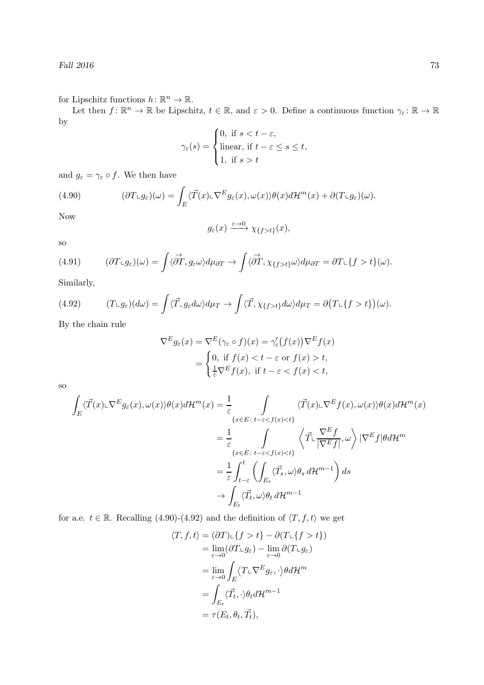for Lipschitz functions  $h: \mathbb{R}^n \to \mathbb{R}$ .

Let then  $f: \mathbb{R}^n \to \mathbb{R}$  be Lipschitz,  $t \in \mathbb{R}$ , and  $\varepsilon > 0$ . Define a continuous function  $\gamma_{\varepsilon} \colon \mathbb{R} \to \mathbb{R}$ by  $\overline{1}$ 

$$
\gamma_{\varepsilon}(s) = \begin{cases} 0, \text{ if } s < t - \varepsilon, \\ \text{linear, if } t - \varepsilon \le s \le t, \\ 1, \text{ if } s > t \end{cases}
$$

and  $g_{\varepsilon} = \gamma_{\varepsilon} \circ f$ . We then have

(4.90) 
$$
(\partial T \mathcal{L}g_{\varepsilon})(\omega) = \int_{E} \langle \vec{T}(x) \mathcal{L} \nabla^{E} g_{\varepsilon}(x), \omega(x) \rangle \theta(x) d\mathcal{H}^{m}(x) + \partial (T \mathcal{L}g_{\varepsilon})(\omega).
$$

Now

$$
g_{\varepsilon}(x) \xrightarrow{\varepsilon \to 0} \chi_{\{f > t\}}(x),
$$

so

(4.91) 
$$
(\partial T \mathcal{L}g_{\varepsilon})(\omega) = \int \langle \overrightarrow{\partial T}, g_{\varepsilon} \omega \rangle d\mu_{\partial T} \to \int \langle \overrightarrow{\partial T}, \chi_{\{f > t\}} \omega \rangle d\mu_{\partial T} = \partial T \mathcal{L}\{f > t\}(\omega).
$$

Similarly,

(4.92) 
$$
(T \llcorner g_\varepsilon)(d\omega) = \int \langle \vec{T}, g_\varepsilon d\omega \rangle d\mu_T \to \int \langle \vec{T}, \chi_{\{f > t\}} d\omega \rangle d\mu_T = \partial (T \llcorner \{f > t\}) (\omega).
$$

By the chain rule

$$
\nabla^E g_{\varepsilon}(x) = \nabla^E (\gamma_{\varepsilon} \circ f)(x) = \gamma_{\varepsilon}' (f(x)) \nabla^E f(x)
$$
  
= 
$$
\begin{cases} 0, \text{ if } f(x) < t - \varepsilon \text{ or } f(x) > t, \\ \frac{1}{\varepsilon} \nabla^E f(x), \text{ if } t - \varepsilon < f(x) < t, \end{cases}
$$

so

$$
\int_{E} \langle \vec{T}(x) \sqcup \nabla^{E} g_{\varepsilon}(x), \omega(x) \rangle \theta(x) d\mathcal{H}^{m}(x) = \frac{1}{\varepsilon} \int_{\{x \in E : t - \varepsilon < f(x) < t\}} \langle \vec{T}(x) \sqcup \nabla^{E} f(x), \omega(x) \rangle \theta(x) d\mathcal{H}^{m}(x)
$$
\n
$$
= \frac{1}{\varepsilon} \int_{\{x \in E : t - \varepsilon < f(x) < t\}} \langle \vec{T} \sqcup \frac{\nabla^{E} f}{|\nabla^{E} f|}, \omega \rangle |\nabla^{E} f| \theta d\mathcal{H}^{m}
$$
\n
$$
= \frac{1}{\varepsilon} \int_{t - \varepsilon}^{t} \left( \int_{E_{s}} \langle \vec{T}_{s}, \omega \rangle \theta_{s} d\mathcal{H}^{m-1} \right) ds
$$
\n
$$
\to \int_{E_{t}} \langle \vec{T}_{t}, \omega \rangle \theta_{t} d\mathcal{H}^{m-1}
$$

for a.e.  $t \in \mathbb{R}$ . Recalling (4.90)-(4.92) and the definition of  $\langle T, f, t \rangle$  we get

$$
\langle T, f, t \rangle = (\partial T) \cup \{f > t\} - \partial (T \cup \{f > t\})
$$
  
\n
$$
= \lim_{\varepsilon \to 0} (\partial T \cup g_{\varepsilon}) - \lim_{\varepsilon \to 0} \partial (T \cup g_{\varepsilon})
$$
  
\n
$$
= \lim_{\varepsilon \to 0} \int_{E} \langle T \cup \nabla^{E} g_{\varepsilon}, \cdot \rangle \theta d\mathcal{H}^{m}
$$
  
\n
$$
= \int_{E_{t}} \langle \vec{T}_{t}, \cdot \rangle \theta_{t} d\mathcal{H}^{m-1}
$$
  
\n
$$
= \tau (E_{t}, \theta_{t}, \vec{T}_{t}),
$$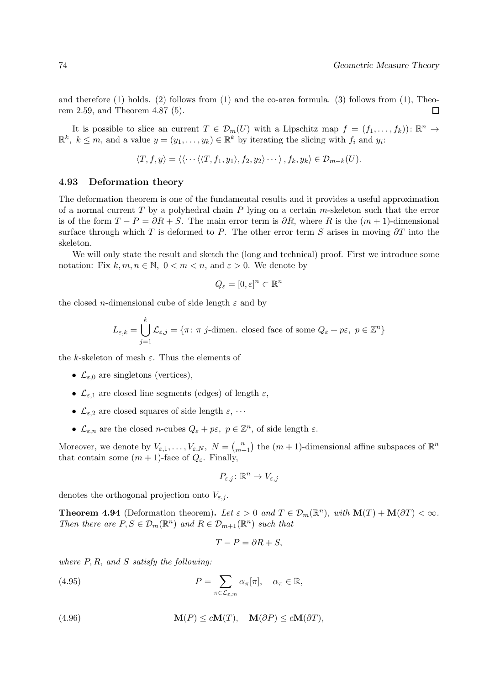and therefore  $(1)$  holds.  $(2)$  follows from  $(1)$  and the co-area formula.  $(3)$  follows from  $(1)$ , Theorem 2.59, and Theorem 4.87 (5). П

It is possible to slice an current  $T \in \mathcal{D}_m(U)$  with a Lipschitz map  $f = (f_1, \ldots, f_k)$ :  $\mathbb{R}^n \to$  $\mathbb{R}^k$ ,  $k \leq m$ , and a value  $y = (y_1, \ldots, y_k) \in \mathbb{R}^k$  by iterating the slicing with  $f_i$  and  $y_i$ :

$$
\langle T, f, y \rangle = \langle \langle \cdots \langle \langle T, f_1, y_1 \rangle, f_2, y_2 \rangle \cdots \rangle, f_k, y_k \rangle \in \mathcal{D}_{m-k}(U).
$$

### 4.93 Deformation theory

The deformation theorem is one of the fundamental results and it provides a useful approximation of a normal current  $T$  by a polyhedral chain  $P$  lying on a certain  $m$ -skeleton such that the error is of the form  $T - P = \partial R + S$ . The main error term is  $\partial R$ , where R is the  $(m + 1)$ -dimensional surface through which T is deformed to P. The other error term S arises in moving  $\partial T$  into the skeleton.

We will only state the result and sketch the (long and technical) proof. First we introduce some notation: Fix  $k, m, n \in \mathbb{N}$ ,  $0 < m < n$ , and  $\varepsilon > 0$ . We denote by

$$
Q_{\varepsilon}=[0,\varepsilon]^n\subset\mathbb{R}^n
$$

the closed *n*-dimensional cube of side length  $\varepsilon$  and by

$$
L_{\varepsilon,k} = \bigcup_{j=1}^{k} \mathcal{L}_{\varepsilon,j} = \{ \pi \colon \pi \text{ } j\text{-dimen. closed face of some } Q_{\varepsilon} + p\varepsilon, \ p \in \mathbb{Z}^n \}
$$

the k-skeleton of mesh  $\varepsilon$ . Thus the elements of

- $\mathcal{L}_{\varepsilon,0}$  are singletons (vertices),
- $\mathcal{L}_{\varepsilon,1}$  are closed line segments (edges) of length  $\varepsilon$ ,
- $\mathcal{L}_{\varepsilon,2}$  are closed squares of side length  $\varepsilon, \cdots$
- $\mathcal{L}_{\varepsilon,n}$  are the closed *n*-cubes  $Q_{\varepsilon} + p\varepsilon$ ,  $p \in \mathbb{Z}^n$ , of side length  $\varepsilon$ .

Moreover, we denote by  $V_{\varepsilon,1},\ldots,V_{\varepsilon,N}, N = {n \choose m+1}$  the  $(m+1)$ -dimensional affine subspaces of  $\mathbb{R}^n$ that contain some  $(m + 1)$ -face of  $Q_{\varepsilon}$ . Finally,

$$
P_{\varepsilon,j}\colon \mathbb{R}^n\to V_{\varepsilon,j}
$$

denotes the orthogonal projection onto  $V_{\varepsilon,j}$ .

**Theorem 4.94** (Deformation theorem). Let  $\varepsilon > 0$  and  $T \in \mathcal{D}_m(\mathbb{R}^n)$ , with  $\mathbf{M}(T) + \mathbf{M}(\partial T) < \infty$ . Then there are  $P, S \in \mathcal{D}_m(\mathbb{R}^n)$  and  $R \in \mathcal{D}_{m+1}(\mathbb{R}^n)$  such that

$$
T - P = \partial R + S,
$$

where  $P, R$ , and  $S$  satisfy the following:

(4.95) 
$$
P = \sum_{\pi \in \mathcal{L}_{\varepsilon,m}} \alpha_{\pi}[\pi], \quad \alpha_{\pi} \in \mathbb{R},
$$

(4.96)  $\mathbf{M}(P) \leq c\mathbf{M}(T), \quad \mathbf{M}(\partial P) \leq c\mathbf{M}(\partial T),$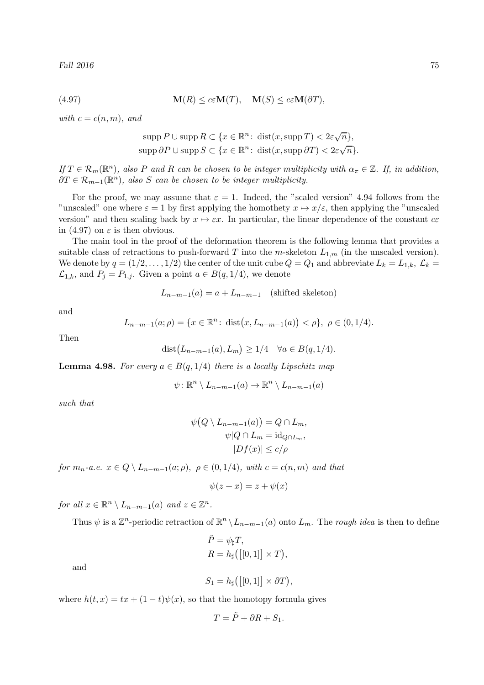(4.97) 
$$
\mathbf{M}(R) \leq c\varepsilon \mathbf{M}(T), \quad \mathbf{M}(S) \leq c\varepsilon \mathbf{M}(\partial T),
$$

with  $c = c(n, m)$ , and

$$
\operatorname{supp} P \cup \operatorname{supp} R \subset \{x \in \mathbb{R}^n \colon \operatorname{dist}(x, \operatorname{supp} T) < 2\varepsilon \sqrt{n}\},
$$
\n
$$
\operatorname{supp} \partial P \cup \operatorname{supp} S \subset \{x \in \mathbb{R}^n \colon \operatorname{dist}(x, \operatorname{supp} \partial T) < 2\varepsilon \sqrt{n}\}.
$$

If  $T \in \mathcal{R}_m(\mathbb{R}^n)$ , also P and R can be chosen to be integer multiplicity with  $\alpha_{\pi} \in \mathbb{Z}$ . If, in addition,  $\partial T \in \mathcal{R}_{m-1}(\mathbb{R}^n)$ , also S can be chosen to be integer multiplicity.

For the proof, we may assume that  $\varepsilon = 1$ . Indeed, the "scaled version" 4.94 follows from the "unscaled" one where  $\varepsilon = 1$  by first applying the homothety  $x \mapsto x/\varepsilon$ , then applying the "unscaled" version" and then scaling back by  $x \mapsto \varepsilon x$ . In particular, the linear dependence of the constant  $c\epsilon$ in (4.97) on  $\varepsilon$  is then obvious.

The main tool in the proof of the deformation theorem is the following lemma that provides a suitable class of retractions to push-forward T into the m-skeleton  $L_{1,m}$  (in the unscaled version). We denote by  $q = (1/2, \ldots, 1/2)$  the center of the unit cube  $Q = Q_1$  and abbreviate  $L_k = L_{1,k}, \mathcal{L}_k =$  $\mathcal{L}_{1,k}$ , and  $P_j = P_{1,j}$ . Given a point  $a \in B(q, 1/4)$ , we denote

$$
L_{n-m-1}(a) = a + L_{n-m-1} \quad \text{(shifted skeleton)}
$$

and

$$
L_{n-m-1}(a;\rho) = \{x \in \mathbb{R}^n \colon \text{dist}\big(x, L_{n-m-1}(a)\big) < \rho\}, \ \rho \in (0, 1/4).
$$

Then

dist
$$
(L_{n-m-1}(a), L_m) \ge 1/4 \quad \forall a \in B(q, 1/4).
$$

**Lemma 4.98.** For every  $a \in B(q, 1/4)$  there is a locally Lipschitz map

$$
\psi \colon \mathbb{R}^n \setminus L_{n-m-1}(a) \to \mathbb{R}^n \setminus L_{n-m-1}(a)
$$

such that

$$
\psi(Q \setminus L_{n-m-1}(a)) = Q \cap L_m,
$$
  

$$
\psi|Q \cap L_m = \mathrm{id}_{Q \cap L_m},
$$
  

$$
|Df(x)| \le c/\rho
$$

for  $m_n$ -a.e.  $x \in Q \setminus L_{n-m-1}(a;\rho)$ ,  $\rho \in (0,1/4)$ , with  $c = c(n,m)$  and that

$$
\psi(z+x) = z + \psi(x)
$$

for all  $x \in \mathbb{R}^n \setminus L_{n-m-1}(a)$  and  $z \in \mathbb{Z}^n$ .

Thus  $\psi$  is a  $\mathbb{Z}^n$ -periodic retraction of  $\mathbb{R}^n \setminus L_{n-m-1}(a)$  onto  $L_m$ . The *rough idea* is then to define

$$
\tilde{P} = \psi_{\sharp} T,
$$
  
\n
$$
R = h_{\sharp} ([[0, 1]] \times T),
$$

and

$$
S_1 = h_{\sharp}([\left[0,1\right]] \times \partial T),
$$

where  $h(t, x) = tx + (1-t)\psi(x)$ , so that the homotopy formula gives

$$
T = \tilde{P} + \partial R + S_1.
$$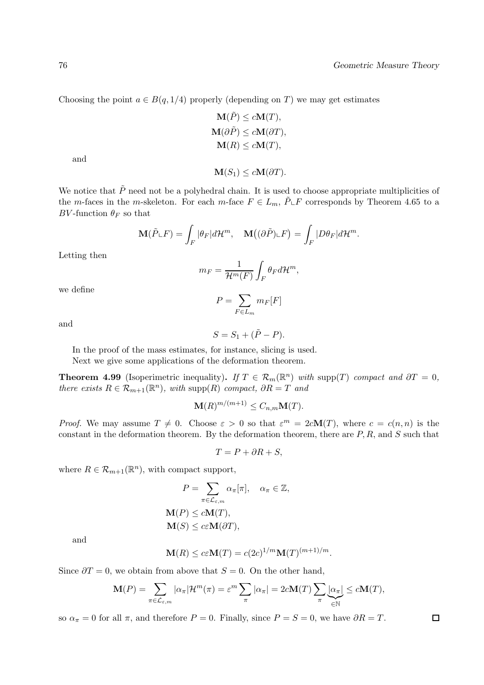$$
\mathbf{M}(\tilde{P}) \le c\mathbf{M}(T),
$$
  
\n
$$
\mathbf{M}(\partial \tilde{P}) \le c\mathbf{M}(\partial T),
$$
  
\n
$$
\mathbf{M}(R) \le c\mathbf{M}(T),
$$

 $\mathbf{M}(S_1) \leq c \mathbf{M}(\partial T).$ 

and

We notice that  $\tilde{P}$  need not be a polyhedral chain. It is used to choose appropriate multiplicities of the m-faces in the m-skeleton. For each m-face  $F \in L_m$ ,  $\tilde{P} \cup F$  corresponds by Theorem 4.65 to a

$$
\mathbf{M}(\tilde{P}\llcorner F)=\int_{F}|\theta_{F}|d\mathcal{H}^{m},\quad \mathbf{M}\big((\partial\tilde{P})\llcorner F\big)=\int_{F}|D\theta_{F}|d\mathcal{H}^{m}.
$$

Letting then

BV-function  $\theta_F$  so that

$$
m_F = \frac{1}{\mathcal{H}^m(F)} \int_F \theta_F d\mathcal{H}^m,
$$

we define

$$
P = \sum_{F \in L_m} m_F[F]
$$

and

$$
S = S_1 + (\tilde{P} - P).
$$

In the proof of the mass estimates, for instance, slicing is used.

Next we give some applications of the deformation theorem.

**Theorem 4.99** (Isoperimetric inequality). If  $T \in \mathcal{R}_m(\mathbb{R}^n)$  with supp(T) compact and  $\partial T = 0$ , there exists  $R \in \mathcal{R}_{m+1}(\mathbb{R}^n)$ , with supp $(R)$  compact,  $\partial R = T$  and

$$
\mathbf{M}(R)^{m/(m+1)} \leq C_{n,m}\mathbf{M}(T).
$$

*Proof.* We may assume  $T \neq 0$ . Choose  $\varepsilon > 0$  so that  $\varepsilon^{m} = 2c\mathbf{M}(T)$ , where  $c = c(n, n)$  is the constant in the deformation theorem. By the deformation theorem, there are  $P, R$ , and  $S$  such that

$$
T = P + \partial R + S,
$$

where  $R \in \mathcal{R}_{m+1}(\mathbb{R}^n)$ , with compact support,

$$
P = \sum_{\pi \in \mathcal{L}_{\varepsilon,m}} \alpha_{\pi}[\pi], \quad \alpha_{\pi} \in \mathbb{Z},
$$

$$
\mathbf{M}(P) \le c\mathbf{M}(T),
$$

$$
\mathbf{M}(S) \le c\varepsilon\mathbf{M}(\partial T),
$$

and

$$
\mathbf{M}(R) \le c\varepsilon \mathbf{M}(T) = c(2c)^{1/m} \mathbf{M}(T)^{(m+1)/m}.
$$

Since  $\partial T = 0$ , we obtain from above that  $S = 0$ . On the other hand,

$$
\mathbf{M}(P) = \sum_{\pi \in \mathcal{L}_{\varepsilon,m}} |\alpha_{\pi}| \mathcal{H}^m(\pi) = \varepsilon^m \sum_{\pi} |\alpha_{\pi}| = 2c\mathbf{M}(T) \sum_{\pi} \underbrace{|\alpha_{\pi}|}_{\in \mathbb{N}} \le c\mathbf{M}(T),
$$

so  $\alpha_{\pi} = 0$  for all  $\pi$ , and therefore  $P = 0$ . Finally, since  $P = S = 0$ , we have  $\partial R = T$ .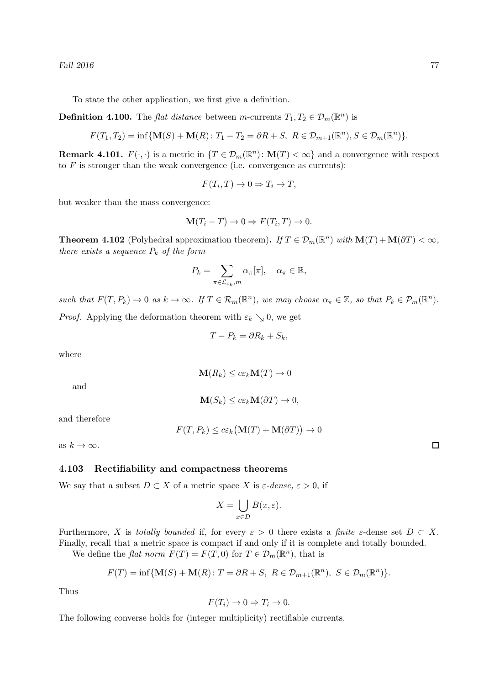Fall  $2016$   $77$ 

To state the other application, we first give a definition.

**Definition 4.100.** The *flat distance* between *m*-currents  $T_1, T_2 \in \mathcal{D}_m(\mathbb{R}^n)$  is

$$
F(T_1,T_2)=\inf\{\mathbf{M}(S)+\mathbf{M}(R)\colon T_1-T_2=\partial R+S,\ R\in\mathcal{D}_{m+1}(\mathbb{R}^n),S\in\mathcal{D}_m(\mathbb{R}^n)\}.
$$

**Remark 4.101.**  $F(\cdot, \cdot)$  is a metric in  $\{T \in \mathcal{D}_m(\mathbb{R}^n) : \mathbf{M}(T) < \infty\}$  and a convergence with respect to  $F$  is stronger than the weak convergence (i.e. convergence as currents):

$$
F(T_i, T) \to 0 \Rightarrow T_i \to T,
$$

but weaker than the mass convergence:

$$
\mathbf{M}(T_i - T) \to 0 \Rightarrow F(T_i, T) \to 0.
$$

**Theorem 4.102** (Polyhedral approximation theorem). If  $T \in \mathcal{D}_m(\mathbb{R}^n)$  with  $\mathbf{M}(T) + \mathbf{M}(\partial T) < \infty$ , there exists a sequence  $P_k$  of the form

$$
P_k = \sum_{\pi \in \mathcal{L}_{\varepsilon_k}, m} \alpha_{\pi}[\pi], \quad \alpha_{\pi} \in \mathbb{R},
$$

such that  $F(T, P_k) \to 0$  as  $k \to \infty$ . If  $T \in \mathcal{R}_m(\mathbb{R}^n)$ , we may choose  $\alpha_{\pi} \in \mathbb{Z}$ , so that  $P_k \in \mathcal{P}_m(\mathbb{R}^n)$ . *Proof.* Applying the deformation theorem with  $\varepsilon_k \searrow 0$ , we get

$$
T - P_k = \partial R_k + S_k,
$$

where

$$
\mathbf{M}(R_k) \leq c \varepsilon_k \mathbf{M}(T) \to 0
$$

and

$$
\mathbf{M}(S_k) \leq c\varepsilon_k \mathbf{M}(\partial T) \to 0,
$$

and therefore

$$
F(T, P_k) \le c\varepsilon_k \big(\mathbf{M}(T) + \mathbf{M}(\partial T)\big) \to 0
$$

as  $k \to \infty$ .

### 4.103 Rectifiability and compactness theorems

We say that a subset  $D \subset X$  of a metric space X is  $\varepsilon$ -dense,  $\varepsilon > 0$ , if

$$
X = \bigcup_{x \in D} B(x, \varepsilon).
$$

Furthermore, X is totally bounded if, for every  $\varepsilon > 0$  there exists a finite  $\varepsilon$ -dense set  $D \subset X$ . Finally, recall that a metric space is compact if and only if it is complete and totally bounded.

We define the *flat norm*  $F(T) = F(T, 0)$  for  $T \in \mathcal{D}_m(\mathbb{R}^n)$ , that is

$$
F(T) = \inf \{ \mathbf{M}(S) + \mathbf{M}(R) : T = \partial R + S, \ R \in \mathcal{D}_{m+1}(\mathbb{R}^n), \ S \in \mathcal{D}_m(\mathbb{R}^n) \}.
$$

Thus

$$
F(T_i) \to 0 \Rightarrow T_i \to 0.
$$

The following converse holds for (integer multiplicity) rectifiable currents.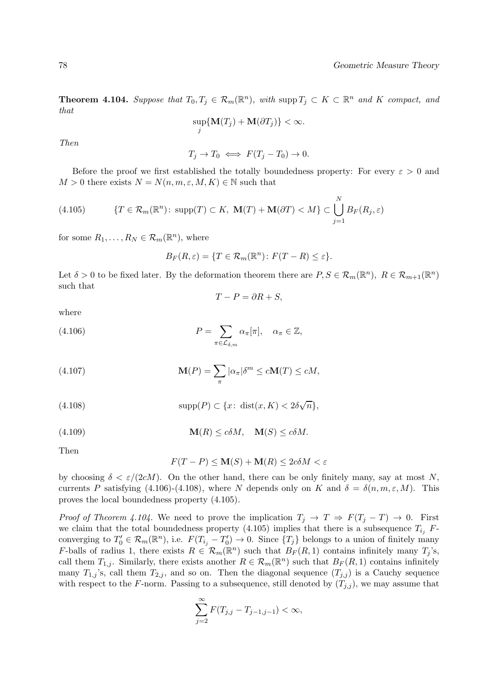**Theorem 4.104.** Suppose that  $T_0, T_j \in \mathcal{R}_m(\mathbb{R}^n)$ , with supp  $T_j \subset K \subset \mathbb{R}^n$  and K compact, and that

$$
\sup_j \{ \mathbf{M}(T_j) + \mathbf{M}(\partial T_j) \} < \infty.
$$

Then

$$
T_j \to T_0 \iff F(T_j - T_0) \to 0.
$$

Before the proof we first established the totally boundedness property: For every  $\varepsilon > 0$  and  $M > 0$  there exists  $N = N(n, m, \varepsilon, M, K) \in \mathbb{N}$  such that

(4.105) 
$$
\{T \in \mathcal{R}_m(\mathbb{R}^n) \colon \text{supp}(T) \subset K, \ \mathbf{M}(T) + \mathbf{M}(\partial T) < M\} \subset \bigcup_{j=1}^N B_F(R_j, \varepsilon)
$$

for some  $R_1, \ldots, R_N \in \mathcal{R}_m(\mathbb{R}^n)$ , where

$$
B_F(R,\varepsilon) = \{ T \in \mathcal{R}_m(\mathbb{R}^n) \colon F(T - R) \le \varepsilon \}.
$$

Let  $\delta > 0$  to be fixed later. By the deformation theorem there are  $P, S \in \mathcal{R}_m(\mathbb{R}^n)$ ,  $R \in \mathcal{R}_{m+1}(\mathbb{R}^n)$ such that

$$
T - P = \partial R + S,
$$

where

(4.106) 
$$
P = \sum_{\pi \in \mathcal{L}_{\delta,m}} \alpha_{\pi}[\pi], \quad \alpha_{\pi} \in \mathbb{Z},
$$

(4.107) 
$$
\mathbf{M}(P) = \sum_{\pi} |\alpha_{\pi}| \delta^{m} \le c \mathbf{M}(T) \le c M,
$$

(4.108) 
$$
\text{supp}(P) \subset \{x \colon \text{dist}(x, K) < 2\delta\sqrt{n}\},
$$

(4.109) 
$$
\mathbf{M}(R) \le c\delta M, \quad \mathbf{M}(S) \le c\delta M.
$$

Then

$$
F(T - P) \le \mathbf{M}(S) + \mathbf{M}(R) \le 2c\delta M < \varepsilon
$$

by choosing  $\delta < \varepsilon/(2cM)$ . On the other hand, there can be only finitely many, say at most N, currents P satisfying (4.106)-(4.108), where N depends only on K and  $\delta = \delta(n, m, \varepsilon, M)$ . This proves the local boundedness property (4.105).

*Proof of Theorem 4.104.* We need to prove the implication  $T_j \to T \Rightarrow F(T_j - T) \to 0$ . First we claim that the total boundedness property (4.105) implies that there is a subsequence  $T_{i_j}$  Fconverging to  $T'_0 \in \mathcal{R}_m(\mathbb{R}^n)$ , i.e.  $F(T_{i_j} - T'_0) \to 0$ . Since  $\{T_j\}$  belongs to a union of finitely many F-balls of radius 1, there exists  $R \in \mathcal{R}_m(\mathbb{R}^n)$  such that  $B_F(R,1)$  contains infinitely many  $T_j$ 's, call them  $T_{1,j}$ . Similarly, there exists another  $R \in \mathcal{R}_m(\mathbb{R}^n)$  such that  $B_F(R, 1)$  contains infinitely many  $T_{1,j}$ 's, call them  $T_{2,j}$ , and so on. Then the diagonal sequence  $(T_{j,j})$  is a Cauchy sequence with respect to the F-norm. Passing to a subsequence, still denoted by  $(T_{j,j})$ , we may assume that

$$
\sum_{j=2}^{\infty} F(T_{j,j} - T_{j-1,j-1}) < \infty,
$$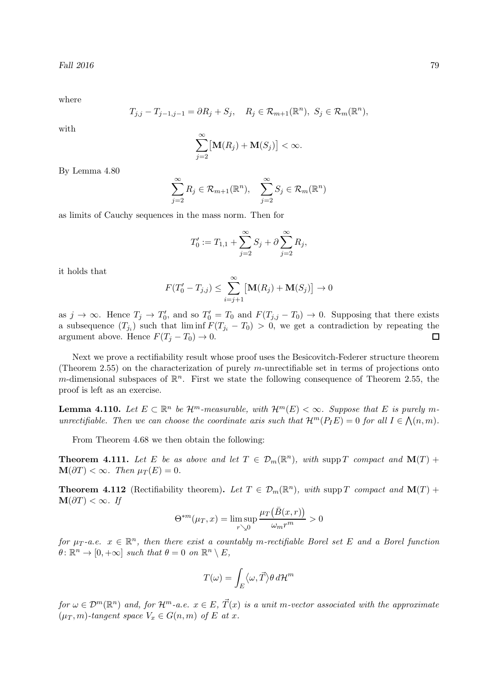where

$$
T_{j,j} - T_{j-1,j-1} = \partial R_j + S_j, \quad R_j \in \mathcal{R}_{m+1}(\mathbb{R}^n), \ S_j \in \mathcal{R}_m(\mathbb{R}^n),
$$

with

$$
\sum_{j=2}^{\infty} \big[\mathbf{M}(R_j) + \mathbf{M}(S_j)\big] < \infty.
$$

By Lemma 4.80

$$
\sum_{j=2}^{\infty} R_j \in \mathcal{R}_{m+1}(\mathbb{R}^n), \quad \sum_{j=2}^{\infty} S_j \in \mathcal{R}_m(\mathbb{R}^n)
$$

as limits of Cauchy sequences in the mass norm. Then for

$$
T'_0 := T_{1,1} + \sum_{j=2}^{\infty} S_j + \partial \sum_{j=2}^{\infty} R_j,
$$

it holds that

$$
F(T'_0 - T_{j,j}) \le \sum_{i=j+1}^{\infty} [\mathbf{M}(R_j) + \mathbf{M}(S_j)] \to 0
$$

as  $j \to \infty$ . Hence  $T_j \to T'_0$ , and so  $T'_0 = T_0$  and  $F(T_{j,j} - T_0) \to 0$ . Supposing that there exists a subsequence  $(T_{j_i})$  such that  $\liminf F(T_{j_i} - T_0) > 0$ , we get a contradiction by repeating the argument above. Hence  $F(T_i - T_0) \to 0$ .

Next we prove a rectifiability result whose proof uses the Besicovitch-Federer structure theorem (Theorem 2.55) on the characterization of purely m-unrectifiable set in terms of projections onto m-dimensional subspaces of  $\mathbb{R}^n$ . First we state the following consequence of Theorem 2.55, the proof is left as an exercise.

**Lemma 4.110.** Let  $E \subset \mathbb{R}^n$  be  $\mathcal{H}^m$ -measurable, with  $\mathcal{H}^m(E) < \infty$ . Suppose that E is purely munrectifiable. Then we can choose the coordinate axis such that  $\mathcal{H}^m(P_I E) = 0$  for all  $I \in \mathcal{N}(n,m)$ .

From Theorem 4.68 we then obtain the following:

**Theorem 4.111.** Let E be as above and let  $T \in \mathcal{D}_m(\mathbb{R}^n)$ , with supp T compact and  $\mathbf{M}(T)$  +  $\mathbf{M}(\partial T) < \infty$ . Then  $\mu_T(E) = 0$ .

**Theorem 4.112** (Rectifiability theorem). Let  $T \in \mathcal{D}_m(\mathbb{R}^n)$ , with supp T compact and  $\mathbf{M}(T)$  +  $\mathbf{M}(\partial T) < \infty$ . If

$$
\Theta^{*m}(\mu_T, x) = \limsup_{r \searrow 0} \frac{\mu_T(\bar{B}(x, r))}{\omega_m r^m} > 0
$$

for  $\mu_T$ -a.e.  $x \in \mathbb{R}^n$ , then there exist a countably m-rectifiable Borel set E and a Borel function  $\theta \colon \mathbb{R}^n \to [0, +\infty]$  such that  $\theta = 0$  on  $\mathbb{R}^n \setminus E$ ,

$$
T(\omega) = \int_E \langle \omega, \vec{T} \rangle \theta \, d\mathcal{H}^m
$$

for  $\omega \in \mathcal{D}^m(\mathbb{R}^n)$  and, for  $\mathcal{H}^m$ -a.e.  $x \in E$ ,  $\vec{T}(x)$  is a unit m-vector associated with the approximate  $(\mu_T, m)$ -tangent space  $V_x \in G(n, m)$  of E at x.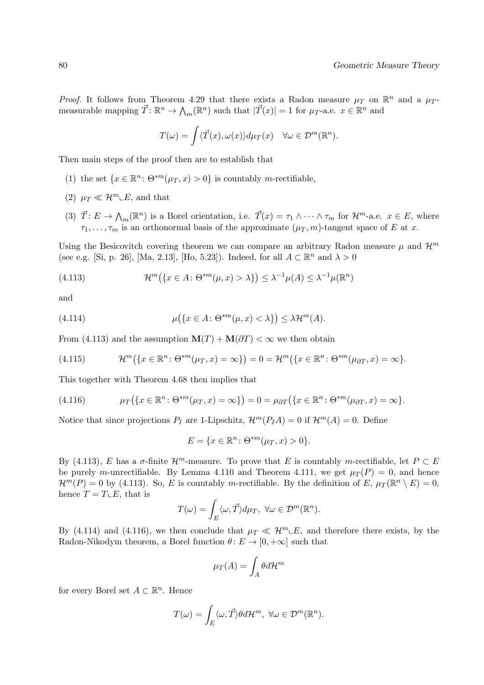*Proof.* It follows from Theorem 4.29 that there exists a Radon measure  $\mu_T$  on  $\mathbb{R}^n$  and a  $\mu_T$ measurable mapping  $\vec{T} \colon \mathbb{R}^n \to \bigwedge_m (\mathbb{R}^n)$  such that  $|\vec{T}(x)| = 1$  for  $\mu_T$ -a.e.  $x \in \mathbb{R}^n$  and

$$
T(\omega) = \int \langle \vec{T}(x), \omega(x) \rangle d\mu_T(x) \quad \forall \omega \in \mathcal{D}^m(\mathbb{R}^n).
$$

Then main steps of the proof then are to establish that

- (1) the set  $\{x \in \mathbb{R}^n : \Theta^{*m}(\mu_T, x) > 0\}$  is countably *m*-rectifiable,
- (2)  $\mu_T \ll \mathcal{H}^m \llcorner E$ , and that
- (3)  $\vec{T} : E \to \Lambda_m(\mathbb{R}^n)$  is a Borel orientation, i.e.  $\vec{T}(x) = \tau_1 \wedge \cdots \wedge \tau_m$  for  $\mathcal{H}^m$ -a.e.  $x \in E$ , where  $\tau_1, \ldots, \tau_m$  is an orthonormal basis of the approximate  $(\mu_T, m)$ -tangent space of E at x.

Using the Besicovitch covering theorem we can compare an arbitrary Radon measure  $\mu$  and  $\mathcal{H}^m$ (see e.g. [Si, p. 26], [Ma, 2.13], [Ho, 5.23]). Indeed, for all  $A \subset \mathbb{R}^n$  and  $\lambda > 0$ 

(4.113) 
$$
\mathcal{H}^m(\lbrace x \in A : \Theta^{*m}(\mu, x) > \lambda \rbrace) \leq \lambda^{-1} \mu(A) \leq \lambda^{-1} \mu(\mathbb{R}^n)
$$

and

(4.114) 
$$
\mu(\lbrace x \in A : \Theta^{*m}(\mu, x) < \lambda \rbrace) \leq \lambda \mathcal{H}^m(A).
$$

From (4.113) and the assumption  $\mathbf{M}(T) + \mathbf{M}(\partial T) < \infty$  we then obtain

(4.115) 
$$
\mathcal{H}^m(\lbrace x \in \mathbb{R}^n : \Theta^{*m}(\mu_T, x) = \infty \rbrace) = 0 = \mathcal{H}^m(\lbrace x \in \mathbb{R}^n : \Theta^{*m}(\mu_{\partial T}, x) = \infty \rbrace).
$$

This together with Theorem 4.68 then implies that

(4.116) 
$$
\mu_T\big(\big\{x\in\mathbb{R}^n\colon\Theta^{*m}(\mu_T,x)=\infty\big\}\big)=0=\mu_{\partial T}\big(\big\{x\in\mathbb{R}^n\colon\Theta^{*m}(\mu_{\partial T},x)=\infty\big\}.
$$

Notice that since projections  $P_I$  are 1-Lipschitz,  $\mathcal{H}^m(P_I A) = 0$  if  $\mathcal{H}^m(A) = 0$ . Define

$$
E = \{ x \in \mathbb{R}^n \colon \Theta^{*m}(\mu_T, x) > 0 \}.
$$

By (4.113), E has a  $\sigma$ -finite  $\mathcal{H}^m$ -measure. To prove that E is countably m-rectifiable, let  $P \subset E$ be purely m-unrectifiable. By Lemma 4.110 and Theorem 4.111, we get  $\mu_T(P) = 0$ , and hence  $\mathcal{H}^m(P) = 0$  by (4.113). So, E is countably m-rectifiable. By the definition of E,  $\mu_T(\mathbb{R}^n \setminus E) = 0$ , hence  $T = T \cup E$ , that is

$$
T(\omega) = \int_E \langle \omega, \vec{T} \rangle d\mu_T, \ \forall \omega \in \mathcal{D}^m(\mathbb{R}^n).
$$

By (4.114) and (4.116), we then conclude that  $\mu_T \ll H^m L E$ , and therefore there exists, by the Radon-Nikodym theorem, a Borel function  $\theta: E \to [0, +\infty]$  such that

$$
\mu_T(A) = \int_A \theta d\mathcal{H}^m
$$

for every Borel set  $A \subset \mathbb{R}^n$ . Hence

$$
T(\omega) = \int_E \langle \omega, \vec{T} \rangle \theta d\mathcal{H}^m, \ \forall \omega \in \mathcal{D}^m(\mathbb{R}^n).
$$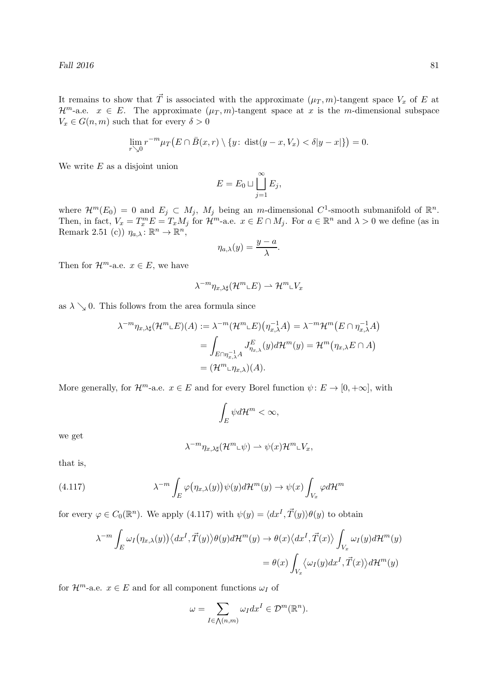It remains to show that  $\vec{T}$  is associated with the approximate  $(\mu_T, m)$ -tangent space  $V_x$  of E at  $\mathcal{H}^m$ -a.e.  $x \in E$ . The approximate  $(\mu_T, m)$ -tangent space at x is the m-dimensional subspace  $V_x \in G(n,m)$  such that for every  $\delta > 0$ 

$$
\lim_{r \searrow 0} r^{-m} \mu_T\big(E \cap \bar{B}(x,r) \setminus \{y \colon \operatorname{dist}(y-x, V_x) < \delta |y-x|\}\big) = 0.
$$

We write  $E$  as a disjoint union

$$
E = E_0 \sqcup \coprod_{j=1}^{\infty} E_j,
$$

where  $\mathcal{H}^m(E_0) = 0$  and  $E_j \subset M_j$ ,  $M_j$  being an *m*-dimensional  $C^1$ -smooth submanifold of  $\mathbb{R}^n$ . Then, in fact,  $V_x = T_x^m E = T_x M_j$  for  $\mathcal{H}^m$ -a.e.  $x \in E \cap M_j$ . For  $a \in \mathbb{R}^n$  and  $\lambda > 0$  we define (as in Remark 2.51 (c))  $\eta_{a,\lambda} : \mathbb{R}^n \to \mathbb{R}^n$ ,

$$
\eta_{a,\lambda}(y) = \frac{y-a}{\lambda}.
$$

Then for  $\mathcal{H}^m$ -a.e.  $x \in E$ , we have

$$
\lambda^{-m}\eta_{x,\lambda\sharp}(\mathcal{H}^m\llcorner E)\rightharpoonup \mathcal{H}^m\llcorner V_x
$$

as  $\lambda \searrow 0$ . This follows from the area formula since

$$
\lambda^{-m} \eta_{x,\lambda \sharp}(\mathcal{H}^m \sqcup E)(A) := \lambda^{-m}(\mathcal{H}^m \sqcup E)(\eta_{x,\lambda}^{-1} A) = \lambda^{-m} \mathcal{H}^m(E \cap \eta_{x,\lambda}^{-1} A)
$$
  
= 
$$
\int_{E \cap \eta_{x,\lambda}^{-1} A} J_{\eta_{x,\lambda}}^E(y) d\mathcal{H}^m(y) = \mathcal{H}^m(\eta_{x,\lambda} E \cap A)
$$
  
= 
$$
(\mathcal{H}^m \sqcup \eta_{x,\lambda})(A).
$$

More generally, for  $\mathcal{H}^m$ -a.e.  $x \in E$  and for every Borel function  $\psi: E \to [0, +\infty]$ , with

$$
\int_E \psi d\mathcal{H}^m < \infty,
$$

we get

$$
\lambda^{-m}\eta_{x,\lambda\sharp}(\mathcal{H}^m\llcorner\psi)\rightharpoonup \psi(x)\mathcal{H}^m\llcorner V_x,
$$

that is,

(4.117) 
$$
\lambda^{-m} \int_{E} \varphi(\eta_{x,\lambda}(y)) \psi(y) d\mathcal{H}^{m}(y) \to \psi(x) \int_{V_x} \varphi d\mathcal{H}^{m}
$$

for every  $\varphi \in C_0(\mathbb{R}^n)$ . We apply (4.117) with  $\psi(y) = \langle dx^I, \vec{T}(y) \rangle \theta(y)$  to obtain

$$
\lambda^{-m} \int_{E} \omega_{I}(\eta_{x,\lambda}(y)) \langle dx^{I}, \vec{T}(y) \rangle \theta(y) d\mathcal{H}^{m}(y) \to \theta(x) \langle dx^{I}, \vec{T}(x) \rangle \int_{V_{x}} \omega_{I}(y) d\mathcal{H}^{m}(y)
$$

$$
= \theta(x) \int_{V_{x}} \langle \omega_{I}(y) dx^{I}, \vec{T}(x) \rangle d\mathcal{H}^{m}(y)
$$

for  $\mathcal{H}^m$ -a.e.  $x \in E$  and for all component functions  $\omega_I$  of

$$
\omega = \sum_{I \in \bigwedge(n,m)} \omega_I dx^I \in \mathcal{D}^m(\mathbb{R}^n).
$$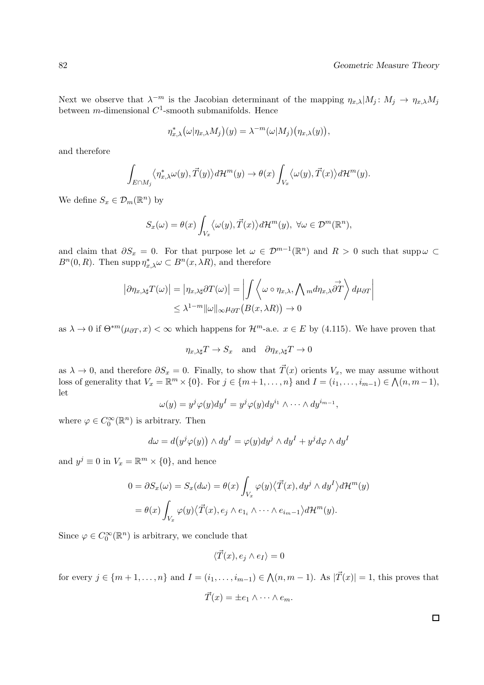Next we observe that  $\lambda^{-m}$  is the Jacobian determinant of the mapping  $\eta_{x,\lambda} | M_j : M_j \to \eta_{x,\lambda} M_j$ between *m*-dimensional  $C^1$ -smooth submanifolds. Hence

$$
\eta_{x,\lambda}^*(\omega|\eta_{x,\lambda}M_j)(y)=\lambda^{-m}(\omega|M_j)(\eta_{x,\lambda}(y)),
$$

and therefore

$$
\int_{E \cap M_j} \langle \eta_{x,\lambda}^* \omega(y), \vec{T}(y) \rangle d\mathcal{H}^m(y) \to \theta(x) \int_{V_x} \langle \omega(y), \vec{T}(x) \rangle d\mathcal{H}^m(y).
$$

We define  $S_x \in \mathcal{D}_m(\mathbb{R}^n)$  by

$$
S_x(\omega) = \theta(x) \int_{V_x} \langle \omega(y), \vec{T}(x) \rangle d\mathcal{H}^m(y), \ \forall \omega \in \mathcal{D}^m(\mathbb{R}^n),
$$

and claim that  $\partial S_x = 0$ . For that purpose let  $\omega \in \mathcal{D}^{m-1}(\mathbb{R}^n)$  and  $R > 0$  such that supp $\omega \subset$  $B<sup>n</sup>(0, R)$ . Then supp  $\eta_{x,\lambda}^* \omega \subset B^n(x, \lambda R)$ , and therefore

$$
\left| \partial \eta_{x,\lambda \sharp} T(\omega) \right| = \left| \eta_{x,\lambda \sharp} \partial T(\omega) \right| = \left| \int \left\langle \omega \circ \eta_{x,\lambda}, \bigwedge_m d\eta_{x,\lambda} \overrightarrow{\partial T} \right\rangle d\mu_{\partial T} \right|
$$
  

$$
\leq \lambda^{1-m} \|\omega\|_{\infty} \mu_{\partial T} \left( B(x,\lambda R) \right) \to 0
$$

as  $\lambda \to 0$  if  $\Theta^{*m}(\mu_{\partial T}, x) < \infty$  which happens for  $\mathcal{H}^m$ -a.e.  $x \in E$  by (4.115). We have proven that

$$
\eta_{x,\lambda\sharp}T \to S_x
$$
 and  $\partial \eta_{x,\lambda\sharp}T \to 0$ 

as  $\lambda \to 0$ , and therefore  $\partial S_x = 0$ . Finally, to show that  $\vec{T}(x)$  orients  $V_x$ , we may assume without loss of generality that  $V_x = \mathbb{R}^m \times \{0\}$ . For  $j \in \{m+1, \ldots, n\}$  and  $I = (i_1, \ldots, i_{m-1}) \in \bigwedge (n, m-1)$ , let

$$
\omega(y) = y^j \varphi(y) dy^I = y^j \varphi(y) dy^{i_1} \wedge \cdots \wedge dy^{i_{m-1}},
$$

where  $\varphi \in C_0^{\infty}(\mathbb{R}^n)$  is arbitrary. Then

$$
d\omega = d(y^{j}\varphi(y)) \wedge dy^{I} = \varphi(y)dy^{j} \wedge dy^{I} + y^{j}d\varphi \wedge dy^{I}
$$

and  $y^j \equiv 0$  in  $V_x = \mathbb{R}^m \times \{0\}$ , and hence

$$
0 = \partial S_x(\omega) = S_x(d\omega) = \theta(x) \int_{V_x} \varphi(y) \langle \vec{T}(x), dy^j \wedge dy^I \rangle d\mathcal{H}^m(y)
$$
  
=  $\theta(x) \int_{V_x} \varphi(y) \langle \vec{T}(x), e_j \wedge e_{1_i} \wedge \cdots \wedge e_{i_{m-1}} \rangle d\mathcal{H}^m(y).$ 

Since  $\varphi \in C_0^{\infty}(\mathbb{R}^n)$  is arbitrary, we conclude that

$$
\langle \vec{T}(x), e_j \wedge e_I \rangle = 0
$$

for every  $j \in \{m+1,\ldots,n\}$  and  $I = (i_1,\ldots,i_{m-1}) \in \bigwedge (n,m-1)$ . As  $|\vec{T}(x)| = 1$ , this proves that

$$
\vec{T}(x) = \pm e_1 \wedge \cdots \wedge e_m.
$$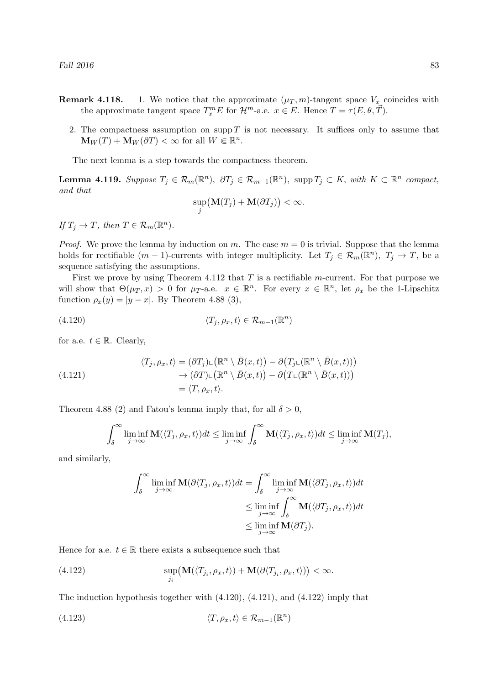- **Remark 4.118.** 1. We notice that the approximate  $(\mu_T, m)$ -tangent space  $V_x$  coincides with the approximate tangent space  $T_x^m E$  for  $\mathcal{H}^m$ -a.e.  $x \in E$ . Hence  $T = \tau(E, \theta, \vec{T})$ .
	- 2. The compactness assumption on supp  $T$  is not necessary. It suffices only to assume that  $\mathbf{M}_W(T) + \mathbf{M}_W(\partial T) < \infty$  for all  $W \in \mathbb{R}^n$ .

The next lemma is a step towards the compactness theorem.

**Lemma 4.119.** Suppose  $T_j \in \mathcal{R}_m(\mathbb{R}^n)$ ,  $\partial T_j \in \mathcal{R}_{m-1}(\mathbb{R}^n)$ , supp $T_j \subset K$ , with  $K \subset \mathbb{R}^n$  compact, and that

$$
\sup_j \big(\mathbf{M}(T_j) + \mathbf{M}(\partial T_j)\big) < \infty.
$$

If  $T_j \to T$ , then  $T \in \mathcal{R}_m(\mathbb{R}^n)$ .

*Proof.* We prove the lemma by induction on m. The case  $m = 0$  is trivial. Suppose that the lemma holds for rectifiable  $(m-1)$ -currents with integer multiplicity. Let  $T_j \in \mathcal{R}_m(\mathbb{R}^n)$ ,  $T_j \to T$ , be a sequence satisfying the assumptions.

First we prove by using Theorem 4.112 that  $T$  is a rectifiable m-current. For that purpose we will show that  $\Theta(\mu_T, x) > 0$  for  $\mu_T$ -a.e.  $x \in \mathbb{R}^n$ . For every  $x \in \mathbb{R}^n$ , let  $\rho_x$  be the 1-Lipschitz function  $\rho_x(y) = |y - x|$ . By Theorem 4.88 (3),

(4.120) 
$$
\langle T_j, \rho_x, t \rangle \in \mathcal{R}_{m-1}(\mathbb{R}^n)
$$

for a.e.  $t \in \mathbb{R}$ . Clearly,

(4.121) 
$$
\langle T_j, \rho_x, t \rangle = (\partial T_j) \mathcal{L} \left( \mathbb{R}^n \setminus \bar{B}(x, t) \right) - \partial \left( T_j \mathcal{L} \left( \mathbb{R}^n \setminus \bar{B}(x, t) \right) \right) \n\to (\partial T) \mathcal{L} \left( \mathbb{R}^n \setminus \bar{B}(x, t) \right) - \partial \left( T \mathcal{L} \left( \mathbb{R}^n \setminus \bar{B}(x, t) \right) \right) \n= \langle T, \rho_x, t \rangle.
$$

Theorem 4.88 (2) and Fatou's lemma imply that, for all  $\delta > 0$ ,

$$
\int_{\delta}^{\infty} \liminf_{j \to \infty} \mathbf{M}(\langle T_j, \rho_x, t \rangle) dt \leq \liminf_{j \to \infty} \int_{\delta}^{\infty} \mathbf{M}(\langle T_j, \rho_x, t \rangle) dt \leq \liminf_{j \to \infty} \mathbf{M}(T_j),
$$

and similarly,

$$
\int_{\delta}^{\infty} \liminf_{j \to \infty} \mathbf{M}(\partial \langle T_j, \rho_x, t \rangle) dt = \int_{\delta}^{\infty} \liminf_{j \to \infty} \mathbf{M}(\langle \partial T_j, \rho_x, t \rangle) dt
$$
  

$$
\leq \liminf_{j \to \infty} \int_{\delta}^{\infty} \mathbf{M}(\langle \partial T_j, \rho_x, t \rangle) dt
$$
  

$$
\leq \liminf_{j \to \infty} \mathbf{M}(\partial T_j).
$$

Hence for a.e.  $t \in \mathbb{R}$  there exists a subsequence such that

(4.122) 
$$
\sup_{j_i} (\mathbf{M}(\langle T_{j_i}, \rho_x, t \rangle) + \mathbf{M}(\partial \langle T_{j_i}, \rho_x, t \rangle)) < \infty.
$$

The induction hypothesis together with  $(4.120)$ ,  $(4.121)$ , and  $(4.122)$  imply that

(4.123) 
$$
\langle T, \rho_x, t \rangle \in \mathcal{R}_{m-1}(\mathbb{R}^n)
$$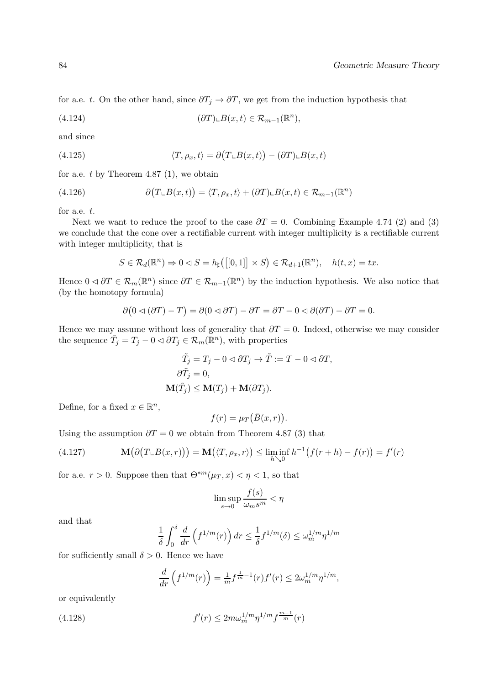for a.e. t. On the other hand, since  $\partial T_j \to \partial T$ , we get from the induction hypothesis that

(4.124) 
$$
(\partial T) \llcorner B(x,t) \in \mathcal{R}_{m-1}(\mathbb{R}^n),
$$

and since

(4.125) 
$$
\langle T, \rho_x, t \rangle = \partial \big( T \cup B(x, t) \big) - (\partial T) \cup B(x, t)
$$

for a.e.  $t$  by Theorem 4.87 (1), we obtain

(4.126) 
$$
\partial (T \cup B(x,t)) = \langle T, \rho_x, t \rangle + (\partial T) \cup B(x,t) \in \mathcal{R}_{m-1}(\mathbb{R}^n)
$$

for a.e. t.

Next we want to reduce the proof to the case  $\partial T = 0$ . Combining Example 4.74 (2) and (3) we conclude that the cone over a rectifiable current with integer multiplicity is a rectifiable current with integer multiplicity, that is

$$
S \in \mathcal{R}_d(\mathbb{R}^n) \Rightarrow 0 \triangleleft S = h_{\sharp}([0,1]] \times S) \in \mathcal{R}_{d+1}(\mathbb{R}^n), \quad h(t,x) = tx.
$$

Hence  $0 \leq \partial T \in \mathcal{R}_m(\mathbb{R}^n)$  since  $\partial T \in \mathcal{R}_{m-1}(\mathbb{R}^n)$  by the induction hypothesis. We also notice that (by the homotopy formula)

$$
\partial (0 \triangleleft (\partial T) - T) = \partial (0 \triangleleft \partial T) - \partial T = \partial T - 0 \triangleleft \partial (\partial T) - \partial T = 0.
$$

Hence we may assume without loss of generality that  $\partial T = 0$ . Indeed, otherwise we may consider the sequence  $\tilde{T}_j = T_j - 0 \triangleleft \partial T_j \in \mathcal{R}_m(\mathbb{R}^n)$ , with properties

$$
\tilde{T}_j = T_j - 0 \triangleleft \partial T_j \to \tilde{T} := T - 0 \triangleleft \partial T,
$$
  

$$
\partial \tilde{T}_j = 0,
$$
  

$$
\mathbf{M}(\tilde{T}_j) \le \mathbf{M}(T_j) + \mathbf{M}(\partial T_j).
$$

Define, for a fixed  $x \in \mathbb{R}^n$ ,

$$
f(r) = \mu_T(\bar{B}(x,r)).
$$

Using the assumption  $\partial T = 0$  we obtain from Theorem 4.87 (3) that

(4.127) 
$$
\mathbf{M}(\partial(T \sqcup B(x,r))) = \mathbf{M}(\langle T, \rho_x, r \rangle) \leq \liminf_{h \searrow 0} h^{-1}(f(r+h) - f(r)) = f'(r)
$$

for a.e.  $r > 0$ . Suppose then that  $\Theta^{*m}(\mu_T, x) < \eta < 1$ , so that

$$
\limsup_{s \to 0} \frac{f(s)}{\omega_m s^m} < \eta
$$

and that

$$
\frac{1}{\delta} \int_0^\delta \frac{d}{dr} \left( f^{1/m}(r) \right) dr \le \frac{1}{\delta} f^{1/m}(\delta) \le \omega_m^{1/m} \eta^{1/m}
$$

for sufficiently small  $\delta > 0$ . Hence we have

$$
\frac{d}{dr}\left(f^{1/m}(r)\right) = \frac{1}{m}f^{\frac{1}{m}-1}(r)f'(r) \le 2\omega_m^{1/m}\eta^{1/m},
$$

or equivalently

(4.128) 
$$
f'(r) \leq 2m\omega_m^{1/m} \eta^{1/m} f^{\frac{m-1}{m}}(r)
$$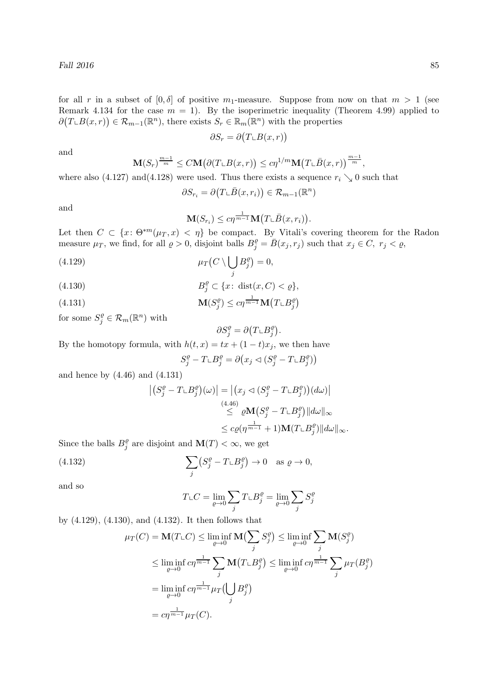for all r in a subset of  $[0, \delta]$  of positive m<sub>1</sub>-measure. Suppose from now on that  $m > 1$  (see Remark 4.134 for the case  $m = 1$ ). By the isoperimetric inequality (Theorem 4.99) applied to  $\partial(T \cup B(x, r)) \in \mathcal{R}_{m-1}(\mathbb{R}^n)$ , there exists  $S_r \in \mathbb{R}_m(\mathbb{R}^n)$  with the properties

$$
\partial S_r = \partial \big( T \llcorner B(x, r) \big)
$$

and

$$
\mathbf{M}(S_r)^{\frac{m-1}{m}} \le C\mathbf{M}\big(\partial (T \llcorner B(x,r)) \le c\eta^{1/m} \mathbf{M}\big(T \llcorner \bar{B}(x,r)\big)^{\frac{m-1}{m}},
$$

where also (4.127) and (4.128) were used. Thus there exists a sequence  $r_i \searrow 0$  such that

$$
\partial S_{r_i} = \partial \big(T \llcorner \bar{B}(x, r_i)\big) \in \mathcal{R}_{m-1}(\mathbb{R}^n)
$$

and

$$
\mathbf{M}(S_{r_i}) \leq c\eta^{\frac{1}{m-1}} \mathbf{M}\big(T \sqcup \overline{B}(x,r_i)\big).
$$

Let then  $C \subset \{x: \Theta^{*m}(\mu_T, x) < \eta\}$  be compact. By Vitali's covering theorem for the Radon measure  $\mu_T$ , we find, for all  $\varrho > 0$ , disjoint balls  $B_j^{\varrho} = \bar{B}(x_j, r_j)$  such that  $x_j \in C$ ,  $r_j < \varrho$ ,

(4.129) 
$$
\mu_T(C \setminus \bigcup_j B_j^{\varrho}) = 0,
$$

$$
(4.130) \t\t B_j^{\varrho} \subset \{x \colon \operatorname{dist}(x, C) < \varrho\},\
$$

(4.131) 
$$
\mathbf{M}(S_j^{\varrho}) \leq c \eta^{\frac{1}{m-1}} \mathbf{M}(T \sqcup B_j^{\varrho})
$$

for some  $S_j^{\varrho} \in \mathcal{R}_m(\mathbb{R}^n)$  with

$$
\partial S_j^{\varrho} = \partial \big(T \llcorner B_j^{\varrho} \big).
$$

By the homotopy formula, with  $h(t, x) = tx + (1 - t)x_j$ , we then have

$$
S_j^{\varrho} - T \llcorner B_j^{\varrho} = \partial \big( x_j \lhd (S_j^{\varrho} - T \llcorner B_j^{\varrho}) \big)
$$

and hence by (4.46) and (4.131)

$$
\begin{aligned} \left| \left( S_j^{\varrho} - T \llcorner B_j^{\varrho} \right) (\omega) \right| &= \left| \left( x_j \lhd \left( S_j^{\varrho} - T \llcorner B_j^{\varrho} \right) \right) (d\omega) \right| \\ &\leq \left| \varrho \mathbf{M} \left( S_j^{\varrho} - T \llcorner B_j^{\varrho} \right) \right| d\omega \right|_{\infty} \\ &\leq c \varrho (\eta^{\frac{1}{m-1}} + 1) \mathbf{M} (T \llcorner B_j^{\varrho}) \| d\omega \|_{\infty} . \end{aligned}
$$

Since the balls  $B_i^{\varrho}$  $_j^{\varrho}$  are disjoint and  $\mathbf{M}(T) < \infty$ , we get

(4.132) 
$$
\sum_{j} \left( S_j^{\varrho} - T \llcorner B_j^{\varrho} \right) \to 0 \quad \text{as } \varrho \to 0,
$$

and so

$$
T \llcorner C = \lim_{\varrho \to 0} \sum_j T \llcorner B_j^{\varrho} = \lim_{\varrho \to 0} \sum_j S_j^{\varrho}
$$

by (4.129), (4.130), and (4.132). It then follows that

$$
\mu_T(C) = \mathbf{M}(T \sqcup C) \le \liminf_{\varrho \to 0} \mathbf{M}(\sum_j S_j^{\varrho}) \le \liminf_{\varrho \to 0} \sum_j \mathbf{M}(S_j^{\varrho})
$$
  
\n
$$
\le \liminf_{\varrho \to 0} c\eta^{\frac{1}{m-1}} \sum_j \mathbf{M}(T \sqcup B_j^{\varrho}) \le \liminf_{\varrho \to 0} c\eta^{\frac{1}{m-1}} \sum_j \mu_T(B_j^{\varrho})
$$
  
\n
$$
= \liminf_{\varrho \to 0} c\eta^{\frac{1}{m-1}} \mu_T(\bigcup_j B_j^{\varrho})
$$
  
\n
$$
= c\eta^{\frac{1}{m-1}} \mu_T(C).
$$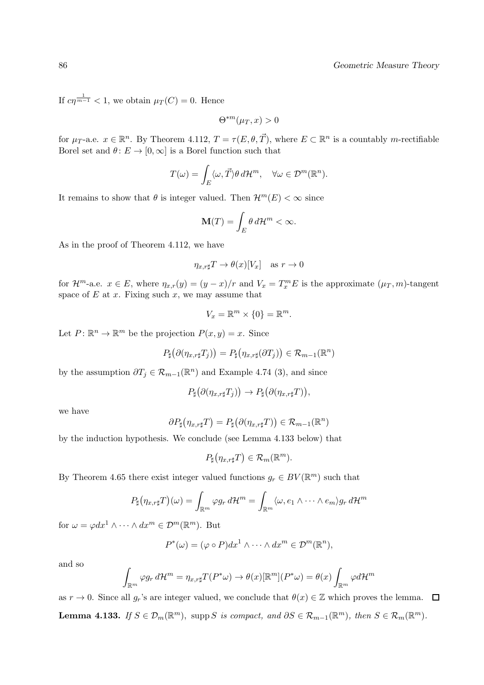If  $c\eta^{\frac{1}{m-1}} < 1$ , we obtain  $\mu_T(C) = 0$ . Hence

$$
\Theta^{*m}(\mu_T, x) > 0
$$

for  $\mu_T$ -a.e.  $x \in \mathbb{R}^n$ . By Theorem 4.112,  $T = \tau(E, \theta, \vec{T})$ , where  $E \subset \mathbb{R}^n$  is a countably m-rectifiable Borel set and  $\theta: E \to [0,\infty]$  is a Borel function such that

$$
T(\omega) = \int_E \langle \omega, \vec{T} \rangle \theta \, d\mathcal{H}^m, \quad \forall \omega \in \mathcal{D}^m(\mathbb{R}^n).
$$

It remains to show that  $\theta$  is integer valued. Then  $\mathcal{H}^m(E) < \infty$  since

$$
\mathbf{M}(T) = \int_{E} \theta \, d\mathcal{H}^{m} < \infty.
$$

As in the proof of Theorem 4.112, we have

$$
\eta_{x,r\sharp}T \to \theta(x)[V_x] \quad \text{as } r \to 0
$$

for  $\mathcal{H}^m$ -a.e.  $x \in E$ , where  $\eta_{x,r}(y) = (y-x)/r$  and  $V_x = T_x^m E$  is the approximate  $(\mu_T, m)$ -tangent space of  $E$  at  $x$ . Fixing such  $x$ , we may assume that

$$
V_x = \mathbb{R}^m \times \{0\} = \mathbb{R}^m.
$$

Let  $P: \mathbb{R}^n \to \mathbb{R}^m$  be the projection  $P(x, y) = x$ . Since

$$
P_{\sharp}(\partial(\eta_{x,r\sharp}T_j))=P_{\sharp}(\eta_{x,r\sharp}(\partial T_j))\in\mathcal{R}_{m-1}(\mathbb{R}^n)
$$

by the assumption  $\partial T_j \in \mathcal{R}_{m-1}(\mathbb{R}^n)$  and Example 4.74 (3), and since

$$
P_{\sharp}(\partial(\eta_{x,r\sharp}T_j)) \to P_{\sharp}(\partial(\eta_{x,r\sharp}T)),
$$

we have

$$
\partial P_{\sharp}(\eta_{x,r\sharp}T)=P_{\sharp}\big(\partial(\eta_{x,r\sharp}T)\big)\in\mathcal{R}_{m-1}(\mathbb{R}^n)
$$

by the induction hypothesis. We conclude (see Lemma 4.133 below) that

$$
P_{\sharp}(\eta_{x,r\sharp}T)\in\mathcal{R}_m(\mathbb{R}^m).
$$

By Theorem 4.65 there exist integer valued functions  $g_r \in BV(\mathbb{R}^m)$  such that

$$
P_{\sharp}(\eta_{x,r\sharp}T)(\omega)=\int_{\mathbb{R}^m}\varphi g_r d\mathcal{H}^m=\int_{\mathbb{R}^m}\langle\omega,e_1\wedge\cdots\wedge e_m\rangle g_r d\mathcal{H}^m
$$

for  $\omega = \varphi dx^1 \wedge \cdots \wedge dx^m \in \mathcal{D}^m(\mathbb{R}^m)$ . But

$$
P^*(\omega) = (\varphi \circ P) dx^1 \wedge \cdots \wedge dx^m \in \mathcal{D}^m(\mathbb{R}^n),
$$

and so

$$
\int_{\mathbb{R}^m} \varphi g_r \, d\mathcal{H}^m = \eta_{x,r\sharp} T(P^*\omega) \to \theta(x)[\mathbb{R}^m](P^*\omega) = \theta(x) \int_{\mathbb{R}^m} \varphi d\mathcal{H}^m
$$

as  $r \to 0$ . Since all  $g_r$ 's are integer valued, we conclude that  $\theta(x) \in \mathbb{Z}$  which proves the lemma.  $\Box$ **Lemma 4.133.** If  $S \in \mathcal{D}_m(\mathbb{R}^m)$ , supp S is compact, and  $\partial S \in \mathcal{R}_{m-1}(\mathbb{R}^m)$ , then  $S \in \mathcal{R}_m(\mathbb{R}^m)$ .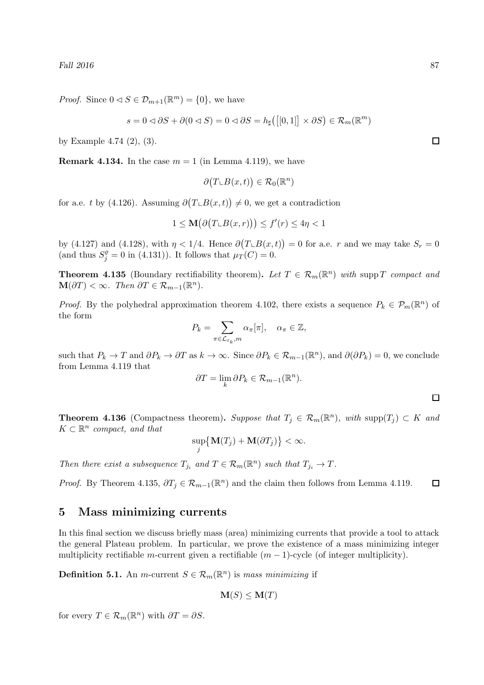*Proof.* Since  $0 \le S \in \mathcal{D}_{m+1}(\mathbb{R}^m) = \{0\}$ , we have

$$
s = 0 \triangleleft \partial S + \partial (0 \triangleleft S) = 0 \triangleleft \partial S = h_{\sharp} \big( \big[ [0, 1] \big] \times \partial S \big) \in \mathcal{R}_m(\mathbb{R}^m)
$$

by Example 4.74 (2), (3).

**Remark 4.134.** In the case  $m = 1$  (in Lemma 4.119), we have

$$
\partial \big(T \llcorner B(x,t)\big) \in \mathcal{R}_0(\mathbb{R}^n)
$$

for a.e. t by (4.126). Assuming  $\partial (T \cup B(x, t)) \neq 0$ , we get a contradiction

$$
1 \le \mathbf{M}\big(\partial \big(T \llcorner B(x,r)\big)\big) \le f'(r) \le 4\eta < 1
$$

by (4.127) and (4.128), with  $\eta < 1/4$ . Hence  $\partial(T \cup B(x,t)) = 0$  for a.e. r and we may take  $S_r = 0$ (and thus  $S_j^{\rho} = 0$  in (4.131)). It follows that  $\mu_T(C) = 0$ .

**Theorem 4.135** (Boundary rectifiability theorem). Let  $T \in \mathcal{R}_m(\mathbb{R}^n)$  with supp T compact and  $\mathbf{M}(\partial T) < \infty$ . Then  $\partial T \in \mathcal{R}_{m-1}(\mathbb{R}^n)$ .

*Proof.* By the polyhedral approximation theorem 4.102, there exists a sequence  $P_k \in \mathcal{P}_m(\mathbb{R}^n)$  of the form

$$
P_k = \sum_{\pi \in \mathcal{L}_{\varepsilon_k}, m} \alpha_{\pi}[\pi], \quad \alpha_{\pi} \in \mathbb{Z},
$$

such that  $P_k \to T$  and  $\partial P_k \to \partial T$  as  $k \to \infty$ . Since  $\partial P_k \in \mathcal{R}_{m-1}(\mathbb{R}^n)$ , and  $\partial(\partial P_k) = 0$ , we conclude from Lemma 4.119 that

$$
\partial T = \lim_{k} \partial P_k \in \mathcal{R}_{m-1}(\mathbb{R}^n).
$$

 $\Box$ 

**Theorem 4.136** (Compactness theorem). Suppose that  $T_j \in \mathcal{R}_m(\mathbb{R}^n)$ , with supp $(T_j) \subset K$  and  $K \subset \mathbb{R}^n$  compact, and that

$$
\sup_j \big\{ \mathbf{M}(T_j) + \mathbf{M}(\partial T_j) \big\} < \infty.
$$

Then there exist a subsequence  $T_{j_i}$  and  $T \in \mathcal{R}_m(\mathbb{R}^n)$  such that  $T_{j_i} \to T$ .

*Proof.* By Theorem 4.135,  $\partial T_j \in \mathcal{R}_{m-1}(\mathbb{R}^n)$  and the claim then follows from Lemma 4.119.  $\Box$ 

# 5 Mass minimizing currents

In this final section we discuss briefly mass (area) minimizing currents that provide a tool to attack the general Plateau problem. In particular, we prove the existence of a mass minimizing integer multiplicity rectifiable m-current given a rectifiable  $(m - 1)$ -cycle (of integer multiplicity).

**Definition 5.1.** An *m*-current  $S \in \mathcal{R}_m(\mathbb{R}^n)$  is mass minimizing if

$$
\mathbf{M}(S) \leq \mathbf{M}(T)
$$

for every  $T \in \mathcal{R}_m(\mathbb{R}^n)$  with  $\partial T = \partial S$ .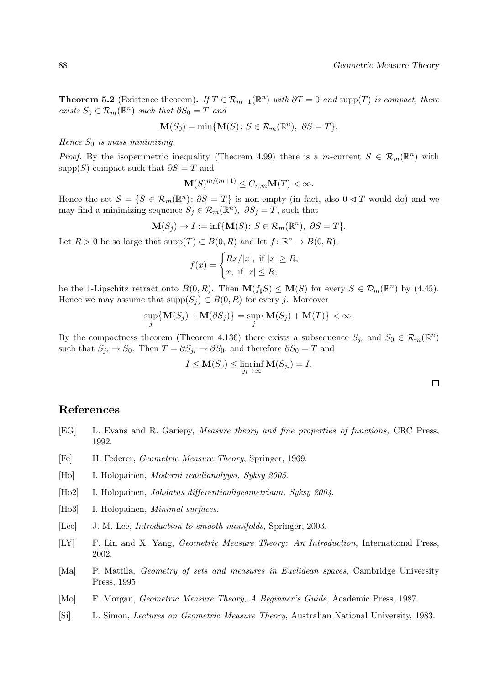**Theorem 5.2** (Existence theorem). If  $T \in \mathcal{R}_{m-1}(\mathbb{R}^n)$  with  $\partial T = 0$  and supp(T) is compact, there *exists*  $S_0$  ∈  $\mathcal{R}_m(\mathbb{R}^n)$  *such that*  $\partial S_0 = T$  *and* 

$$
\mathbf{M}(S_0) = \min\{\mathbf{M}(S) : S \in \mathcal{R}_m(\mathbb{R}^n), \ \partial S = T\}.
$$

Hence  $S_0$  is mass minimizing.

*Proof.* By the isoperimetric inequality (Theorem 4.99) there is a m-current  $S \in \mathcal{R}_m(\mathbb{R}^n)$  with supp $(S)$  compact such that  $\partial S = T$  and

$$
\mathbf{M}(S)^{m/(m+1)} \leq C_{n,m}\mathbf{M}(T) < \infty.
$$

Hence the set  $S = \{S \in \mathcal{R}_m(\mathbb{R}^n) : \partial S = T\}$  is non-empty (in fact, also  $0 \le T$  would do) and we may find a minimizing sequence  $S_j \in \mathcal{R}_m(\mathbb{R}^n)$ ,  $\partial S_j = T$ , such that

$$
\mathbf{M}(S_j) \to I := \inf \{ \mathbf{M}(S) \colon S \in \mathcal{R}_m(\mathbb{R}^n), \ \partial S = T \}.
$$

Let  $R > 0$  be so large that  $\text{supp}(T) \subset \overline{B}(0,R)$  and let  $f: \mathbb{R}^n \to \overline{B}(0,R)$ ,

$$
f(x) = \begin{cases} Rx/|x|, & \text{if } |x| \ge R; \\ x, & \text{if } |x| \le R, \end{cases}
$$

be the 1-Lipschitz retract onto  $\bar{B}(0, R)$ . Then  $\mathbf{M}(f_\sharp S) \leq \mathbf{M}(S)$  for every  $S \in \mathcal{D}_m(\mathbb{R}^n)$  by (4.45). Hence we may assume that  $\text{supp}(S_i) \subset \overline{B}(0,R)$  for every j. Moreover

$$
\sup_j \big\{ \mathbf{M}(S_j) + \mathbf{M}(\partial S_j) \big\} = \sup_j \big\{ \mathbf{M}(S_j) + \mathbf{M}(T) \big\} < \infty.
$$

By the compactness theorem (Theorem 4.136) there exists a subsequence  $S_{j_i}$  and  $S_0 \in \mathcal{R}_m(\mathbb{R}^n)$ such that  $S_{j_i} \to S_0$ . Then  $T = \partial S_{j_i} \to \partial S_0$ , and therefore  $\partial S_0 = T$  and

$$
I \leq \mathbf{M}(S_0) \leq \liminf_{j_i \to \infty} \mathbf{M}(S_{j_i}) = I.
$$

 $\Box$ 

## References

- [EG] L. Evans and R. Gariepy, Measure theory and fine properties of functions, CRC Press, 1992.
- [Fe] H. Federer, Geometric Measure Theory, Springer, 1969.
- [Ho] I. Holopainen, Moderni reaalianalyysi, Syksy 2005.
- [Ho2] I. Holopainen, Johdatus differentiaaligeometriaan, Syksy 2004.
- [Ho3] I. Holopainen, *Minimal surfaces*.
- [Lee] J. M. Lee, *Introduction to smooth manifolds*, Springer, 2003.
- [LY] F. Lin and X. Yang, Geometric Measure Theory: An Introduction, International Press, 2002.
- [Ma] P. Mattila, Geometry of sets and measures in Euclidean spaces, Cambridge University Press, 1995.
- [Mo] F. Morgan, Geometric Measure Theory, A Beginner's Guide, Academic Press, 1987.
- [Si] L. Simon, Lectures on Geometric Measure Theory, Australian National University, 1983.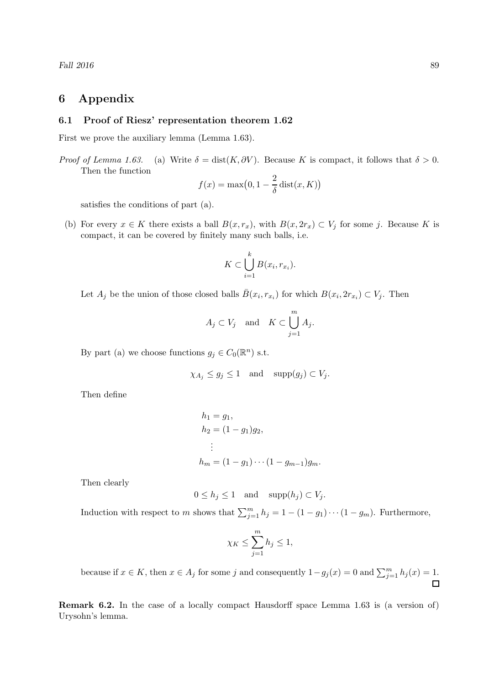# 6 Appendix

#### 6.1 Proof of Riesz' representation theorem 1.62

First we prove the auxiliary lemma (Lemma 1.63).

*Proof of Lemma 1.63.* (a) Write  $\delta = \text{dist}(K, \partial V)$ . Because K is compact, it follows that  $\delta > 0$ . Then the function

$$
f(x) = \max(0, 1 - \frac{2}{\delta} \operatorname{dist}(x, K))
$$

satisfies the conditions of part (a).

(b) For every  $x \in K$  there exists a ball  $B(x, r_x)$ , with  $B(x, 2r_x) \subset V_j$  for some j. Because K is compact, it can be covered by finitely many such balls, i.e.

$$
K \subset \bigcup_{i=1}^k B(x_i, r_{x_i}).
$$

Let  $A_j$  be the union of those closed balls  $\bar{B}(x_i, r_{x_i})$  for which  $B(x_i, 2r_{x_i}) \subset V_j$ . Then

$$
A_j \subset V_j \quad \text{and} \quad K \subset \bigcup_{j=1}^m A_j.
$$

By part (a) we choose functions  $g_j \in C_0(\mathbb{R}^n)$  s.t.

$$
\chi_{A_j} \le g_j \le 1 \quad \text{and} \quad \text{supp}(g_j) \subset V_j.
$$

Then define

$$
h_1 = g_1,
$$
  
\n
$$
h_2 = (1 - g_1)g_2,
$$
  
\n
$$
\vdots
$$
  
\n
$$
h_m = (1 - g_1) \cdots (1 - g_{m-1})g_m.
$$

Then clearly

$$
0 \le h_j \le 1 \quad \text{and} \quad \text{supp}(h_j) \subset V_j.
$$

Induction with respect to m shows that  $\sum_{j=1}^{m} h_j = 1 - (1 - g_1) \cdots (1 - g_m)$ . Furthermore,

$$
\chi_K \le \sum_{j=1}^m h_j \le 1,
$$

because if  $x \in K$ , then  $x \in A_j$  for some j and consequently  $1 - g_j(x) = 0$  and  $\sum_{j=1}^{m} h_j(x) = 1$ .

Remark 6.2. In the case of a locally compact Hausdorff space Lemma 1.63 is (a version of) Urysohn's lemma.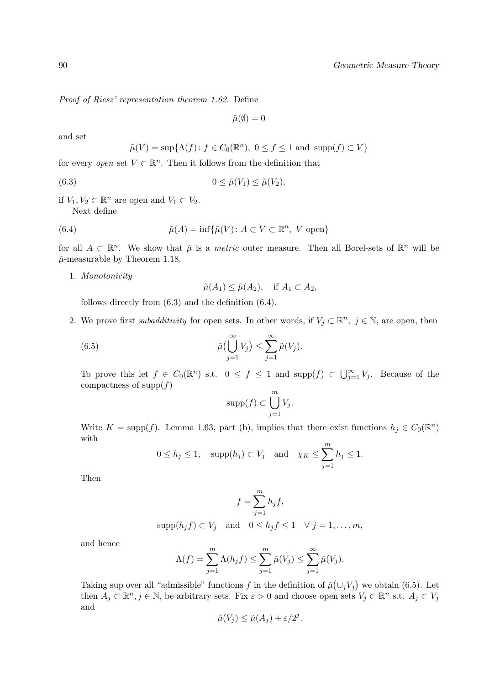Proof of Riesz' representation theorem 1.62. Define

$$
\tilde{\mu}(\emptyset) = 0
$$

and set

$$
\tilde{\mu}(V) = \sup \{ \Lambda(f) \colon f \in C_0(\mathbb{R}^n), \ 0 \le f \le 1 \text{ and } \text{supp}(f) \subset V \}
$$

for every *open* set  $V \subset \mathbb{R}^n$ . Then it follows from the definition that

(6.3) 
$$
0 \leq \tilde{\mu}(V_1) \leq \tilde{\mu}(V_2),
$$

if  $V_1, V_2 \subset \mathbb{R}^n$  are open and  $V_1 \subset V_2$ . Next define

(6.4) 
$$
\tilde{\mu}(A) = \inf \{ \tilde{\mu}(V) : A \subset V \subset \mathbb{R}^n, V \text{ open} \}
$$

for all  $A \subset \mathbb{R}^n$ . We show that  $\tilde{\mu}$  is a *metric* outer measure. Then all Borel-sets of  $\mathbb{R}^n$  will be  $\tilde{\mu}$ -measurable by Theorem 1.18.

1. Monotonicity

$$
\tilde{\mu}(A_1) \leq \tilde{\mu}(A_2), \quad \text{if } A_1 \subset A_2,
$$

follows directly from (6.3) and the definition (6.4).

2. We prove first *subadditivity* for open sets. In other words, if  $V_j \subset \mathbb{R}^n$ ,  $j \in \mathbb{N}$ , are open, then

(6.5) 
$$
\tilde{\mu}(\bigcup_{j=1}^{\infty} V_j) \leq \sum_{j=1}^{\infty} \tilde{\mu}(V_j).
$$

To prove this let  $f \in C_0(\mathbb{R}^n)$  s.t.  $0 \le f \le 1$  and  $\text{supp}(f) \subset \bigcup_{j=1}^{\infty} V_j$ . Because of the compactness of  $\text{supp}(f)$ 

$$
\mathrm{supp}(f)\subset \bigcup_{j=1}^m V_j.
$$

Write  $K = \text{supp}(f)$ . Lemma 1.63, part (b), implies that there exist functions  $h_j \in C_0(\mathbb{R}^n)$ with

$$
0 \le h_j \le 1
$$
,  $\text{supp}(h_j) \subset V_j$  and  $\chi_K \le \sum_{j=1}^m h_j \le 1$ .

Then

$$
f = \sum_{j=1}^{m} h_j f,
$$
  
 
$$
\text{supp}(h_j f) \subset V_j \quad \text{and} \quad 0 \le h_j f \le 1 \quad \forall \ j = 1, \dots, m,
$$

and hence

$$
\Lambda(f) = \sum_{j=1}^m \Lambda(h_j f) \le \sum_{j=1}^m \tilde{\mu}(V_j) \le \sum_{j=1}^\infty \tilde{\mu}(V_j).
$$

Taking sup over all "admissible" functions f in the definition of  $\tilde{\mu}(\cup_j V_j)$  we obtain (6.5). Let then  $A_j \subset \mathbb{R}^n, j \in \mathbb{N}$ , be arbitrary sets. Fix  $\varepsilon > 0$  and choose open sets  $V_j \subset \mathbb{R}^n$  s.t.  $A_j \subset V_j$ and

$$
\tilde{\mu}(V_j) \le \tilde{\mu}(A_j) + \varepsilon/2^j.
$$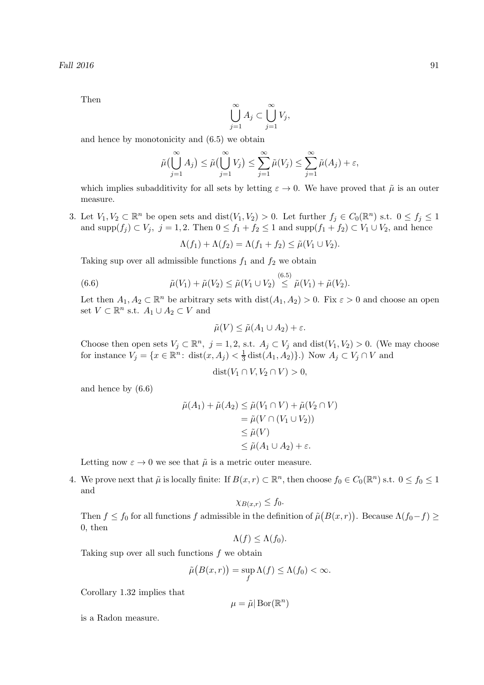Then

$$
\bigcup_{j=1}^{\infty} A_j \subset \bigcup_{j=1}^{\infty} V_j,
$$

and hence by monotonicity and (6.5) we obtain

$$
\tilde{\mu}\left(\bigcup_{j=1}^{\infty} A_j\right) \leq \tilde{\mu}\left(\bigcup_{j=1}^{\infty} V_j\right) \leq \sum_{j=1}^{\infty} \tilde{\mu}\left(V_j\right) \leq \sum_{j=1}^{\infty} \tilde{\mu}\left(A_j\right) + \varepsilon,
$$

which implies subadditivity for all sets by letting  $\varepsilon \to 0$ . We have proved that  $\tilde{\mu}$  is an outer measure.

3. Let  $V_1, V_2 \subset \mathbb{R}^n$  be open sets and  $dist(V_1, V_2) > 0$ . Let further  $f_j \in C_0(\mathbb{R}^n)$  s.t.  $0 \le f_j \le 1$ and supp $(f_j) \subset V_j$ ,  $j = 1, 2$ . Then  $0 \le f_1 + f_2 \le 1$  and supp $(f_1 + f_2) \subset V_1 \cup V_2$ , and hence

$$
\Lambda(f_1) + \Lambda(f_2) = \Lambda(f_1 + f_2) \leq \tilde{\mu}(V_1 \cup V_2).
$$

Taking sup over all admissible functions  $f_1$  and  $f_2$  we obtain

(6.6) 
$$
\tilde{\mu}(V_1) + \tilde{\mu}(V_2) \leq \tilde{\mu}(V_1 \cup V_2) \stackrel{(6.5)}{\leq} \tilde{\mu}(V_1) + \tilde{\mu}(V_2).
$$

Let then  $A_1, A_2 \subset \mathbb{R}^n$  be arbitrary sets with  $dist(A_1, A_2) > 0$ . Fix  $\varepsilon > 0$  and choose an open set  $V \subset \mathbb{R}^n$  s.t.  $A_1 \cup A_2 \subset V$  and

$$
\tilde{\mu}(V) \le \tilde{\mu}(A_1 \cup A_2) + \varepsilon.
$$

Choose then open sets  $V_j \subset \mathbb{R}^n$ ,  $j = 1, 2,$  s.t.  $A_j \subset V_j$  and  $dist(V_1, V_2) > 0$ . (We may choose for instance  $V_j = \{x \in \mathbb{R}^n : \text{dist}(x, A_j) < \frac{1}{3}\}$  $\frac{1}{3}$  dist $(A_1, A_2)$ .) Now  $A_j \subset V_j \cap V$  and

$$
dist(V_1 \cap V, V_2 \cap V) > 0,
$$

and hence by (6.6)

$$
\tilde{\mu}(A_1) + \tilde{\mu}(A_2) \le \tilde{\mu}(V_1 \cap V) + \tilde{\mu}(V_2 \cap V)
$$
  
=  $\tilde{\mu}(V \cap (V_1 \cup V_2))$   
 $\le \tilde{\mu}(V)$   
 $\le \tilde{\mu}(A_1 \cup A_2) + \varepsilon.$ 

Letting now  $\varepsilon \to 0$  we see that  $\tilde{\mu}$  is a metric outer measure.

4. We prove next that  $\tilde{\mu}$  is locally finite: If  $B(x, r) \subset \mathbb{R}^n$ , then choose  $f_0 \in C_0(\mathbb{R}^n)$  s.t.  $0 \le f_0 \le 1$ and

$$
\chi_{B(x,r)} \le f_0.
$$

Then  $f \le f_0$  for all functions f admissible in the definition of  $\tilde{\mu}(B(x,r))$ . Because  $\Lambda(f_0 - f) \ge$ 0, then

$$
\Lambda(f)\leq \Lambda(f_0).
$$

Taking sup over all such functions f we obtain

$$
\tilde{\mu}\big(B(x,r)\big) = \sup_f \Lambda(f) \le \Lambda(f_0) < \infty.
$$

Corollary 1.32 implies that

$$
\mu = \tilde \mu | \operatorname{Bor}(\mathbb{R}^n)
$$

is a Radon measure.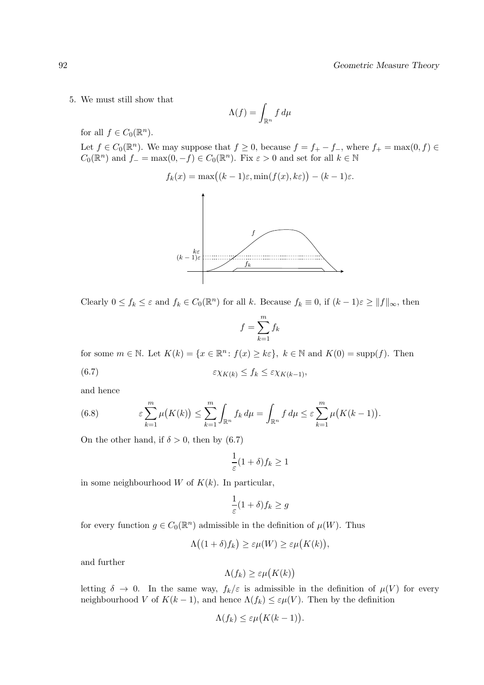5. We must still show that

$$
\Lambda(f) = \int_{\mathbb{R}^n} f \, d\mu
$$

for all  $f \in C_0(\mathbb{R}^n)$ .

Let  $f \in C_0(\mathbb{R}^n)$ . We may suppose that  $f \ge 0$ , because  $f = f_+ - f_-,$  where  $f_+ = \max(0, f) \in$  $C_0(\mathbb{R}^n)$  and  $f_- = \max(0, -f) \in C_0(\mathbb{R}^n)$ . Fix  $\varepsilon > 0$  and set for all  $k \in \mathbb{N}$ 

$$
f_k(x) = \max((k-1)\varepsilon, \min(f(x), k\varepsilon)) - (k-1)\varepsilon.
$$



Clearly  $0 \le f_k \le \varepsilon$  and  $f_k \in C_0(\mathbb{R}^n)$  for all k. Because  $f_k \equiv 0$ , if  $(k-1)\varepsilon \ge ||f||_{\infty}$ , then

$$
f = \sum_{k=1}^{m} f_k
$$

for some  $m \in \mathbb{N}$ . Let  $K(k) = \{x \in \mathbb{R}^n : f(x) \geq k\varepsilon\}$ ,  $k \in \mathbb{N}$  and  $K(0) = \text{supp}(f)$ . Then (6.7)  $\varepsilon \chi_{K(k)} \leq f_k \leq \varepsilon \chi_{K(k-1)},$ 

and hence

(6.8) 
$$
\varepsilon \sum_{k=1}^m \mu\big(K(k)\big) \leq \sum_{k=1}^m \int_{\mathbb{R}^n} f_k d\mu = \int_{\mathbb{R}^n} f d\mu \leq \varepsilon \sum_{k=1}^m \mu\big(K(k-1)\big).
$$

On the other hand, if  $\delta > 0$ , then by (6.7)

$$
\frac{1}{\varepsilon}(1+\delta)f_k \ge 1
$$

in some neighbourhood  $W$  of  $K(k)$ . In particular,

$$
\frac{1}{\varepsilon}(1+\delta)f_k \ge g
$$

for every function  $g \in C_0(\mathbb{R}^n)$  admissible in the definition of  $\mu(W)$ . Thus

$$
\Lambda\big((1+\delta)f_k\big)\geq \varepsilon\mu(W)\geq \varepsilon\mu\big(K(k)\big),
$$

and further

$$
\Lambda(f_k) \geq \varepsilon \mu\big(K(k)\big)
$$

letting  $\delta \to 0$ . In the same way,  $f_k/\varepsilon$  is admissible in the definition of  $\mu(V)$  for every neighbourhood V of  $K(k-1)$ , and hence  $\Lambda(f_k) \leq \varepsilon \mu(V)$ . Then by the definition

$$
\Lambda(f_k) \leq \varepsilon \mu\bigl(K(k-1)\bigr).
$$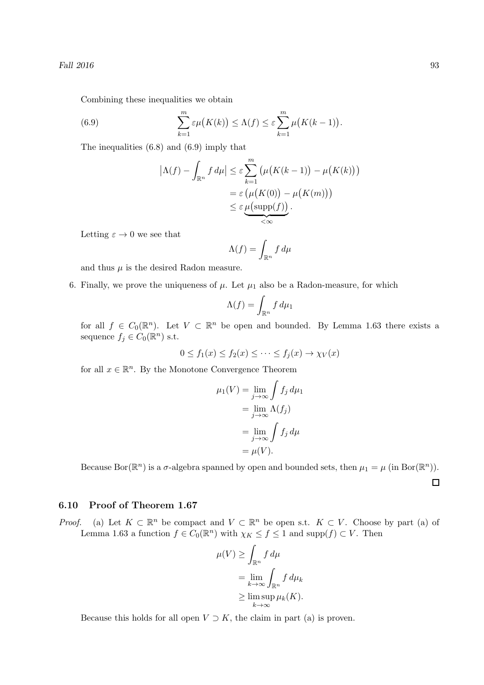Combining these inequalities we obtain

(6.9) 
$$
\sum_{k=1}^{m} \varepsilon \mu(K(k)) \leq \Lambda(f) \leq \varepsilon \sum_{k=1}^{m} \mu(K(k-1)).
$$

The inequalities (6.8) and (6.9) imply that

$$
|\Lambda(f) - \int_{\mathbb{R}^n} f d\mu| \leq \varepsilon \sum_{k=1}^m \left( \mu(K(k-1)) - \mu(K(k)) \right)
$$
  
=  $\varepsilon \left( \mu(K(0)) - \mu(K(m)) \right)$   
 $\leq \varepsilon \underbrace{\mu(\text{supp}(f))}_{\leq \infty}.$ 

Letting  $\varepsilon \to 0$  we see that

$$
\Lambda(f) = \int_{\mathbb{R}^n} f \, d\mu
$$

and thus  $\mu$  is the desired Radon measure.

6. Finally, we prove the uniqueness of  $\mu$ . Let  $\mu_1$  also be a Radon-measure, for which

$$
\Lambda(f) = \int_{\mathbb{R}^n} f \, d\mu_1
$$

for all  $f \in C_0(\mathbb{R}^n)$ . Let  $V \subset \mathbb{R}^n$  be open and bounded. By Lemma 1.63 there exists a sequence  $f_j \in C_0(\mathbb{R}^n)$  s.t.

$$
0 \le f_1(x) \le f_2(x) \le \dots \le f_j(x) \to \chi_V(x)
$$

for all  $x \in \mathbb{R}^n$ . By the Monotone Convergence Theorem

$$
\mu_1(V) = \lim_{j \to \infty} \int f_j d\mu_1
$$

$$
= \lim_{j \to \infty} \Lambda(f_j)
$$

$$
= \lim_{j \to \infty} \int f_j d\mu
$$

$$
= \mu(V).
$$

Because Bor( $\mathbb{R}^n$ ) is a  $\sigma$ -algebra spanned by open and bounded sets, then  $\mu_1 = \mu$  (in Bor( $\mathbb{R}^n$ )).

 $\Box$ 

## 6.10 Proof of Theorem 1.67

*Proof.* (a) Let  $K \subset \mathbb{R}^n$  be compact and  $V \subset \mathbb{R}^n$  be open s.t.  $K \subset V$ . Choose by part (a) of Lemma 1.63 a function  $f \in C_0(\mathbb{R}^n)$  with  $\chi_K \le f \le 1$  and  $\text{supp}(f) \subset V$ . Then

$$
\mu(V) \ge \int_{\mathbb{R}^n} f d\mu
$$
  
=  $\lim_{k \to \infty} \int_{\mathbb{R}^n} f d\mu_k$   
 $\ge \limsup_{k \to \infty} \mu_k(K).$ 

Because this holds for all open  $V \supset K$ , the claim in part (a) is proven.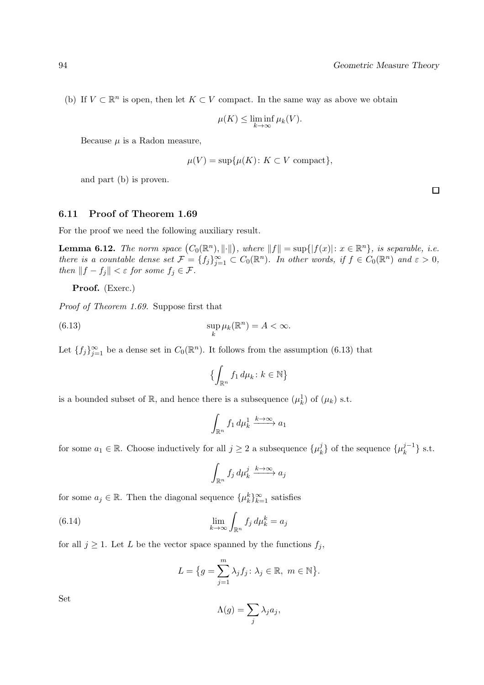(b) If  $V \subset \mathbb{R}^n$  is open, then let  $K \subset V$  compact. In the same way as above we obtain

$$
\mu(K) \le \liminf_{k \to \infty} \mu_k(V).
$$

Because  $\mu$  is a Radon measure,

$$
\mu(V) = \sup \{ \mu(K) \colon K \subset V \text{ compact} \},
$$

and part (b) is proven.

## 6.11 Proof of Theorem 1.69

For the proof we need the following auxiliary result.

**Lemma 6.12.** The norm space  $(C_0(\mathbb{R}^n), \|\cdot\|)$ , where  $||f|| = \sup\{|f(x)| : x \in \mathbb{R}^n\}$ , is separable, i.e. there is a countable dense set  $\mathcal{F} = \{f_j\}_{j=1}^{\infty} \subset C_0(\mathbb{R}^n)$ . In other words, if  $f \in C_0(\mathbb{R}^n)$  and  $\varepsilon > 0$ , then  $||f - f_j|| < \varepsilon$  for some  $f_j \in \mathcal{F}$ .

Proof. (Exerc.)

Proof of Theorem 1.69. Suppose first that

(6.13) 
$$
\sup_{k} \mu_k(\mathbb{R}^n) = A < \infty.
$$

Let  ${f_j}_{j=1}^{\infty}$  be a dense set in  $C_0(\mathbb{R}^n)$ . It follows from the assumption (6.13) that

$$
\left\{ \int_{\mathbb{R}^n} f_1 \, d\mu_k \colon k \in \mathbb{N} \right\}
$$

is a bounded subset of  $\mathbb{R}$ , and hence there is a subsequence  $(\mu_k^1)$  of  $(\mu_k)$  s.t.

$$
\int_{\mathbb{R}^n} f_1 \, d\mu_k^1 \xrightarrow{k \to \infty} a_1
$$

for some  $a_1 \in \mathbb{R}$ . Choose inductively for all  $j \geq 2$  a subsequence  $\{\mu_k^j\}$  $\{\mu_k^{j-1}\}\$ of the sequence  $\{\mu_k^{j-1}\}$  $\left\{k^{\frac{J-1}{k}}\right\}$  s.t.

$$
\int_{\mathbb{R}^n} f_j \, d\mu_k^j \xrightarrow{k \to \infty} a_j
$$

for some  $a_j \in \mathbb{R}$ . Then the diagonal sequence  $\{\mu_k^k\}_{k=1}^{\infty}$  satisfies

(6.14) 
$$
\lim_{k \to \infty} \int_{\mathbb{R}^n} f_j d\mu_k^k = a_j
$$

for all  $j \geq 1$ . Let L be the vector space spanned by the functions  $f_j$ ,

$$
L = \{ g = \sum_{j=1}^{m} \lambda_j f_j \colon \lambda_j \in \mathbb{R}, \ m \in \mathbb{N} \}.
$$

Set

$$
\Lambda(g) = \sum_j \lambda_j a_j,
$$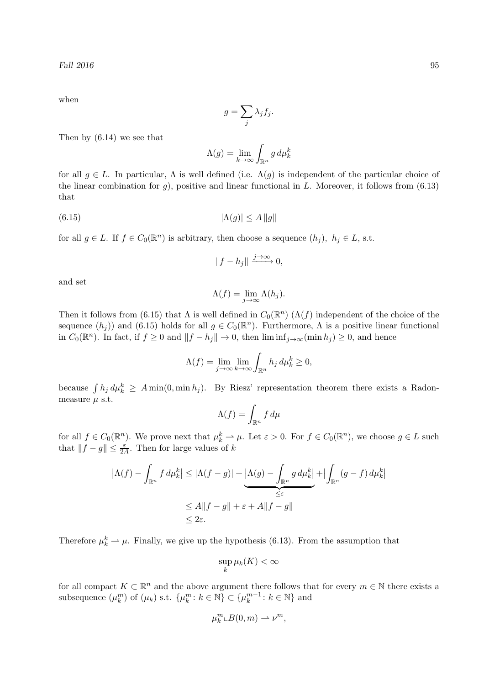when

$$
g=\sum_j \lambda_j f_j.
$$

Then by (6.14) we see that

$$
\Lambda(g) = \lim_{k \to \infty} \int_{\mathbb{R}^n} g \, d\mu_k^k
$$

for all  $g \in L$ . In particular,  $\Lambda$  is well defined (i.e.  $\Lambda(g)$  is independent of the particular choice of the linear combination for  $g$ ), positive and linear functional in L. Moreover, it follows from  $(6.13)$ that

$$
|\Lambda(g)| \le A \|g\|
$$

for all  $g \in L$ . If  $f \in C_0(\mathbb{R}^n)$  is arbitrary, then choose a sequence  $(h_j)$ ,  $h_j \in L$ , s.t.

$$
||f - h_j|| \xrightarrow{j \to \infty} 0,
$$

and set

$$
\Lambda(f) = \lim_{j \to \infty} \Lambda(h_j).
$$

Then it follows from (6.15) that  $\Lambda$  is well defined in  $C_0(\mathbb{R}^n)$  ( $\Lambda(f)$  independent of the choice of the sequence  $(h_j)$  and (6.15) holds for all  $g \in C_0(\mathbb{R}^n)$ . Furthermore,  $\Lambda$  is a positive linear functional in  $C_0(\mathbb{R}^n)$ . In fact, if  $f \geq 0$  and  $||f - h_j|| \to 0$ , then  $\liminf_{j \to \infty} (\min h_j) \geq 0$ , and hence

$$
\Lambda(f) = \lim_{j \to \infty} \lim_{k \to \infty} \int_{\mathbb{R}^n} h_j \, d\mu_k^k \ge 0,
$$

because  $\int h_j d\mu_k^k \geq A \min(0, \min h_j)$ . By Riesz' representation theorem there exists a Radonmeasure  $\mu$  s.t.

$$
\Lambda(f) = \int_{\mathbb{R}^n} f \, d\mu
$$

for all  $f \in C_0(\mathbb{R}^n)$ . We prove next that  $\mu_k^k \to \mu$ . Let  $\varepsilon > 0$ . For  $f \in C_0(\mathbb{R}^n)$ , we choose  $g \in L$  such that  $||f - g|| \le \frac{\varepsilon}{2A}$ . Then for large values of k

$$
\left|\Lambda(f) - \int_{\mathbb{R}^n} f d\mu_k^k\right| \leq \left|\Lambda(f - g)\right| + \underbrace{\left|\Lambda(g) - \int_{\mathbb{R}^n} g d\mu_k^k\right|}_{\leq \varepsilon} + \left|\int_{\mathbb{R}^n} (g - f) d\mu_k^k\right|
$$
  

$$
\leq A \|f - g\| + \varepsilon + A \|f - g\|
$$
  

$$
\leq 2\varepsilon.
$$

Therefore  $\mu_k^k \to \mu$ . Finally, we give up the hypothesis (6.13). From the assumption that

$$
\sup_k \mu_k(K) < \infty
$$

for all compact  $K \subset \mathbb{R}^n$  and the above argument there follows that for every  $m \in \mathbb{N}$  there exists a subsequence  $(\mu_k^m)$  of  $(\mu_k)$  s.t.  $\{\mu_k^m : k \in \mathbb{N}\}\subset \{\mu_k^{m-1}\}$  $k^{m-1}: k \in \mathbb{N}$  and

$$
\mu_k^m \llcorner B(0,m) \rightharpoonup \nu^m,
$$